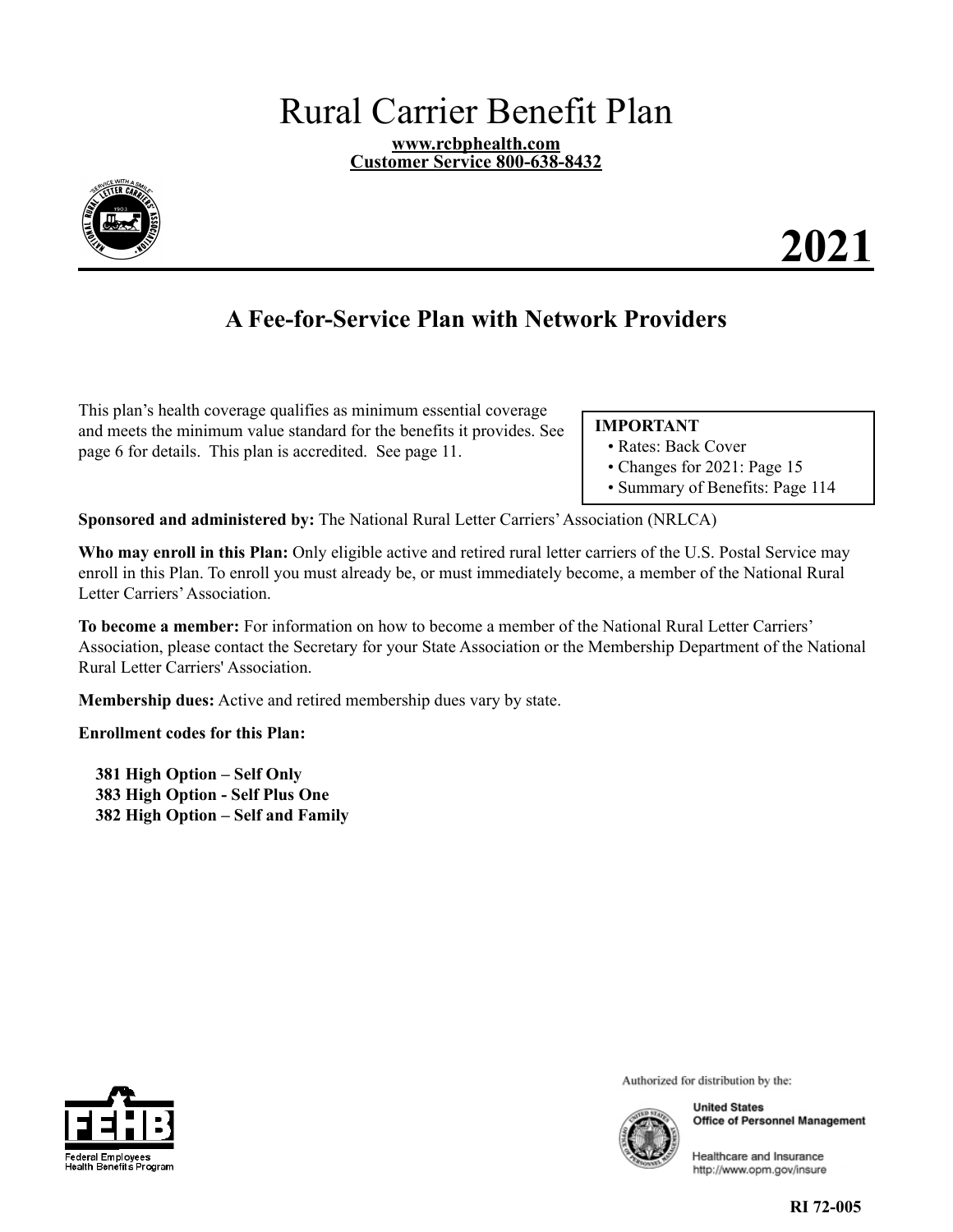# Rural Carrier Benefit Plan

**[www.rcbphealth.com](http://www.rcbphealth.com)  Customer Service 800-638-8432** 

<span id="page-0-0"></span>

# **2021**

# **A Fee-for-Service Plan with Network Providers**

This plan's health coverage qualifies as minimum essential coverage and meets the minimum value standard for the benefits it provides. See page [6](#page-7-0) for details. This plan is accredited. See page [11](#page-12-0).

#### **IMPORTANT**

- Rates: Back Cover
- Changes for 2021: Page [15](#page-16-0)
- Summary of Benefits: Page [114](#page-115-0)

**Sponsored and administered by:** The National Rural Letter Carriers' Association (NRLCA)

**Who may enroll in this Plan:** Only eligible active and retired rural letter carriers of the U.S. Postal Service may enroll in this Plan. To enroll you must already be, or must immediately become, a member of the National Rural Letter Carriers' Association.

**To become a member:** For information on how to become a member of the National Rural Letter Carriers' Association, please contact the Secretary for your State Association or the Membership Department of the National Rural Letter Carriers' Association.

**Membership dues:** Active and retired membership dues vary by state.

**Enrollment codes for this Plan:** 

**381 High Option – Self Only 383 High Option - Self Plus One 382 High Option – Self and Family** 



Authorized for distribution by the:



**United States Office of Personnel Management** 

Healthcare and Insurance http://www.opm.gov/insure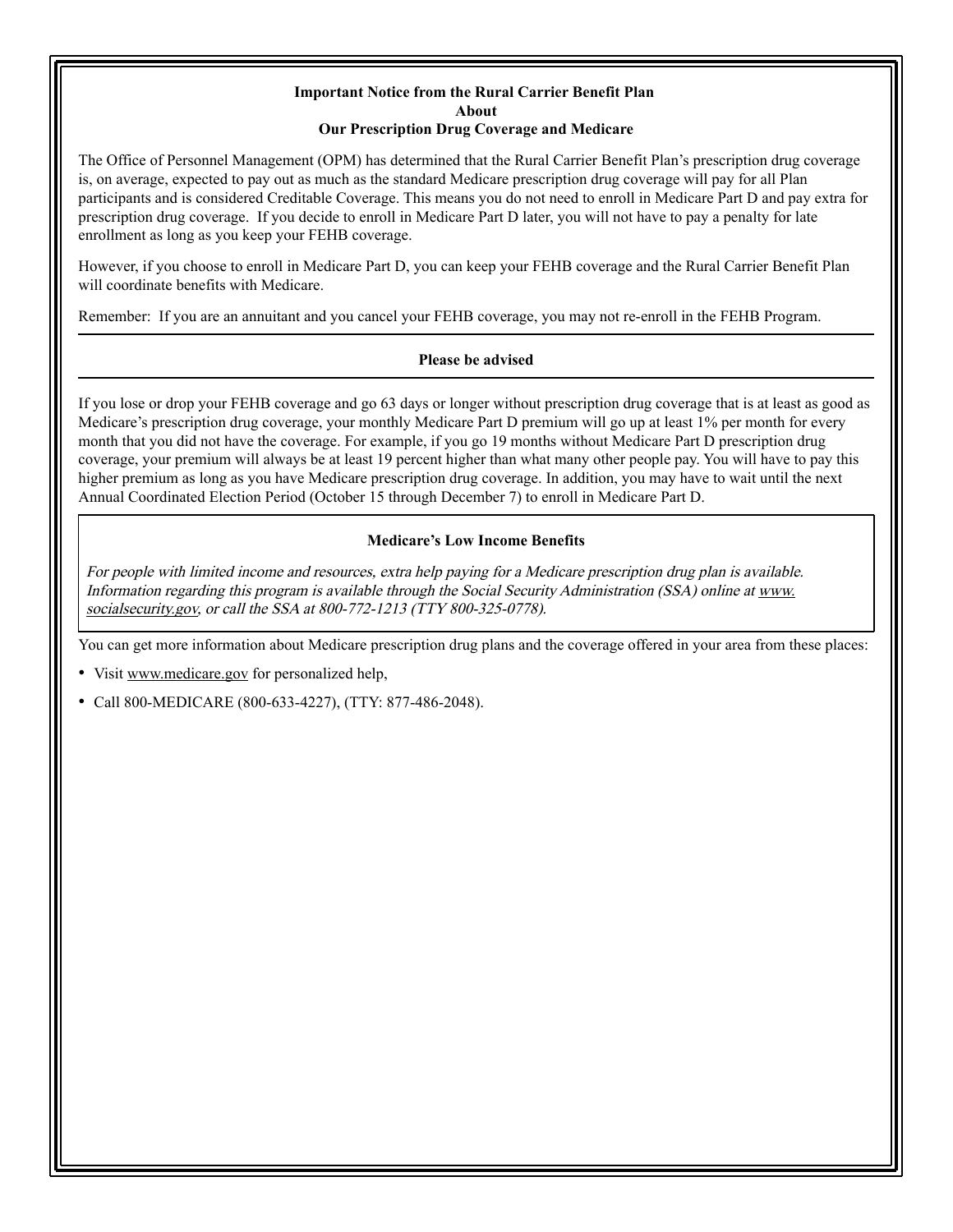#### **Important Notice from the Rural Carrier Benefit Plan About Our Prescription Drug Coverage and Medicare**

<span id="page-1-0"></span>The Office of Personnel Management (OPM) has determined that the Rural Carrier Benefit Plan's prescription drug coverage is, on average, expected to pay out as much as the standard Medicare prescription drug coverage will pay for all Plan participants and is considered Creditable Coverage. This means you do not need to enroll in Medicare Part D and pay extra for prescription drug coverage. If you decide to enroll in Medicare Part D later, you will not have to pay a penalty for late enrollment as long as you keep your FEHB coverage.

However, if you choose to enroll in Medicare Part D, you can keep your FEHB coverage and the Rural Carrier Benefit Plan will coordinate benefits with Medicare.

Remember: If you are an annuitant and you cancel your FEHB coverage, you may not re-enroll in the FEHB Program.

#### **Please be advised**

If you lose or drop your FEHB coverage and go 63 days or longer without prescription drug coverage that is at least as good as Medicare's prescription drug coverage, your monthly Medicare Part D premium will go up at least 1% per month for every month that you did not have the coverage. For example, if you go 19 months without Medicare Part D prescription drug coverage, your premium will always be at least 19 percent higher than what many other people pay. You will have to pay this higher premium as long as you have Medicare prescription drug coverage. In addition, you may have to wait until the next Annual Coordinated Election Period (October 15 through December 7) to enroll in Medicare Part D.

#### **Medicare's Low Income Benefits**

For people with limited income and resources, extra help paying for a Medicare prescription drug plan is available. Information regarding this program is available through the Social Security Administration (SSA) online at [www.](http://www.socialsecurity.gov) [socialsecurity.gov, o](http://www.socialsecurity.gov)r call the SSA at 800-772-1213 (TTY 800-325-0778).

You can get more information about Medicare prescription drug plans and the coverage offered in your area from these places:

- Visit [www.medicare.gov f](http://www.medicare.gov)or personalized help,
- Call 800-MEDICARE (800-633-4227), (TTY: 877-486-2048).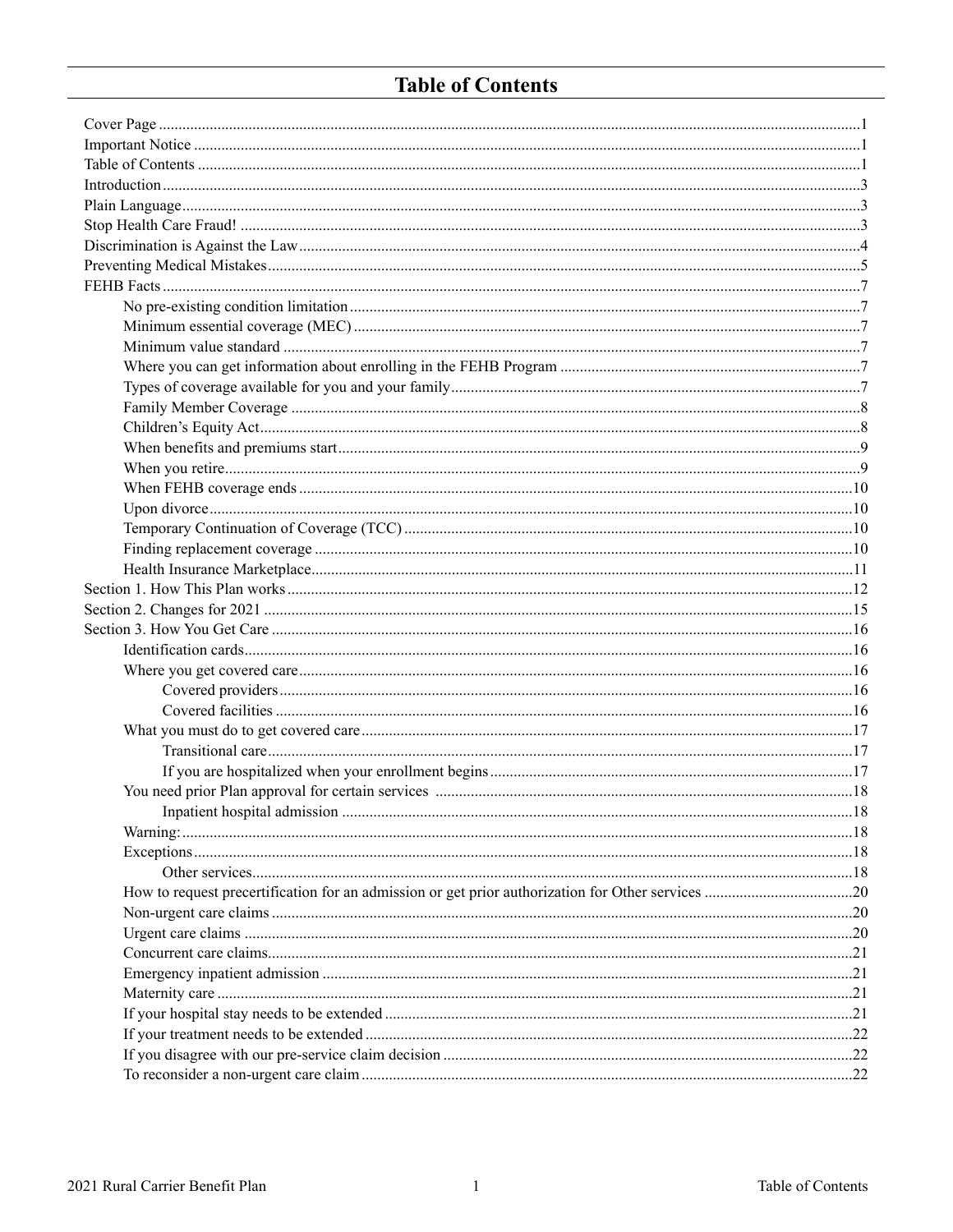# **Table of Contents**

<span id="page-2-0"></span>

| $\dots 18$ |
|------------|
|            |
|            |
|            |
|            |
|            |
|            |
|            |
|            |
|            |
|            |
|            |
|            |
|            |
|            |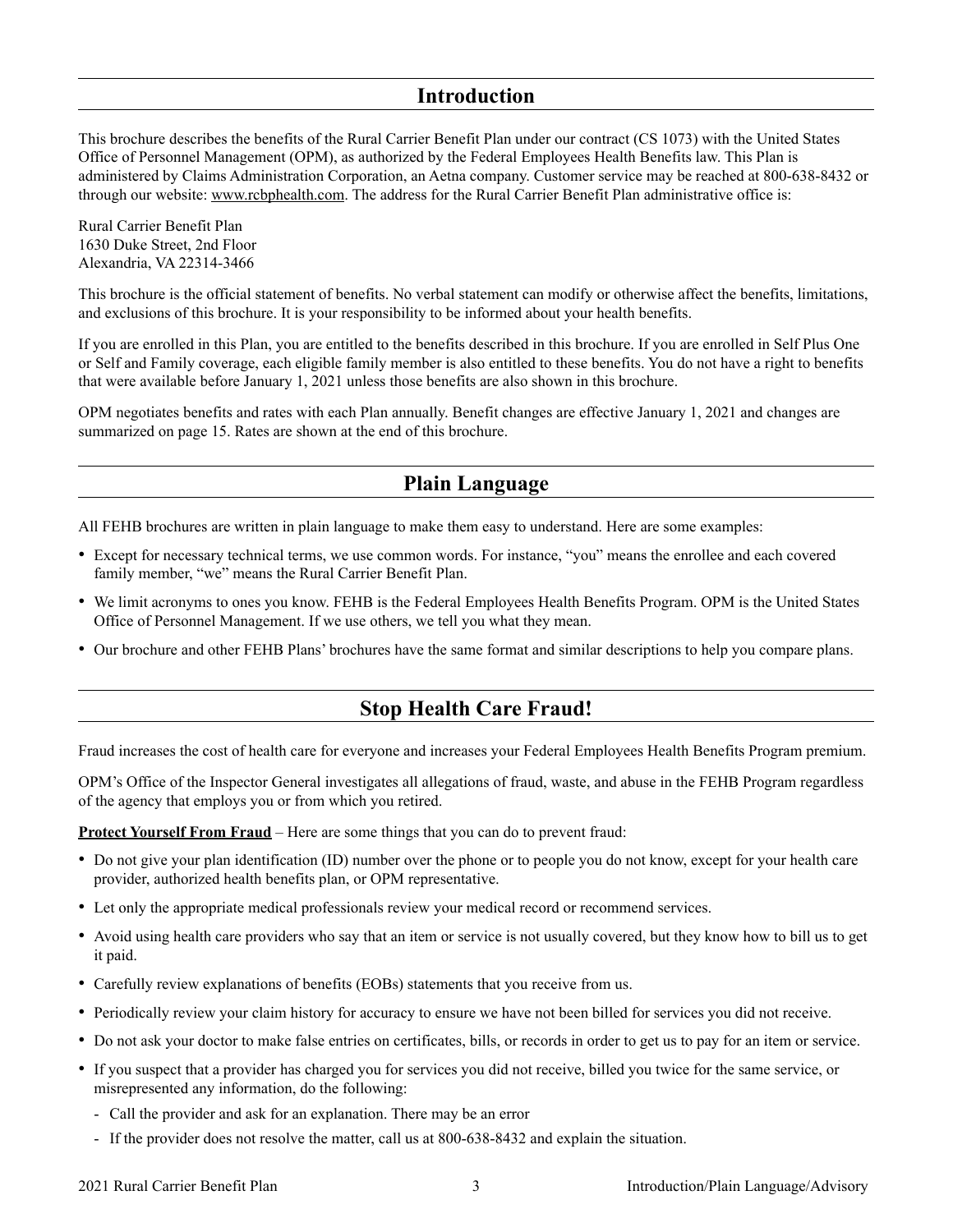### **Introduction**

<span id="page-4-0"></span>This brochure describes the benefits of the Rural Carrier Benefit Plan under our contract (CS 1073) with the United States Office of Personnel Management (OPM), as authorized by the Federal Employees Health Benefits law. This Plan is administered by Claims Administration Corporation, an Aetna company. Customer service may be reached at 800-638-8432 or through our website: [www.rcbphealth.com.](http://www.rcbphealth.com) The address for the Rural Carrier Benefit Plan administrative office is:

Rural Carrier Benefit Plan 1630 Duke Street, 2nd Floor Alexandria, VA 22314-3466

This brochure is the official statement of benefits. No verbal statement can modify or otherwise affect the benefits, limitations, and exclusions of this brochure. It is your responsibility to be informed about your health benefits.

If you are enrolled in this Plan, you are entitled to the benefits described in this brochure. If you are enrolled in Self Plus One or Self and Family coverage, each eligible family member is also entitled to these benefits. You do not have a right to benefits that were available before January 1, 2021 unless those benefits are also shown in this brochure.

OPM negotiates benefits and rates with each Plan annually. Benefit changes are effective January 1, 2021 and changes are summarized on page [15.](#page-16-0) Rates are shown at the end of this brochure.

### **Plain Language**

All FEHB brochures are written in plain language to make them easy to understand. Here are some examples:

- Except for necessary technical terms, we use common words. For instance, "you" means the enrollee and each covered family member, "we" means the Rural Carrier Benefit Plan.
- We limit acronyms to ones you know. FEHB is the Federal Employees Health Benefits Program. OPM is the United States Office of Personnel Management. If we use others, we tell you what they mean.
- Our brochure and other FEHB Plans' brochures have the same format and similar descriptions to help you compare plans.

### **Stop Health Care Fraud!**

Fraud increases the cost of health care for everyone and increases your Federal Employees Health Benefits Program premium.

OPM's Office of the Inspector General investigates all allegations of fraud, waste, and abuse in the FEHB Program regardless of the agency that employs you or from which you retired.

**Protect Yourself From Fraud** – Here are some things that you can do to prevent fraud:

- Do not give your plan identification (ID) number over the phone or to people you do not know, except for your health care provider, authorized health benefits plan, or OPM representative.
- Let only the appropriate medical professionals review your medical record or recommend services.
- Avoid using health care providers who say that an item or service is not usually covered, but they know how to bill us to get it paid.
- Carefully review explanations of benefits (EOBs) statements that you receive from us.
- Periodically review your claim history for accuracy to ensure we have not been billed for services you did not receive.
- Do not ask your doctor to make false entries on certificates, bills, or records in order to get us to pay for an item or service.
- If you suspect that a provider has charged you for services you did not receive, billed you twice for the same service, or misrepresented any information, do the following:
	- Call the provider and ask for an explanation. There may be an error
	- If the provider does not resolve the matter, call us at 800-638-8432 and explain the situation.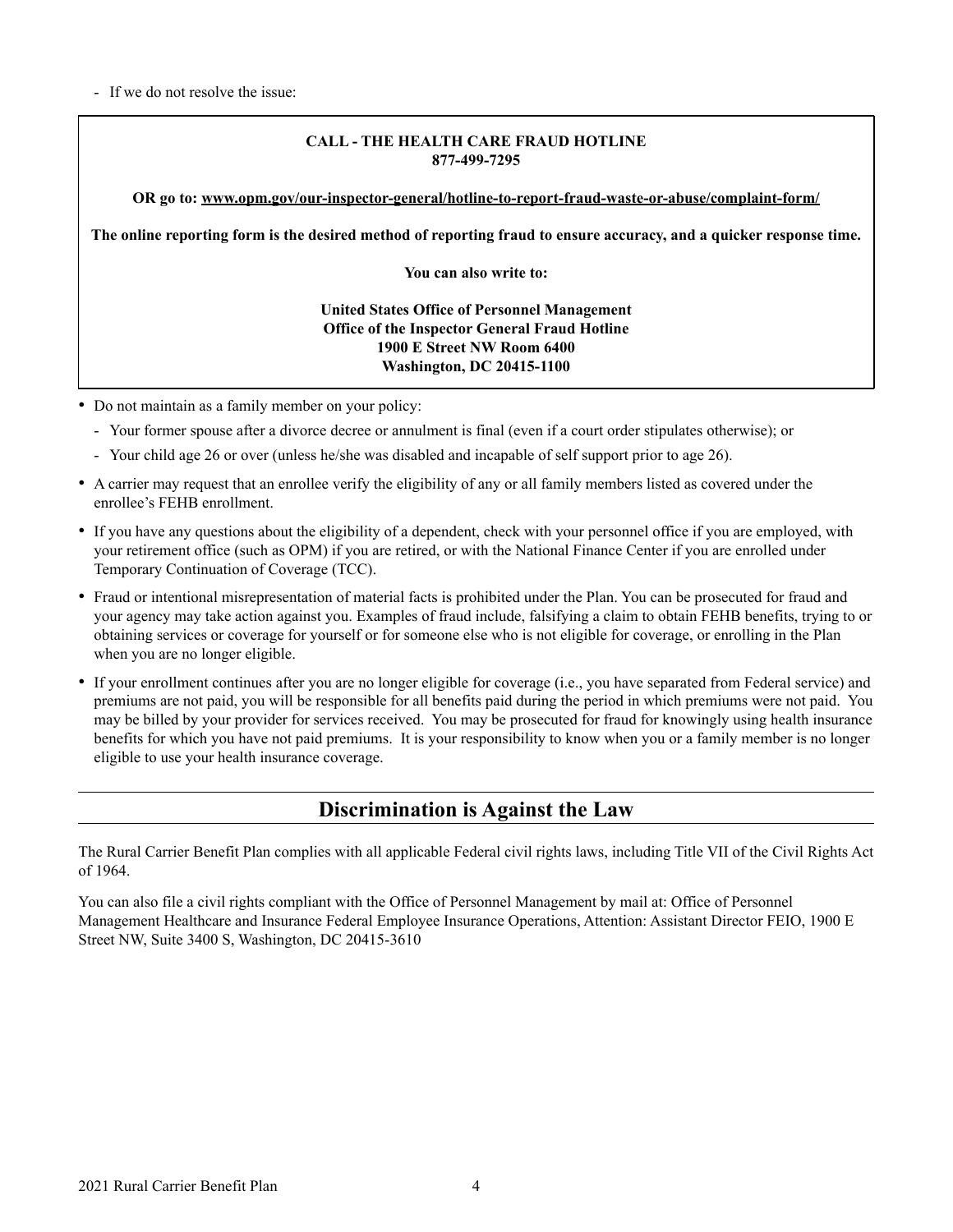<span id="page-5-0"></span>- If we do not resolve the issue:

#### **CALL - THE HEALTH CARE FRAUD HOTLINE 877-499-7295**

**OR go to: [www.opm.gov/our-inspector-general/hotline-to-report-fraud-waste-or-abuse/complaint-form/](http://www.opm.gov/our-inspector-general/hotline-to-report-fraud-waste-or-abuse/complaint-form/)**

**The online reporting form is the desired method of reporting fraud to ensure accuracy, and a quicker response time.** 

**You can also write to:** 

#### **United States Office of Personnel Management Office of the Inspector General Fraud Hotline 1900 E Street NW Room 6400 Washington, DC 20415-1100**

- Do not maintain as a family member on your policy:
	- Your former spouse after a divorce decree or annulment is final (even if a court order stipulates otherwise); or
	- Your child age 26 or over (unless he/she was disabled and incapable of self support prior to age 26).
- A carrier may request that an enrollee verify the eligibility of any or all family members listed as covered under the enrollee's FEHB enrollment.
- If you have any questions about the eligibility of a dependent, check with your personnel office if you are employed, with your retirement office (such as OPM) if you are retired, or with the National Finance Center if you are enrolled under Temporary Continuation of Coverage (TCC).
- Fraud or intentional misrepresentation of material facts is prohibited under the Plan. You can be prosecuted for fraud and your agency may take action against you. Examples of fraud include, falsifying a claim to obtain FEHB benefits, trying to or obtaining services or coverage for yourself or for someone else who is not eligible for coverage, or enrolling in the Plan when you are no longer eligible.
- If your enrollment continues after you are no longer eligible for coverage (i.e., you have separated from Federal service) and premiums are not paid, you will be responsible for all benefits paid during the period in which premiums were not paid. You may be billed by your provider for services received. You may be prosecuted for fraud for knowingly using health insurance benefits for which you have not paid premiums. It is your responsibility to know when you or a family member is no longer eligible to use your health insurance coverage.

### **Discrimination is Against the Law**

The Rural Carrier Benefit Plan complies with all applicable Federal civil rights laws, including Title VII of the Civil Rights Act of 1964.

You can also file a civil rights compliant with the Office of Personnel Management by mail at: Office of Personnel Management Healthcare and Insurance Federal Employee Insurance Operations, Attention: Assistant Director FEIO, 1900 E Street NW, Suite 3400 S, Washington, DC 20415-3610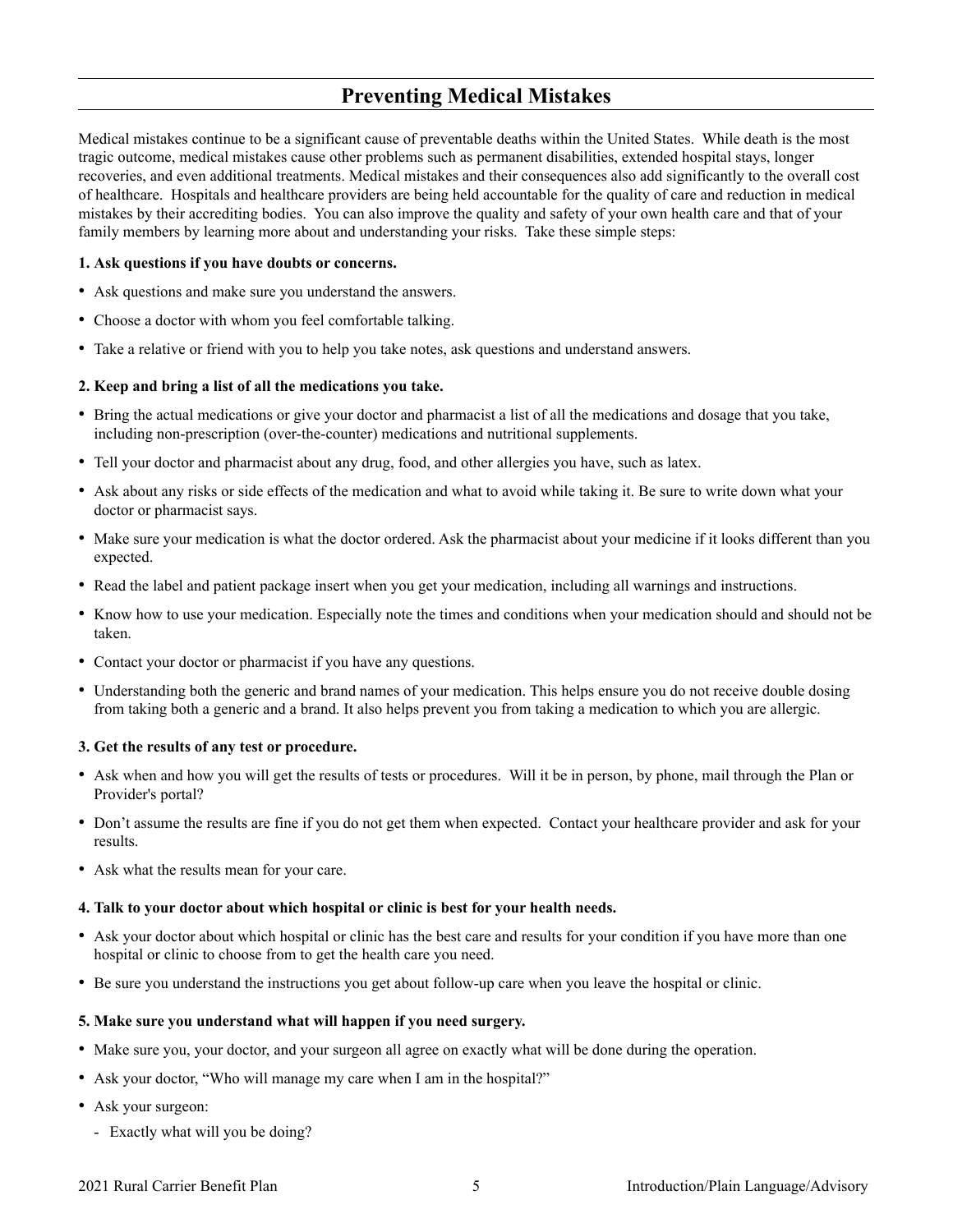### **Preventing Medical Mistakes**

<span id="page-6-0"></span>Medical mistakes continue to be a significant cause of preventable deaths within the United States. While death is the most tragic outcome, medical mistakes cause other problems such as permanent disabilities, extended hospital stays, longer recoveries, and even additional treatments. Medical mistakes and their consequences also add significantly to the overall cost of healthcare. Hospitals and healthcare providers are being held accountable for the quality of care and reduction in medical mistakes by their accrediting bodies. You can also improve the quality and safety of your own health care and that of your family members by learning more about and understanding your risks. Take these simple steps:

#### **1. Ask questions if you have doubts or concerns.**

- Ask questions and make sure you understand the answers.
- Choose a doctor with whom you feel comfortable talking.
- Take a relative or friend with you to help you take notes, ask questions and understand answers.

#### **2. Keep and bring a list of all the medications you take.**

- Bring the actual medications or give your doctor and pharmacist a list of all the medications and dosage that you take, including non-prescription (over-the-counter) medications and nutritional supplements.
- Tell your doctor and pharmacist about any drug, food, and other allergies you have, such as latex.
- Ask about any risks or side effects of the medication and what to avoid while taking it. Be sure to write down what your doctor or pharmacist says.
- Make sure your medication is what the doctor ordered. Ask the pharmacist about your medicine if it looks different than you expected.
- Read the label and patient package insert when you get your medication, including all warnings and instructions.
- Know how to use your medication. Especially note the times and conditions when your medication should and should not be taken.
- Contact your doctor or pharmacist if you have any questions.
- Understanding both the generic and brand names of your medication. This helps ensure you do not receive double dosing from taking both a generic and a brand. It also helps prevent you from taking a medication to which you are allergic.

#### **3. Get the results of any test or procedure.**

- Ask when and how you will get the results of tests or procedures. Will it be in person, by phone, mail through the Plan or Provider's portal?
- Don't assume the results are fine if you do not get them when expected. Contact your healthcare provider and ask for your results.
- Ask what the results mean for your care.

#### **4. Talk to your doctor about which hospital or clinic is best for your health needs.**

- Ask your doctor about which hospital or clinic has the best care and results for your condition if you have more than one hospital or clinic to choose from to get the health care you need.
- Be sure you understand the instructions you get about follow-up care when you leave the hospital or clinic.

#### **5. Make sure you understand what will happen if you need surgery.**

- Make sure you, your doctor, and your surgeon all agree on exactly what will be done during the operation.
- Ask your doctor, "Who will manage my care when I am in the hospital?"
- Ask your surgeon:
	- Exactly what will you be doing?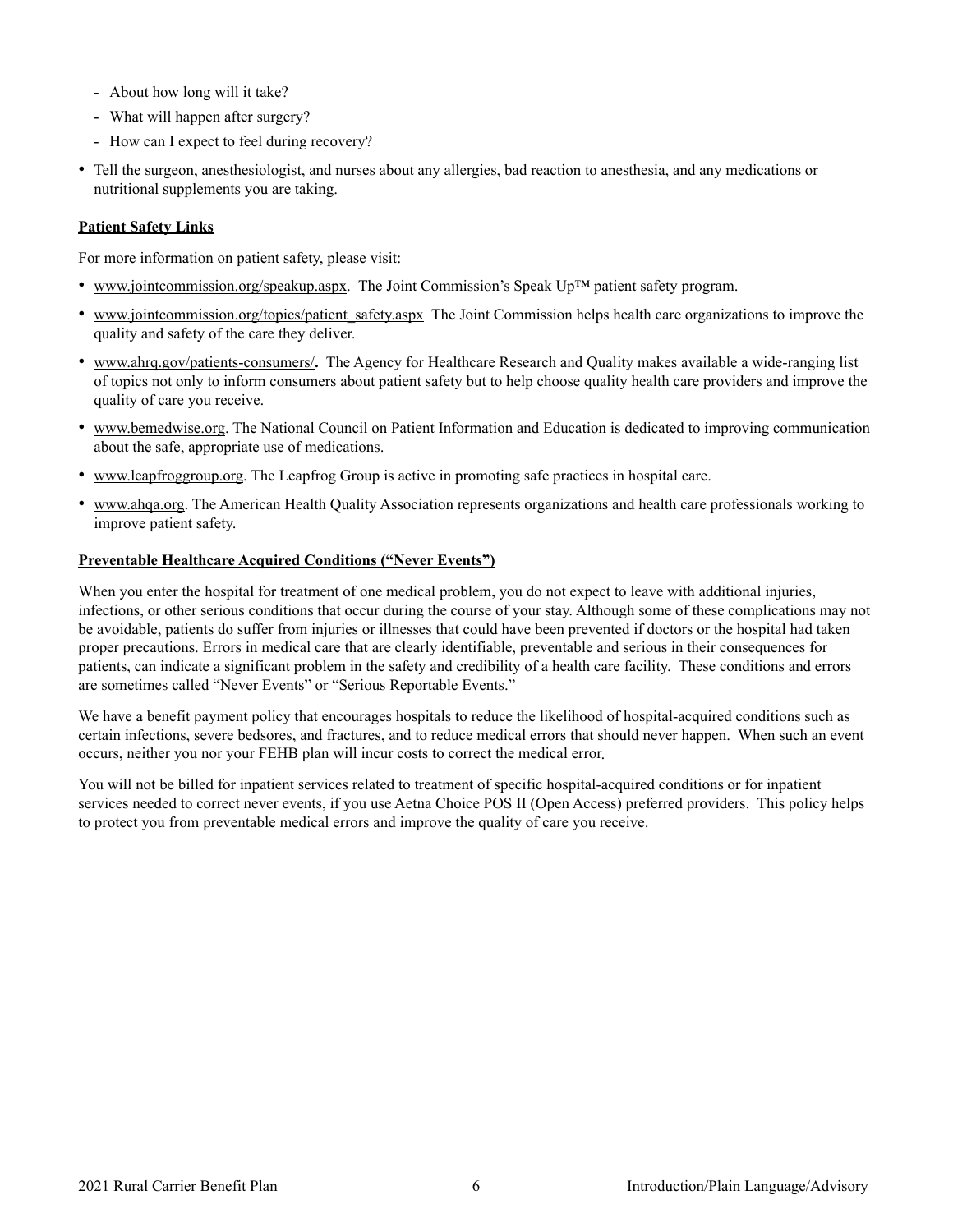- <span id="page-7-0"></span>- About how long will it take?
- What will happen after surgery?
- How can I expect to feel during recovery?
- Tell the surgeon, anesthesiologist, and nurses about any allergies, bad reaction to anesthesia, and any medications or nutritional supplements you are taking.

#### **Patient Safety Links**

For more information on patient safety, please visit:

- [www.jointcommission.org/speakup.aspx.](http://www.jointcommission.org/speakup.aspx) The Joint Commission's Speak Up™ patient safety program.
- •[www.jointcommission.org/topics/patient\\_safety.aspx](http://www.jointcommission.org/topics/patient_safety.aspx) The Joint Commission helps health care organizations to improve the quality and safety of the care they deliver.
- [www.ahrq.gov/patients-consumers/](http://www.ahrq.gov/patients-consumers/)**.** The Agency for Healthcare Research and Quality makes available a wide-ranging list of topics not only to inform consumers about patient safety but to help choose quality health care providers and improve the quality of care you receive.
- [www.bemedwise.org. T](http://www.bemedwise.org)he National Council on Patient Information and Education is dedicated to improving communication about the safe, appropriate use of medications.
- [www.leapfroggroup.org.](http://www.leapfroggroup.org) The Leapfrog Group is active in promoting safe practices in hospital care.
- • [www.ahqa.org.](http://www.ahqa.org) The American Health Quality Association represents organizations and health care professionals working to improve patient safety.

#### **Preventable Healthcare Acquired Conditions ("Never Events")**

When you enter the hospital for treatment of one medical problem, you do not expect to leave with additional injuries, infections, or other serious conditions that occur during the course of your stay. Although some of these complications may not be avoidable, patients do suffer from injuries or illnesses that could have been prevented if doctors or the hospital had taken proper precautions. Errors in medical care that are clearly identifiable, preventable and serious in their consequences for patients, can indicate a significant problem in the safety and credibility of a health care facility. These conditions and errors are sometimes called "Never Events" or "Serious Reportable Events."

We have a benefit payment policy that encourages hospitals to reduce the likelihood of hospital-acquired conditions such as certain infections, severe bedsores, and fractures, and to reduce medical errors that should never happen. When such an event occurs, neither you nor your FEHB plan will incur costs to correct the medical error.

You will not be billed for inpatient services related to treatment of specific hospital-acquired conditions or for inpatient services needed to correct never events, if you use Aetna Choice POS II (Open Access) preferred providers. This policy helps to protect you from preventable medical errors and improve the quality of care you receive.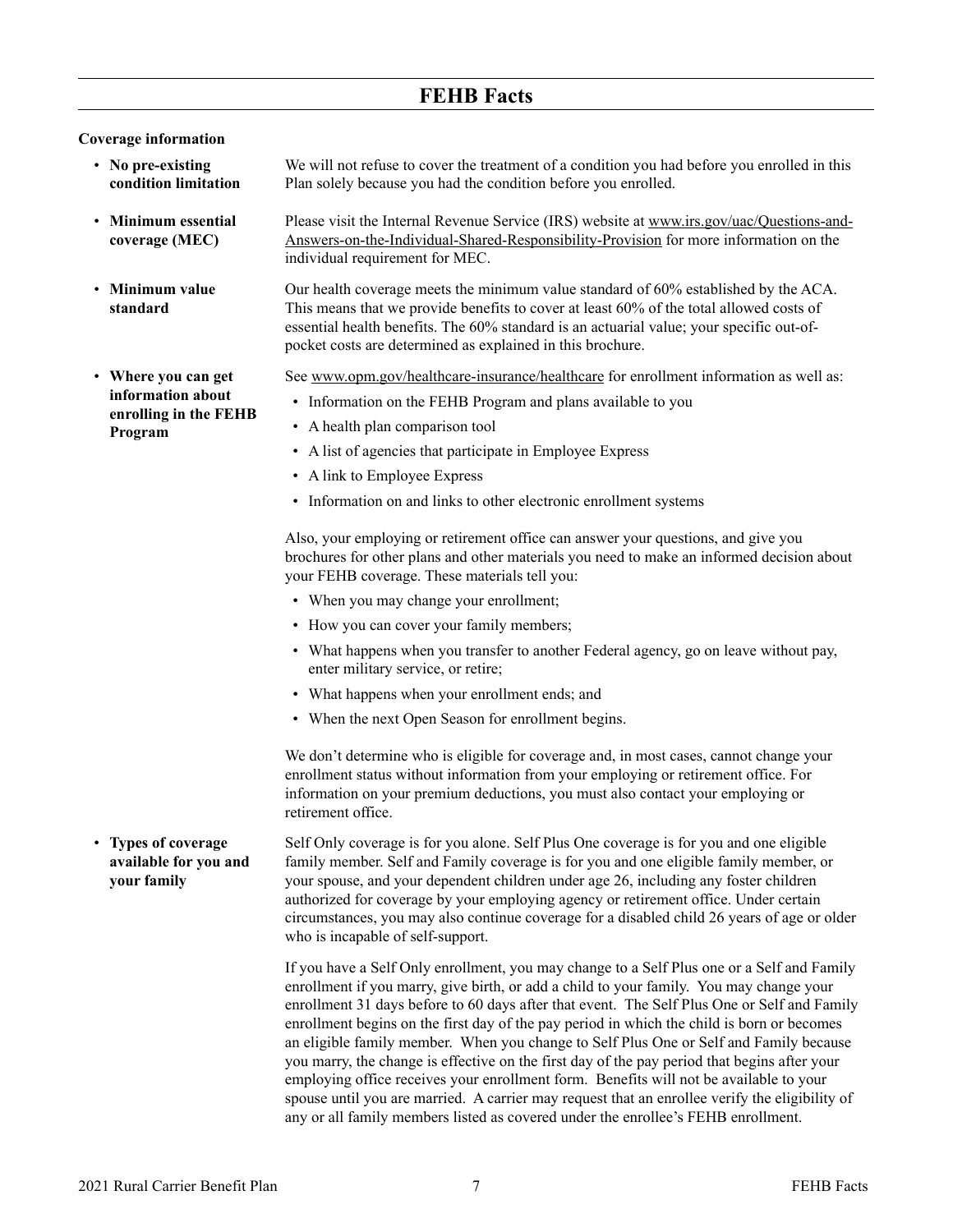### **FEHB Facts**

#### <span id="page-8-0"></span>**Coverage information**

• **Minimum essential coverage (MEC)**

• **Minimum value standard**

- **No pre-existing condition limitation** We will not refuse to cover the treatment of a condition you had before you enrolled in this Plan solely because you had the condition before you enrolled.
	- Please visit the Internal Revenue Service (IRS) website a[t www.irs.gov/uac/Questions-and-](http://www.irs.gov/uac/Questions-and-Answers-on-the-Individual-Shared-Responsibility-Provision)[Answers-on-the-Individual-Shared-Responsibility-Provision f](http://www.irs.gov/uac/Questions-and-Answers-on-the-Individual-Shared-Responsibility-Provision)or more information on the individual requirement for MEC.
	- Our health coverage meets the minimum value standard of 60% established by the ACA. This means that we provide benefits to cover at least 60% of the total allowed costs of essential health benefits. The 60% standard is an actuarial value; your specific out-ofpocket costs are determined as explained in this brochure.

See [www.opm.gov/healthcare-insurance/healthcare](http://www.opm.gov/healthcare-insurance/healthcare) for enrollment information as well as:

- Information on the FEHB Program and plans available to you
- A health plan comparison tool
- A list of agencies that participate in Employee Express
- A link to Employee Express
- Information on and links to other electronic enrollment systems

Also, your employing or retirement office can answer your questions, and give you brochures for other plans and other materials you need to make an informed decision about your FEHB coverage. These materials tell you:

- When you may change your enrollment;
- How you can cover your family members;
- What happens when you transfer to another Federal agency, go on leave without pay, enter military service, or retire;
- What happens when your enrollment ends; and
- When the next Open Season for enrollment begins.

We don't determine who is eligible for coverage and, in most cases, cannot change your enrollment status without information from your employing or retirement office. For information on your premium deductions, you must also contact your employing or retirement office.

• **Types of coverage available for you and your family** Self Only coverage is for you alone. Self Plus One coverage is for you and one eligible family member. Self and Family coverage is for you and one eligible family member, or your spouse, and your dependent children under age 26, including any foster children authorized for coverage by your employing agency or retirement office. Under certain circumstances, you may also continue coverage for a disabled child 26 years of age or older who is incapable of self-support.

> If you have a Self Only enrollment, you may change to a Self Plus one or a Self and Family enrollment if you marry, give birth, or add a child to your family. You may change your enrollment 31 days before to 60 days after that event. The Self Plus One or Self and Family enrollment begins on the first day of the pay period in which the child is born or becomes an eligible family member. When you change to Self Plus One or Self and Family because you marry, the change is effective on the first day of the pay period that begins after your employing office receives your enrollment form. Benefits will not be available to your spouse until you are married. A carrier may request that an enrollee verify the eligibility of any or all family members listed as covered under the enrollee's FEHB enrollment.

• **Where you can get information about enrolling in the FEHB Program**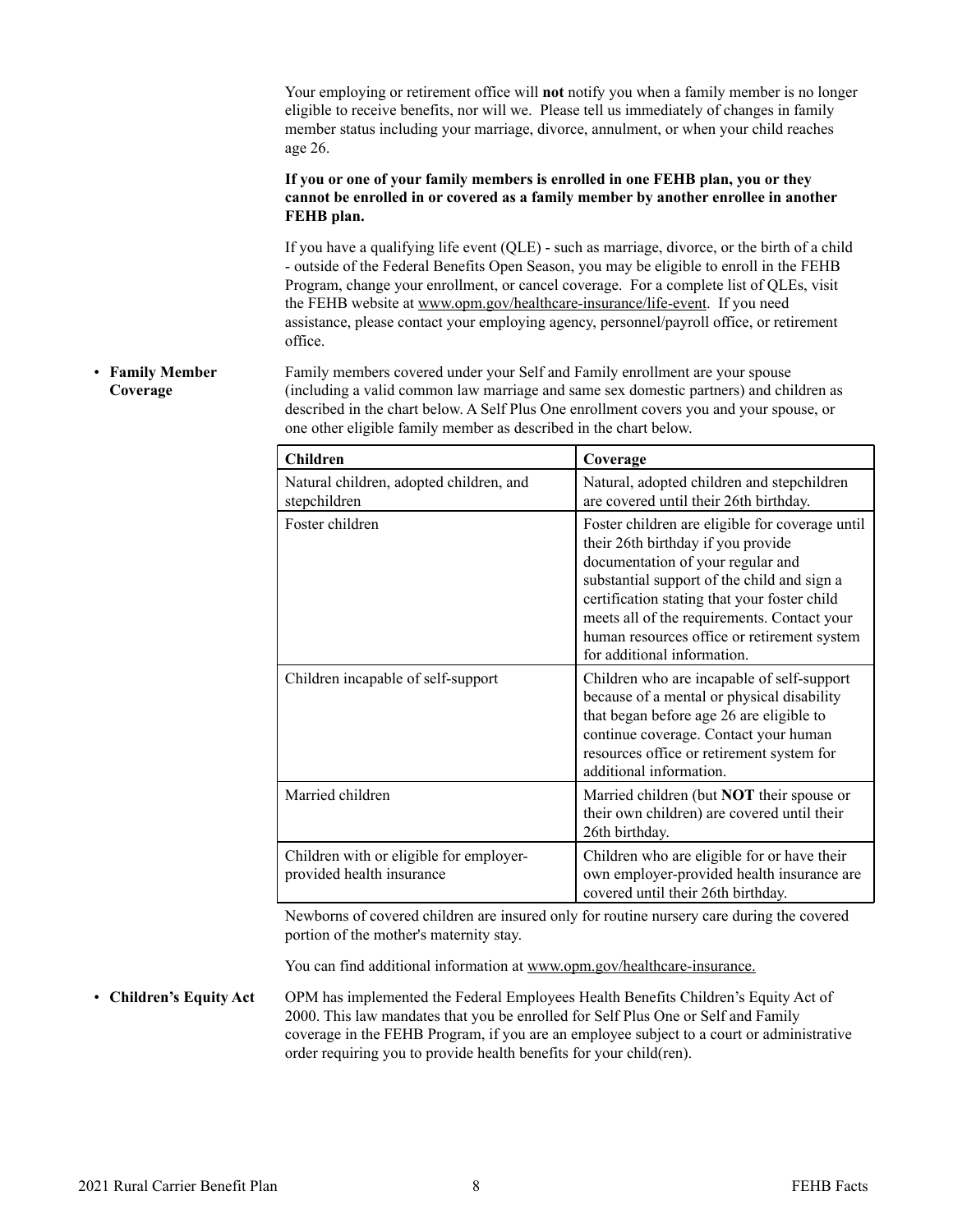<span id="page-9-0"></span>Your employing or retirement office will **not** notify you when a family member is no longer eligible to receive benefits, nor will we. Please tell us immediately of changes in family member status including your marriage, divorce, annulment, or when your child reaches age 26.

**If you or one of your family members is enrolled in one FEHB plan, you or they cannot be enrolled in or covered as a family member by another enrollee in another FEHB plan.**

If you have a qualifying life event (QLE) - such as marriage, divorce, or the birth of a child - outside of the Federal Benefits Open Season, you may be eligible to enroll in the FEHB Program, change your enrollment, or cancel coverage. For a complete list of QLEs, visit the FEHB website a[t www.opm.gov/healthcare-insurance/life-event.](http://www.opm.gov/healthcare-insurance/life-event) If you need assistance, please contact your employing agency, personnel/payroll office, or retirement office.

• **Family Member Coverage** Family members covered under your Self and Family enrollment are your spouse (including a valid common law marriage and same sex domestic partners) and children as described in the chart below. A Self Plus One enrollment covers you and your spouse, or one other eligible family member as described in the chart below.

| Children                                                             | Coverage                                                                                                                                                                                                                                                                                                                                               |
|----------------------------------------------------------------------|--------------------------------------------------------------------------------------------------------------------------------------------------------------------------------------------------------------------------------------------------------------------------------------------------------------------------------------------------------|
| Natural children, adopted children, and<br>stepchildren              | Natural, adopted children and stepchildren<br>are covered until their 26th birthday.                                                                                                                                                                                                                                                                   |
| Foster children                                                      | Foster children are eligible for coverage until<br>their 26th birthday if you provide<br>documentation of your regular and<br>substantial support of the child and sign a<br>certification stating that your foster child<br>meets all of the requirements. Contact your<br>human resources office or retirement system<br>for additional information. |
| Children incapable of self-support                                   | Children who are incapable of self-support<br>because of a mental or physical disability<br>that began before age 26 are eligible to<br>continue coverage. Contact your human<br>resources office or retirement system for<br>additional information.                                                                                                  |
| Married children                                                     | Married children (but <b>NOT</b> their spouse or<br>their own children) are covered until their<br>26th birthday.                                                                                                                                                                                                                                      |
| Children with or eligible for employer-<br>provided health insurance | Children who are eligible for or have their<br>own employer-provided health insurance are<br>covered until their 26th birthday.                                                                                                                                                                                                                        |

Newborns of covered children are insured only for routine nursery care during the covered portion of the mother's maternity stay.

You can find additional information at [www.opm.gov/healthcare-insurance.](http://www.opm.gov/healthcare-insurance)

• **Children's Equity Act** OPM has implemented the Federal Employees Health Benefits Children's Equity Act of 2000. This law mandates that you be enrolled for Self Plus One or Self and Family coverage in the FEHB Program, if you are an employee subject to a court or administrative order requiring you to provide health benefits for your child(ren).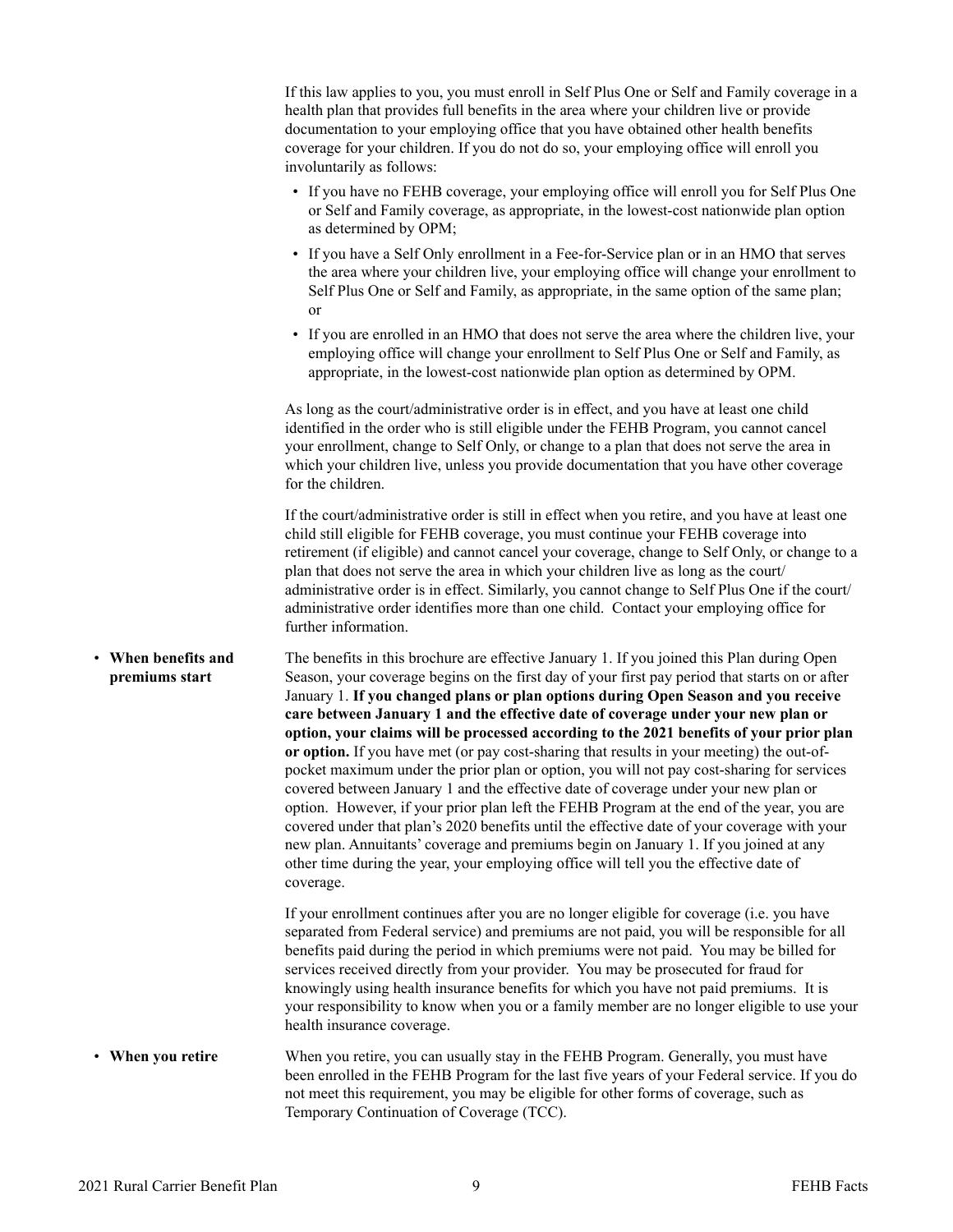<span id="page-10-0"></span>If this law applies to you, you must enroll in Self Plus One or Self and Family coverage in a health plan that provides full benefits in the area where your children live or provide documentation to your employing office that you have obtained other health benefits coverage for your children. If you do not do so, your employing office will enroll you involuntarily as follows:

- If you have no FEHB coverage, your employing office will enroll you for Self Plus One or Self and Family coverage, as appropriate, in the lowest-cost nationwide plan option as determined by OPM;
- If you have a Self Only enrollment in a Fee-for-Service plan or in an HMO that serves the area where your children live, your employing office will change your enrollment to Self Plus One or Self and Family, as appropriate, in the same option of the same plan; or
- If you are enrolled in an HMO that does not serve the area where the children live, your employing office will change your enrollment to Self Plus One or Self and Family, as appropriate, in the lowest-cost nationwide plan option as determined by OPM.

As long as the court/administrative order is in effect, and you have at least one child identified in the order who is still eligible under the FEHB Program, you cannot cancel your enrollment, change to Self Only, or change to a plan that does not serve the area in which your children live, unless you provide documentation that you have other coverage for the children.

If the court/administrative order is still in effect when you retire, and you have at least one child still eligible for FEHB coverage, you must continue your FEHB coverage into retirement (if eligible) and cannot cancel your coverage, change to Self Only, or change to a plan that does not serve the area in which your children live as long as the court/ administrative order is in effect. Similarly, you cannot change to Self Plus One if the court/ administrative order identifies more than one child. Contact your employing office for further information.

• **When benefits and premiums start** The benefits in this brochure are effective January 1. If you joined this Plan during Open Season, your coverage begins on the first day of your first pay period that starts on or after January 1. **If you changed plans or plan options during Open Season and you receive care between January 1 and the effective date of coverage under your new plan or option, your claims will be processed according to the 2021 benefits of your prior plan or option.** If you have met (or pay cost-sharing that results in your meeting) the out-ofpocket maximum under the prior plan or option, you will not pay cost-sharing for services covered between January 1 and the effective date of coverage under your new plan or option. However, if your prior plan left the FEHB Program at the end of the year, you are covered under that plan's 2020 benefits until the effective date of your coverage with your new plan. Annuitants' coverage and premiums begin on January 1. If you joined at any other time during the year, your employing office will tell you the effective date of coverage.

> If your enrollment continues after you are no longer eligible for coverage (i.e. you have separated from Federal service) and premiums are not paid, you will be responsible for all benefits paid during the period in which premiums were not paid. You may be billed for services received directly from your provider. You may be prosecuted for fraud for knowingly using health insurance benefits for which you have not paid premiums. It is your responsibility to know when you or a family member are no longer eligible to use your health insurance coverage.

• **When you retire** When you retire, you can usually stay in the FEHB Program. Generally, you must have been enrolled in the FEHB Program for the last five years of your Federal service. If you do not meet this requirement, you may be eligible for other forms of coverage, such as Temporary Continuation of Coverage (TCC).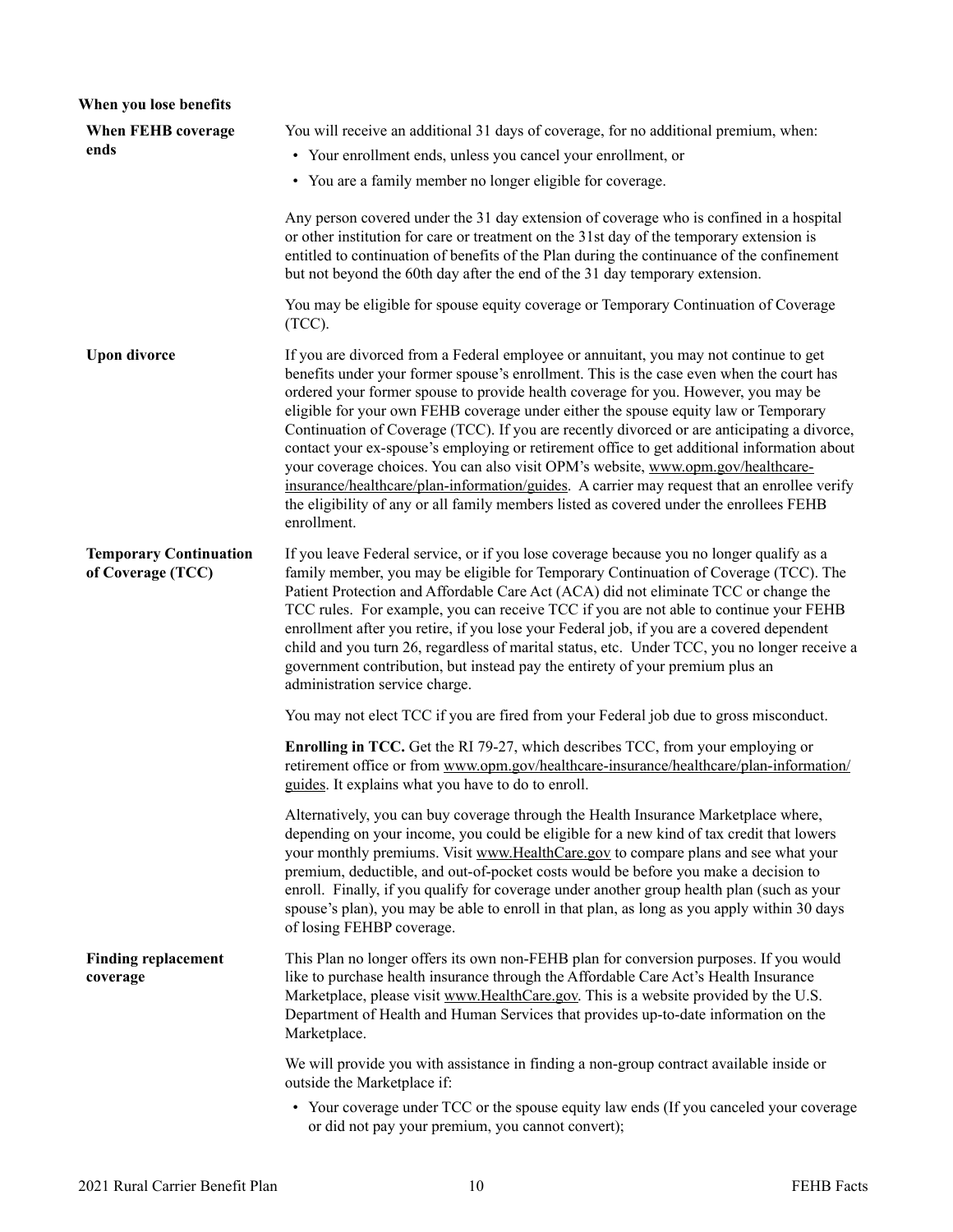<span id="page-11-0"></span>

| When you lose benefits                             |                                                                                                                                                                                                                                                                                                                                                                                                                                                                                                                                                                                                                                                                                                                                                                                                                                                           |
|----------------------------------------------------|-----------------------------------------------------------------------------------------------------------------------------------------------------------------------------------------------------------------------------------------------------------------------------------------------------------------------------------------------------------------------------------------------------------------------------------------------------------------------------------------------------------------------------------------------------------------------------------------------------------------------------------------------------------------------------------------------------------------------------------------------------------------------------------------------------------------------------------------------------------|
| When FEHB coverage                                 | You will receive an additional 31 days of coverage, for no additional premium, when:                                                                                                                                                                                                                                                                                                                                                                                                                                                                                                                                                                                                                                                                                                                                                                      |
| ends                                               | • Your enrollment ends, unless you cancel your enrollment, or                                                                                                                                                                                                                                                                                                                                                                                                                                                                                                                                                                                                                                                                                                                                                                                             |
|                                                    | • You are a family member no longer eligible for coverage.                                                                                                                                                                                                                                                                                                                                                                                                                                                                                                                                                                                                                                                                                                                                                                                                |
|                                                    | Any person covered under the 31 day extension of coverage who is confined in a hospital<br>or other institution for care or treatment on the 31st day of the temporary extension is<br>entitled to continuation of benefits of the Plan during the continuance of the confinement<br>but not beyond the 60th day after the end of the 31 day temporary extension.                                                                                                                                                                                                                                                                                                                                                                                                                                                                                         |
|                                                    | You may be eligible for spouse equity coverage or Temporary Continuation of Coverage<br>$(TCC)$ .                                                                                                                                                                                                                                                                                                                                                                                                                                                                                                                                                                                                                                                                                                                                                         |
| <b>Upon divorce</b>                                | If you are divorced from a Federal employee or annuitant, you may not continue to get<br>benefits under your former spouse's enrollment. This is the case even when the court has<br>ordered your former spouse to provide health coverage for you. However, you may be<br>eligible for your own FEHB coverage under either the spouse equity law or Temporary<br>Continuation of Coverage (TCC). If you are recently divorced or are anticipating a divorce,<br>contact your ex-spouse's employing or retirement office to get additional information about<br>your coverage choices. You can also visit OPM's website, www.opm.gov/healthcare-<br>insurance/healthcare/plan-information/guides. A carrier may request that an enrollee verify<br>the eligibility of any or all family members listed as covered under the enrollees FEHB<br>enrollment. |
| <b>Temporary Continuation</b><br>of Coverage (TCC) | If you leave Federal service, or if you lose coverage because you no longer qualify as a<br>family member, you may be eligible for Temporary Continuation of Coverage (TCC). The<br>Patient Protection and Affordable Care Act (ACA) did not eliminate TCC or change the<br>TCC rules. For example, you can receive TCC if you are not able to continue your FEHB<br>enrollment after you retire, if you lose your Federal job, if you are a covered dependent<br>child and you turn 26, regardless of marital status, etc. Under TCC, you no longer receive a<br>government contribution, but instead pay the entirety of your premium plus an<br>administration service charge.                                                                                                                                                                         |
|                                                    | You may not elect TCC if you are fired from your Federal job due to gross misconduct.                                                                                                                                                                                                                                                                                                                                                                                                                                                                                                                                                                                                                                                                                                                                                                     |
|                                                    | <b>Enrolling in TCC.</b> Get the RI 79-27, which describes TCC, from your employing or<br>retirement office or from www.opm.gov/healthcare-insurance/healthcare/plan-information/<br>guides. It explains what you have to do to enroll.                                                                                                                                                                                                                                                                                                                                                                                                                                                                                                                                                                                                                   |
|                                                    | Alternatively, you can buy coverage through the Health Insurance Marketplace where,<br>depending on your income, you could be eligible for a new kind of tax credit that lowers<br>your monthly premiums. Visit www.HealthCare.gov to compare plans and see what your<br>premium, deductible, and out-of-pocket costs would be before you make a decision to<br>enroll. Finally, if you qualify for coverage under another group health plan (such as your<br>spouse's plan), you may be able to enroll in that plan, as long as you apply within 30 days<br>of losing FEHBP coverage.                                                                                                                                                                                                                                                                    |
| <b>Finding replacement</b><br>coverage             | This Plan no longer offers its own non-FEHB plan for conversion purposes. If you would<br>like to purchase health insurance through the Affordable Care Act's Health Insurance<br>Marketplace, please visit www.HealthCare.gov. This is a website provided by the U.S.<br>Department of Health and Human Services that provides up-to-date information on the<br>Marketplace.                                                                                                                                                                                                                                                                                                                                                                                                                                                                             |
|                                                    | We will provide you with assistance in finding a non-group contract available inside or<br>outside the Marketplace if:                                                                                                                                                                                                                                                                                                                                                                                                                                                                                                                                                                                                                                                                                                                                    |
|                                                    | • Your coverage under TCC or the spouse equity law ends (If you canceled your coverage<br>or did not pay your premium, you cannot convert);                                                                                                                                                                                                                                                                                                                                                                                                                                                                                                                                                                                                                                                                                                               |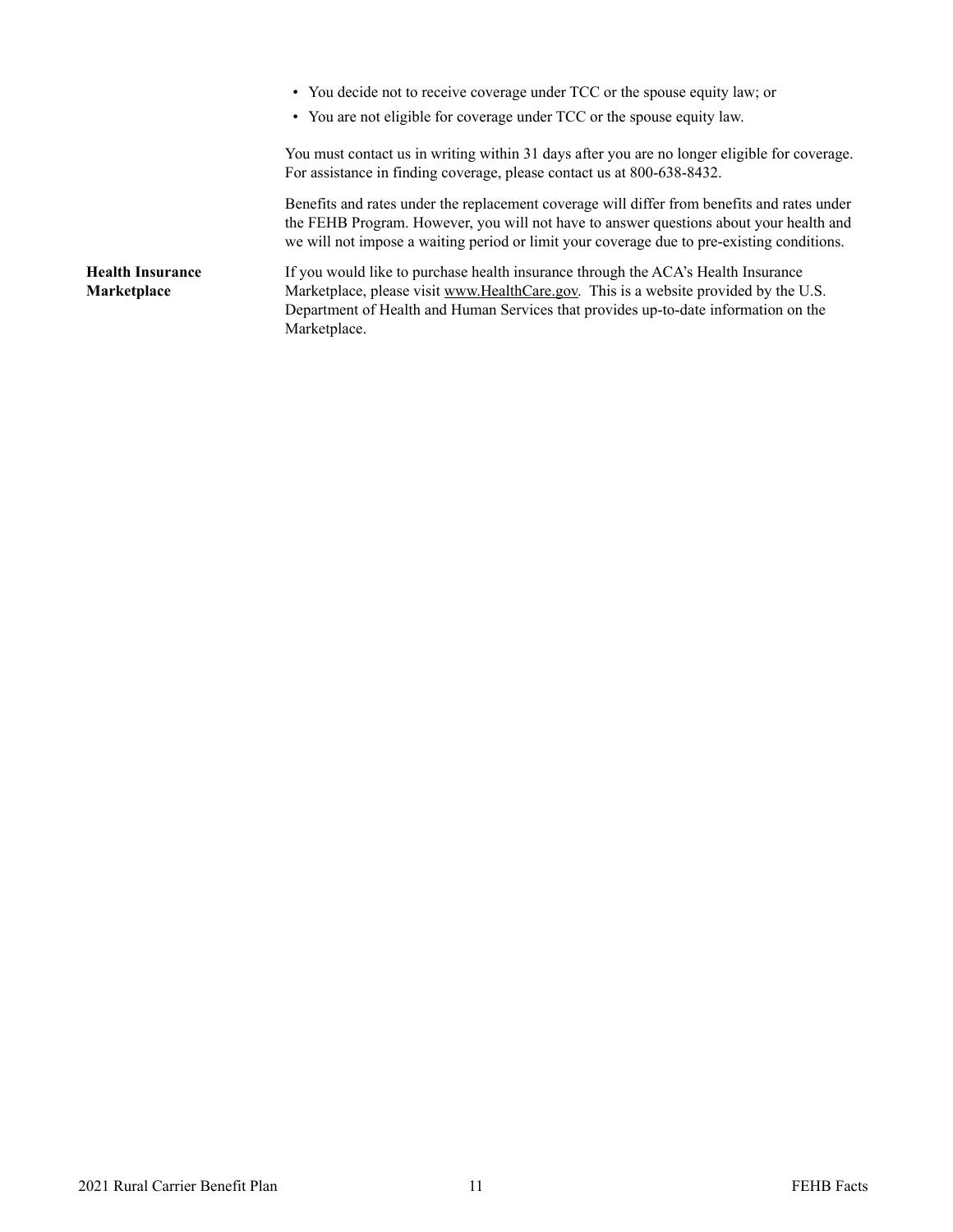- You decide not to receive coverage under TCC or the spouse equity law; or
- You are not eligible for coverage under TCC or the spouse equity law.

You must contact us in writing within 31 days after you are no longer eligible for coverage. For assistance in finding coverage, please contact us at 800-638-8432.

Benefits and rates under the replacement coverage will differ from benefits and rates under the FEHB Program. However, you will not have to answer questions about your health and we will not impose a waiting period or limit your coverage due to pre-existing conditions.

<span id="page-12-0"></span>**Health Insurance Marketplace** If you would like to purchase health insurance through the ACA's Health Insurance Marketplace, please visit [www.HealthCare.gov.](http://www.HealthCare.gov) This is a website provided by the U.S. Department of Health and Human Services that provides up-to-date information on the Marketplace.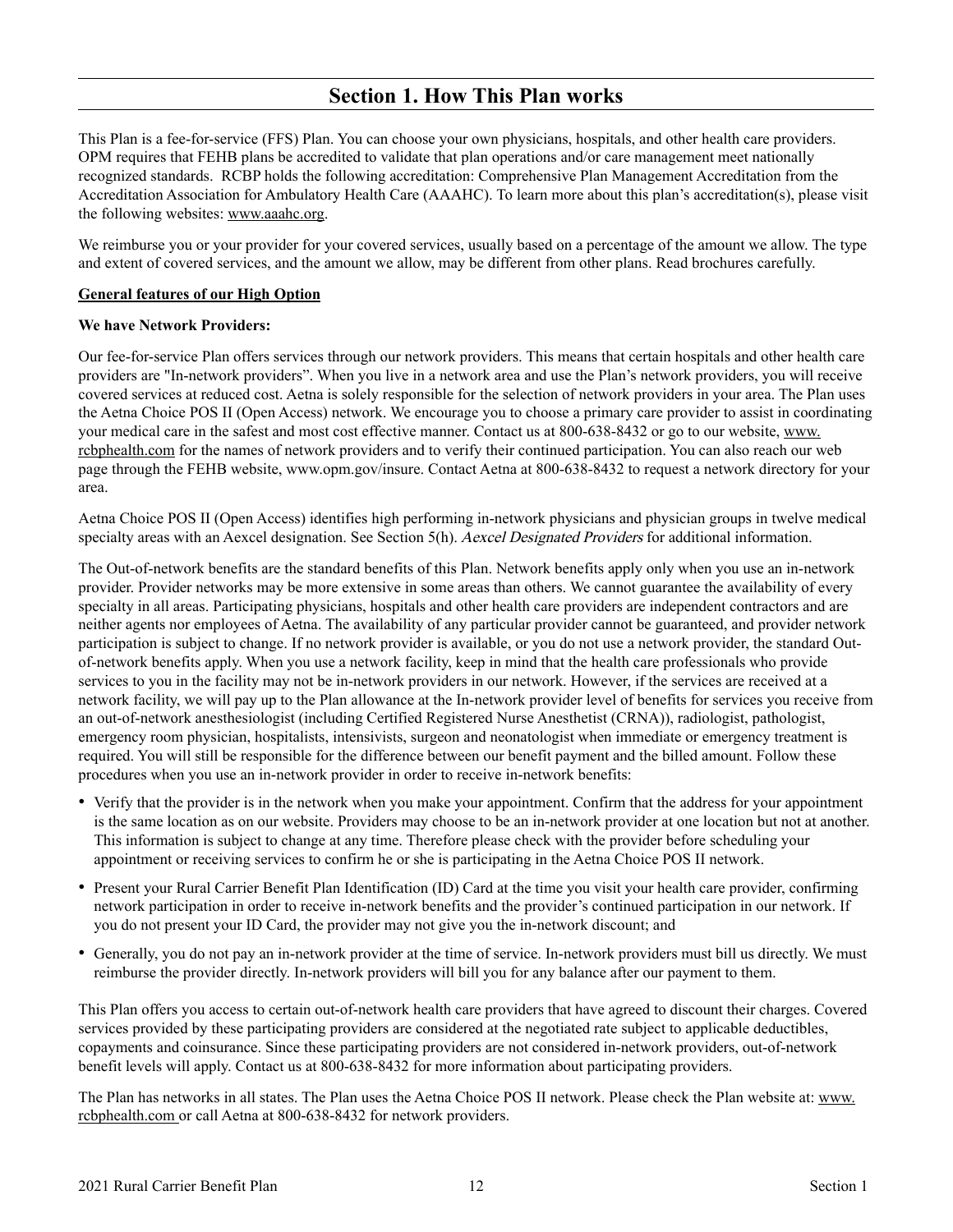### **Section 1. How This Plan works**

<span id="page-13-0"></span>This Plan is a fee-for-service (FFS) Plan. You can choose your own physicians, hospitals, and other health care providers. OPM requires that FEHB plans be accredited to validate that plan operations and/or care management meet nationally recognized standards. RCBP holds the following accreditation: Comprehensive Plan Management Accreditation from the Accreditation Association for Ambulatory Health Care (AAAHC). To learn more about this plan's accreditation(s), please visit the following websites: [www.aaahc.org](http://www.aaahc.org).

We reimburse you or your provider for your covered services, usually based on a percentage of the amount we allow. The type and extent of covered services, and the amount we allow, may be different from other plans. Read brochures carefully.

#### **General features of our High Option**

#### **We have Network Providers:**

Our fee-for-service Plan offers services through our network providers. This means that certain hospitals and other health care providers are "In-network providers". When you live in a network area and use the Plan's network providers, you will receive covered services at reduced cost. Aetna is solely responsible for the selection of network providers in your area. The Plan uses the Aetna Choice POS II (Open Access) network. We encourage you to choose a primary care provider to assist in coordinating your medical care in the safest and most cost effective manner. Contact us at 800-638-8432 or go to our website, [www.](http://www.rcbphealth.com) [rcbphealth.com](http://www.rcbphealth.com) for the names of network providers and to verify their continued participation. You can also reach our web page through the FEHB website, [www.opm.gov/insure.](http://www.opm.gov/insure) Contact Aetna at 800-638-8432 to request a network directory for your area.

Aetna Choice POS II (Open Access) identifies high performing in-network physicians and physician groups in twelve medical specialty areas with an Aexcel designation. See Section 5(h). Aexcel Designated Providers for additional information.

The Out-of-network benefits are the standard benefits of this Plan. Network benefits apply only when you use an in-network provider. Provider networks may be more extensive in some areas than others. We cannot guarantee the availability of every specialty in all areas. Participating physicians, hospitals and other health care providers are independent contractors and are neither agents nor employees of Aetna. The availability of any particular provider cannot be guaranteed, and provider network participation is subject to change. If no network provider is available, or you do not use a network provider, the standard Outof-network benefits apply. When you use a network facility, keep in mind that the health care professionals who provide services to you in the facility may not be in-network providers in our network. However, if the services are received at a network facility, we will pay up to the Plan allowance at the In-network provider level of benefits for services you receive from an out-of-network anesthesiologist (including Certified Registered Nurse Anesthetist (CRNA)), radiologist, pathologist, emergency room physician, hospitalists, intensivists, surgeon and neonatologist when immediate or emergency treatment is required. You will still be responsible for the difference between our benefit payment and the billed amount. Follow these procedures when you use an in-network provider in order to receive in-network benefits:

- Verify that the provider is in the network when you make your appointment. Confirm that the address for your appointment is the same location as on our website. Providers may choose to be an in-network provider at one location but not at another. This information is subject to change at any time. Therefore please check with the provider before scheduling your appointment or receiving services to confirm he or she is participating in the Aetna Choice POS II network.
- Present your Rural Carrier Benefit Plan Identification (ID) Card at the time you visit your health care provider, confirming network participation in order to receive in-network benefits and the provider's continued participation in our network. If you do not present your ID Card, the provider may not give you the in-network discount; and
- Generally, you do not pay an in-network provider at the time of service. In-network providers must bill us directly. We must reimburse the provider directly. In-network providers will bill you for any balance after our payment to them.

This Plan offers you access to certain out-of-network health care providers that have agreed to discount their charges. Covered services provided by these participating providers are considered at the negotiated rate subject to applicable deductibles, copayments and coinsurance. Since these participating providers are not considered in-network providers, out-of-network benefit levels will apply. Contact us at 800-638-8432 for more information about participating providers.

The Plan has networks in all states. The Plan uses the Aetna Choice POS II network. Please check the Plan website at: [www.](http://www.rcbphealth.com) [rcbphealth.com](http://www.rcbphealth.com) or call Aetna at 800-638-8432 for network providers.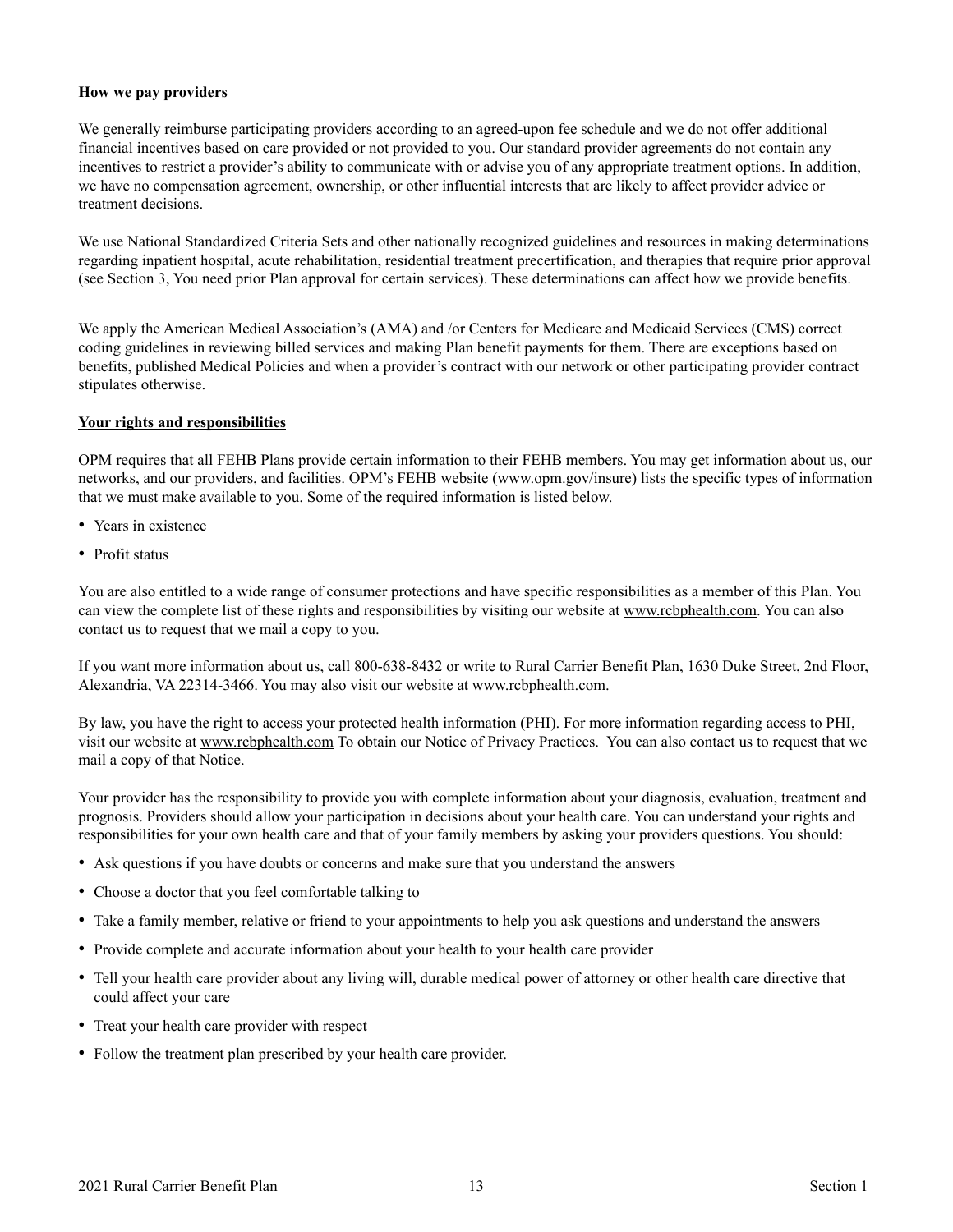#### **How we pay providers**

We generally reimburse participating providers according to an agreed-upon fee schedule and we do not offer additional financial incentives based on care provided or not provided to you. Our standard provider agreements do not contain any incentives to restrict a provider's ability to communicate with or advise you of any appropriate treatment options. In addition, we have no compensation agreement, ownership, or other influential interests that are likely to affect provider advice or treatment decisions.

We use National Standardized Criteria Sets and other nationally recognized guidelines and resources in making determinations regarding inpatient hospital, acute rehabilitation, residential treatment precertification, and therapies that require prior approval (see Section 3, You need prior Plan approval for certain services). These determinations can affect how we provide benefits.

We apply the American Medical Association's (AMA) and /or Centers for Medicare and Medicaid Services (CMS) correct coding guidelines in reviewing billed services and making Plan benefit payments for them. There are exceptions based on benefits, published Medical Policies and when a provider's contract with our network or other participating provider contract stipulates otherwise.

#### **Your rights and responsibilities**

OPM requires that all FEHB Plans provide certain information to their FEHB members. You may get information about us, our networks, and our providers, and facilities. OPM's FEHB website ([www.opm.gov/insure\)](http://www.opm.gov/insure) lists the specific types of information that we must make available to you. Some of the required information is listed below.

- Years in existence
- Profit status

You are also entitled to a wide range of consumer protections and have specific responsibilities as a member of this Plan. You can view the complete list of these rights and responsibilities by visiting our website at [www.rcbphealth.com.](http://www.rcbphealth.com) You can also contact us to request that we mail a copy to you.

If you want more information about us, call 800-638-8432 or write to Rural Carrier Benefit Plan, 1630 Duke Street, 2nd Floor, Alexandria, VA 22314-3466. You may also visit our website at [www.rcbphealth.com.](http://www.rcbphealth.com)

By law, you have the right to access your protected health information (PHI). For more information regarding access to PHI, visit our website at [www.rcbphealth.com](http://www.rcbphealth.com) To obtain our Notice of Privacy Practices. You can also contact us to request that we mail a copy of that Notice.

Your provider has the responsibility to provide you with complete information about your diagnosis, evaluation, treatment and prognosis. Providers should allow your participation in decisions about your health care. You can understand your rights and responsibilities for your own health care and that of your family members by asking your providers questions. You should:

- Ask questions if you have doubts or concerns and make sure that you understand the answers
- Choose a doctor that you feel comfortable talking to
- Take a family member, relative or friend to your appointments to help you ask questions and understand the answers
- Provide complete and accurate information about your health to your health care provider
- Tell your health care provider about any living will, durable medical power of attorney or other health care directive that could affect your care
- Treat your health care provider with respect
- Follow the treatment plan prescribed by your health care provider.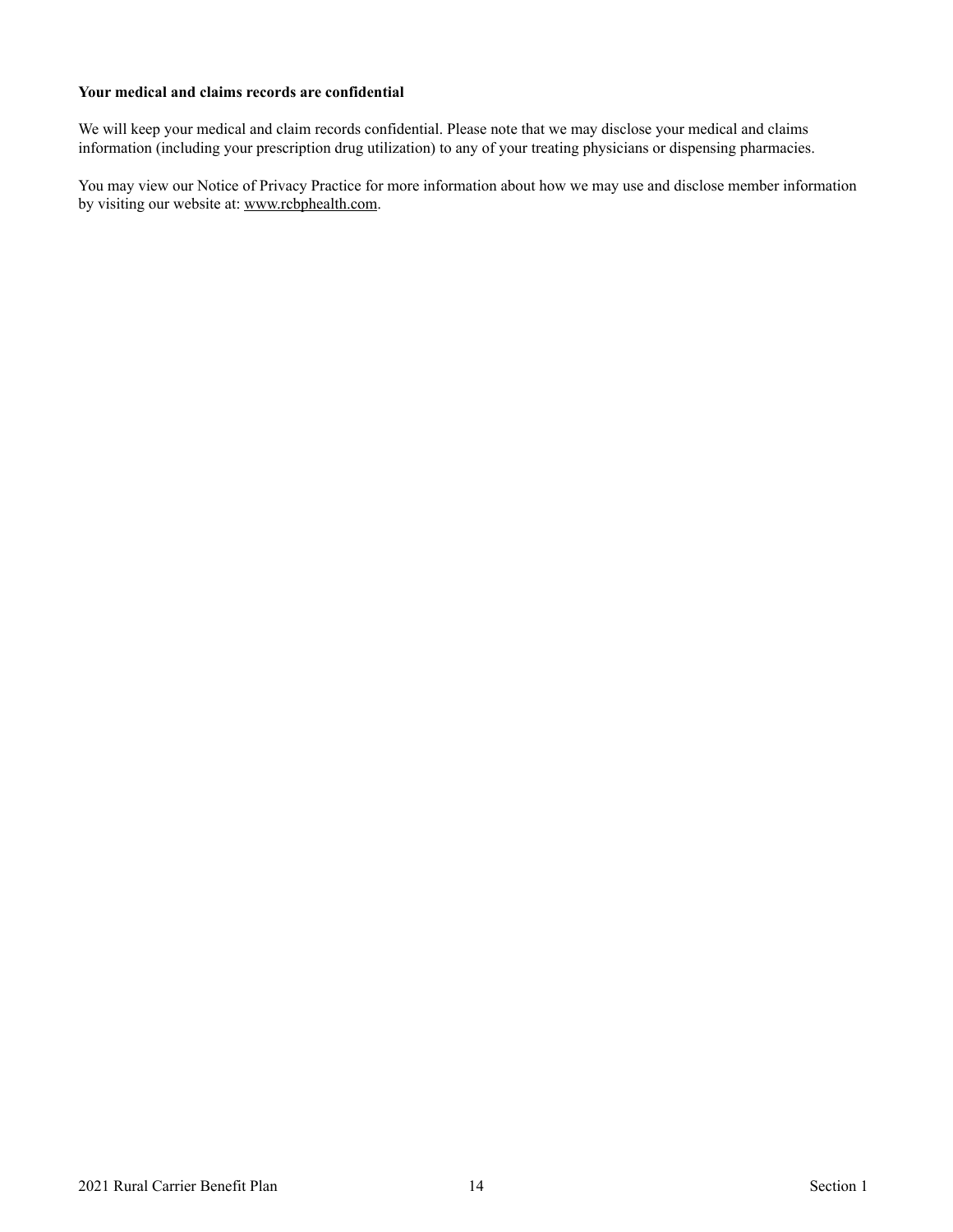#### **Your medical and claims records are confidential**

We will keep your medical and claim records confidential. Please note that we may disclose your medical and claims information (including your prescription drug utilization) to any of your treating physicians or dispensing pharmacies.

You may view our Notice of Privacy Practice for more information about how we may use and disclose member information by visiting our website at: [www.rcbphealth.com.](http://www.rcbphealth.com)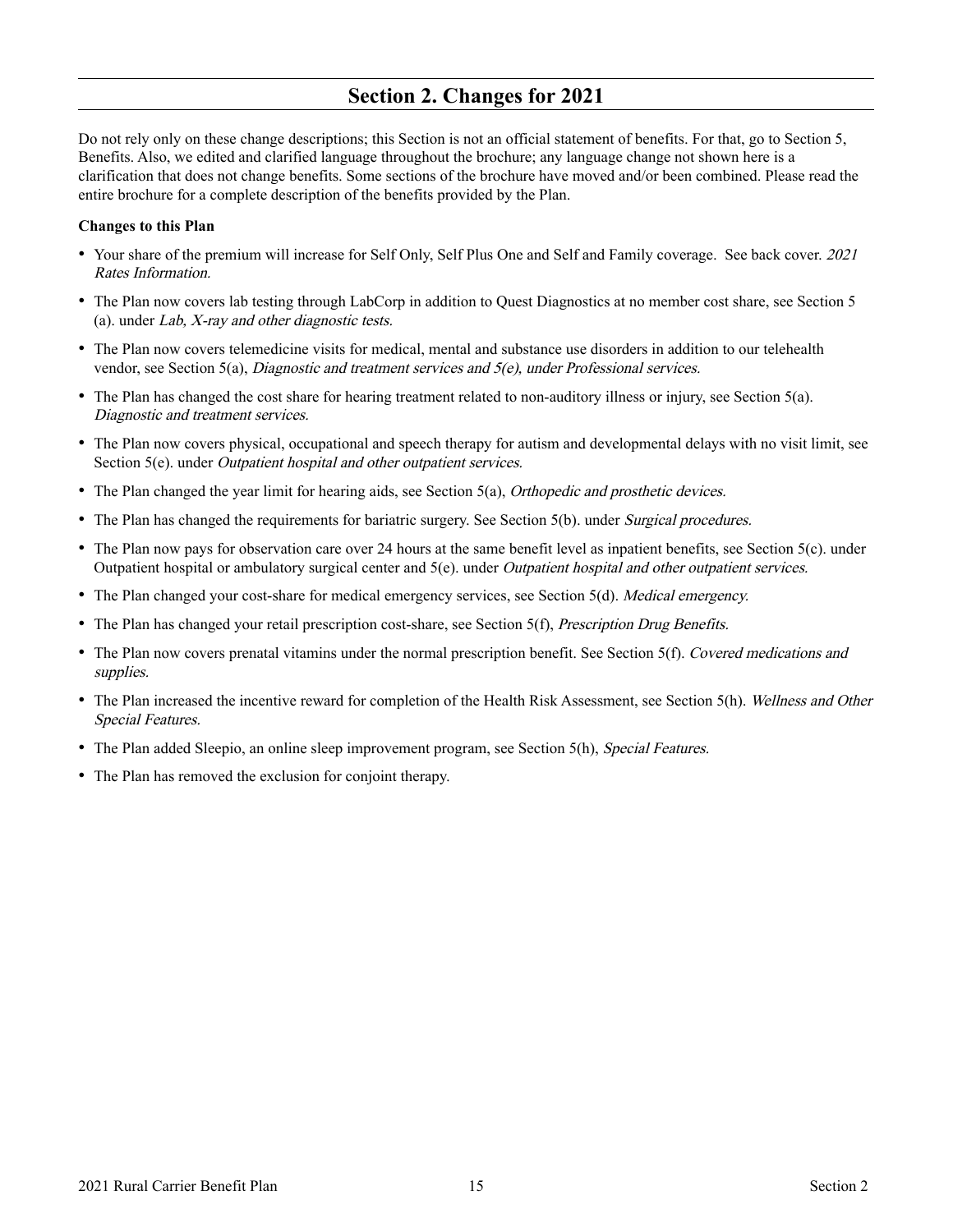### **Section 2. Changes for 2021**

<span id="page-16-0"></span>Do not rely only on these change descriptions; this Section is not an official statement of benefits. For that, go to Section 5, Benefits. Also, we edited and clarified language throughout the brochure; any language change not shown here is a clarification that does not change benefits. Some sections of the brochure have moved and/or been combined. Please read the entire brochure for a complete description of the benefits provided by the Plan.

#### **Changes to this Plan**

- Your share of the premium will increase for Self Only, Self Plus One and Self and Family coverage. See back cover. 2021 Rates Information.
- The Plan now covers lab testing through LabCorp in addition to Quest Diagnostics at no member cost share, see Section 5 (a). under Lab, X-ray and other diagnostic tests.
- The Plan now covers telemedicine visits for medical, mental and substance use disorders in addition to our telehealth vendor, see Section 5(a), *Diagnostic and treatment services and 5(e)*, *under Professional services.*
- The Plan has changed the cost share for hearing treatment related to non-auditory illness or injury, see Section 5(a). Diagnostic and treatment services.
- The Plan now covers physical, occupational and speech therapy for autism and developmental delays with no visit limit, see Section 5(e). under *Outpatient hospital and other outpatient services*.
- The Plan changed the year limit for hearing aids, see Section 5(a), *Orthopedic and prosthetic devices.*
- The Plan has changed the requirements for bariatric surgery. See Section 5(b). under *Surgical procedures*.
- The Plan now pays for observation care over 24 hours at the same benefit level as inpatient benefits, see Section 5(c). under Outpatient hospital or ambulatory surgical center and 5(e). under Outpatient hospital and other outpatient services.
- The Plan changed your cost-share for medical emergency services, see Section 5(d). *Medical emergency.*
- The Plan has changed your retail prescription cost-share, see Section 5(f), *Prescription Drug Benefits*.
- The Plan now covers prenatal vitamins under the normal prescription benefit. See Section 5(f). Covered medications and supplies.
- The Plan increased the incentive reward for completion of the Health Risk Assessment, see Section 5(h). Wellness and Other Special Features.
- The Plan added Sleepio, an online sleep improvement program, see Section 5(h), Special Features.
- The Plan has removed the exclusion for conjoint therapy.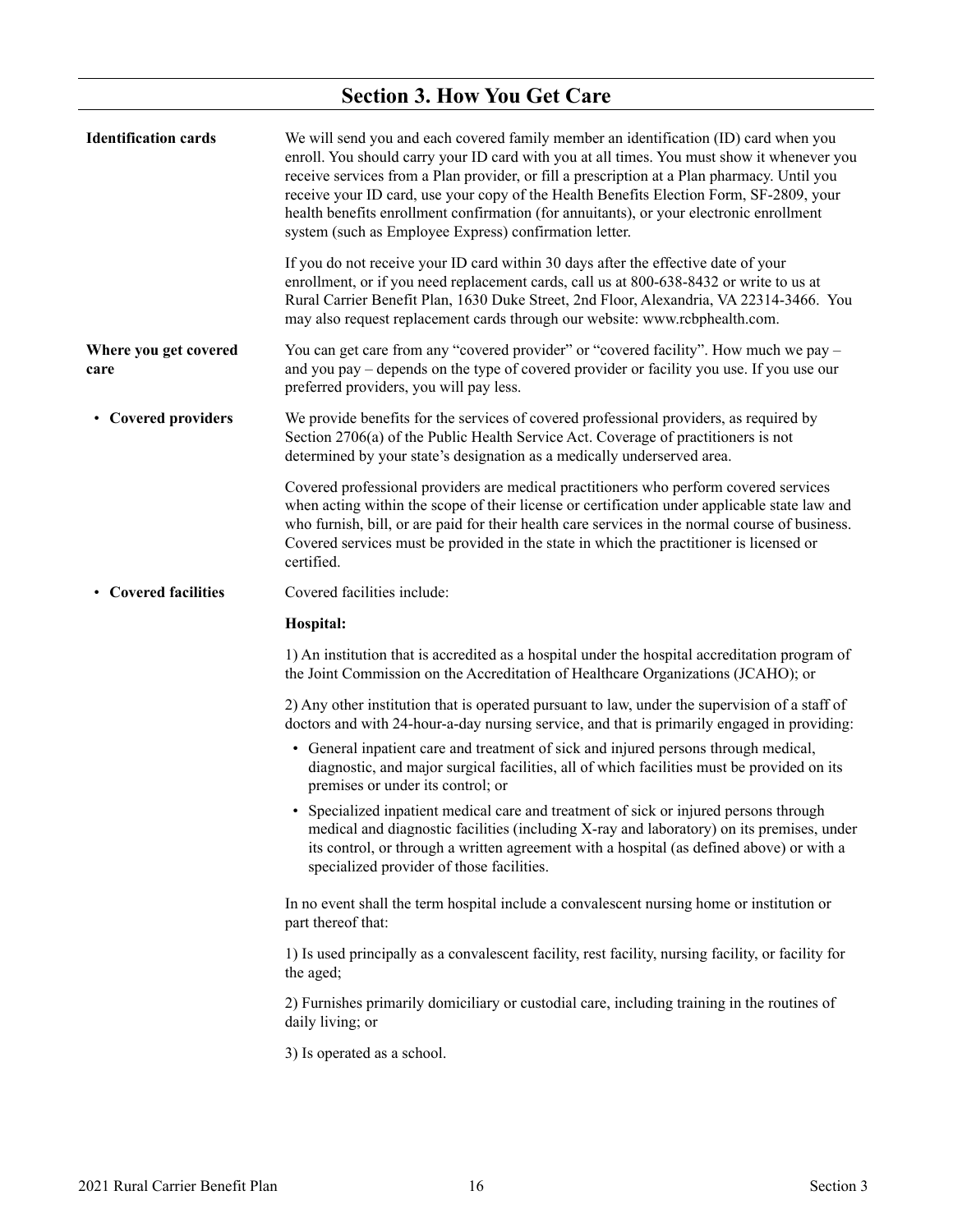# **Section 3. How You Get Care**

<span id="page-17-0"></span>

| <b>Identification cards</b>   | We will send you and each covered family member an identification (ID) card when you<br>enroll. You should carry your ID card with you at all times. You must show it whenever you<br>receive services from a Plan provider, or fill a prescription at a Plan pharmacy. Until you<br>receive your ID card, use your copy of the Health Benefits Election Form, SF-2809, your<br>health benefits enrollment confirmation (for annuitants), or your electronic enrollment<br>system (such as Employee Express) confirmation letter. |
|-------------------------------|-----------------------------------------------------------------------------------------------------------------------------------------------------------------------------------------------------------------------------------------------------------------------------------------------------------------------------------------------------------------------------------------------------------------------------------------------------------------------------------------------------------------------------------|
|                               | If you do not receive your ID card within 30 days after the effective date of your<br>enrollment, or if you need replacement cards, call us at 800-638-8432 or write to us at<br>Rural Carrier Benefit Plan, 1630 Duke Street, 2nd Floor, Alexandria, VA 22314-3466. You<br>may also request replacement cards through our website: www.rcbphealth.com.                                                                                                                                                                           |
| Where you get covered<br>care | You can get care from any "covered provider" or "covered facility". How much we pay -<br>and you pay – depends on the type of covered provider or facility you use. If you use our<br>preferred providers, you will pay less.                                                                                                                                                                                                                                                                                                     |
| • Covered providers           | We provide benefits for the services of covered professional providers, as required by<br>Section 2706(a) of the Public Health Service Act. Coverage of practitioners is not<br>determined by your state's designation as a medically underserved area.                                                                                                                                                                                                                                                                           |
|                               | Covered professional providers are medical practitioners who perform covered services<br>when acting within the scope of their license or certification under applicable state law and<br>who furnish, bill, or are paid for their health care services in the normal course of business.<br>Covered services must be provided in the state in which the practitioner is licensed or<br>certified.                                                                                                                                |
| • Covered facilities          | Covered facilities include:                                                                                                                                                                                                                                                                                                                                                                                                                                                                                                       |
|                               | Hospital:                                                                                                                                                                                                                                                                                                                                                                                                                                                                                                                         |
|                               | 1) An institution that is accredited as a hospital under the hospital accreditation program of<br>the Joint Commission on the Accreditation of Healthcare Organizations (JCAHO); or                                                                                                                                                                                                                                                                                                                                               |
|                               | 2) Any other institution that is operated pursuant to law, under the supervision of a staff of<br>doctors and with 24-hour-a-day nursing service, and that is primarily engaged in providing:                                                                                                                                                                                                                                                                                                                                     |
|                               | • General inpatient care and treatment of sick and injured persons through medical,<br>diagnostic, and major surgical facilities, all of which facilities must be provided on its<br>premises or under its control; or                                                                                                                                                                                                                                                                                                            |
|                               | • Specialized inpatient medical care and treatment of sick or injured persons through<br>medical and diagnostic facilities (including X-ray and laboratory) on its premises, under<br>its control, or through a written agreement with a hospital (as defined above) or with a<br>specialized provider of those facilities.                                                                                                                                                                                                       |
|                               | In no event shall the term hospital include a convalescent nursing home or institution or<br>part thereof that:                                                                                                                                                                                                                                                                                                                                                                                                                   |
|                               | 1) Is used principally as a convalescent facility, rest facility, nursing facility, or facility for<br>the aged;                                                                                                                                                                                                                                                                                                                                                                                                                  |
|                               | 2) Furnishes primarily domiciliary or custodial care, including training in the routines of<br>daily living; or                                                                                                                                                                                                                                                                                                                                                                                                                   |
|                               | 3) Is operated as a school.                                                                                                                                                                                                                                                                                                                                                                                                                                                                                                       |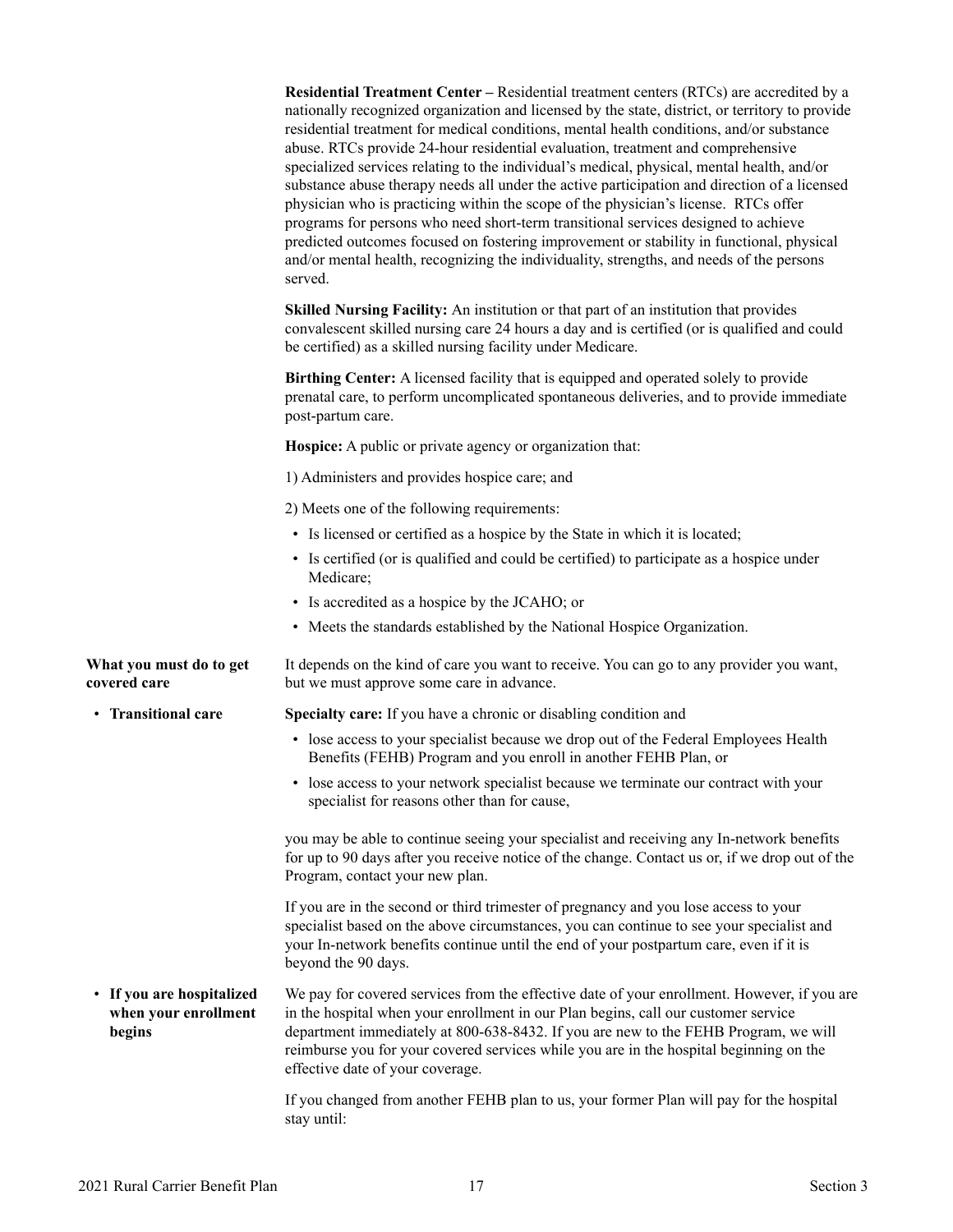<span id="page-18-0"></span>

|                                                             | Residential Treatment Center – Residential treatment centers (RTCs) are accredited by a<br>nationally recognized organization and licensed by the state, district, or territory to provide<br>residential treatment for medical conditions, mental health conditions, and/or substance<br>abuse. RTCs provide 24-hour residential evaluation, treatment and comprehensive<br>specialized services relating to the individual's medical, physical, mental health, and/or<br>substance abuse therapy needs all under the active participation and direction of a licensed<br>physician who is practicing within the scope of the physician's license. RTCs offer<br>programs for persons who need short-term transitional services designed to achieve<br>predicted outcomes focused on fostering improvement or stability in functional, physical<br>and/or mental health, recognizing the individuality, strengths, and needs of the persons<br>served. |
|-------------------------------------------------------------|---------------------------------------------------------------------------------------------------------------------------------------------------------------------------------------------------------------------------------------------------------------------------------------------------------------------------------------------------------------------------------------------------------------------------------------------------------------------------------------------------------------------------------------------------------------------------------------------------------------------------------------------------------------------------------------------------------------------------------------------------------------------------------------------------------------------------------------------------------------------------------------------------------------------------------------------------------|
|                                                             | Skilled Nursing Facility: An institution or that part of an institution that provides<br>convalescent skilled nursing care 24 hours a day and is certified (or is qualified and could<br>be certified) as a skilled nursing facility under Medicare.                                                                                                                                                                                                                                                                                                                                                                                                                                                                                                                                                                                                                                                                                                    |
|                                                             | Birthing Center: A licensed facility that is equipped and operated solely to provide<br>prenatal care, to perform uncomplicated spontaneous deliveries, and to provide immediate<br>post-partum care.                                                                                                                                                                                                                                                                                                                                                                                                                                                                                                                                                                                                                                                                                                                                                   |
|                                                             | Hospice: A public or private agency or organization that:                                                                                                                                                                                                                                                                                                                                                                                                                                                                                                                                                                                                                                                                                                                                                                                                                                                                                               |
|                                                             | 1) Administers and provides hospice care; and                                                                                                                                                                                                                                                                                                                                                                                                                                                                                                                                                                                                                                                                                                                                                                                                                                                                                                           |
|                                                             | 2) Meets one of the following requirements:                                                                                                                                                                                                                                                                                                                                                                                                                                                                                                                                                                                                                                                                                                                                                                                                                                                                                                             |
|                                                             | • Is licensed or certified as a hospice by the State in which it is located;                                                                                                                                                                                                                                                                                                                                                                                                                                                                                                                                                                                                                                                                                                                                                                                                                                                                            |
|                                                             | • Is certified (or is qualified and could be certified) to participate as a hospice under<br>Medicare;                                                                                                                                                                                                                                                                                                                                                                                                                                                                                                                                                                                                                                                                                                                                                                                                                                                  |
|                                                             | • Is accredited as a hospice by the JCAHO; or                                                                                                                                                                                                                                                                                                                                                                                                                                                                                                                                                                                                                                                                                                                                                                                                                                                                                                           |
|                                                             | • Meets the standards established by the National Hospice Organization.                                                                                                                                                                                                                                                                                                                                                                                                                                                                                                                                                                                                                                                                                                                                                                                                                                                                                 |
| What you must do to get<br>covered care                     | It depends on the kind of care you want to receive. You can go to any provider you want,<br>but we must approve some care in advance.                                                                                                                                                                                                                                                                                                                                                                                                                                                                                                                                                                                                                                                                                                                                                                                                                   |
| • Transitional care                                         | Specialty care: If you have a chronic or disabling condition and                                                                                                                                                                                                                                                                                                                                                                                                                                                                                                                                                                                                                                                                                                                                                                                                                                                                                        |
|                                                             | • lose access to your specialist because we drop out of the Federal Employees Health<br>Benefits (FEHB) Program and you enroll in another FEHB Plan, or                                                                                                                                                                                                                                                                                                                                                                                                                                                                                                                                                                                                                                                                                                                                                                                                 |
|                                                             | • lose access to your network specialist because we terminate our contract with your<br>specialist for reasons other than for cause,                                                                                                                                                                                                                                                                                                                                                                                                                                                                                                                                                                                                                                                                                                                                                                                                                    |
|                                                             | you may be able to continue seeing your specialist and receiving any In-network benefits<br>for up to 90 days after you receive notice of the change. Contact us or, if we drop out of the<br>Program, contact your new plan.                                                                                                                                                                                                                                                                                                                                                                                                                                                                                                                                                                                                                                                                                                                           |
|                                                             | If you are in the second or third trimester of pregnancy and you lose access to your<br>specialist based on the above circumstances, you can continue to see your specialist and<br>your In-network benefits continue until the end of your postpartum care, even if it is<br>beyond the 90 days.                                                                                                                                                                                                                                                                                                                                                                                                                                                                                                                                                                                                                                                       |
| • If you are hospitalized<br>when your enrollment<br>begins | We pay for covered services from the effective date of your enrollment. However, if you are<br>in the hospital when your enrollment in our Plan begins, call our customer service<br>department immediately at 800-638-8432. If you are new to the FEHB Program, we will<br>reimburse you for your covered services while you are in the hospital beginning on the<br>effective date of your coverage.                                                                                                                                                                                                                                                                                                                                                                                                                                                                                                                                                  |
|                                                             | If you changed from another FEHB plan to us, your former Plan will pay for the hospital<br>stay until:                                                                                                                                                                                                                                                                                                                                                                                                                                                                                                                                                                                                                                                                                                                                                                                                                                                  |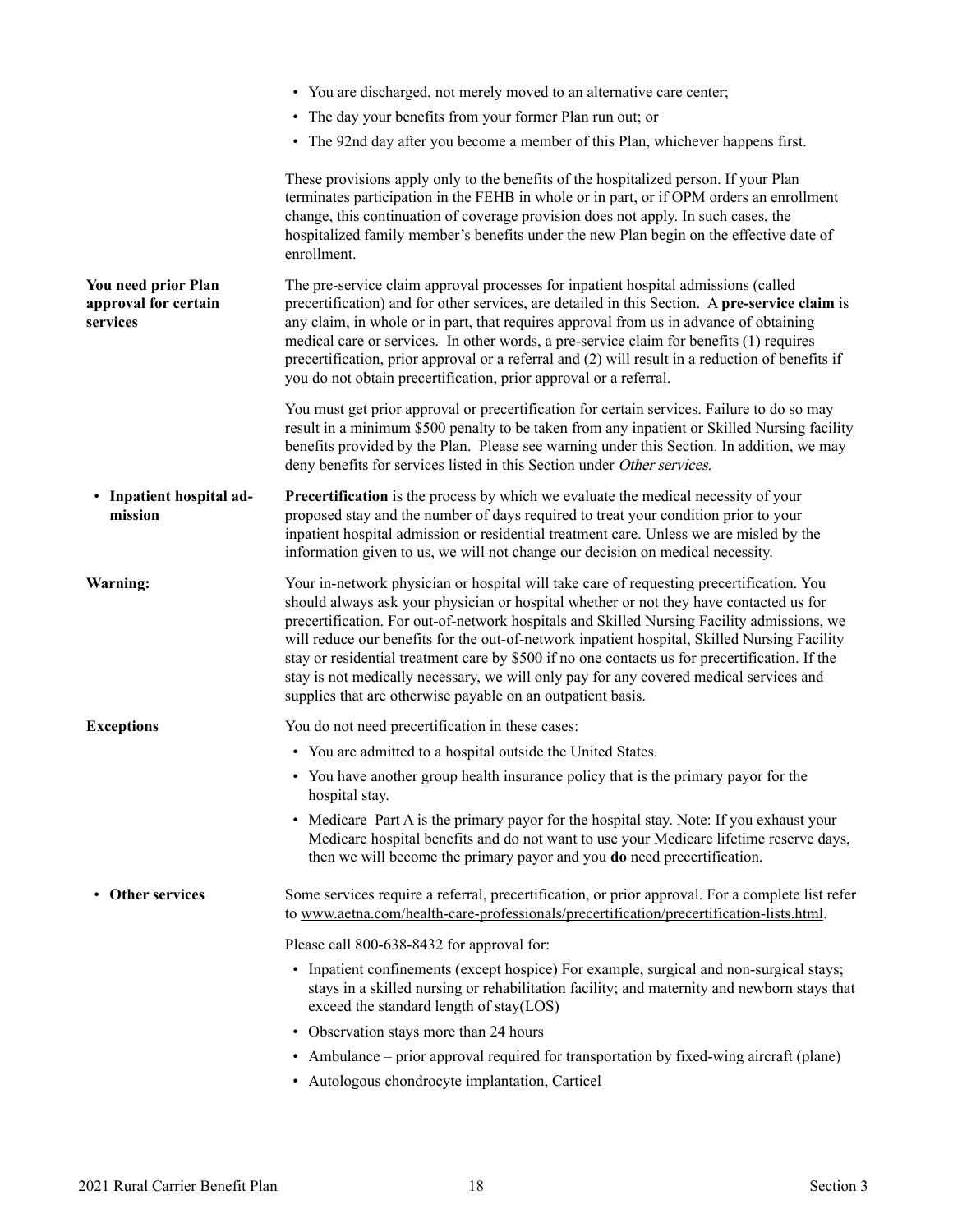<span id="page-19-0"></span>

|                                                         | • You are discharged, not merely moved to an alternative care center;                                                                                                                                                                                                                                                                                                                                                                                                                                                                                                                                                                       |
|---------------------------------------------------------|---------------------------------------------------------------------------------------------------------------------------------------------------------------------------------------------------------------------------------------------------------------------------------------------------------------------------------------------------------------------------------------------------------------------------------------------------------------------------------------------------------------------------------------------------------------------------------------------------------------------------------------------|
|                                                         | The day your benefits from your former Plan run out; or                                                                                                                                                                                                                                                                                                                                                                                                                                                                                                                                                                                     |
|                                                         | • The 92nd day after you become a member of this Plan, whichever happens first.                                                                                                                                                                                                                                                                                                                                                                                                                                                                                                                                                             |
|                                                         | These provisions apply only to the benefits of the hospitalized person. If your Plan<br>terminates participation in the FEHB in whole or in part, or if OPM orders an enrollment<br>change, this continuation of coverage provision does not apply. In such cases, the<br>hospitalized family member's benefits under the new Plan begin on the effective date of<br>enrollment.                                                                                                                                                                                                                                                            |
| You need prior Plan<br>approval for certain<br>services | The pre-service claim approval processes for inpatient hospital admissions (called<br>precertification) and for other services, are detailed in this Section. A pre-service claim is<br>any claim, in whole or in part, that requires approval from us in advance of obtaining<br>medical care or services. In other words, a pre-service claim for benefits (1) requires<br>precertification, prior approval or a referral and (2) will result in a reduction of benefits if<br>you do not obtain precertification, prior approval or a referral.                                                                                          |
|                                                         | You must get prior approval or precertification for certain services. Failure to do so may<br>result in a minimum \$500 penalty to be taken from any inpatient or Skilled Nursing facility<br>benefits provided by the Plan. Please see warning under this Section. In addition, we may<br>deny benefits for services listed in this Section under Other services.                                                                                                                                                                                                                                                                          |
| • Inpatient hospital ad-<br>mission                     | <b>Precertification</b> is the process by which we evaluate the medical necessity of your<br>proposed stay and the number of days required to treat your condition prior to your<br>inpatient hospital admission or residential treatment care. Unless we are misled by the<br>information given to us, we will not change our decision on medical necessity.                                                                                                                                                                                                                                                                               |
| Warning:                                                | Your in-network physician or hospital will take care of requesting precertification. You<br>should always ask your physician or hospital whether or not they have contacted us for<br>precertification. For out-of-network hospitals and Skilled Nursing Facility admissions, we<br>will reduce our benefits for the out-of-network inpatient hospital, Skilled Nursing Facility<br>stay or residential treatment care by \$500 if no one contacts us for precertification. If the<br>stay is not medically necessary, we will only pay for any covered medical services and<br>supplies that are otherwise payable on an outpatient basis. |
| <b>Exceptions</b>                                       | You do not need precertification in these cases:                                                                                                                                                                                                                                                                                                                                                                                                                                                                                                                                                                                            |
|                                                         | • You are admitted to a hospital outside the United States.                                                                                                                                                                                                                                                                                                                                                                                                                                                                                                                                                                                 |
|                                                         | • You have another group health insurance policy that is the primary payor for the<br>hospital stay.                                                                                                                                                                                                                                                                                                                                                                                                                                                                                                                                        |
|                                                         | • Medicare Part A is the primary payor for the hospital stay. Note: If you exhaust your<br>Medicare hospital benefits and do not want to use your Medicare lifetime reserve days,<br>then we will become the primary payor and you do need precertification.                                                                                                                                                                                                                                                                                                                                                                                |
| • Other services                                        | Some services require a referral, precertification, or prior approval. For a complete list refer<br>to www.aetna.com/health-care-professionals/precertification/precertification-lists.html.                                                                                                                                                                                                                                                                                                                                                                                                                                                |
|                                                         | Please call 800-638-8432 for approval for:                                                                                                                                                                                                                                                                                                                                                                                                                                                                                                                                                                                                  |
|                                                         | • Inpatient confinements (except hospice) For example, surgical and non-surgical stays;<br>stays in a skilled nursing or rehabilitation facility; and maternity and newborn stays that<br>exceed the standard length of stay(LOS)                                                                                                                                                                                                                                                                                                                                                                                                           |
|                                                         | • Observation stays more than 24 hours                                                                                                                                                                                                                                                                                                                                                                                                                                                                                                                                                                                                      |
|                                                         | • Ambulance – prior approval required for transportation by fixed-wing aircraft (plane)                                                                                                                                                                                                                                                                                                                                                                                                                                                                                                                                                     |
|                                                         | • Autologous chondrocyte implantation, Carticel                                                                                                                                                                                                                                                                                                                                                                                                                                                                                                                                                                                             |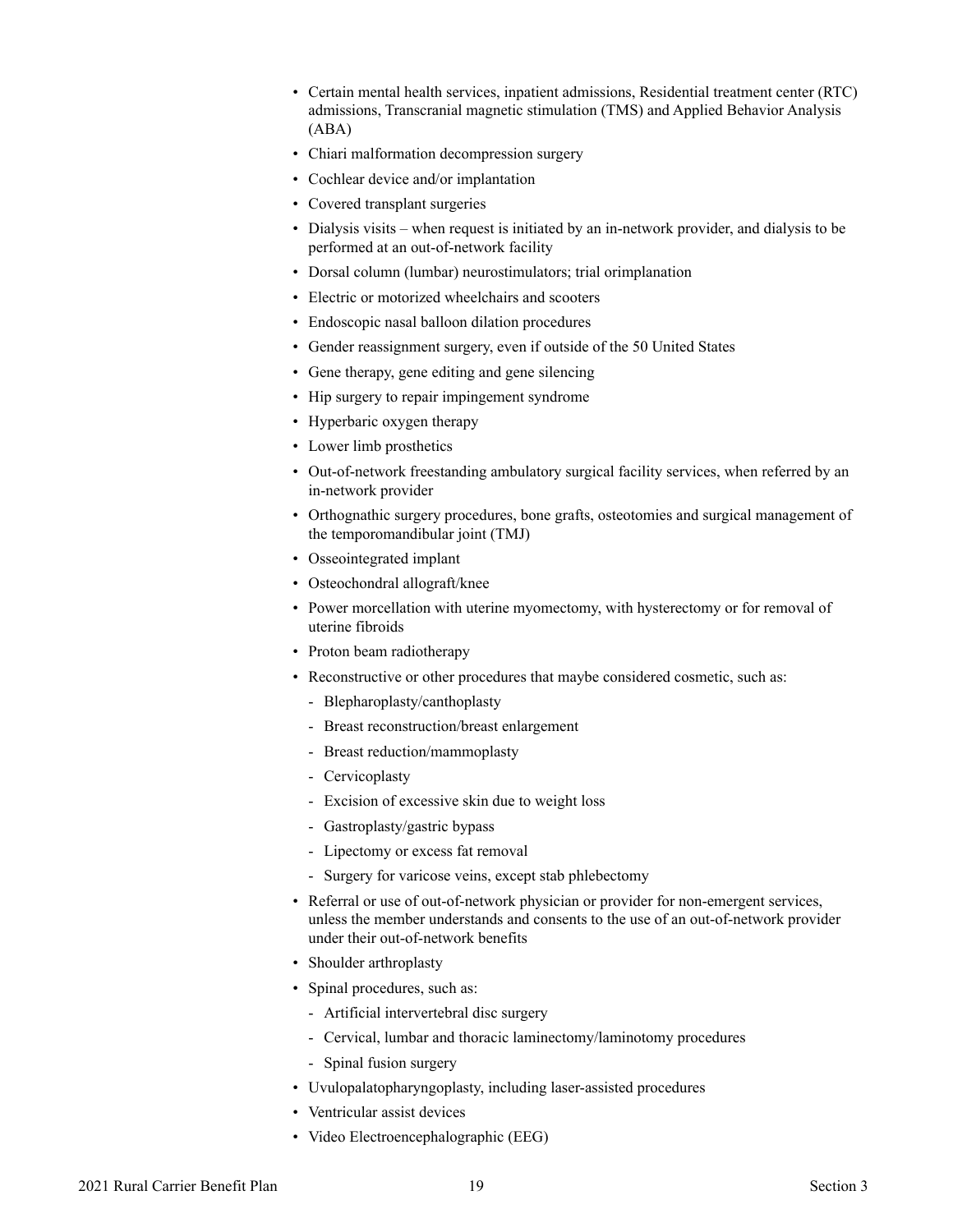- Certain mental health services, inpatient admissions, Residential treatment center (RTC) admissions, Transcranial magnetic stimulation (TMS) and Applied Behavior Analysis (ABA)
- Chiari malformation decompression surgery
- Cochlear device and/or implantation
- Covered transplant surgeries
- Dialysis visits when request is initiated by an in-network provider, and dialysis to be performed at an out-of-network facility
- Dorsal column (lumbar) neurostimulators; trial orimplanation
- Electric or motorized wheelchairs and scooters
- Endoscopic nasal balloon dilation procedures
- Gender reassignment surgery, even if outside of the 50 United States
- Gene therapy, gene editing and gene silencing
- Hip surgery to repair impingement syndrome
- Hyperbaric oxygen therapy
- Lower limb prosthetics
- Out-of-network freestanding ambulatory surgical facility services, when referred by an in-network provider
- Orthognathic surgery procedures, bone grafts, osteotomies and surgical management of the temporomandibular joint (TMJ)
- Osseointegrated implant
- Osteochondral allograft/knee
- Power morcellation with uterine myomectomy, with hysterectomy or for removal of uterine fibroids
- Proton beam radiotherapy
- Reconstructive or other procedures that maybe considered cosmetic, such as:
	- Blepharoplasty/canthoplasty
	- Breast reconstruction/breast enlargement
	- Breast reduction/mammoplasty
	- Cervicoplasty
	- Excision of excessive skin due to weight loss
	- Gastroplasty/gastric bypass
	- Lipectomy or excess fat removal
	- Surgery for varicose veins, except stab phlebectomy
- Referral or use of out-of-network physician or provider for non-emergent services, unless the member understands and consents to the use of an out-of-network provider under their out-of-network benefits
- Shoulder arthroplasty
- Spinal procedures, such as:
	- Artificial intervertebral disc surgery
	- Cervical, lumbar and thoracic laminectomy/laminotomy procedures
	- Spinal fusion surgery
- Uvulopalatopharyngoplasty, including laser-assisted procedures
- Ventricular assist devices
- Video Electroencephalographic (EEG)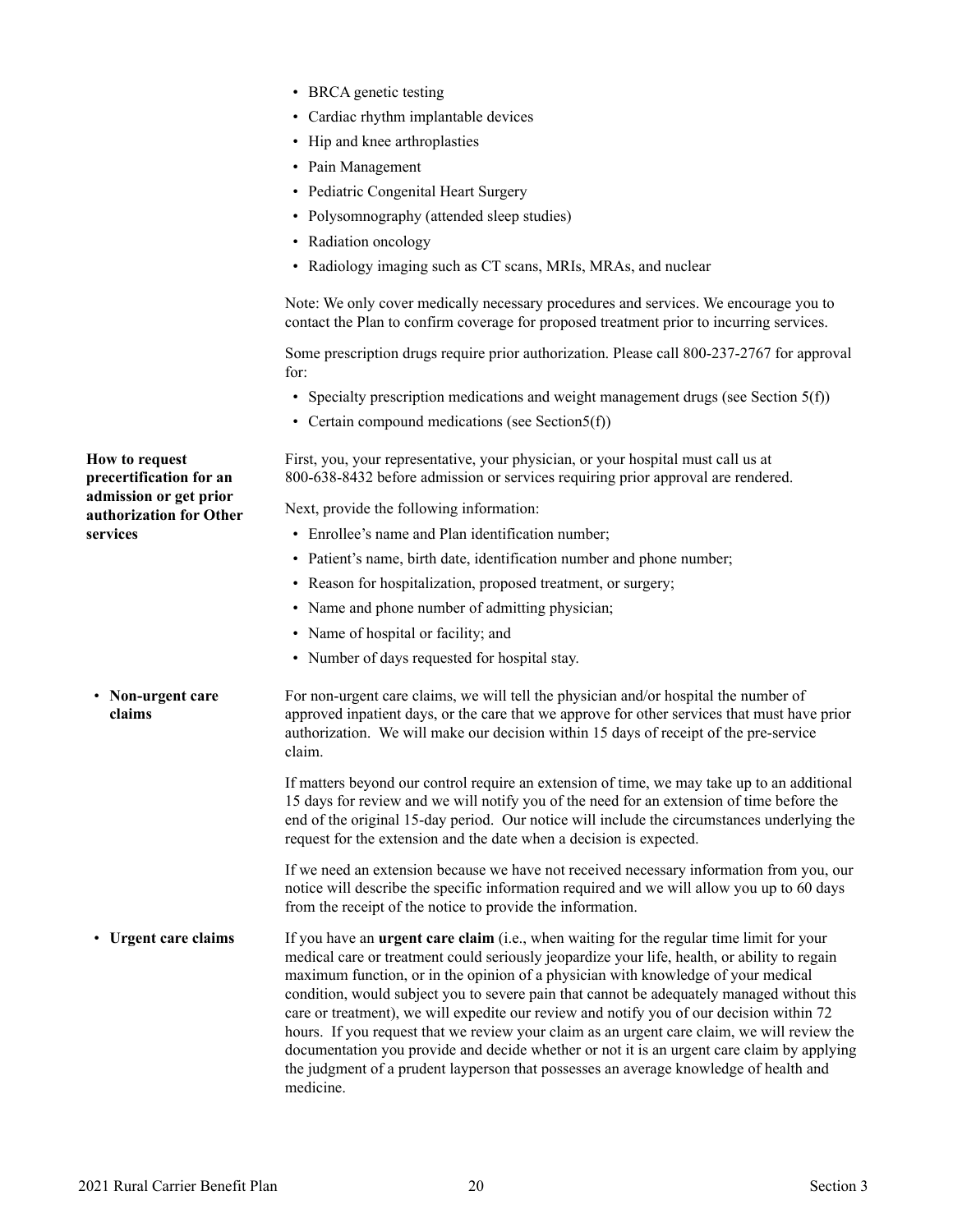<span id="page-21-0"></span>

| ٠ |  | BRCA genetic testing |  |
|---|--|----------------------|--|
|---|--|----------------------|--|

- Cardiac rhythm implantable devices
- Hip and knee arthroplasties
- Pain Management
- Pediatric Congenital Heart Surgery
- Polysomnography (attended sleep studies)
- Radiation oncology
- Radiology imaging such as CT scans, MRIs, MRAs, and nuclear

Note: We only cover medically necessary procedures and services. We encourage you to contact the Plan to confirm coverage for proposed treatment prior to incurring services.

Some prescription drugs require prior authorization. Please call 800-237-2767 for approval for:

- Specialty prescription medications and weight management drugs (see Section 5(f))
- Certain compound medications (see Section5(f))

First, you, your representative, your physician, or your hospital must call us at 800-638-8432 before admission or services requiring prior approval are rendered.

Next, provide the following information:

- Enrollee's name and Plan identification number:
- Patient's name, birth date, identification number and phone number;
- Reason for hospitalization, proposed treatment, or surgery;
- Name and phone number of admitting physician;
- Name of hospital or facility; and
- Number of days requested for hospital stay.
- **Non-urgent care claims** For non-urgent care claims, we will tell the physician and/or hospital the number of approved inpatient days, or the care that we approve for other services that must have prior authorization. We will make our decision within 15 days of receipt of the pre-service claim.

If matters beyond our control require an extension of time, we may take up to an additional 15 days for review and we will notify you of the need for an extension of time before the end of the original 15-day period. Our notice will include the circumstances underlying the request for the extension and the date when a decision is expected.

If we need an extension because we have not received necessary information from you, our notice will describe the specific information required and we will allow you up to 60 days from the receipt of the notice to provide the information.

• Urgent care claims **Urgent care claims** If you have an **urgent care claim** (i.e., when waiting for the regular time limit for your medical care or treatment could seriously jeopardize your life, health, or ability to regain maximum function, or in the opinion of a physician with knowledge of your medical condition, would subject you to severe pain that cannot be adequately managed without this care or treatment), we will expedite our review and notify you of our decision within 72 hours. If you request that we review your claim as an urgent care claim, we will review the documentation you provide and decide whether or not it is an urgent care claim by applying the judgment of a prudent layperson that possesses an average knowledge of health and medicine.

**How to request precertification for an admission or get prior authorization for Other services**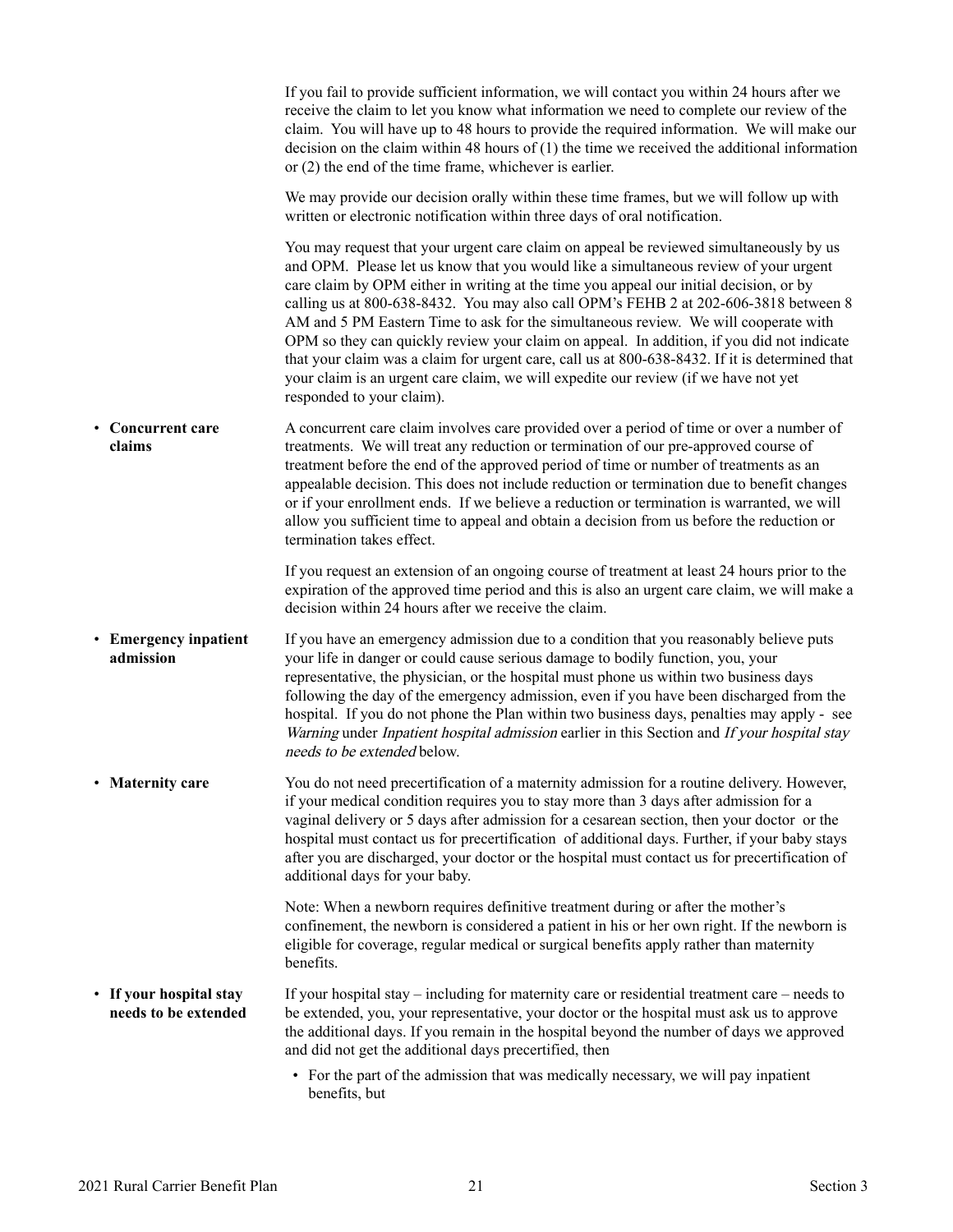<span id="page-22-0"></span>

|                                                 | If you fail to provide sufficient information, we will contact you within 24 hours after we<br>receive the claim to let you know what information we need to complete our review of the<br>claim. You will have up to 48 hours to provide the required information. We will make our<br>decision on the claim within 48 hours of $(1)$ the time we received the additional information<br>or $(2)$ the end of the time frame, whichever is earlier.                                                                                                                                                                                                                                                                                                                        |
|-------------------------------------------------|----------------------------------------------------------------------------------------------------------------------------------------------------------------------------------------------------------------------------------------------------------------------------------------------------------------------------------------------------------------------------------------------------------------------------------------------------------------------------------------------------------------------------------------------------------------------------------------------------------------------------------------------------------------------------------------------------------------------------------------------------------------------------|
|                                                 | We may provide our decision orally within these time frames, but we will follow up with<br>written or electronic notification within three days of oral notification.                                                                                                                                                                                                                                                                                                                                                                                                                                                                                                                                                                                                      |
|                                                 | You may request that your urgent care claim on appeal be reviewed simultaneously by us<br>and OPM. Please let us know that you would like a simultaneous review of your urgent<br>care claim by OPM either in writing at the time you appeal our initial decision, or by<br>calling us at 800-638-8432. You may also call OPM's FEHB 2 at 202-606-3818 between 8<br>AM and 5 PM Eastern Time to ask for the simultaneous review. We will cooperate with<br>OPM so they can quickly review your claim on appeal. In addition, if you did not indicate<br>that your claim was a claim for urgent care, call us at 800-638-8432. If it is determined that<br>your claim is an urgent care claim, we will expedite our review (if we have not yet<br>responded to your claim). |
| Concurrent care<br>$\bullet$<br>claims          | A concurrent care claim involves care provided over a period of time or over a number of<br>treatments. We will treat any reduction or termination of our pre-approved course of<br>treatment before the end of the approved period of time or number of treatments as an<br>appealable decision. This does not include reduction or termination due to benefit changes<br>or if your enrollment ends. If we believe a reduction or termination is warranted, we will<br>allow you sufficient time to appeal and obtain a decision from us before the reduction or<br>termination takes effect.                                                                                                                                                                            |
|                                                 | If you request an extension of an ongoing course of treatment at least 24 hours prior to the<br>expiration of the approved time period and this is also an urgent care claim, we will make a<br>decision within 24 hours after we receive the claim.                                                                                                                                                                                                                                                                                                                                                                                                                                                                                                                       |
| • Emergency inpatient<br>admission              | If you have an emergency admission due to a condition that you reasonably believe puts<br>your life in danger or could cause serious damage to bodily function, you, your<br>representative, the physician, or the hospital must phone us within two business days<br>following the day of the emergency admission, even if you have been discharged from the<br>hospital. If you do not phone the Plan within two business days, penalties may apply - see<br>Warning under Inpatient hospital admission earlier in this Section and If your hospital stay<br>needs to be extended below.                                                                                                                                                                                 |
| $\bullet$<br><b>Maternity care</b>              | You do not need precertification of a maternity admission for a routine delivery. However,<br>if your medical condition requires you to stay more than 3 days after admission for a<br>vaginal delivery or 5 days after admission for a cesarean section, then your doctor or the<br>hospital must contact us for precertification of additional days. Further, if your baby stays<br>after you are discharged, your doctor or the hospital must contact us for precertification of<br>additional days for your baby.                                                                                                                                                                                                                                                      |
|                                                 | Note: When a newborn requires definitive treatment during or after the mother's<br>confinement, the newborn is considered a patient in his or her own right. If the newborn is<br>eligible for coverage, regular medical or surgical benefits apply rather than maternity<br>benefits.                                                                                                                                                                                                                                                                                                                                                                                                                                                                                     |
| • If your hospital stay<br>needs to be extended | If your hospital stay $-$ including for maternity care or residential treatment care $-$ needs to<br>be extended, you, your representative, your doctor or the hospital must ask us to approve<br>the additional days. If you remain in the hospital beyond the number of days we approved<br>and did not get the additional days precertified, then                                                                                                                                                                                                                                                                                                                                                                                                                       |
|                                                 | • For the part of the admission that was medically necessary, we will pay inpatient<br>benefits, but                                                                                                                                                                                                                                                                                                                                                                                                                                                                                                                                                                                                                                                                       |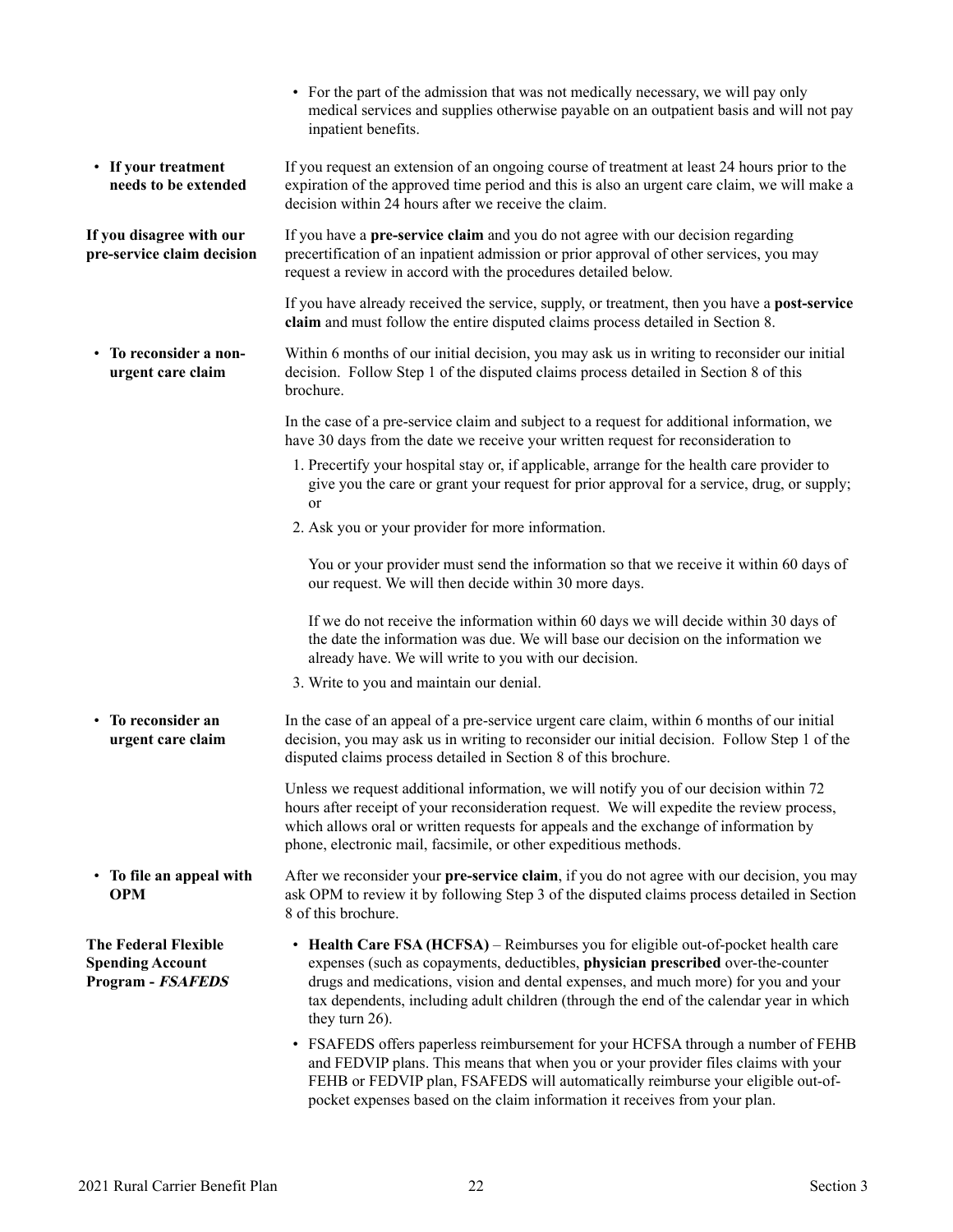<span id="page-23-0"></span>

|                                                                             | • For the part of the admission that was not medically necessary, we will pay only<br>medical services and supplies otherwise payable on an outpatient basis and will not pay<br>inpatient benefits.                                                                                                                                                                     |
|-----------------------------------------------------------------------------|--------------------------------------------------------------------------------------------------------------------------------------------------------------------------------------------------------------------------------------------------------------------------------------------------------------------------------------------------------------------------|
| • If your treatment<br>needs to be extended                                 | If you request an extension of an ongoing course of treatment at least 24 hours prior to the<br>expiration of the approved time period and this is also an urgent care claim, we will make a<br>decision within 24 hours after we receive the claim.                                                                                                                     |
| If you disagree with our<br>pre-service claim decision                      | If you have a pre-service claim and you do not agree with our decision regarding<br>precertification of an inpatient admission or prior approval of other services, you may<br>request a review in accord with the procedures detailed below.                                                                                                                            |
|                                                                             | If you have already received the service, supply, or treatment, then you have a post-service<br>claim and must follow the entire disputed claims process detailed in Section 8.                                                                                                                                                                                          |
| • To reconsider a non-<br>urgent care claim                                 | Within 6 months of our initial decision, you may ask us in writing to reconsider our initial<br>decision. Follow Step 1 of the disputed claims process detailed in Section 8 of this<br>brochure.                                                                                                                                                                        |
|                                                                             | In the case of a pre-service claim and subject to a request for additional information, we<br>have 30 days from the date we receive your written request for reconsideration to                                                                                                                                                                                          |
|                                                                             | 1. Precertify your hospital stay or, if applicable, arrange for the health care provider to<br>give you the care or grant your request for prior approval for a service, drug, or supply;<br>or                                                                                                                                                                          |
|                                                                             | 2. Ask you or your provider for more information.                                                                                                                                                                                                                                                                                                                        |
|                                                                             | You or your provider must send the information so that we receive it within 60 days of<br>our request. We will then decide within 30 more days.                                                                                                                                                                                                                          |
|                                                                             | If we do not receive the information within 60 days we will decide within 30 days of<br>the date the information was due. We will base our decision on the information we<br>already have. We will write to you with our decision.                                                                                                                                       |
|                                                                             | 3. Write to you and maintain our denial.                                                                                                                                                                                                                                                                                                                                 |
| • To reconsider an<br>urgent care claim                                     | In the case of an appeal of a pre-service urgent care claim, within 6 months of our initial<br>decision, you may ask us in writing to reconsider our initial decision. Follow Step 1 of the<br>disputed claims process detailed in Section 8 of this brochure.                                                                                                           |
|                                                                             | Unless we request additional information, we will notify you of our decision within 72<br>hours after receipt of your reconsideration request. We will expedite the review process,<br>which allows oral or written requests for appeals and the exchange of information by<br>phone, electronic mail, facsimile, or other expeditious methods.                          |
| • To file an appeal with<br><b>OPM</b>                                      | After we reconsider your pre-service claim, if you do not agree with our decision, you may<br>ask OPM to review it by following Step 3 of the disputed claims process detailed in Section<br>8 of this brochure.                                                                                                                                                         |
| <b>The Federal Flexible</b><br><b>Spending Account</b><br>Program - FSAFEDS | • Health Care FSA (HCFSA) – Reimburses you for eligible out-of-pocket health care<br>expenses (such as copayments, deductibles, physician prescribed over-the-counter<br>drugs and medications, vision and dental expenses, and much more) for you and your<br>tax dependents, including adult children (through the end of the calendar year in which<br>they turn 26). |
|                                                                             | • FSAFEDS offers paperless reimbursement for your HCFSA through a number of FEHB<br>and FEDVIP plans. This means that when you or your provider files claims with your<br>FEHB or FEDVIP plan, FSAFEDS will automatically reimburse your eligible out-of-<br>pocket expenses based on the claim information it receives from your plan.                                  |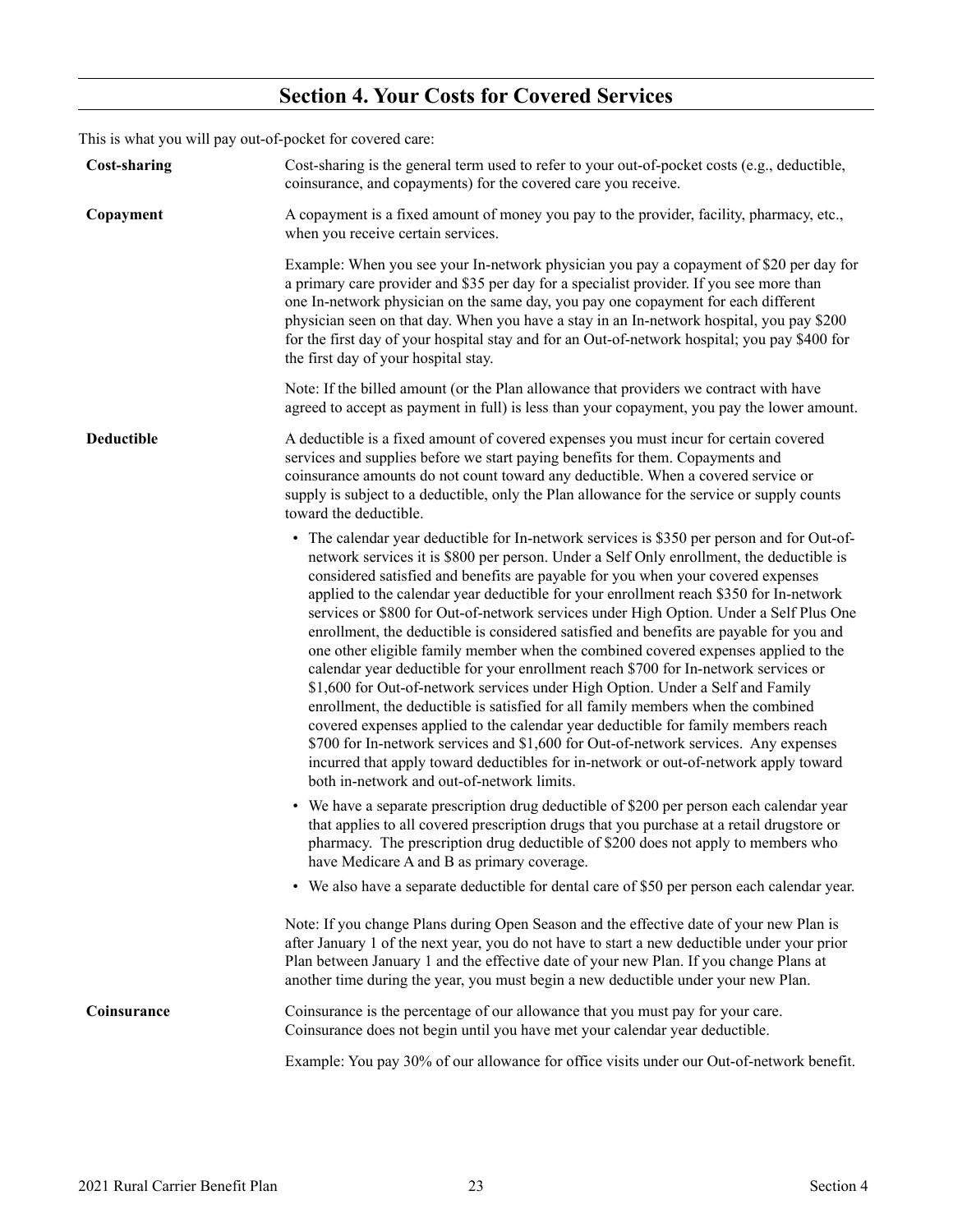# **Section 4. Your Costs for Covered Services**

<span id="page-24-0"></span>This is what you will pay out-of-pocket for covered care:

| <b>Cost-sharing</b> | Cost-sharing is the general term used to refer to your out-of-pocket costs (e.g., deductible,<br>coinsurance, and copayments) for the covered care you receive.                                                                                                                                                                                                                                                                                                                                                                                                                                                                                                                                                                                                                                                                                                                                                                                                                                                                                                                                                                                                                                                                |
|---------------------|--------------------------------------------------------------------------------------------------------------------------------------------------------------------------------------------------------------------------------------------------------------------------------------------------------------------------------------------------------------------------------------------------------------------------------------------------------------------------------------------------------------------------------------------------------------------------------------------------------------------------------------------------------------------------------------------------------------------------------------------------------------------------------------------------------------------------------------------------------------------------------------------------------------------------------------------------------------------------------------------------------------------------------------------------------------------------------------------------------------------------------------------------------------------------------------------------------------------------------|
| Copayment           | A copayment is a fixed amount of money you pay to the provider, facility, pharmacy, etc.,<br>when you receive certain services.                                                                                                                                                                                                                                                                                                                                                                                                                                                                                                                                                                                                                                                                                                                                                                                                                                                                                                                                                                                                                                                                                                |
|                     | Example: When you see your In-network physician you pay a copayment of \$20 per day for<br>a primary care provider and \$35 per day for a specialist provider. If you see more than<br>one In-network physician on the same day, you pay one copayment for each different<br>physician seen on that day. When you have a stay in an In-network hospital, you pay \$200<br>for the first day of your hospital stay and for an Out-of-network hospital; you pay \$400 for<br>the first day of your hospital stay.                                                                                                                                                                                                                                                                                                                                                                                                                                                                                                                                                                                                                                                                                                                |
|                     | Note: If the billed amount (or the Plan allowance that providers we contract with have<br>agreed to accept as payment in full) is less than your copayment, you pay the lower amount.                                                                                                                                                                                                                                                                                                                                                                                                                                                                                                                                                                                                                                                                                                                                                                                                                                                                                                                                                                                                                                          |
| Deductible          | A deductible is a fixed amount of covered expenses you must incur for certain covered<br>services and supplies before we start paying benefits for them. Copayments and<br>coinsurance amounts do not count toward any deductible. When a covered service or<br>supply is subject to a deductible, only the Plan allowance for the service or supply counts<br>toward the deductible.                                                                                                                                                                                                                                                                                                                                                                                                                                                                                                                                                                                                                                                                                                                                                                                                                                          |
|                     | • The calendar year deductible for In-network services is \$350 per person and for Out-of-<br>network services it is \$800 per person. Under a Self Only enrollment, the deductible is<br>considered satisfied and benefits are payable for you when your covered expenses<br>applied to the calendar year deductible for your enrollment reach \$350 for In-network<br>services or \$800 for Out-of-network services under High Option. Under a Self Plus One<br>enrollment, the deductible is considered satisfied and benefits are payable for you and<br>one other eligible family member when the combined covered expenses applied to the<br>calendar year deductible for your enrollment reach \$700 for In-network services or<br>\$1,600 for Out-of-network services under High Option. Under a Self and Family<br>enrollment, the deductible is satisfied for all family members when the combined<br>covered expenses applied to the calendar year deductible for family members reach<br>\$700 for In-network services and \$1,600 for Out-of-network services. Any expenses<br>incurred that apply toward deductibles for in-network or out-of-network apply toward<br>both in-network and out-of-network limits. |
|                     | • We have a separate prescription drug deductible of \$200 per person each calendar year<br>that applies to all covered prescription drugs that you purchase at a retail drugstore or<br>pharmacy. The prescription drug deductible of \$200 does not apply to members who<br>have Medicare A and B as primary coverage.                                                                                                                                                                                                                                                                                                                                                                                                                                                                                                                                                                                                                                                                                                                                                                                                                                                                                                       |
|                     | • We also have a separate deductible for dental care of \$50 per person each calendar year.                                                                                                                                                                                                                                                                                                                                                                                                                                                                                                                                                                                                                                                                                                                                                                                                                                                                                                                                                                                                                                                                                                                                    |
|                     | Note: If you change Plans during Open Season and the effective date of your new Plan is<br>after January 1 of the next year, you do not have to start a new deductible under your prior<br>Plan between January 1 and the effective date of your new Plan. If you change Plans at<br>another time during the year, you must begin a new deductible under your new Plan.                                                                                                                                                                                                                                                                                                                                                                                                                                                                                                                                                                                                                                                                                                                                                                                                                                                        |
| Coinsurance         | Coinsurance is the percentage of our allowance that you must pay for your care.<br>Coinsurance does not begin until you have met your calendar year deductible.                                                                                                                                                                                                                                                                                                                                                                                                                                                                                                                                                                                                                                                                                                                                                                                                                                                                                                                                                                                                                                                                |
|                     | Example: You pay 30% of our allowance for office visits under our Out-of-network benefit.                                                                                                                                                                                                                                                                                                                                                                                                                                                                                                                                                                                                                                                                                                                                                                                                                                                                                                                                                                                                                                                                                                                                      |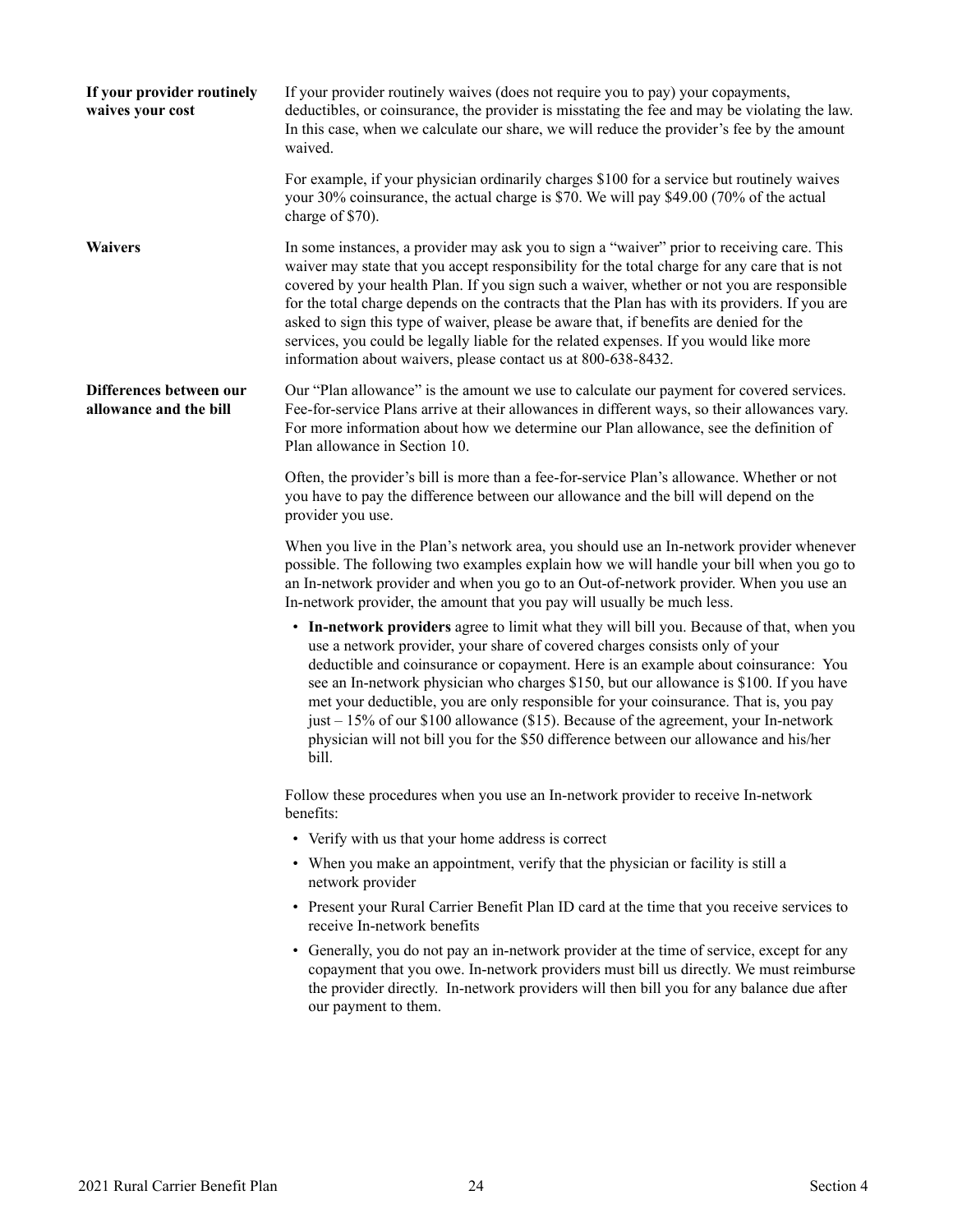<span id="page-25-0"></span>

| If your provider routinely<br>waives your cost    | If your provider routinely waives (does not require you to pay) your copayments,<br>deductibles, or coinsurance, the provider is misstating the fee and may be violating the law.<br>In this case, when we calculate our share, we will reduce the provider's fee by the amount<br>waived.                                                                                                                                                                                                                                                                                                                                                        |
|---------------------------------------------------|---------------------------------------------------------------------------------------------------------------------------------------------------------------------------------------------------------------------------------------------------------------------------------------------------------------------------------------------------------------------------------------------------------------------------------------------------------------------------------------------------------------------------------------------------------------------------------------------------------------------------------------------------|
|                                                   | For example, if your physician ordinarily charges \$100 for a service but routinely waives<br>your 30% coinsurance, the actual charge is \$70. We will pay \$49.00 (70% of the actual<br>charge of \$70).                                                                                                                                                                                                                                                                                                                                                                                                                                         |
| <b>Waivers</b>                                    | In some instances, a provider may ask you to sign a "waiver" prior to receiving care. This<br>waiver may state that you accept responsibility for the total charge for any care that is not<br>covered by your health Plan. If you sign such a waiver, whether or not you are responsible<br>for the total charge depends on the contracts that the Plan has with its providers. If you are<br>asked to sign this type of waiver, please be aware that, if benefits are denied for the<br>services, you could be legally liable for the related expenses. If you would like more<br>information about waivers, please contact us at 800-638-8432. |
| Differences between our<br>allowance and the bill | Our "Plan allowance" is the amount we use to calculate our payment for covered services.<br>Fee-for-service Plans arrive at their allowances in different ways, so their allowances vary.<br>For more information about how we determine our Plan allowance, see the definition of<br>Plan allowance in Section 10.                                                                                                                                                                                                                                                                                                                               |
|                                                   | Often, the provider's bill is more than a fee-for-service Plan's allowance. Whether or not<br>you have to pay the difference between our allowance and the bill will depend on the<br>provider you use.                                                                                                                                                                                                                                                                                                                                                                                                                                           |
|                                                   | When you live in the Plan's network area, you should use an In-network provider whenever<br>possible. The following two examples explain how we will handle your bill when you go to<br>an In-network provider and when you go to an Out-of-network provider. When you use an<br>In-network provider, the amount that you pay will usually be much less.                                                                                                                                                                                                                                                                                          |
|                                                   | • In-network providers agree to limit what they will bill you. Because of that, when you<br>use a network provider, your share of covered charges consists only of your<br>deductible and coinsurance or copayment. Here is an example about coinsurance: You<br>see an In-network physician who charges \$150, but our allowance is \$100. If you have<br>met your deductible, you are only responsible for your coinsurance. That is, you pay<br>just – 15% of our \$100 allowance (\$15). Because of the agreement, your In-network<br>physician will not bill you for the \$50 difference between our allowance and his/her<br>bill.          |
|                                                   | Follow these procedures when you use an In-network provider to receive In-network<br>benefits:                                                                                                                                                                                                                                                                                                                                                                                                                                                                                                                                                    |
|                                                   | • Verify with us that your home address is correct                                                                                                                                                                                                                                                                                                                                                                                                                                                                                                                                                                                                |
|                                                   | • When you make an appointment, verify that the physician or facility is still a<br>network provider                                                                                                                                                                                                                                                                                                                                                                                                                                                                                                                                              |
|                                                   | • Present your Rural Carrier Benefit Plan ID card at the time that you receive services to<br>receive In-network benefits                                                                                                                                                                                                                                                                                                                                                                                                                                                                                                                         |
|                                                   | • Generally, you do not pay an in-network provider at the time of service, except for any<br>copayment that you owe. In-network providers must bill us directly. We must reimburse<br>the provider directly. In-network providers will then bill you for any balance due after<br>our payment to them.                                                                                                                                                                                                                                                                                                                                            |
|                                                   |                                                                                                                                                                                                                                                                                                                                                                                                                                                                                                                                                                                                                                                   |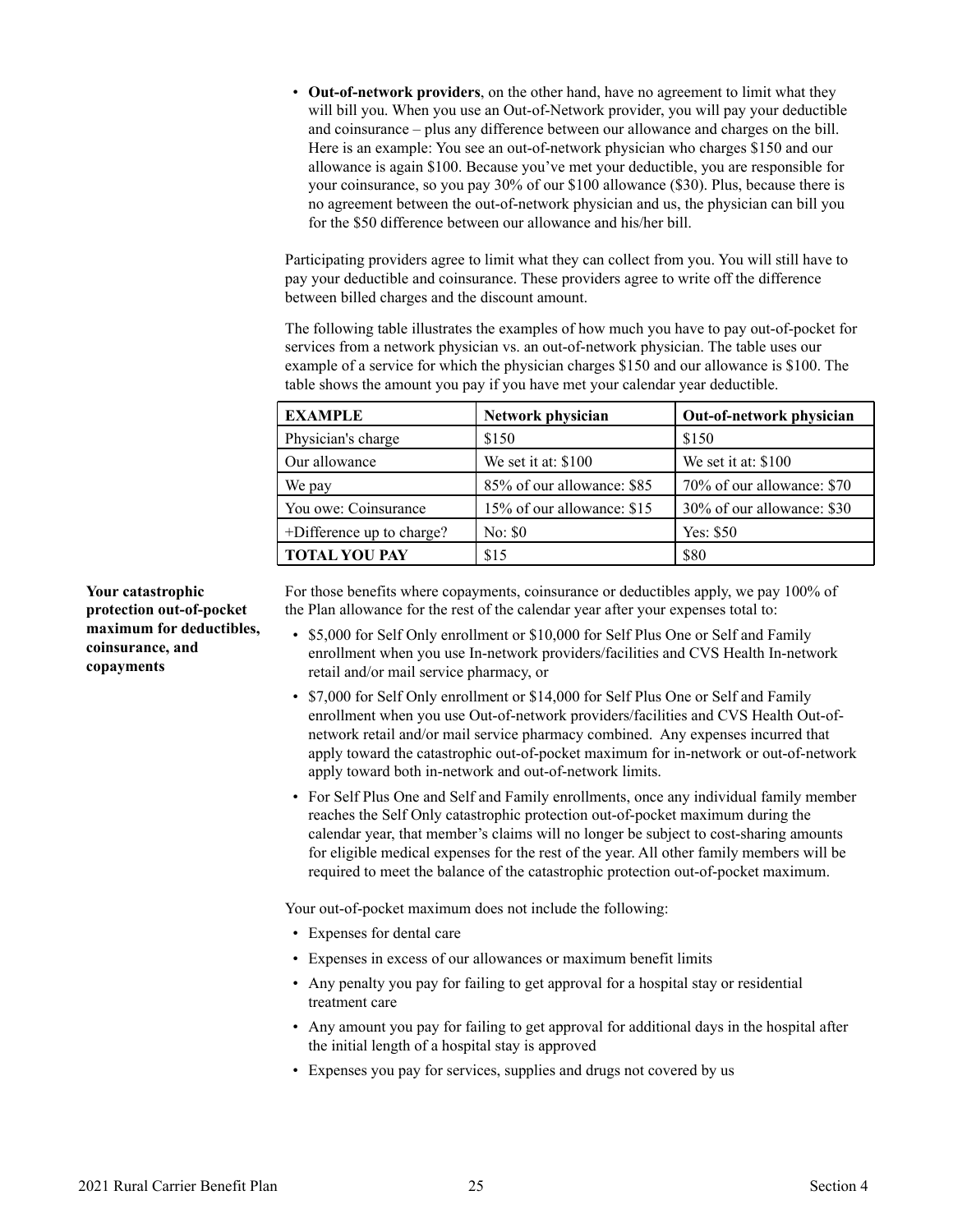<span id="page-26-0"></span>• **Out-of-network providers**, on the other hand, have no agreement to limit what they will bill you. When you use an Out-of-Network provider, you will pay your deductible and coinsurance – plus any difference between our allowance and charges on the bill. Here is an example: You see an out-of-network physician who charges \$150 and our allowance is again \$100. Because you've met your deductible, you are responsible for your coinsurance, so you pay 30% of our \$100 allowance (\$30). Plus, because there is no agreement between the out-of-network physician and us, the physician can bill you for the \$50 difference between our allowance and his/her bill.

Participating providers agree to limit what they can collect from you. You will still have to pay your deductible and coinsurance. These providers agree to write off the difference between billed charges and the discount amount.

The following table illustrates the examples of how much you have to pay out-of-pocket for services from a network physician vs. an out-of-network physician. The table uses our example of a service for which the physician charges \$150 and our allowance is \$100. The table shows the amount you pay if you have met your calendar year deductible.

| <b>EXAMPLE</b>            | Network physician          | Out-of-network physician   |
|---------------------------|----------------------------|----------------------------|
| Physician's charge        | \$150                      | \$150                      |
| Our allowance             | We set it at: \$100        | We set it at: $$100$       |
| We pay                    | 85% of our allowance: \$85 | 70% of our allowance: \$70 |
| You owe: Coinsurance      | 15% of our allowance: \$15 | 30% of our allowance: \$30 |
| +Difference up to charge? | No: \$0                    | Yes: $$50$                 |
| <b>TOTAL YOU PAY</b>      | \$15                       | \$80                       |

For those benefits where copayments, coinsurance or deductibles apply, we pay 100% of the Plan allowance for the rest of the calendar year after your expenses total to:

- \$5,000 for Self Only enrollment or \$10,000 for Self Plus One or Self and Family enrollment when you use In-network providers/facilities and CVS Health In-network retail and/or mail service pharmacy, or
- \$7,000 for Self Only enrollment or \$14,000 for Self Plus One or Self and Family enrollment when you use Out-of-network providers/facilities and CVS Health Out-ofnetwork retail and/or mail service pharmacy combined. Any expenses incurred that apply toward the catastrophic out-of-pocket maximum for in-network or out-of-network apply toward both in-network and out-of-network limits.
- For Self Plus One and Self and Family enrollments, once any individual family member reaches the Self Only catastrophic protection out-of-pocket maximum during the calendar year, that member's claims will no longer be subject to cost-sharing amounts for eligible medical expenses for the rest of the year. All other family members will be required to meet the balance of the catastrophic protection out-of-pocket maximum.

Your out-of-pocket maximum does not include the following:

- Expenses for dental care
- Expenses in excess of our allowances or maximum benefit limits
- Any penalty you pay for failing to get approval for a hospital stay or residential treatment care
- Any amount you pay for failing to get approval for additional days in the hospital after the initial length of a hospital stay is approved
- Expenses you pay for services, supplies and drugs not covered by us

**Your catastrophic protection out-of-pocket maximum for deductibles, coinsurance, and copayments**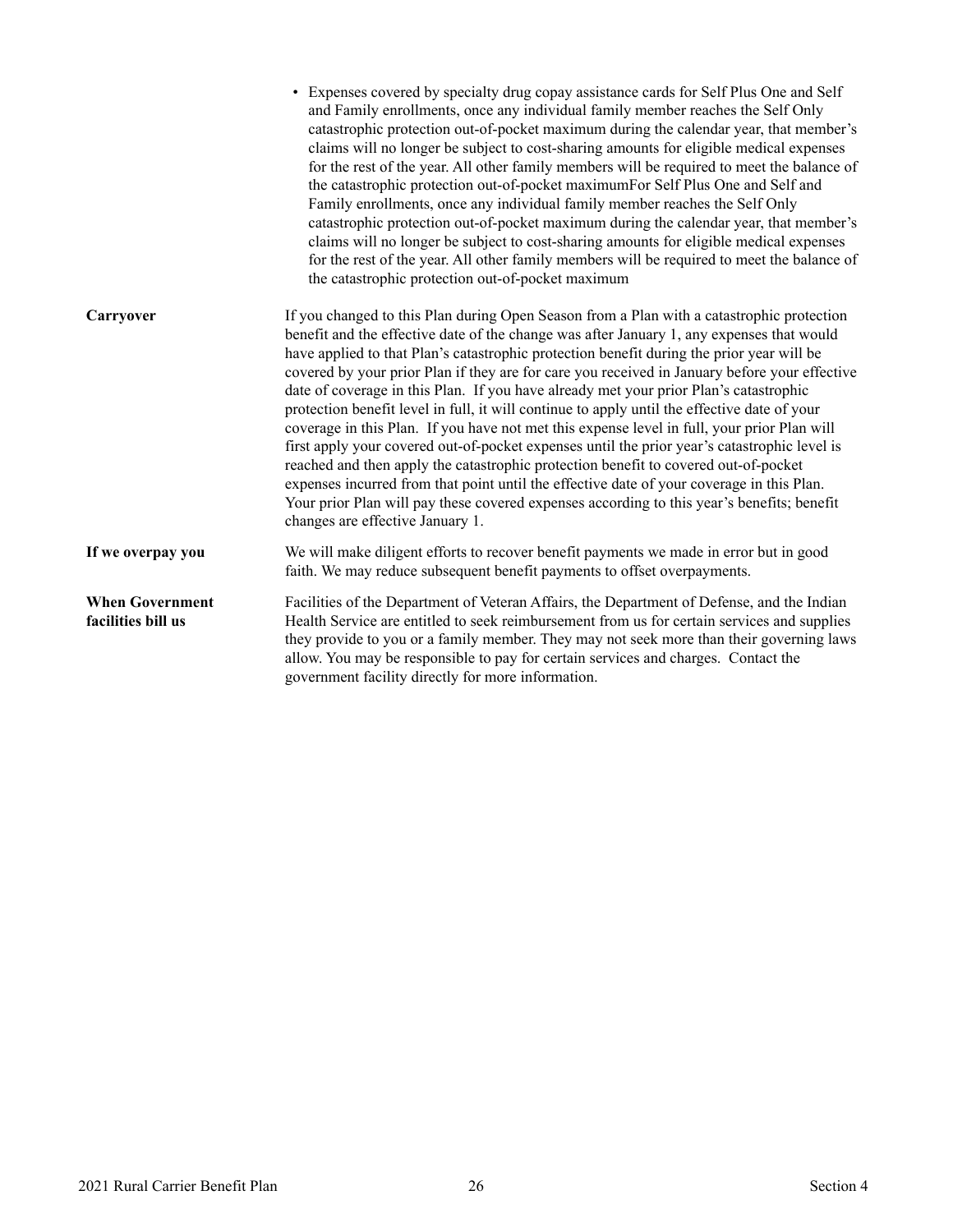<span id="page-27-0"></span>

|                                              | • Expenses covered by specialty drug copay assistance cards for Self Plus One and Self<br>and Family enrollments, once any individual family member reaches the Self Only<br>catastrophic protection out-of-pocket maximum during the calendar year, that member's<br>claims will no longer be subject to cost-sharing amounts for eligible medical expenses<br>for the rest of the year. All other family members will be required to meet the balance of<br>the catastrophic protection out-of-pocket maximumFor Self Plus One and Self and<br>Family enrollments, once any individual family member reaches the Self Only<br>catastrophic protection out-of-pocket maximum during the calendar year, that member's<br>claims will no longer be subject to cost-sharing amounts for eligible medical expenses<br>for the rest of the year. All other family members will be required to meet the balance of<br>the catastrophic protection out-of-pocket maximum                                                                                                                                 |
|----------------------------------------------|----------------------------------------------------------------------------------------------------------------------------------------------------------------------------------------------------------------------------------------------------------------------------------------------------------------------------------------------------------------------------------------------------------------------------------------------------------------------------------------------------------------------------------------------------------------------------------------------------------------------------------------------------------------------------------------------------------------------------------------------------------------------------------------------------------------------------------------------------------------------------------------------------------------------------------------------------------------------------------------------------------------------------------------------------------------------------------------------------|
| Carryover                                    | If you changed to this Plan during Open Season from a Plan with a catastrophic protection<br>benefit and the effective date of the change was after January 1, any expenses that would<br>have applied to that Plan's catastrophic protection benefit during the prior year will be<br>covered by your prior Plan if they are for care you received in January before your effective<br>date of coverage in this Plan. If you have already met your prior Plan's catastrophic<br>protection benefit level in full, it will continue to apply until the effective date of your<br>coverage in this Plan. If you have not met this expense level in full, your prior Plan will<br>first apply your covered out-of-pocket expenses until the prior year's catastrophic level is<br>reached and then apply the catastrophic protection benefit to covered out-of-pocket<br>expenses incurred from that point until the effective date of your coverage in this Plan.<br>Your prior Plan will pay these covered expenses according to this year's benefits; benefit<br>changes are effective January 1. |
| If we overpay you                            | We will make diligent efforts to recover benefit payments we made in error but in good<br>faith. We may reduce subsequent benefit payments to offset overpayments.                                                                                                                                                                                                                                                                                                                                                                                                                                                                                                                                                                                                                                                                                                                                                                                                                                                                                                                                 |
| <b>When Government</b><br>facilities bill us | Facilities of the Department of Veteran Affairs, the Department of Defense, and the Indian<br>Health Service are entitled to seek reimbursement from us for certain services and supplies<br>they provide to you or a family member. They may not seek more than their governing laws<br>allow. You may be responsible to pay for certain services and charges. Contact the<br>government facility directly for more information.                                                                                                                                                                                                                                                                                                                                                                                                                                                                                                                                                                                                                                                                  |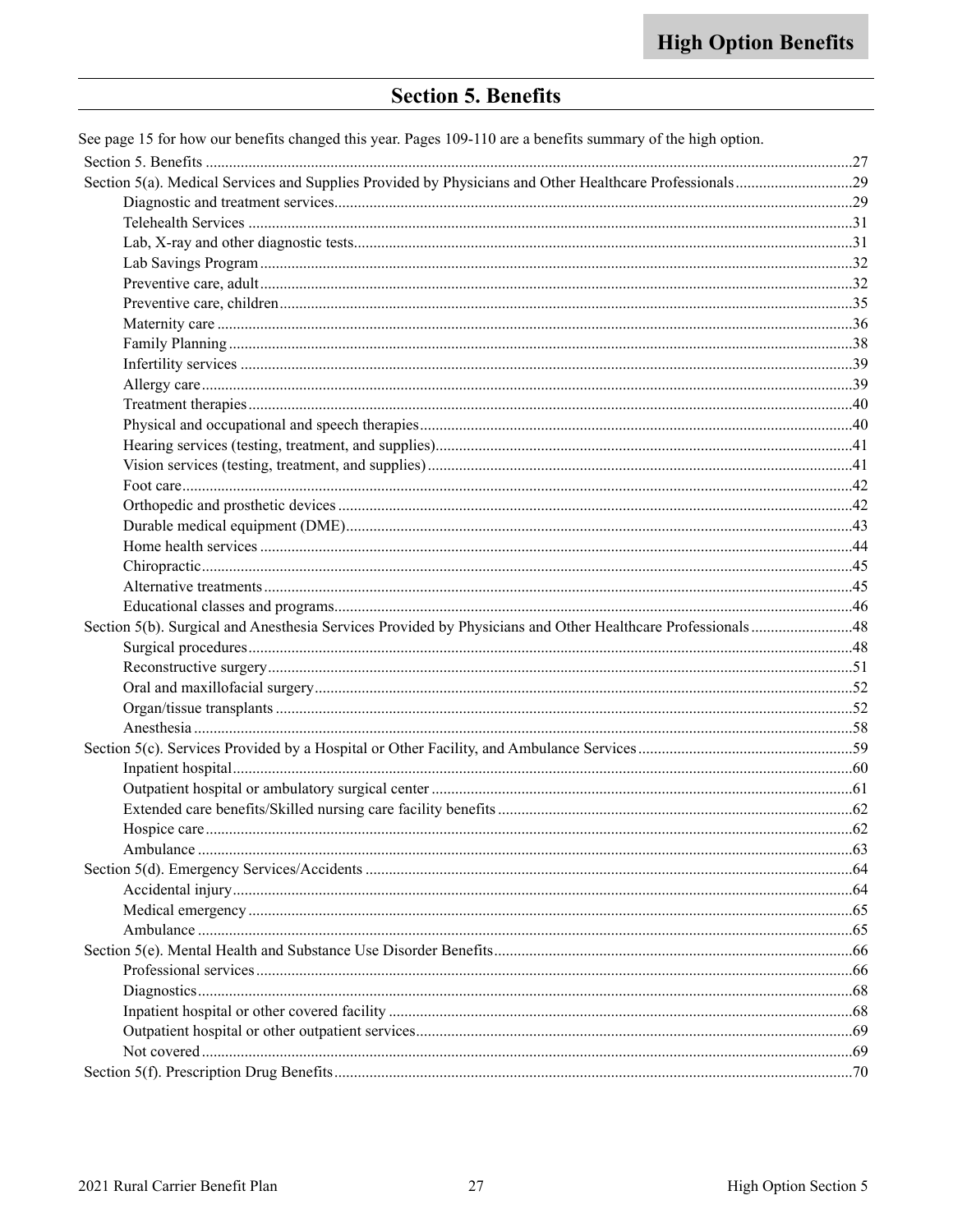|  |  | <b>Section 5. Benefits</b> |
|--|--|----------------------------|
|--|--|----------------------------|

<span id="page-28-0"></span>

| See page 15 for how our benefits changed this year. Pages 109-110 are a benefits summary of the high option. |  |
|--------------------------------------------------------------------------------------------------------------|--|
|                                                                                                              |  |
|                                                                                                              |  |
|                                                                                                              |  |
|                                                                                                              |  |
|                                                                                                              |  |
|                                                                                                              |  |
|                                                                                                              |  |
|                                                                                                              |  |
|                                                                                                              |  |
|                                                                                                              |  |
|                                                                                                              |  |
|                                                                                                              |  |
|                                                                                                              |  |
|                                                                                                              |  |
|                                                                                                              |  |
|                                                                                                              |  |
|                                                                                                              |  |
|                                                                                                              |  |
|                                                                                                              |  |
|                                                                                                              |  |
|                                                                                                              |  |
|                                                                                                              |  |
|                                                                                                              |  |
| Section 5(b). Surgical and Anesthesia Services Provided by Physicians and Other Healthcare Professionals48   |  |
|                                                                                                              |  |
|                                                                                                              |  |
|                                                                                                              |  |
|                                                                                                              |  |
|                                                                                                              |  |
|                                                                                                              |  |
|                                                                                                              |  |
|                                                                                                              |  |
|                                                                                                              |  |
|                                                                                                              |  |
|                                                                                                              |  |
|                                                                                                              |  |
|                                                                                                              |  |
|                                                                                                              |  |
|                                                                                                              |  |
|                                                                                                              |  |
|                                                                                                              |  |
|                                                                                                              |  |
|                                                                                                              |  |
|                                                                                                              |  |
|                                                                                                              |  |
|                                                                                                              |  |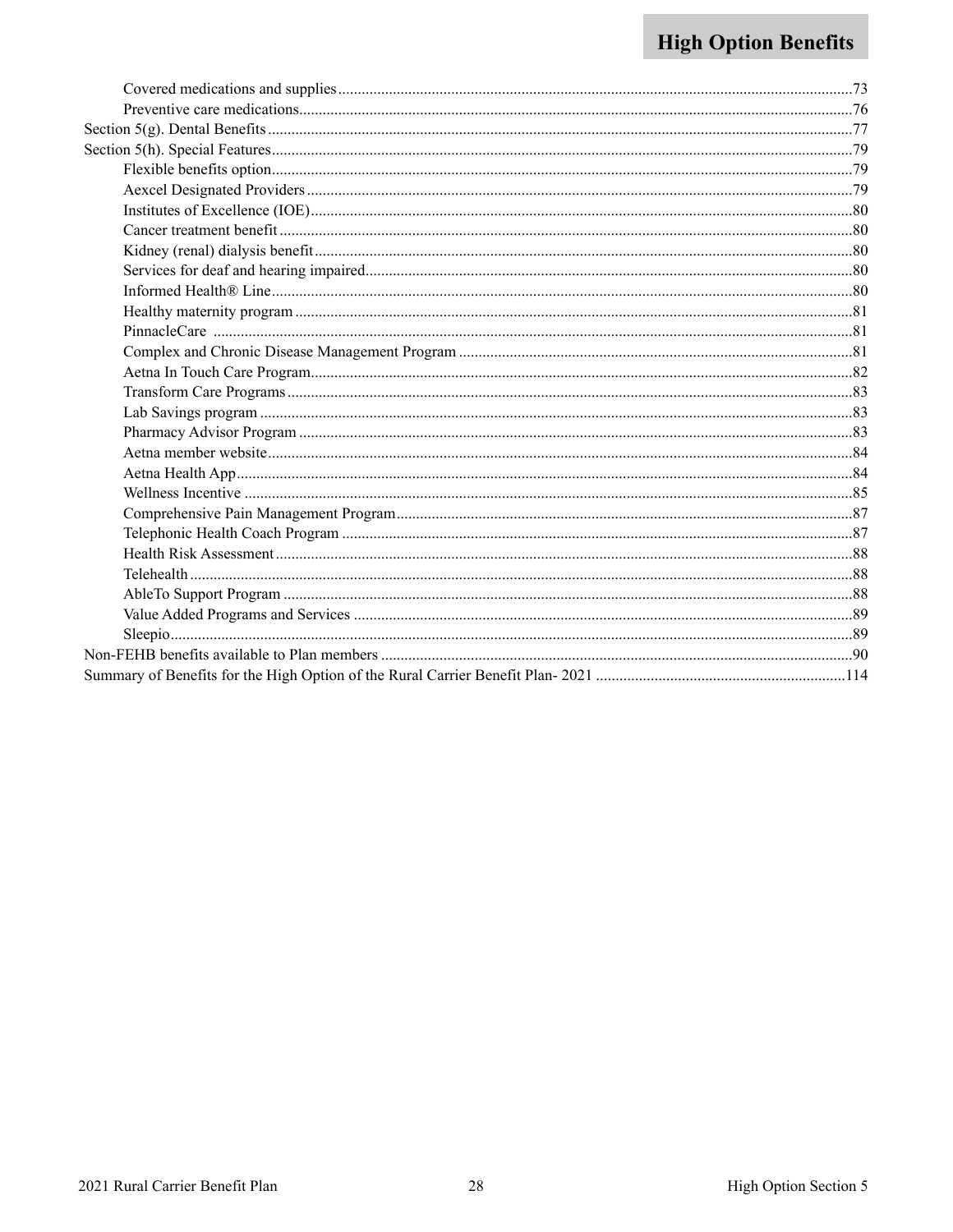# **High Option Benefits**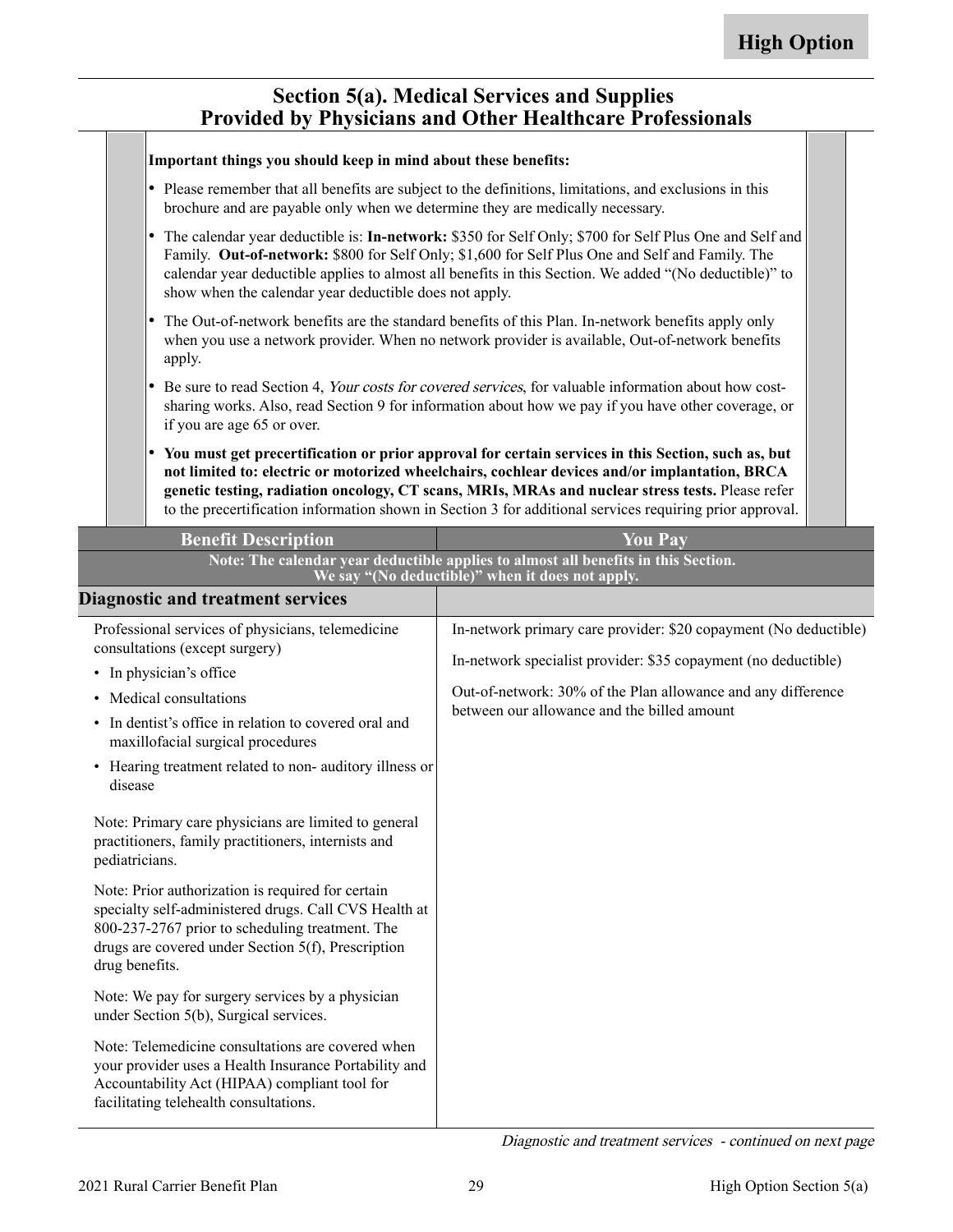### **Section 5(a). Medical Services and Supplies Provided by Physicians and Other Healthcare Professionals**

<span id="page-30-0"></span>

|                                                                                                                                                                                                                                                                                                                                                                                     |                | Important things you should keep in mind about these benefits:                                              |                                                                                                                                                                                                                                                                                                                                                                                                                     |  |
|-------------------------------------------------------------------------------------------------------------------------------------------------------------------------------------------------------------------------------------------------------------------------------------------------------------------------------------------------------------------------------------|----------------|-------------------------------------------------------------------------------------------------------------|---------------------------------------------------------------------------------------------------------------------------------------------------------------------------------------------------------------------------------------------------------------------------------------------------------------------------------------------------------------------------------------------------------------------|--|
| Please remember that all benefits are subject to the definitions, limitations, and exclusions in this<br>brochure and are payable only when we determine they are medically necessary.                                                                                                                                                                                              |                |                                                                                                             |                                                                                                                                                                                                                                                                                                                                                                                                                     |  |
| The calendar year deductible is: In-network: \$350 for Self Only; \$700 for Self Plus One and Self and<br>I۰<br>Family. Out-of-network: \$800 for Self Only; \$1,600 for Self Plus One and Self and Family. The<br>calendar year deductible applies to almost all benefits in this Section. We added "(No deductible)" to<br>show when the calendar year deductible does not apply. |                |                                                                                                             |                                                                                                                                                                                                                                                                                                                                                                                                                     |  |
| The Out-of-network benefits are the standard benefits of this Plan. In-network benefits apply only<br>when you use a network provider. When no network provider is available, Out-of-network benefits<br>apply.                                                                                                                                                                     |                |                                                                                                             |                                                                                                                                                                                                                                                                                                                                                                                                                     |  |
| Be sure to read Section 4, Your costs for covered services, for valuable information about how cost-<br>∣∙<br>sharing works. Also, read Section 9 for information about how we pay if you have other coverage, or<br>if you are age 65 or over.                                                                                                                                     |                |                                                                                                             |                                                                                                                                                                                                                                                                                                                                                                                                                     |  |
|                                                                                                                                                                                                                                                                                                                                                                                     |                | I۰                                                                                                          | You must get precertification or prior approval for certain services in this Section, such as, but<br>not limited to: electric or motorized wheelchairs, cochlear devices and/or implantation, BRCA<br>genetic testing, radiation oncology, CT scans, MRIs, MRAs and nuclear stress tests. Please refer<br>to the precertification information shown in Section 3 for additional services requiring prior approval. |  |
|                                                                                                                                                                                                                                                                                                                                                                                     |                |                                                                                                             |                                                                                                                                                                                                                                                                                                                                                                                                                     |  |
|                                                                                                                                                                                                                                                                                                                                                                                     |                | <b>Benefit Description</b>                                                                                  | <b>You Pay</b>                                                                                                                                                                                                                                                                                                                                                                                                      |  |
|                                                                                                                                                                                                                                                                                                                                                                                     |                |                                                                                                             | Note: The calendar year deductible applies to almost all benefits in this Section.                                                                                                                                                                                                                                                                                                                                  |  |
|                                                                                                                                                                                                                                                                                                                                                                                     |                | <b>Diagnostic and treatment services</b>                                                                    | We say "(No deductible)" when it does not apply.                                                                                                                                                                                                                                                                                                                                                                    |  |
|                                                                                                                                                                                                                                                                                                                                                                                     |                | Professional services of physicians, telemedicine<br>consultations (except surgery)                         | In-network primary care provider: \$20 copayment (No deductible)                                                                                                                                                                                                                                                                                                                                                    |  |
|                                                                                                                                                                                                                                                                                                                                                                                     |                | • In physician's office                                                                                     | In-network specialist provider: \$35 copayment (no deductible)                                                                                                                                                                                                                                                                                                                                                      |  |
|                                                                                                                                                                                                                                                                                                                                                                                     |                | • Medical consultations                                                                                     | Out-of-network: 30% of the Plan allowance and any difference                                                                                                                                                                                                                                                                                                                                                        |  |
|                                                                                                                                                                                                                                                                                                                                                                                     |                | • In dentist's office in relation to covered oral and<br>maxillofacial surgical procedures                  | between our allowance and the billed amount                                                                                                                                                                                                                                                                                                                                                                         |  |
|                                                                                                                                                                                                                                                                                                                                                                                     | disease        | • Hearing treatment related to non- auditory illness or                                                     |                                                                                                                                                                                                                                                                                                                                                                                                                     |  |
|                                                                                                                                                                                                                                                                                                                                                                                     | pediatricians. | Note: Primary care physicians are limited to general<br>practitioners, family practitioners, internists and |                                                                                                                                                                                                                                                                                                                                                                                                                     |  |

Note: Prior authorization is required for certain specialty self-administered drugs. Call CVS Health at 800-237-2767 prior to scheduling treatment. The drugs are covered under Section 5(f), Prescription drug benefits.

Note: We pay for surgery services by a physician under Section 5(b), Surgical services.

Note: Telemedicine consultations are covered when your provider uses a Health Insurance Portability and Accountability Act (HIPAA) compliant tool for facilitating telehealth consultations.

Diagnostic and treatment services - continued on next page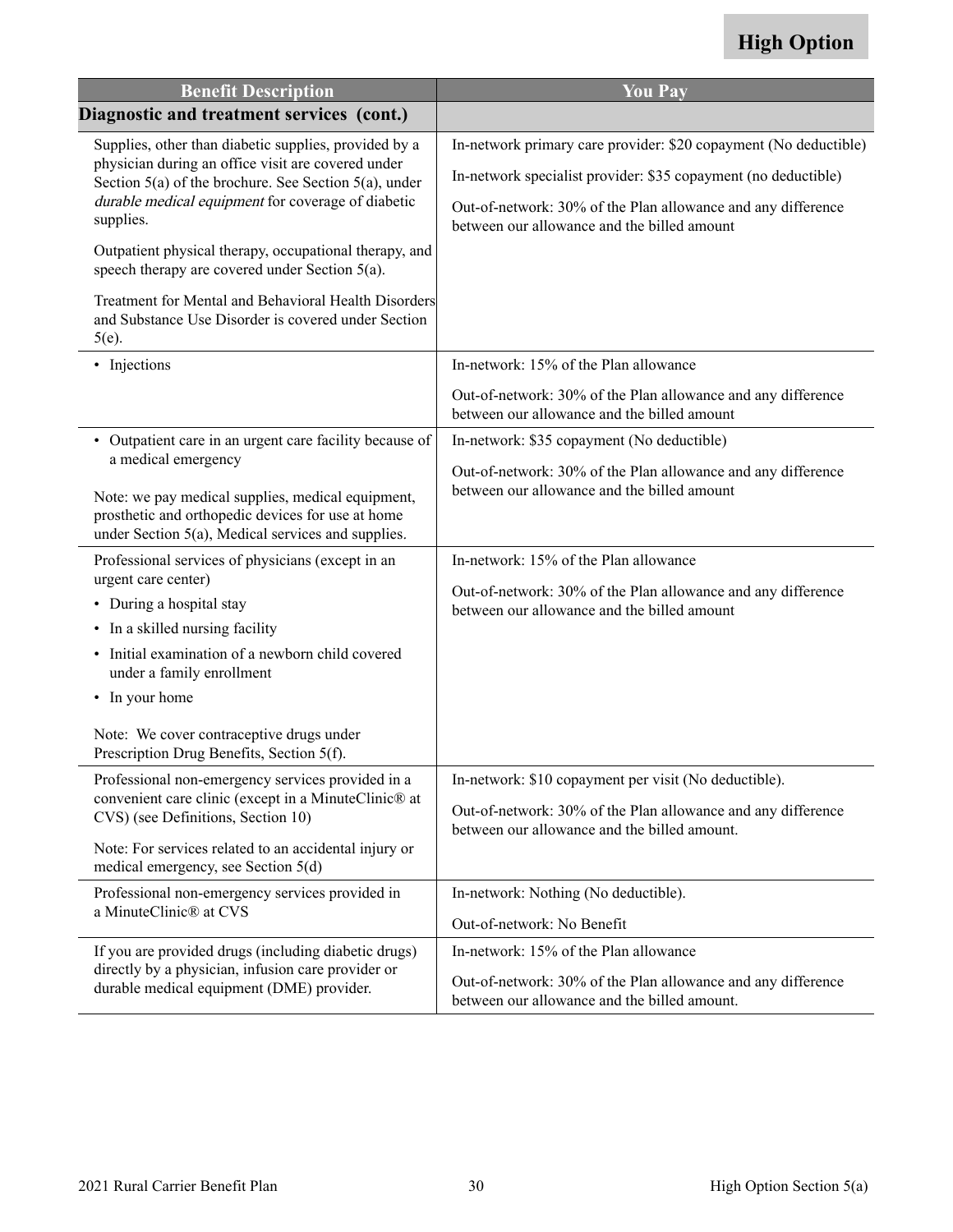| <b>Benefit Description</b>                                                                                                                                      | <b>You Pay</b>                                                                                               |
|-----------------------------------------------------------------------------------------------------------------------------------------------------------------|--------------------------------------------------------------------------------------------------------------|
| Diagnostic and treatment services (cont.)                                                                                                                       |                                                                                                              |
| Supplies, other than diabetic supplies, provided by a                                                                                                           | In-network primary care provider: \$20 copayment (No deductible)                                             |
| physician during an office visit are covered under<br>Section 5(a) of the brochure. See Section 5(a), under                                                     | In-network specialist provider: \$35 copayment (no deductible)                                               |
| durable medical equipment for coverage of diabetic<br>supplies.                                                                                                 | Out-of-network: 30% of the Plan allowance and any difference<br>between our allowance and the billed amount  |
| Outpatient physical therapy, occupational therapy, and<br>speech therapy are covered under Section 5(a).                                                        |                                                                                                              |
| Treatment for Mental and Behavioral Health Disorders<br>and Substance Use Disorder is covered under Section<br>$5(e)$ .                                         |                                                                                                              |
| • Injections                                                                                                                                                    | In-network: 15% of the Plan allowance                                                                        |
|                                                                                                                                                                 | Out-of-network: 30% of the Plan allowance and any difference<br>between our allowance and the billed amount  |
| • Outpatient care in an urgent care facility because of                                                                                                         | In-network: \$35 copayment (No deductible)                                                                   |
| a medical emergency                                                                                                                                             | Out-of-network: 30% of the Plan allowance and any difference                                                 |
| Note: we pay medical supplies, medical equipment,<br>prosthetic and orthopedic devices for use at home<br>under Section $5(a)$ , Medical services and supplies. | between our allowance and the billed amount                                                                  |
| Professional services of physicians (except in an                                                                                                               | In-network: 15% of the Plan allowance                                                                        |
| urgent care center)<br>• During a hospital stay                                                                                                                 | Out-of-network: 30% of the Plan allowance and any difference                                                 |
| • In a skilled nursing facility                                                                                                                                 | between our allowance and the billed amount                                                                  |
| Initial examination of a newborn child covered<br>under a family enrollment                                                                                     |                                                                                                              |
| • In your home                                                                                                                                                  |                                                                                                              |
| Note: We cover contraceptive drugs under<br>Prescription Drug Benefits, Section 5(f).                                                                           |                                                                                                              |
| Professional non-emergency services provided in a                                                                                                               | In-network: \$10 copayment per visit (No deductible).                                                        |
| convenient care clinic (except in a MinuteClinic® at<br>CVS) (see Definitions, Section 10)                                                                      | Out-of-network: 30% of the Plan allowance and any difference<br>between our allowance and the billed amount. |
| Note: For services related to an accidental injury or<br>medical emergency, see Section 5(d)                                                                    |                                                                                                              |
| Professional non-emergency services provided in                                                                                                                 | In-network: Nothing (No deductible).                                                                         |
| a MinuteClinic® at CVS                                                                                                                                          | Out-of-network: No Benefit                                                                                   |
| If you are provided drugs (including diabetic drugs)                                                                                                            | In-network: 15% of the Plan allowance                                                                        |
| directly by a physician, infusion care provider or<br>durable medical equipment (DME) provider.                                                                 | Out-of-network: 30% of the Plan allowance and any difference<br>between our allowance and the billed amount. |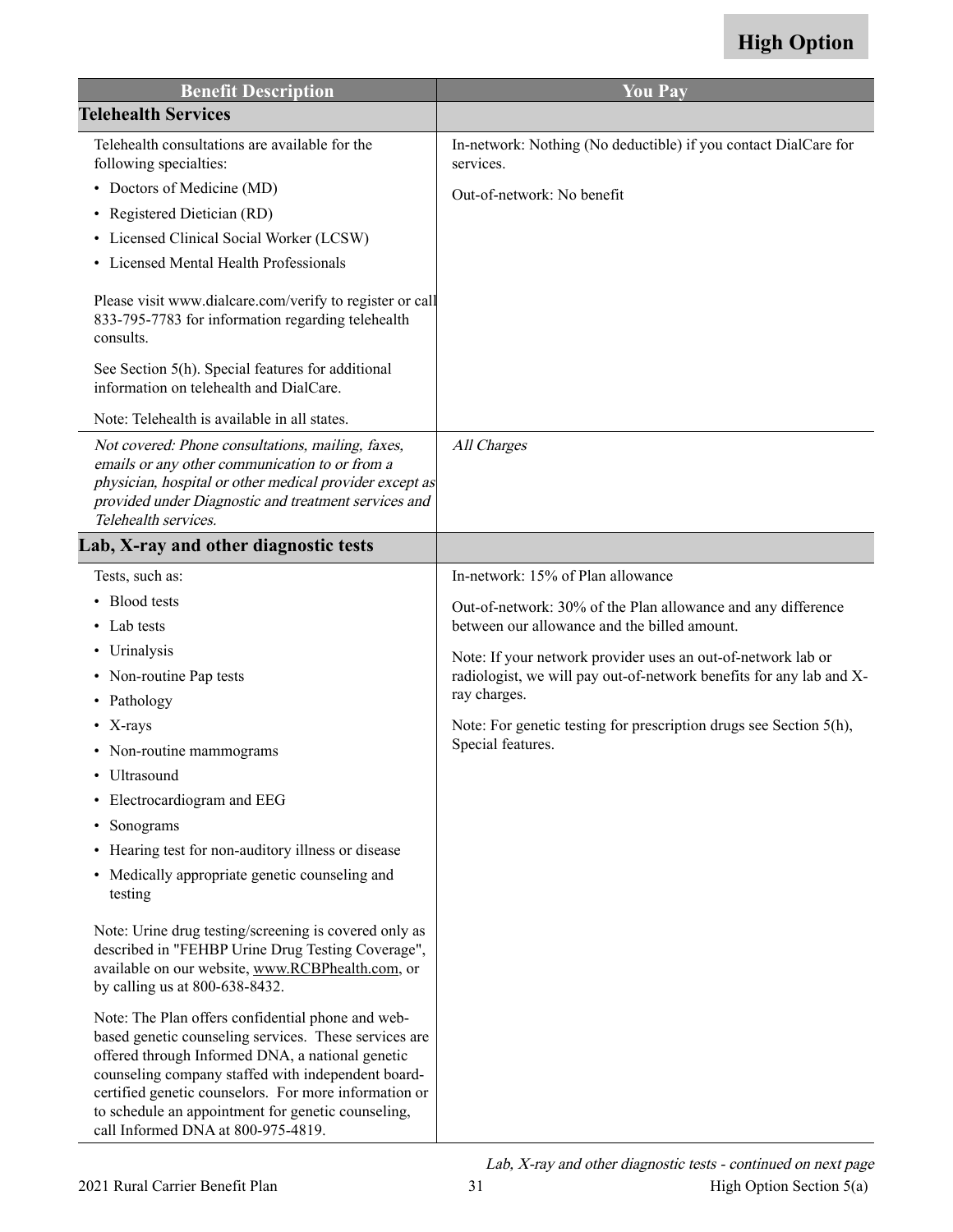<span id="page-32-0"></span>

| <b>Benefit Description</b>                                                                                                                                                                                                                                                                                                                                                | <b>You Pay</b>                                                               |
|---------------------------------------------------------------------------------------------------------------------------------------------------------------------------------------------------------------------------------------------------------------------------------------------------------------------------------------------------------------------------|------------------------------------------------------------------------------|
| <b>Telehealth Services</b>                                                                                                                                                                                                                                                                                                                                                |                                                                              |
| Telehealth consultations are available for the<br>following specialties:                                                                                                                                                                                                                                                                                                  | In-network: Nothing (No deductible) if you contact DialCare for<br>services. |
| • Doctors of Medicine (MD)                                                                                                                                                                                                                                                                                                                                                | Out-of-network: No benefit                                                   |
| • Registered Dietician (RD)                                                                                                                                                                                                                                                                                                                                               |                                                                              |
| Licensed Clinical Social Worker (LCSW)<br>٠                                                                                                                                                                                                                                                                                                                               |                                                                              |
| • Licensed Mental Health Professionals                                                                                                                                                                                                                                                                                                                                    |                                                                              |
| Please visit www.dialcare.com/verify to register or call<br>833-795-7783 for information regarding telehealth<br>consults.                                                                                                                                                                                                                                                |                                                                              |
| See Section 5(h). Special features for additional<br>information on telehealth and DialCare.                                                                                                                                                                                                                                                                              |                                                                              |
| Note: Telehealth is available in all states.                                                                                                                                                                                                                                                                                                                              |                                                                              |
| Not covered: Phone consultations, mailing, faxes,<br>emails or any other communication to or from a<br>physician, hospital or other medical provider except as<br>provided under Diagnostic and treatment services and<br>Telehealth services.                                                                                                                            | All Charges                                                                  |
| Lab, X-ray and other diagnostic tests                                                                                                                                                                                                                                                                                                                                     |                                                                              |
| Tests, such as:                                                                                                                                                                                                                                                                                                                                                           | In-network: 15% of Plan allowance                                            |
| • Blood tests                                                                                                                                                                                                                                                                                                                                                             | Out-of-network: 30% of the Plan allowance and any difference                 |
| Lab tests                                                                                                                                                                                                                                                                                                                                                                 | between our allowance and the billed amount.                                 |
| • Urinalysis                                                                                                                                                                                                                                                                                                                                                              | Note: If your network provider uses an out-of-network lab or                 |
| • Non-routine Pap tests                                                                                                                                                                                                                                                                                                                                                   | radiologist, we will pay out-of-network benefits for any lab and X-          |
| • Pathology                                                                                                                                                                                                                                                                                                                                                               | ray charges.                                                                 |
| • $X-rays$                                                                                                                                                                                                                                                                                                                                                                | Note: For genetic testing for prescription drugs see Section 5(h),           |
| • Non-routine mammograms                                                                                                                                                                                                                                                                                                                                                  | Special features.                                                            |
| Ultrasound<br>٠                                                                                                                                                                                                                                                                                                                                                           |                                                                              |
| Electrocardiogram and EEG<br>$\bullet$                                                                                                                                                                                                                                                                                                                                    |                                                                              |
| Sonograms<br>٠                                                                                                                                                                                                                                                                                                                                                            |                                                                              |
| • Hearing test for non-auditory illness or disease                                                                                                                                                                                                                                                                                                                        |                                                                              |
| • Medically appropriate genetic counseling and<br>testing                                                                                                                                                                                                                                                                                                                 |                                                                              |
| Note: Urine drug testing/screening is covered only as<br>described in "FEHBP Urine Drug Testing Coverage",<br>available on our website, www.RCBPhealth.com, or<br>by calling us at 800-638-8432.                                                                                                                                                                          |                                                                              |
| Note: The Plan offers confidential phone and web-<br>based genetic counseling services. These services are<br>offered through Informed DNA, a national genetic<br>counseling company staffed with independent board-<br>certified genetic counselors. For more information or<br>to schedule an appointment for genetic counseling,<br>call Informed DNA at 800-975-4819. |                                                                              |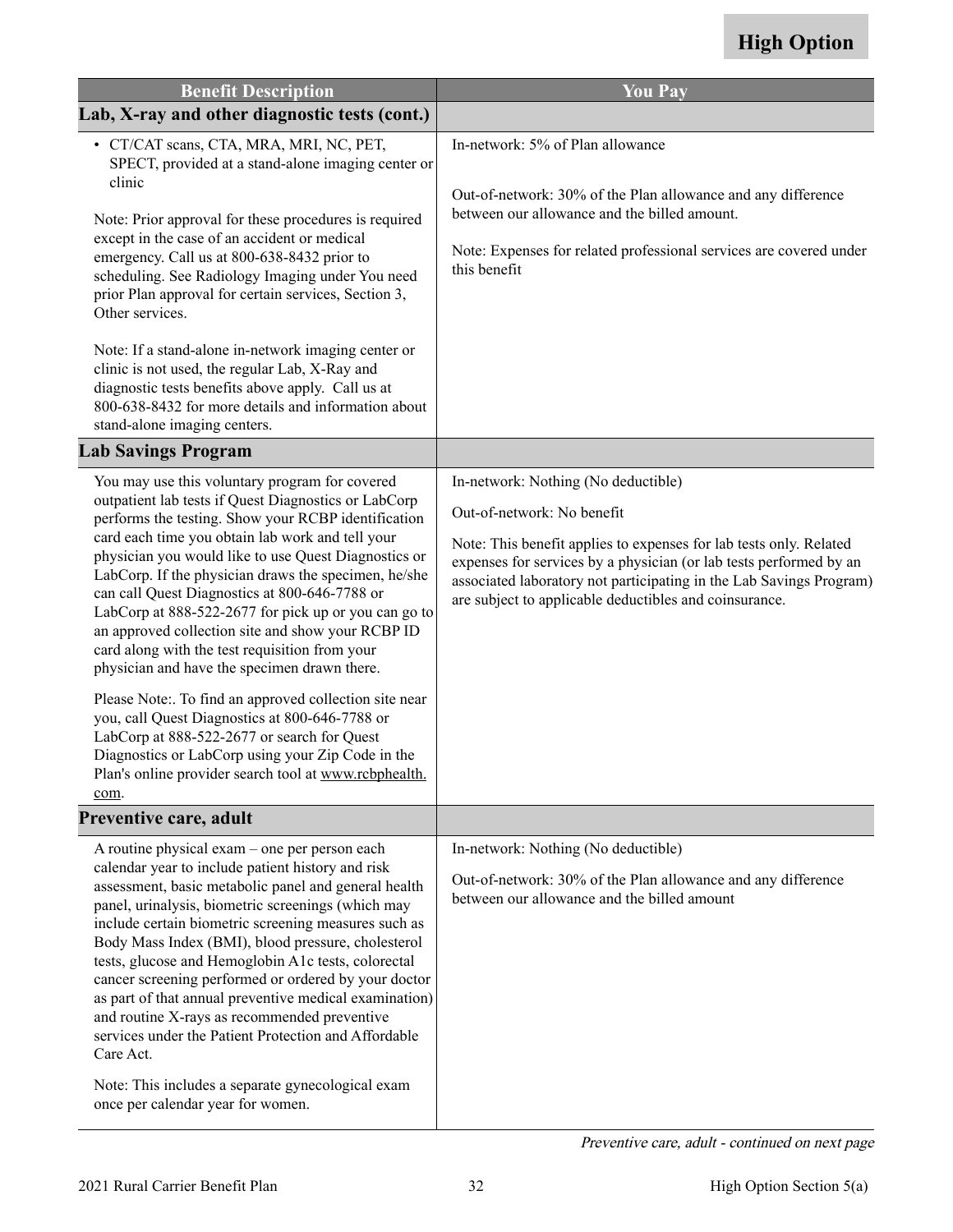<span id="page-33-0"></span>

| <b>Benefit Description</b>                                                                                                                                                                                                                                                                                                                                                                                                                                                                                                                                                                                                                                                                                                                                                                                                                                                         | <b>You Pay</b>                                                                                                                                                                                                                                                                                                                                 |
|------------------------------------------------------------------------------------------------------------------------------------------------------------------------------------------------------------------------------------------------------------------------------------------------------------------------------------------------------------------------------------------------------------------------------------------------------------------------------------------------------------------------------------------------------------------------------------------------------------------------------------------------------------------------------------------------------------------------------------------------------------------------------------------------------------------------------------------------------------------------------------|------------------------------------------------------------------------------------------------------------------------------------------------------------------------------------------------------------------------------------------------------------------------------------------------------------------------------------------------|
| Lab, X-ray and other diagnostic tests (cont.)                                                                                                                                                                                                                                                                                                                                                                                                                                                                                                                                                                                                                                                                                                                                                                                                                                      |                                                                                                                                                                                                                                                                                                                                                |
| · CT/CAT scans, CTA, MRA, MRI, NC, PET,<br>SPECT, provided at a stand-alone imaging center or                                                                                                                                                                                                                                                                                                                                                                                                                                                                                                                                                                                                                                                                                                                                                                                      | In-network: 5% of Plan allowance                                                                                                                                                                                                                                                                                                               |
| clinic<br>Note: Prior approval for these procedures is required<br>except in the case of an accident or medical<br>emergency. Call us at 800-638-8432 prior to<br>scheduling. See Radiology Imaging under You need<br>prior Plan approval for certain services, Section 3,<br>Other services.                                                                                                                                                                                                                                                                                                                                                                                                                                                                                                                                                                                      | Out-of-network: 30% of the Plan allowance and any difference<br>between our allowance and the billed amount.<br>Note: Expenses for related professional services are covered under<br>this benefit                                                                                                                                             |
| Note: If a stand-alone in-network imaging center or<br>clinic is not used, the regular Lab, X-Ray and<br>diagnostic tests benefits above apply. Call us at<br>800-638-8432 for more details and information about<br>stand-alone imaging centers.                                                                                                                                                                                                                                                                                                                                                                                                                                                                                                                                                                                                                                  |                                                                                                                                                                                                                                                                                                                                                |
| <b>Lab Savings Program</b>                                                                                                                                                                                                                                                                                                                                                                                                                                                                                                                                                                                                                                                                                                                                                                                                                                                         |                                                                                                                                                                                                                                                                                                                                                |
| You may use this voluntary program for covered<br>outpatient lab tests if Quest Diagnostics or LabCorp<br>performs the testing. Show your RCBP identification<br>card each time you obtain lab work and tell your<br>physician you would like to use Quest Diagnostics or<br>LabCorp. If the physician draws the specimen, he/she<br>can call Quest Diagnostics at 800-646-7788 or<br>LabCorp at 888-522-2677 for pick up or you can go to<br>an approved collection site and show your RCBP ID<br>card along with the test requisition from your<br>physician and have the specimen drawn there.<br>Please Note:. To find an approved collection site near<br>you, call Quest Diagnostics at 800-646-7788 or<br>LabCorp at 888-522-2677 or search for Quest<br>Diagnostics or LabCorp using your Zip Code in the<br>Plan's online provider search tool at www.rcbphealth.<br>com. | In-network: Nothing (No deductible)<br>Out-of-network: No benefit<br>Note: This benefit applies to expenses for lab tests only. Related<br>expenses for services by a physician (or lab tests performed by an<br>associated laboratory not participating in the Lab Savings Program)<br>are subject to applicable deductibles and coinsurance. |
| Preventive care, adult                                                                                                                                                                                                                                                                                                                                                                                                                                                                                                                                                                                                                                                                                                                                                                                                                                                             |                                                                                                                                                                                                                                                                                                                                                |
| A routine physical exam – one per person each<br>calendar year to include patient history and risk<br>assessment, basic metabolic panel and general health<br>panel, urinalysis, biometric screenings (which may<br>include certain biometric screening measures such as<br>Body Mass Index (BMI), blood pressure, cholesterol<br>tests, glucose and Hemoglobin A1c tests, colorectal<br>cancer screening performed or ordered by your doctor<br>as part of that annual preventive medical examination)<br>and routine X-rays as recommended preventive<br>services under the Patient Protection and Affordable<br>Care Act.                                                                                                                                                                                                                                                       | In-network: Nothing (No deductible)<br>Out-of-network: 30% of the Plan allowance and any difference<br>between our allowance and the billed amount                                                                                                                                                                                             |
| Note: This includes a separate gynecological exam<br>once per calendar year for women.                                                                                                                                                                                                                                                                                                                                                                                                                                                                                                                                                                                                                                                                                                                                                                                             |                                                                                                                                                                                                                                                                                                                                                |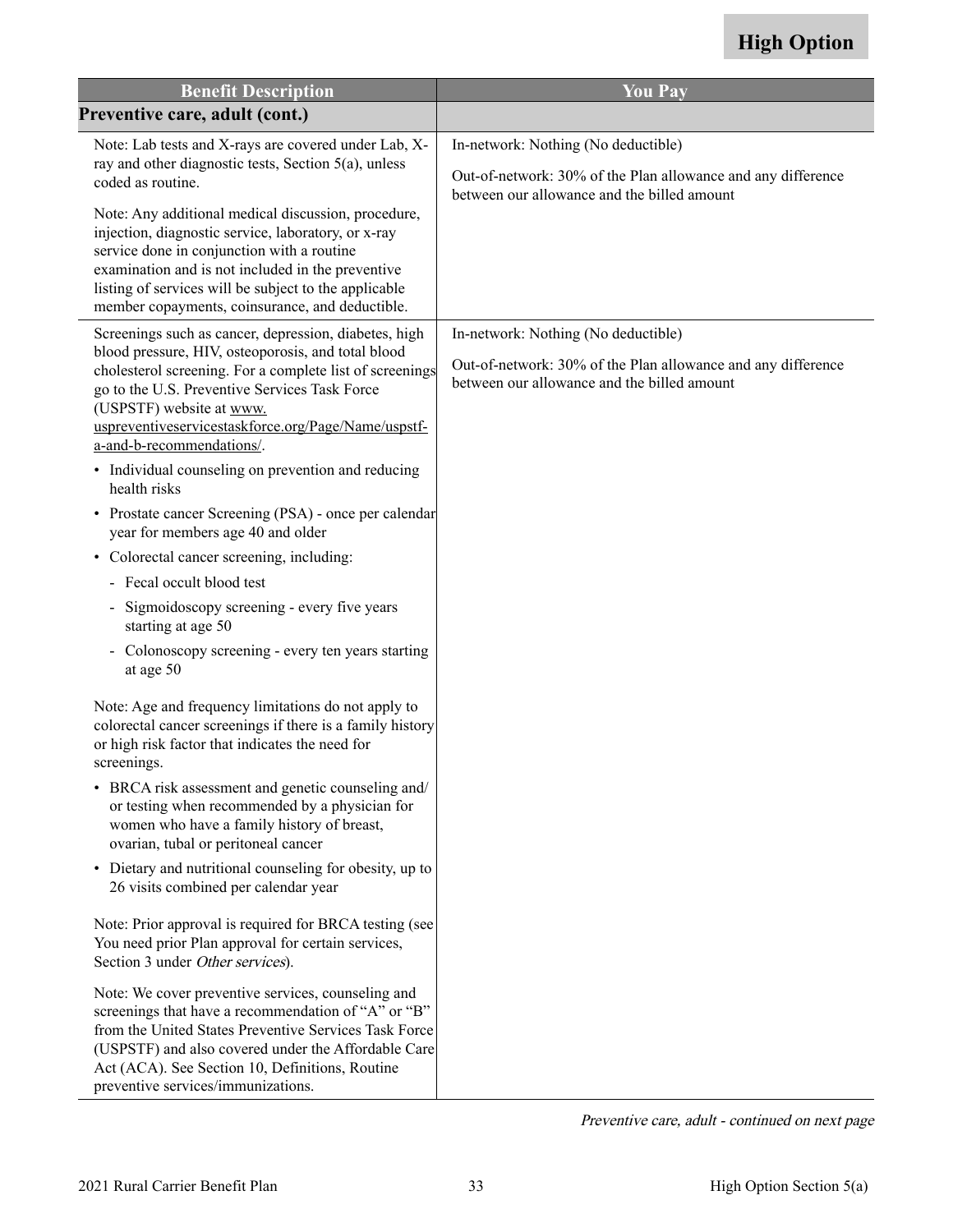| <b>Benefit Description</b>                                                                                                                                                                                                                                                                                                | <b>You Pay</b>                                                                                              |
|---------------------------------------------------------------------------------------------------------------------------------------------------------------------------------------------------------------------------------------------------------------------------------------------------------------------------|-------------------------------------------------------------------------------------------------------------|
| Preventive care, adult (cont.)                                                                                                                                                                                                                                                                                            |                                                                                                             |
| Note: Lab tests and X-rays are covered under Lab, X-<br>ray and other diagnostic tests, Section 5(a), unless<br>coded as routine.                                                                                                                                                                                         | In-network: Nothing (No deductible)<br>Out-of-network: 30% of the Plan allowance and any difference         |
| Note: Any additional medical discussion, procedure,<br>injection, diagnostic service, laboratory, or x-ray<br>service done in conjunction with a routine<br>examination and is not included in the preventive<br>listing of services will be subject to the applicable<br>member copayments, coinsurance, and deductible. | between our allowance and the billed amount                                                                 |
| Screenings such as cancer, depression, diabetes, high                                                                                                                                                                                                                                                                     | In-network: Nothing (No deductible)                                                                         |
| blood pressure, HIV, osteoporosis, and total blood<br>cholesterol screening. For a complete list of screenings<br>go to the U.S. Preventive Services Task Force<br>(USPSTF) website at www.<br>uspreventiveservicestaskforce.org/Page/Name/uspstf-<br>a-and-b-recommendations/.                                           | Out-of-network: 30% of the Plan allowance and any difference<br>between our allowance and the billed amount |
| • Individual counseling on prevention and reducing<br>health risks                                                                                                                                                                                                                                                        |                                                                                                             |
| • Prostate cancer Screening (PSA) - once per calendar<br>year for members age 40 and older                                                                                                                                                                                                                                |                                                                                                             |
| • Colorectal cancer screening, including:                                                                                                                                                                                                                                                                                 |                                                                                                             |
| Fecal occult blood test                                                                                                                                                                                                                                                                                                   |                                                                                                             |
| Sigmoidoscopy screening - every five years<br>$\blacksquare$<br>starting at age 50                                                                                                                                                                                                                                        |                                                                                                             |
| - Colonoscopy screening - every ten years starting<br>at age 50                                                                                                                                                                                                                                                           |                                                                                                             |
| Note: Age and frequency limitations do not apply to<br>colorectal cancer screenings if there is a family history<br>or high risk factor that indicates the need for<br>screenings.                                                                                                                                        |                                                                                                             |
| • BRCA risk assessment and genetic counseling and/<br>or testing when recommended by a physician for<br>women who have a family history of breast,<br>ovarian, tubal or peritoneal cancer                                                                                                                                 |                                                                                                             |
| • Dietary and nutritional counseling for obesity, up to<br>26 visits combined per calendar year                                                                                                                                                                                                                           |                                                                                                             |
| Note: Prior approval is required for BRCA testing (see<br>You need prior Plan approval for certain services,<br>Section 3 under Other services).                                                                                                                                                                          |                                                                                                             |
| Note: We cover preventive services, counseling and<br>screenings that have a recommendation of "A" or "B"<br>from the United States Preventive Services Task Force<br>(USPSTF) and also covered under the Affordable Care<br>Act (ACA). See Section 10, Definitions, Routine<br>preventive services/immunizations.        |                                                                                                             |

Preventive care, adult - continued on next page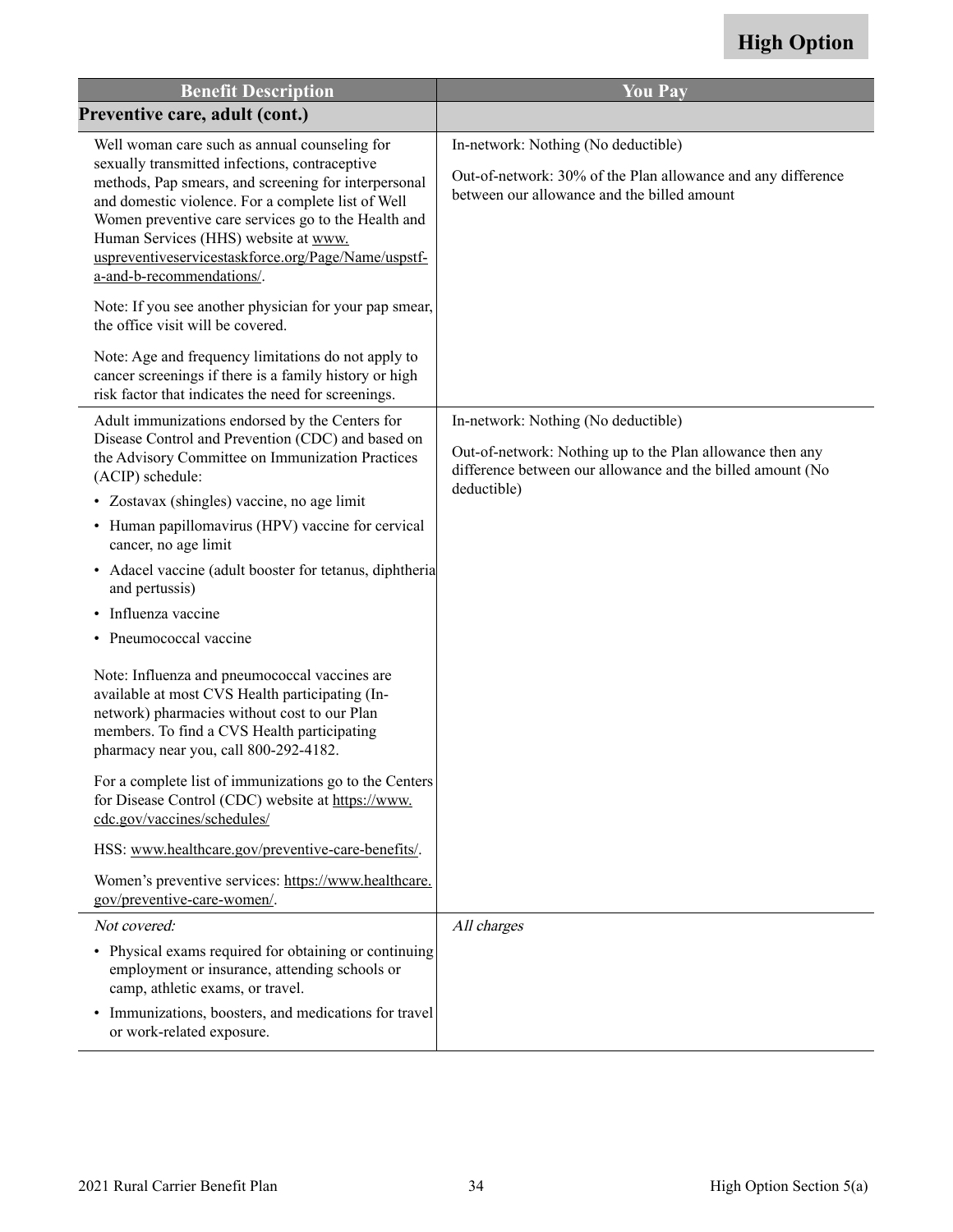| <b>Benefit Description</b>                                                                                                                                                                                                                                                                                                                                                                       | <b>You Pay</b>                                                                                                                                     |
|--------------------------------------------------------------------------------------------------------------------------------------------------------------------------------------------------------------------------------------------------------------------------------------------------------------------------------------------------------------------------------------------------|----------------------------------------------------------------------------------------------------------------------------------------------------|
| Preventive care, adult (cont.)                                                                                                                                                                                                                                                                                                                                                                   |                                                                                                                                                    |
| Well woman care such as annual counseling for<br>sexually transmitted infections, contraceptive<br>methods, Pap smears, and screening for interpersonal<br>and domestic violence. For a complete list of Well<br>Women preventive care services go to the Health and<br>Human Services (HHS) website at www.<br>uspreventiveservicestaskforce.org/Page/Name/uspstf-<br>a-and-b-recommendations/. | In-network: Nothing (No deductible)<br>Out-of-network: 30% of the Plan allowance and any difference<br>between our allowance and the billed amount |
| Note: If you see another physician for your pap smear,<br>the office visit will be covered.                                                                                                                                                                                                                                                                                                      |                                                                                                                                                    |
| Note: Age and frequency limitations do not apply to<br>cancer screenings if there is a family history or high<br>risk factor that indicates the need for screenings.                                                                                                                                                                                                                             |                                                                                                                                                    |
| Adult immunizations endorsed by the Centers for                                                                                                                                                                                                                                                                                                                                                  | In-network: Nothing (No deductible)                                                                                                                |
| Disease Control and Prevention (CDC) and based on<br>the Advisory Committee on Immunization Practices<br>(ACIP) schedule:                                                                                                                                                                                                                                                                        | Out-of-network: Nothing up to the Plan allowance then any<br>difference between our allowance and the billed amount (No<br>deductible)             |
| • Zostavax (shingles) vaccine, no age limit                                                                                                                                                                                                                                                                                                                                                      |                                                                                                                                                    |
| • Human papillomavirus (HPV) vaccine for cervical<br>cancer, no age limit                                                                                                                                                                                                                                                                                                                        |                                                                                                                                                    |
| • Adacel vaccine (adult booster for tetanus, diphtheria<br>and pertussis)                                                                                                                                                                                                                                                                                                                        |                                                                                                                                                    |
| • Influenza vaccine                                                                                                                                                                                                                                                                                                                                                                              |                                                                                                                                                    |
| • Pneumococcal vaccine                                                                                                                                                                                                                                                                                                                                                                           |                                                                                                                                                    |
| Note: Influenza and pneumococcal vaccines are<br>available at most CVS Health participating (In-<br>network) pharmacies without cost to our Plan<br>members. To find a CVS Health participating<br>pharmacy near you, call 800-292-4182.                                                                                                                                                         |                                                                                                                                                    |
| For a complete list of immunizations go to the Centers<br>for Disease Control (CDC) website at https://www.<br>cdc.gov/vaccines/schedules/                                                                                                                                                                                                                                                       |                                                                                                                                                    |
| HSS: www.healthcare.gov/preventive-care-benefits/.                                                                                                                                                                                                                                                                                                                                               |                                                                                                                                                    |
| Women's preventive services: https://www.healthcare.<br>gov/preventive-care-women/.                                                                                                                                                                                                                                                                                                              |                                                                                                                                                    |
| Not covered:                                                                                                                                                                                                                                                                                                                                                                                     | All charges                                                                                                                                        |
| • Physical exams required for obtaining or continuing<br>employment or insurance, attending schools or<br>camp, athletic exams, or travel.                                                                                                                                                                                                                                                       |                                                                                                                                                    |
| • Immunizations, boosters, and medications for travel<br>or work-related exposure.                                                                                                                                                                                                                                                                                                               |                                                                                                                                                    |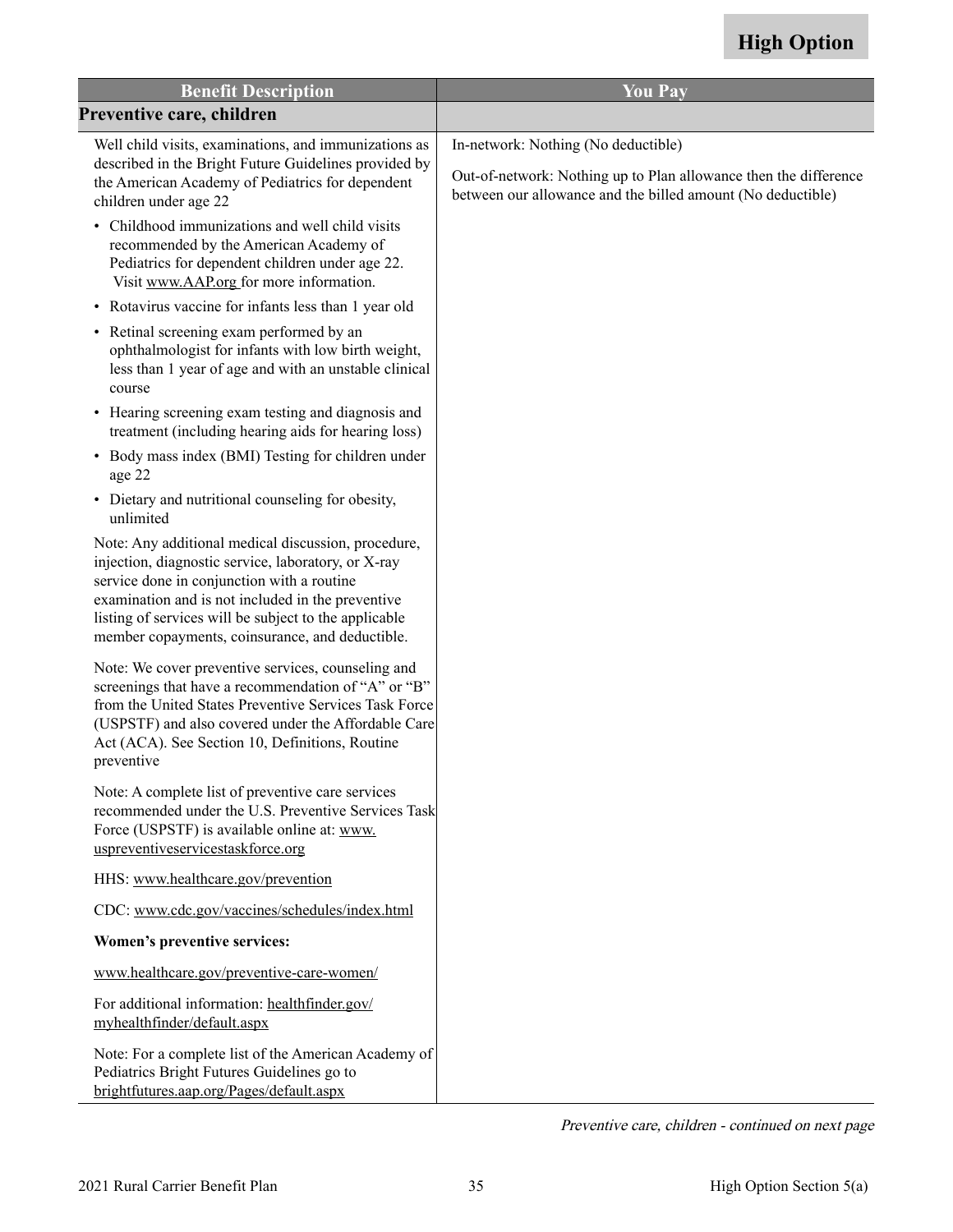| <b>Benefit Description</b>                                                                                                                                                                                                                                                                                                | <b>You Pay</b>                                                                                                                  |
|---------------------------------------------------------------------------------------------------------------------------------------------------------------------------------------------------------------------------------------------------------------------------------------------------------------------------|---------------------------------------------------------------------------------------------------------------------------------|
| Preventive care, children                                                                                                                                                                                                                                                                                                 |                                                                                                                                 |
| Well child visits, examinations, and immunizations as                                                                                                                                                                                                                                                                     | In-network: Nothing (No deductible)                                                                                             |
| described in the Bright Future Guidelines provided by<br>the American Academy of Pediatrics for dependent<br>children under age 22                                                                                                                                                                                        | Out-of-network: Nothing up to Plan allowance then the difference<br>between our allowance and the billed amount (No deductible) |
| • Childhood immunizations and well child visits<br>recommended by the American Academy of<br>Pediatrics for dependent children under age 22.<br>Visit www.AAP.org for more information.                                                                                                                                   |                                                                                                                                 |
| • Rotavirus vaccine for infants less than 1 year old                                                                                                                                                                                                                                                                      |                                                                                                                                 |
| • Retinal screening exam performed by an<br>ophthalmologist for infants with low birth weight,<br>less than 1 year of age and with an unstable clinical<br>course                                                                                                                                                         |                                                                                                                                 |
| • Hearing screening exam testing and diagnosis and<br>treatment (including hearing aids for hearing loss)                                                                                                                                                                                                                 |                                                                                                                                 |
| • Body mass index (BMI) Testing for children under<br>age 22                                                                                                                                                                                                                                                              |                                                                                                                                 |
| • Dietary and nutritional counseling for obesity,<br>unlimited                                                                                                                                                                                                                                                            |                                                                                                                                 |
| Note: Any additional medical discussion, procedure,<br>injection, diagnostic service, laboratory, or X-ray<br>service done in conjunction with a routine<br>examination and is not included in the preventive<br>listing of services will be subject to the applicable<br>member copayments, coinsurance, and deductible. |                                                                                                                                 |
| Note: We cover preventive services, counseling and<br>screenings that have a recommendation of "A" or "B"<br>from the United States Preventive Services Task Force<br>(USPSTF) and also covered under the Affordable Care<br>Act (ACA). See Section 10, Definitions, Routine<br>preventive                                |                                                                                                                                 |
| Note: A complete list of preventive care services<br>recommended under the U.S. Preventive Services Task<br>Force (USPSTF) is available online at: www.<br>uspreventiveservicestaskforce.org                                                                                                                              |                                                                                                                                 |
| HHS: www.healthcare.gov/prevention                                                                                                                                                                                                                                                                                        |                                                                                                                                 |
| CDC: www.cdc.gov/vaccines/schedules/index.html                                                                                                                                                                                                                                                                            |                                                                                                                                 |
| Women's preventive services:                                                                                                                                                                                                                                                                                              |                                                                                                                                 |
| www.healthcare.gov/preventive-care-women/                                                                                                                                                                                                                                                                                 |                                                                                                                                 |
| For additional information: healthfinder.gov/<br>myhealthfinder/default.aspx                                                                                                                                                                                                                                              |                                                                                                                                 |
| Note: For a complete list of the American Academy of<br>Pediatrics Bright Futures Guidelines go to<br>brightfutures.aap.org/Pages/default.aspx                                                                                                                                                                            |                                                                                                                                 |

Preventive care, children - continued on next page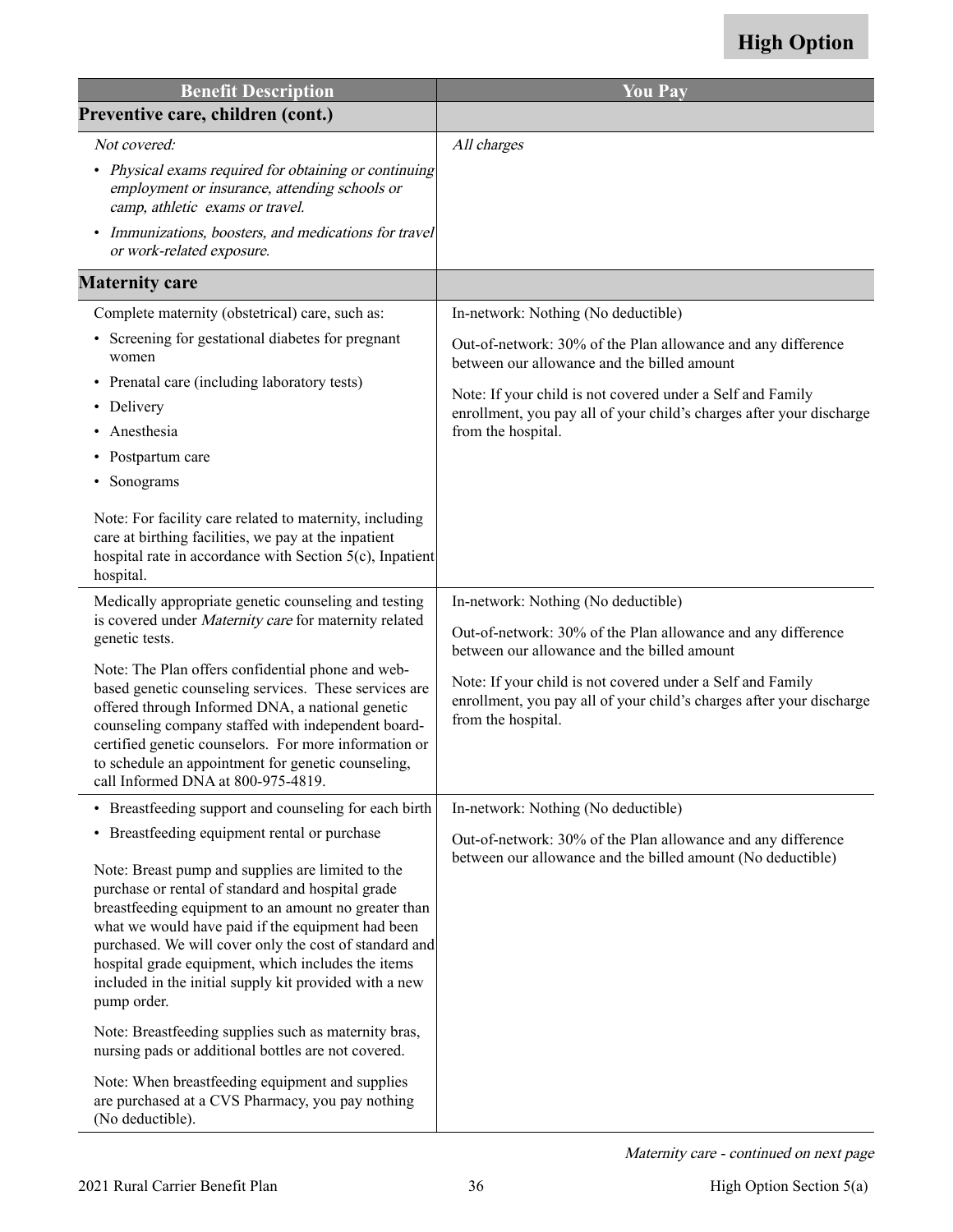| <b>Benefit Description</b>                                                                                                                                                                                                                                                                                                                                                                                                                                   | <b>You Pay</b>                                                                                                                                           |
|--------------------------------------------------------------------------------------------------------------------------------------------------------------------------------------------------------------------------------------------------------------------------------------------------------------------------------------------------------------------------------------------------------------------------------------------------------------|----------------------------------------------------------------------------------------------------------------------------------------------------------|
| Preventive care, children (cont.)                                                                                                                                                                                                                                                                                                                                                                                                                            |                                                                                                                                                          |
| Not covered:                                                                                                                                                                                                                                                                                                                                                                                                                                                 | All charges                                                                                                                                              |
| • Physical exams required for obtaining or continuing<br>employment or insurance, attending schools or<br>camp, athletic exams or travel.                                                                                                                                                                                                                                                                                                                    |                                                                                                                                                          |
| Immunizations, boosters, and medications for travel<br>or work-related exposure.                                                                                                                                                                                                                                                                                                                                                                             |                                                                                                                                                          |
| <b>Maternity care</b>                                                                                                                                                                                                                                                                                                                                                                                                                                        |                                                                                                                                                          |
| Complete maternity (obstetrical) care, such as:                                                                                                                                                                                                                                                                                                                                                                                                              | In-network: Nothing (No deductible)                                                                                                                      |
| • Screening for gestational diabetes for pregnant<br>women                                                                                                                                                                                                                                                                                                                                                                                                   | Out-of-network: 30% of the Plan allowance and any difference<br>between our allowance and the billed amount                                              |
| • Prenatal care (including laboratory tests)<br>• Delivery                                                                                                                                                                                                                                                                                                                                                                                                   | Note: If your child is not covered under a Self and Family<br>enrollment, you pay all of your child's charges after your discharge                       |
| Anesthesia<br>$\bullet$                                                                                                                                                                                                                                                                                                                                                                                                                                      | from the hospital.                                                                                                                                       |
| Postpartum care                                                                                                                                                                                                                                                                                                                                                                                                                                              |                                                                                                                                                          |
| Sonograms                                                                                                                                                                                                                                                                                                                                                                                                                                                    |                                                                                                                                                          |
| Note: For facility care related to maternity, including<br>care at birthing facilities, we pay at the inpatient<br>hospital rate in accordance with Section 5(c), Inpatient<br>hospital.                                                                                                                                                                                                                                                                     |                                                                                                                                                          |
| Medically appropriate genetic counseling and testing<br>is covered under Maternity care for maternity related<br>genetic tests.                                                                                                                                                                                                                                                                                                                              | In-network: Nothing (No deductible)<br>Out-of-network: 30% of the Plan allowance and any difference<br>between our allowance and the billed amount       |
| Note: The Plan offers confidential phone and web-<br>based genetic counseling services. These services are<br>offered through Informed DNA, a national genetic<br>counseling company staffed with independent board-<br>certified genetic counselors. For more information or<br>to schedule an appointment for genetic counseling,<br>call Informed DNA at 800-975-4819.                                                                                    | Note: If your child is not covered under a Self and Family<br>enrollment, you pay all of your child's charges after your discharge<br>from the hospital. |
| • Breastfeeding support and counseling for each birth                                                                                                                                                                                                                                                                                                                                                                                                        | In-network: Nothing (No deductible)                                                                                                                      |
| • Breastfeeding equipment rental or purchase<br>Note: Breast pump and supplies are limited to the<br>purchase or rental of standard and hospital grade<br>breastfeeding equipment to an amount no greater than<br>what we would have paid if the equipment had been<br>purchased. We will cover only the cost of standard and<br>hospital grade equipment, which includes the items<br>included in the initial supply kit provided with a new<br>pump order. | Out-of-network: 30% of the Plan allowance and any difference<br>between our allowance and the billed amount (No deductible)                              |
| Note: Breastfeeding supplies such as maternity bras,<br>nursing pads or additional bottles are not covered.                                                                                                                                                                                                                                                                                                                                                  |                                                                                                                                                          |
| Note: When breastfeeding equipment and supplies<br>are purchased at a CVS Pharmacy, you pay nothing<br>(No deductible).                                                                                                                                                                                                                                                                                                                                      |                                                                                                                                                          |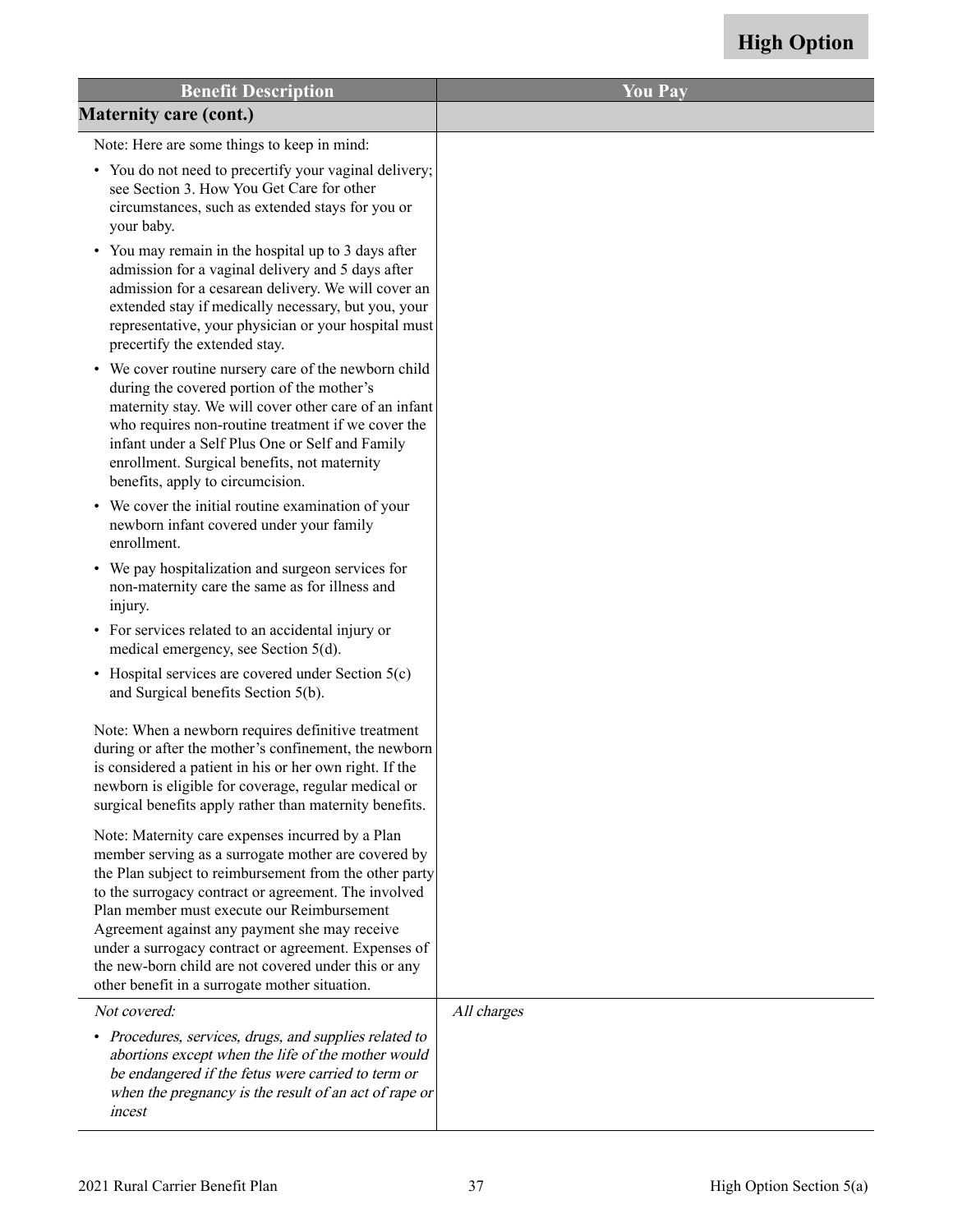| <b>Benefit Description</b>                                                                                                                                                                                                                                                                                                                                                                                                                                                                 | <b>You Pay</b> |
|--------------------------------------------------------------------------------------------------------------------------------------------------------------------------------------------------------------------------------------------------------------------------------------------------------------------------------------------------------------------------------------------------------------------------------------------------------------------------------------------|----------------|
| <b>Maternity care (cont.)</b>                                                                                                                                                                                                                                                                                                                                                                                                                                                              |                |
| Note: Here are some things to keep in mind:                                                                                                                                                                                                                                                                                                                                                                                                                                                |                |
| • You do not need to precertify your vaginal delivery;<br>see Section 3. How You Get Care for other<br>circumstances, such as extended stays for you or<br>your baby.                                                                                                                                                                                                                                                                                                                      |                |
| You may remain in the hospital up to 3 days after<br>$\bullet$<br>admission for a vaginal delivery and 5 days after<br>admission for a cesarean delivery. We will cover an<br>extended stay if medically necessary, but you, your<br>representative, your physician or your hospital must<br>precertify the extended stay.                                                                                                                                                                 |                |
| • We cover routine nursery care of the newborn child<br>during the covered portion of the mother's<br>maternity stay. We will cover other care of an infant<br>who requires non-routine treatment if we cover the<br>infant under a Self Plus One or Self and Family<br>enrollment. Surgical benefits, not maternity<br>benefits, apply to circumcision.                                                                                                                                   |                |
| • We cover the initial routine examination of your<br>newborn infant covered under your family<br>enrollment.                                                                                                                                                                                                                                                                                                                                                                              |                |
| • We pay hospitalization and surgeon services for<br>non-maternity care the same as for illness and<br>injury.                                                                                                                                                                                                                                                                                                                                                                             |                |
| • For services related to an accidental injury or<br>medical emergency, see Section 5(d).                                                                                                                                                                                                                                                                                                                                                                                                  |                |
| • Hospital services are covered under Section 5(c)<br>and Surgical benefits Section 5(b).                                                                                                                                                                                                                                                                                                                                                                                                  |                |
| Note: When a newborn requires definitive treatment<br>during or after the mother's confinement, the newborn<br>is considered a patient in his or her own right. If the<br>newborn is eligible for coverage, regular medical or<br>surgical benefits apply rather than maternity benefits.                                                                                                                                                                                                  |                |
| Note: Maternity care expenses incurred by a Plan<br>member serving as a surrogate mother are covered by<br>the Plan subject to reimbursement from the other party<br>to the surrogacy contract or agreement. The involved<br>Plan member must execute our Reimbursement<br>Agreement against any payment she may receive<br>under a surrogacy contract or agreement. Expenses of<br>the new-born child are not covered under this or any<br>other benefit in a surrogate mother situation. |                |
| Not covered:                                                                                                                                                                                                                                                                                                                                                                                                                                                                               | All charges    |
| • Procedures, services, drugs, and supplies related to<br>abortions except when the life of the mother would<br>be endangered if the fetus were carried to term or<br>when the pregnancy is the result of an act of rape or<br>incest                                                                                                                                                                                                                                                      |                |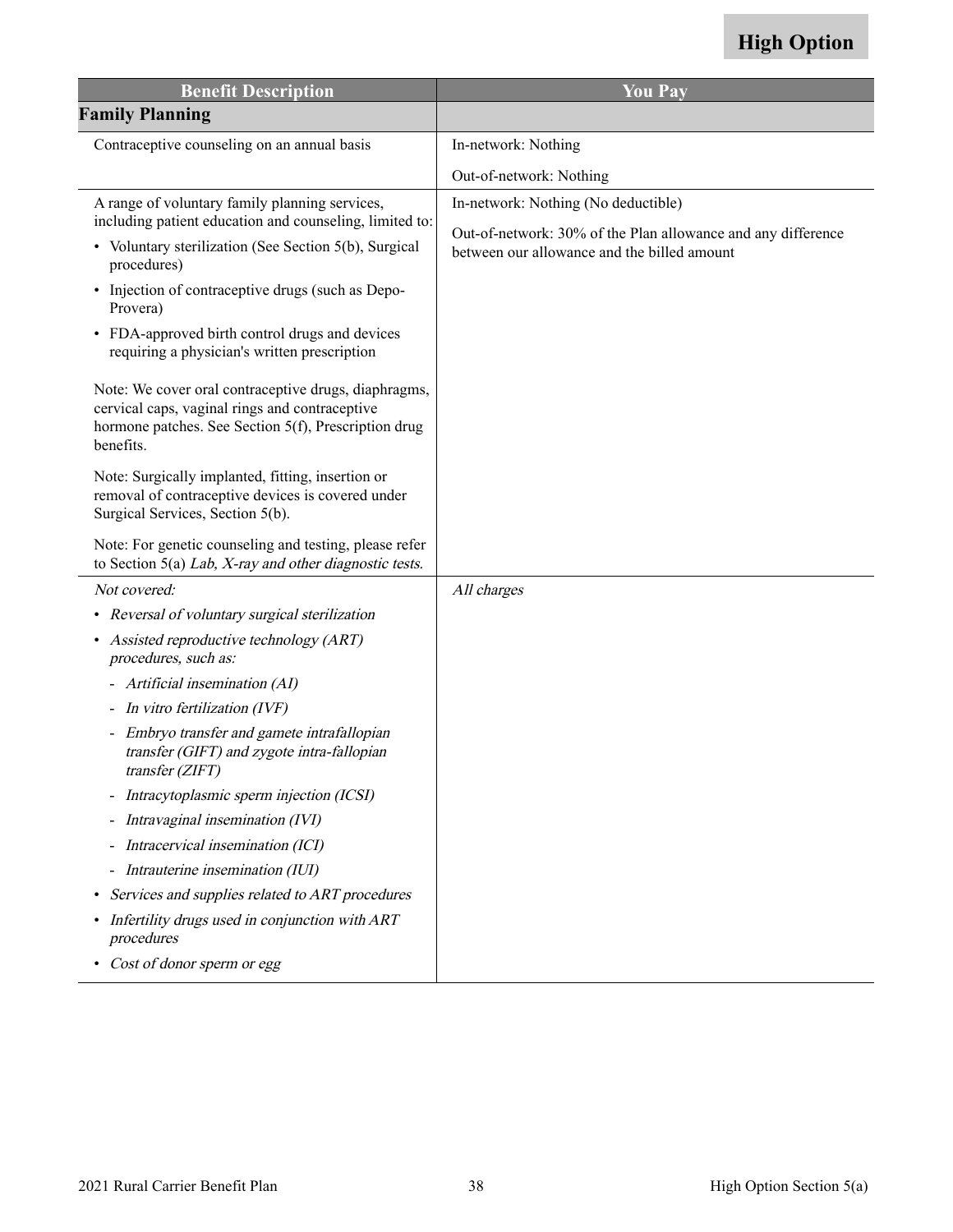| <b>Benefit Description</b>                                                                                                                                                                                                                                                                                                                                                                                                                                                                                                                                                                                                                    | <b>You Pay</b>                                                                                                                                     |
|-----------------------------------------------------------------------------------------------------------------------------------------------------------------------------------------------------------------------------------------------------------------------------------------------------------------------------------------------------------------------------------------------------------------------------------------------------------------------------------------------------------------------------------------------------------------------------------------------------------------------------------------------|----------------------------------------------------------------------------------------------------------------------------------------------------|
| <b>Family Planning</b>                                                                                                                                                                                                                                                                                                                                                                                                                                                                                                                                                                                                                        |                                                                                                                                                    |
| Contraceptive counseling on an annual basis                                                                                                                                                                                                                                                                                                                                                                                                                                                                                                                                                                                                   | In-network: Nothing                                                                                                                                |
|                                                                                                                                                                                                                                                                                                                                                                                                                                                                                                                                                                                                                                               | Out-of-network: Nothing                                                                                                                            |
| A range of voluntary family planning services,<br>including patient education and counseling, limited to:<br>• Voluntary sterilization (See Section 5(b), Surgical<br>procedures)<br>• Injection of contraceptive drugs (such as Depo-<br>Provera)<br>• FDA-approved birth control drugs and devices<br>requiring a physician's written prescription<br>Note: We cover oral contraceptive drugs, diaphragms,<br>cervical caps, vaginal rings and contraceptive<br>hormone patches. See Section 5(f), Prescription drug<br>benefits.<br>Note: Surgically implanted, fitting, insertion or<br>removal of contraceptive devices is covered under | In-network: Nothing (No deductible)<br>Out-of-network: 30% of the Plan allowance and any difference<br>between our allowance and the billed amount |
| Surgical Services, Section 5(b).<br>Note: For genetic counseling and testing, please refer<br>to Section 5(a) Lab, $X$ -ray and other diagnostic tests.                                                                                                                                                                                                                                                                                                                                                                                                                                                                                       |                                                                                                                                                    |
| Not covered:                                                                                                                                                                                                                                                                                                                                                                                                                                                                                                                                                                                                                                  | All charges                                                                                                                                        |
| • Reversal of voluntary surgical sterilization                                                                                                                                                                                                                                                                                                                                                                                                                                                                                                                                                                                                |                                                                                                                                                    |
| • Assisted reproductive technology (ART)<br>procedures, such as:                                                                                                                                                                                                                                                                                                                                                                                                                                                                                                                                                                              |                                                                                                                                                    |
| - Artificial insemination (AI)                                                                                                                                                                                                                                                                                                                                                                                                                                                                                                                                                                                                                |                                                                                                                                                    |
| - In vitro fertilization (IVF)                                                                                                                                                                                                                                                                                                                                                                                                                                                                                                                                                                                                                |                                                                                                                                                    |
| - Embryo transfer and gamete intrafallopian<br>transfer (GIFT) and zygote intra-fallopian<br>transfer(ZIFT)                                                                                                                                                                                                                                                                                                                                                                                                                                                                                                                                   |                                                                                                                                                    |
| Intracytoplasmic sperm injection (ICSI)                                                                                                                                                                                                                                                                                                                                                                                                                                                                                                                                                                                                       |                                                                                                                                                    |
| Intravaginal insemination (IVI)                                                                                                                                                                                                                                                                                                                                                                                                                                                                                                                                                                                                               |                                                                                                                                                    |
| Intracervical insemination (ICI)                                                                                                                                                                                                                                                                                                                                                                                                                                                                                                                                                                                                              |                                                                                                                                                    |
| Intrauterine insemination (IUI)                                                                                                                                                                                                                                                                                                                                                                                                                                                                                                                                                                                                               |                                                                                                                                                    |
| Services and supplies related to ART procedures<br>$\bullet$                                                                                                                                                                                                                                                                                                                                                                                                                                                                                                                                                                                  |                                                                                                                                                    |
| Infertility drugs used in conjunction with ART<br>procedures                                                                                                                                                                                                                                                                                                                                                                                                                                                                                                                                                                                  |                                                                                                                                                    |
| Cost of donor sperm or egg<br>٠                                                                                                                                                                                                                                                                                                                                                                                                                                                                                                                                                                                                               |                                                                                                                                                    |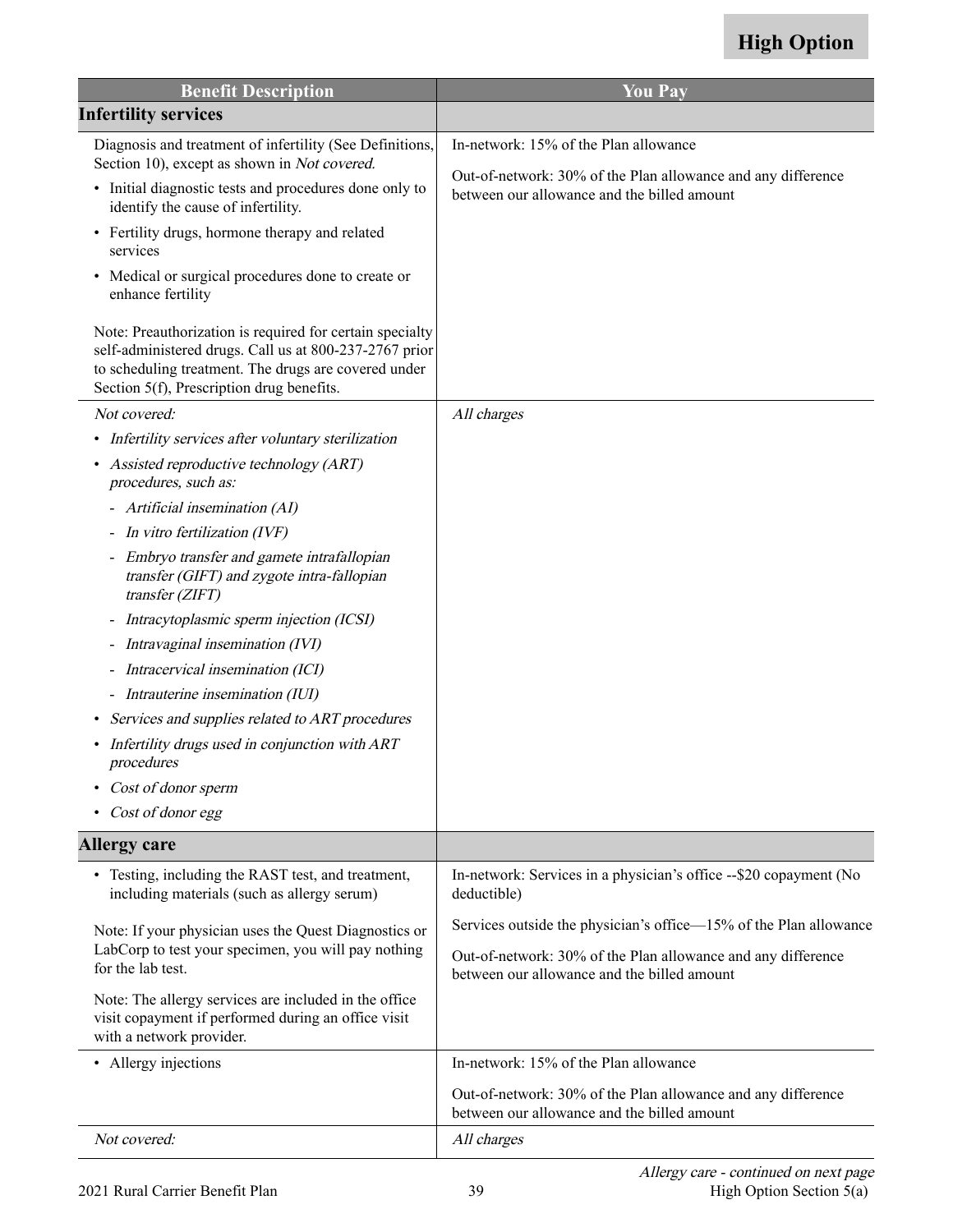| <b>Benefit Description</b>                                                                                                                                                                                              | <b>You Pay</b>                                                                                              |
|-------------------------------------------------------------------------------------------------------------------------------------------------------------------------------------------------------------------------|-------------------------------------------------------------------------------------------------------------|
| <b>Infertility services</b>                                                                                                                                                                                             |                                                                                                             |
| Diagnosis and treatment of infertility (See Definitions,                                                                                                                                                                | In-network: 15% of the Plan allowance                                                                       |
| Section 10), except as shown in Not covered.<br>• Initial diagnostic tests and procedures done only to<br>identify the cause of infertility.                                                                            | Out-of-network: 30% of the Plan allowance and any difference<br>between our allowance and the billed amount |
| Fertility drugs, hormone therapy and related<br>$\bullet$<br>services                                                                                                                                                   |                                                                                                             |
| Medical or surgical procedures done to create or<br>enhance fertility                                                                                                                                                   |                                                                                                             |
| Note: Preauthorization is required for certain specialty<br>self-administered drugs. Call us at 800-237-2767 prior<br>to scheduling treatment. The drugs are covered under<br>Section 5(f), Prescription drug benefits. |                                                                                                             |
| Not covered:                                                                                                                                                                                                            | All charges                                                                                                 |
| Infertility services after voluntary sterilization<br>$\bullet$                                                                                                                                                         |                                                                                                             |
| Assisted reproductive technology (ART)<br>procedures, such as:                                                                                                                                                          |                                                                                                             |
| - Artificial insemination (AI)                                                                                                                                                                                          |                                                                                                             |
| - In vitro fertilization (IVF)                                                                                                                                                                                          |                                                                                                             |
| - Embryo transfer and gamete intrafallopian<br>transfer (GIFT) and zygote intra-fallopian<br>transfer (ZIFT)                                                                                                            |                                                                                                             |
| - Intracytoplasmic sperm injection (ICSI)                                                                                                                                                                               |                                                                                                             |
| - Intravaginal insemination (IVI)                                                                                                                                                                                       |                                                                                                             |
| - Intracervical insemination (ICI)                                                                                                                                                                                      |                                                                                                             |
| - Intrauterine insemination (IUI)                                                                                                                                                                                       |                                                                                                             |
| Services and supplies related to ART procedures<br>$\bullet$                                                                                                                                                            |                                                                                                             |
| Infertility drugs used in conjunction with ART<br>procedures                                                                                                                                                            |                                                                                                             |
| Cost of donor sperm                                                                                                                                                                                                     |                                                                                                             |
| Cost of donor egg                                                                                                                                                                                                       |                                                                                                             |
| <b>Allergy care</b>                                                                                                                                                                                                     |                                                                                                             |
| • Testing, including the RAST test, and treatment,<br>including materials (such as allergy serum)                                                                                                                       | In-network: Services in a physician's office --\$20 copayment (No<br>deductible)                            |
| Note: If your physician uses the Quest Diagnostics or                                                                                                                                                                   | Services outside the physician's office—15% of the Plan allowance                                           |
| LabCorp to test your specimen, you will pay nothing<br>for the lab test.                                                                                                                                                | Out-of-network: 30% of the Plan allowance and any difference<br>between our allowance and the billed amount |
| Note: The allergy services are included in the office<br>visit copayment if performed during an office visit<br>with a network provider.                                                                                |                                                                                                             |
| • Allergy injections                                                                                                                                                                                                    | In-network: 15% of the Plan allowance                                                                       |
|                                                                                                                                                                                                                         | Out-of-network: 30% of the Plan allowance and any difference<br>between our allowance and the billed amount |
| Not covered:                                                                                                                                                                                                            | All charges                                                                                                 |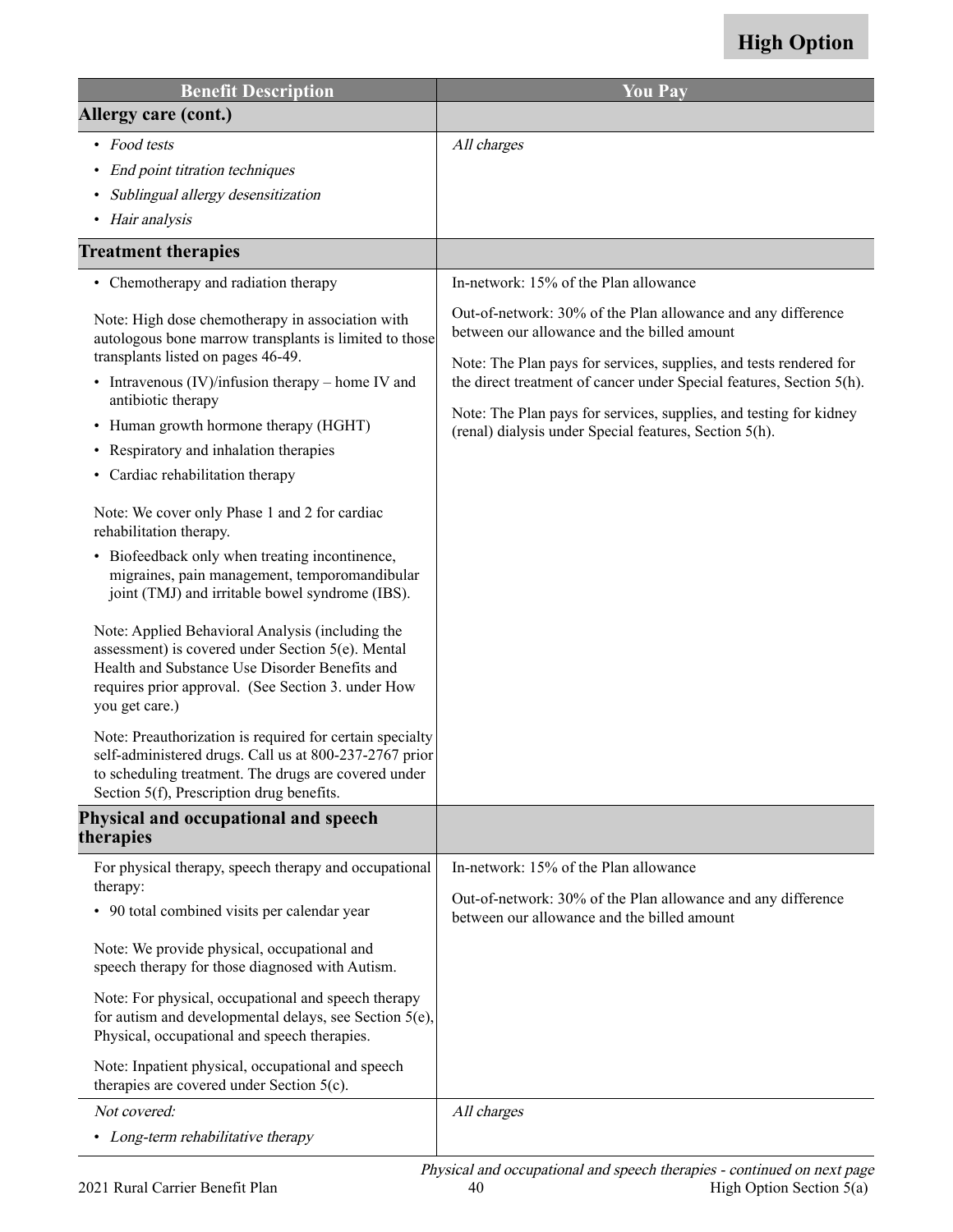| <b>Benefit Description</b>                                                                                                                                                                                                                                                                                                                                                                                                                                                                                                                                                                                                                                                                                                                                                                                                                                                                                                                                                                                                                                       | <b>You Pay</b>                                                                                                                                                                                                                                                                                                                                                                            |
|------------------------------------------------------------------------------------------------------------------------------------------------------------------------------------------------------------------------------------------------------------------------------------------------------------------------------------------------------------------------------------------------------------------------------------------------------------------------------------------------------------------------------------------------------------------------------------------------------------------------------------------------------------------------------------------------------------------------------------------------------------------------------------------------------------------------------------------------------------------------------------------------------------------------------------------------------------------------------------------------------------------------------------------------------------------|-------------------------------------------------------------------------------------------------------------------------------------------------------------------------------------------------------------------------------------------------------------------------------------------------------------------------------------------------------------------------------------------|
| Allergy care (cont.)                                                                                                                                                                                                                                                                                                                                                                                                                                                                                                                                                                                                                                                                                                                                                                                                                                                                                                                                                                                                                                             |                                                                                                                                                                                                                                                                                                                                                                                           |
| • Food tests                                                                                                                                                                                                                                                                                                                                                                                                                                                                                                                                                                                                                                                                                                                                                                                                                                                                                                                                                                                                                                                     | All charges                                                                                                                                                                                                                                                                                                                                                                               |
| End point titration techniques<br>$\bullet$                                                                                                                                                                                                                                                                                                                                                                                                                                                                                                                                                                                                                                                                                                                                                                                                                                                                                                                                                                                                                      |                                                                                                                                                                                                                                                                                                                                                                                           |
| Sublingual allergy desensitization                                                                                                                                                                                                                                                                                                                                                                                                                                                                                                                                                                                                                                                                                                                                                                                                                                                                                                                                                                                                                               |                                                                                                                                                                                                                                                                                                                                                                                           |
| • Hair analysis                                                                                                                                                                                                                                                                                                                                                                                                                                                                                                                                                                                                                                                                                                                                                                                                                                                                                                                                                                                                                                                  |                                                                                                                                                                                                                                                                                                                                                                                           |
| <b>Treatment therapies</b>                                                                                                                                                                                                                                                                                                                                                                                                                                                                                                                                                                                                                                                                                                                                                                                                                                                                                                                                                                                                                                       |                                                                                                                                                                                                                                                                                                                                                                                           |
| • Chemotherapy and radiation therapy                                                                                                                                                                                                                                                                                                                                                                                                                                                                                                                                                                                                                                                                                                                                                                                                                                                                                                                                                                                                                             | In-network: 15% of the Plan allowance                                                                                                                                                                                                                                                                                                                                                     |
| Note: High dose chemotherapy in association with<br>autologous bone marrow transplants is limited to those<br>transplants listed on pages 46-49.<br>• Intravenous $(IV)/$ infusion therapy – home IV and<br>antibiotic therapy<br>• Human growth hormone therapy (HGHT)<br>• Respiratory and inhalation therapies<br>Cardiac rehabilitation therapy<br>$\bullet$<br>Note: We cover only Phase 1 and 2 for cardiac<br>rehabilitation therapy.<br>• Biofeedback only when treating incontinence,<br>migraines, pain management, temporomandibular<br>joint (TMJ) and irritable bowel syndrome (IBS).<br>Note: Applied Behavioral Analysis (including the<br>assessment) is covered under Section 5(e). Mental<br>Health and Substance Use Disorder Benefits and<br>requires prior approval. (See Section 3. under How<br>you get care.)<br>Note: Preauthorization is required for certain specialty<br>self-administered drugs. Call us at 800-237-2767 prior<br>to scheduling treatment. The drugs are covered under<br>Section 5(f), Prescription drug benefits. | Out-of-network: 30% of the Plan allowance and any difference<br>between our allowance and the billed amount<br>Note: The Plan pays for services, supplies, and tests rendered for<br>the direct treatment of cancer under Special features, Section 5(h).<br>Note: The Plan pays for services, supplies, and testing for kidney<br>(renal) dialysis under Special features, Section 5(h). |
| Physical and occupational and speech<br>therapies                                                                                                                                                                                                                                                                                                                                                                                                                                                                                                                                                                                                                                                                                                                                                                                                                                                                                                                                                                                                                |                                                                                                                                                                                                                                                                                                                                                                                           |
| For physical therapy, speech therapy and occupational                                                                                                                                                                                                                                                                                                                                                                                                                                                                                                                                                                                                                                                                                                                                                                                                                                                                                                                                                                                                            | In-network: 15% of the Plan allowance                                                                                                                                                                                                                                                                                                                                                     |
| therapy:<br>• 90 total combined visits per calendar year                                                                                                                                                                                                                                                                                                                                                                                                                                                                                                                                                                                                                                                                                                                                                                                                                                                                                                                                                                                                         | Out-of-network: 30% of the Plan allowance and any difference<br>between our allowance and the billed amount                                                                                                                                                                                                                                                                               |
| Note: We provide physical, occupational and<br>speech therapy for those diagnosed with Autism.                                                                                                                                                                                                                                                                                                                                                                                                                                                                                                                                                                                                                                                                                                                                                                                                                                                                                                                                                                   |                                                                                                                                                                                                                                                                                                                                                                                           |
| Note: For physical, occupational and speech therapy<br>for autism and developmental delays, see Section 5(e),<br>Physical, occupational and speech therapies.                                                                                                                                                                                                                                                                                                                                                                                                                                                                                                                                                                                                                                                                                                                                                                                                                                                                                                    |                                                                                                                                                                                                                                                                                                                                                                                           |
| Note: Inpatient physical, occupational and speech<br>therapies are covered under Section $5(c)$ .                                                                                                                                                                                                                                                                                                                                                                                                                                                                                                                                                                                                                                                                                                                                                                                                                                                                                                                                                                |                                                                                                                                                                                                                                                                                                                                                                                           |
| Not covered:<br>• Long-term rehabilitative therapy                                                                                                                                                                                                                                                                                                                                                                                                                                                                                                                                                                                                                                                                                                                                                                                                                                                                                                                                                                                                               | All charges                                                                                                                                                                                                                                                                                                                                                                               |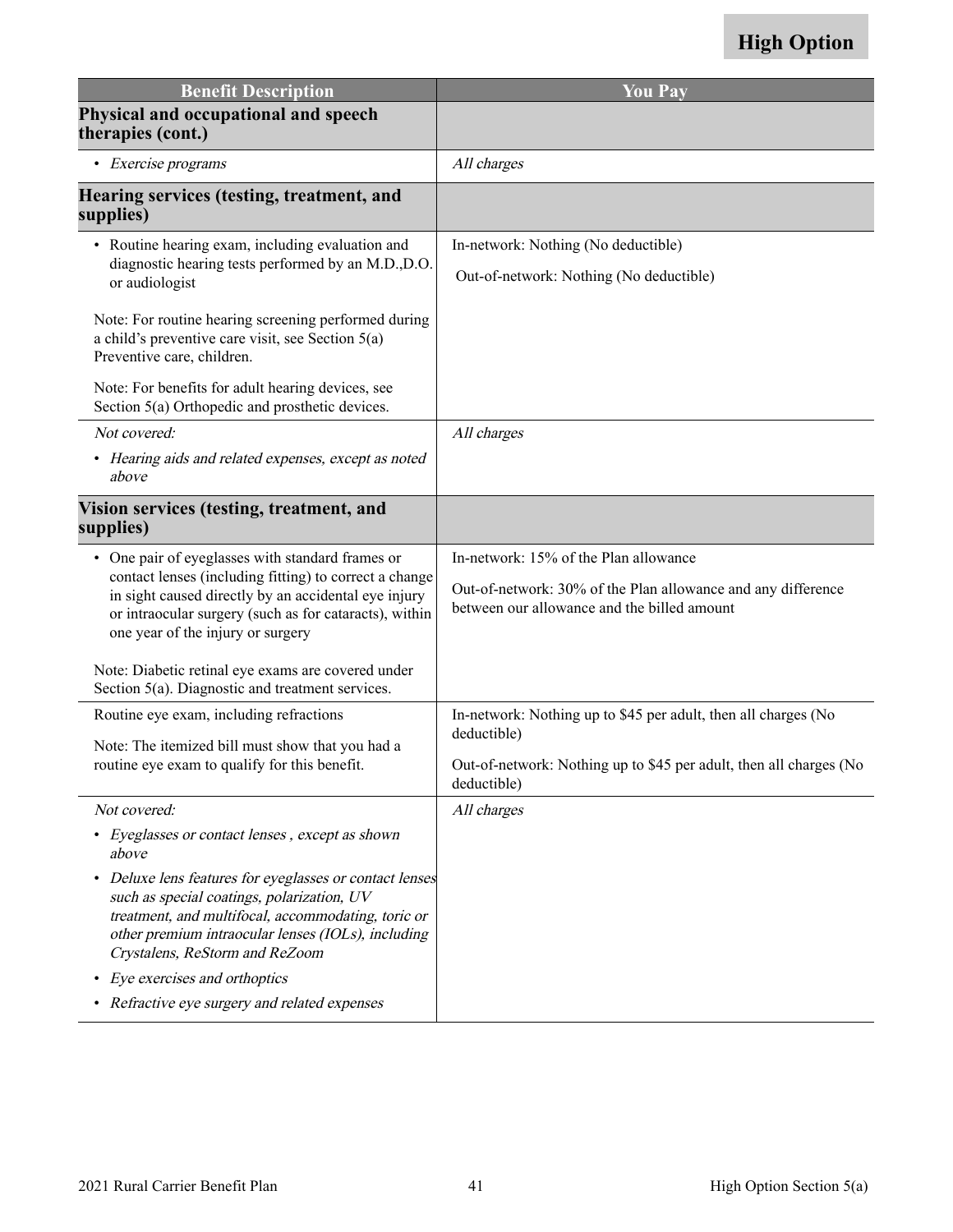| <b>Benefit Description</b>                                                                                                                                                                                                                                        | <b>You Pay</b>                                                                                                                                                     |
|-------------------------------------------------------------------------------------------------------------------------------------------------------------------------------------------------------------------------------------------------------------------|--------------------------------------------------------------------------------------------------------------------------------------------------------------------|
| Physical and occupational and speech<br>therapies (cont.)                                                                                                                                                                                                         |                                                                                                                                                                    |
| • Exercise programs                                                                                                                                                                                                                                               | All charges                                                                                                                                                        |
| Hearing services (testing, treatment, and<br>supplies)                                                                                                                                                                                                            |                                                                                                                                                                    |
| • Routine hearing exam, including evaluation and<br>diagnostic hearing tests performed by an M.D.,D.O.<br>or audiologist                                                                                                                                          | In-network: Nothing (No deductible)<br>Out-of-network: Nothing (No deductible)                                                                                     |
| Note: For routine hearing screening performed during<br>a child's preventive care visit, see Section $5(a)$<br>Preventive care, children.                                                                                                                         |                                                                                                                                                                    |
| Note: For benefits for adult hearing devices, see<br>Section 5(a) Orthopedic and prosthetic devices.                                                                                                                                                              |                                                                                                                                                                    |
| Not covered:<br>• Hearing aids and related expenses, except as noted<br>above                                                                                                                                                                                     | All charges                                                                                                                                                        |
| Vision services (testing, treatment, and<br>supplies)                                                                                                                                                                                                             |                                                                                                                                                                    |
| • One pair of eyeglasses with standard frames or<br>contact lenses (including fitting) to correct a change<br>in sight caused directly by an accidental eye injury<br>or intraocular surgery (such as for cataracts), within<br>one year of the injury or surgery | In-network: 15% of the Plan allowance<br>Out-of-network: 30% of the Plan allowance and any difference<br>between our allowance and the billed amount               |
| Note: Diabetic retinal eye exams are covered under<br>Section 5(a). Diagnostic and treatment services.                                                                                                                                                            |                                                                                                                                                                    |
| Routine eye exam, including refractions<br>Note: The itemized bill must show that you had a<br>routine eye exam to qualify for this benefit.                                                                                                                      | In-network: Nothing up to \$45 per adult, then all charges (No<br>deductible)<br>Out-of-network: Nothing up to \$45 per adult, then all charges (No<br>deductible) |
| Not covered:                                                                                                                                                                                                                                                      | All charges                                                                                                                                                        |
| Eyeglasses or contact lenses, except as shown<br>above                                                                                                                                                                                                            |                                                                                                                                                                    |
| Deluxe lens features for eyeglasses or contact lenses<br>such as special coatings, polarization, UV<br>treatment, and multifocal, accommodating, toric or<br>other premium intraocular lenses (IOLs), including<br>Crystalens, ReStorm and ReZoom                 |                                                                                                                                                                    |
| Eye exercises and orthoptics<br>٠                                                                                                                                                                                                                                 |                                                                                                                                                                    |
| • Refractive eye surgery and related expenses                                                                                                                                                                                                                     |                                                                                                                                                                    |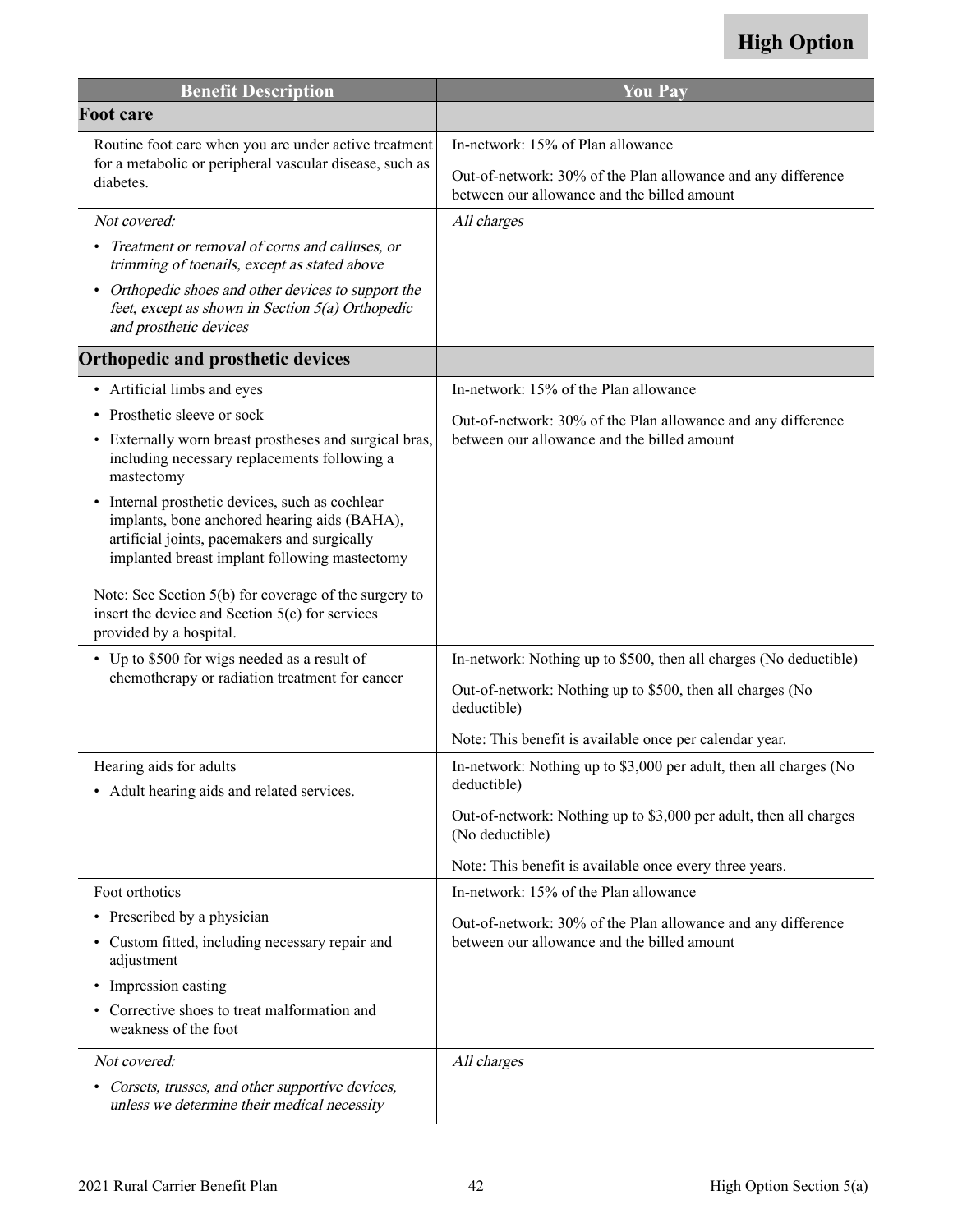| <b>Benefit Description</b>                                                                                                                                                                                  | <b>You Pay</b>                                                                                              |
|-------------------------------------------------------------------------------------------------------------------------------------------------------------------------------------------------------------|-------------------------------------------------------------------------------------------------------------|
| <b>Foot care</b>                                                                                                                                                                                            |                                                                                                             |
| Routine foot care when you are under active treatment<br>for a metabolic or peripheral vascular disease, such as<br>diabetes.                                                                               | In-network: 15% of Plan allowance                                                                           |
|                                                                                                                                                                                                             | Out-of-network: 30% of the Plan allowance and any difference<br>between our allowance and the billed amount |
| Not covered:                                                                                                                                                                                                | All charges                                                                                                 |
| Treatment or removal of corns and calluses, or<br>trimming of toenails, except as stated above                                                                                                              |                                                                                                             |
| Orthopedic shoes and other devices to support the<br>feet, except as shown in Section 5(a) Orthopedic<br>and prosthetic devices                                                                             |                                                                                                             |
| Orthopedic and prosthetic devices                                                                                                                                                                           |                                                                                                             |
| • Artificial limbs and eyes                                                                                                                                                                                 | In-network: 15% of the Plan allowance                                                                       |
| Prosthetic sleeve or sock<br>$\bullet$                                                                                                                                                                      | Out-of-network: 30% of the Plan allowance and any difference                                                |
| Externally worn breast prostheses and surgical bras,<br>including necessary replacements following a<br>mastectomy                                                                                          | between our allowance and the billed amount                                                                 |
| Internal prosthetic devices, such as cochlear<br>$\bullet$<br>implants, bone anchored hearing aids (BAHA),<br>artificial joints, pacemakers and surgically<br>implanted breast implant following mastectomy |                                                                                                             |
| Note: See Section 5(b) for coverage of the surgery to<br>insert the device and Section 5(c) for services<br>provided by a hospital.                                                                         |                                                                                                             |
| • Up to \$500 for wigs needed as a result of                                                                                                                                                                | In-network: Nothing up to \$500, then all charges (No deductible)                                           |
| chemotherapy or radiation treatment for cancer                                                                                                                                                              | Out-of-network: Nothing up to \$500, then all charges (No<br>deductible)                                    |
|                                                                                                                                                                                                             | Note: This benefit is available once per calendar year.                                                     |
| Hearing aids for adults<br>• Adult hearing aids and related services.                                                                                                                                       | In-network: Nothing up to \$3,000 per adult, then all charges (No<br>deductible)                            |
|                                                                                                                                                                                                             | Out-of-network: Nothing up to \$3,000 per adult, then all charges<br>(No deductible)                        |
|                                                                                                                                                                                                             | Note: This benefit is available once every three years.                                                     |
| Foot orthotics                                                                                                                                                                                              | In-network: 15% of the Plan allowance                                                                       |
| • Prescribed by a physician                                                                                                                                                                                 | Out-of-network: 30% of the Plan allowance and any difference                                                |
| • Custom fitted, including necessary repair and<br>adjustment                                                                                                                                               | between our allowance and the billed amount                                                                 |
| Impression casting<br>$\bullet$                                                                                                                                                                             |                                                                                                             |
| • Corrective shoes to treat malformation and<br>weakness of the foot                                                                                                                                        |                                                                                                             |
| Not covered:                                                                                                                                                                                                | All charges                                                                                                 |
| • Corsets, trusses, and other supportive devices,<br>unless we determine their medical necessity                                                                                                            |                                                                                                             |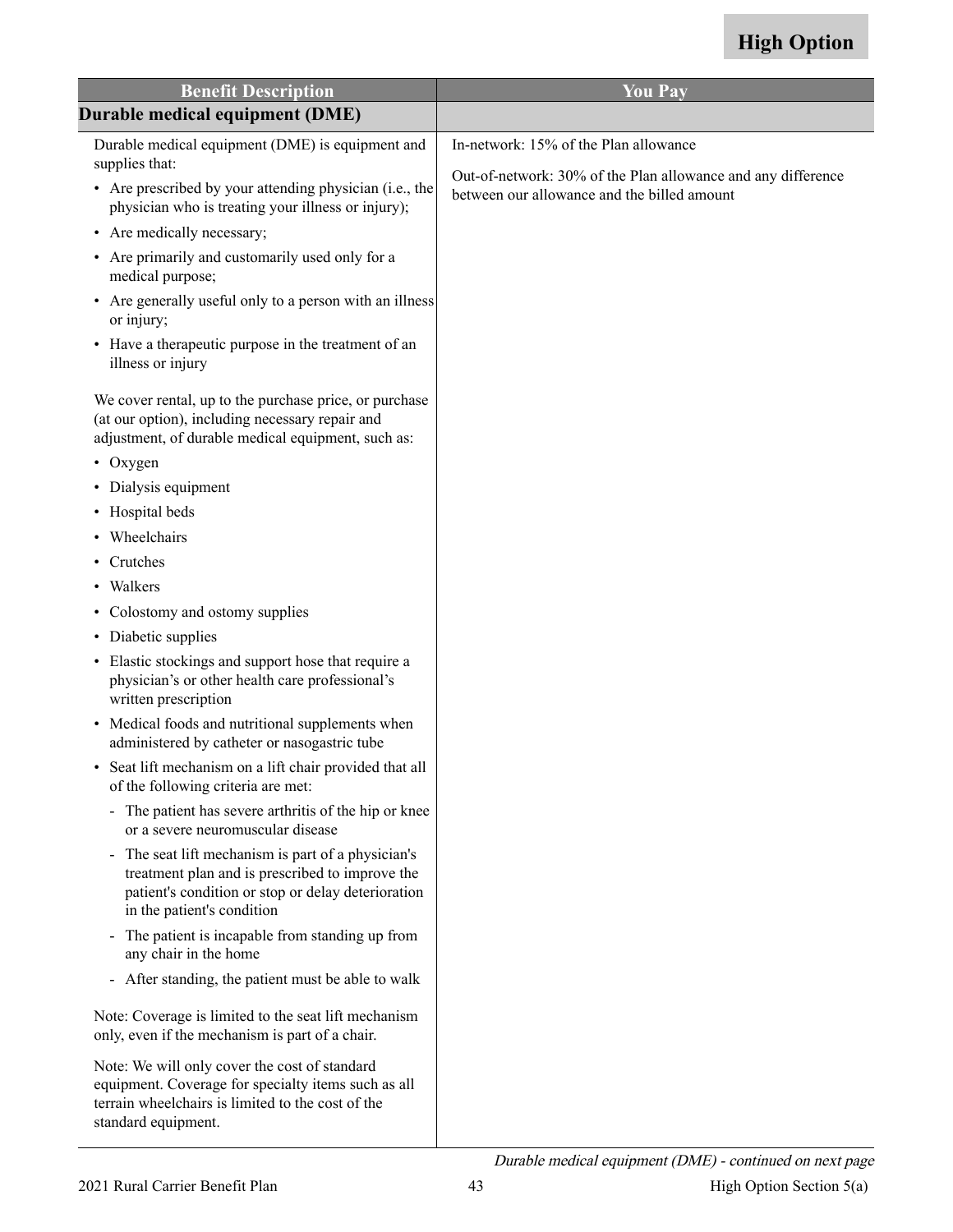| <b>Benefit Description</b>                                                                                                                                                                | <b>You Pay</b>                                                                                              |
|-------------------------------------------------------------------------------------------------------------------------------------------------------------------------------------------|-------------------------------------------------------------------------------------------------------------|
| Durable medical equipment (DME)                                                                                                                                                           |                                                                                                             |
| Durable medical equipment (DME) is equipment and<br>supplies that:                                                                                                                        | In-network: 15% of the Plan allowance                                                                       |
| • Are prescribed by your attending physician (i.e., the<br>physician who is treating your illness or injury);                                                                             | Out-of-network: 30% of the Plan allowance and any difference<br>between our allowance and the billed amount |
| • Are medically necessary;                                                                                                                                                                |                                                                                                             |
| • Are primarily and customarily used only for a<br>medical purpose;                                                                                                                       |                                                                                                             |
| • Are generally useful only to a person with an illness<br>or injury;                                                                                                                     |                                                                                                             |
| • Have a therapeutic purpose in the treatment of an<br>illness or injury                                                                                                                  |                                                                                                             |
| We cover rental, up to the purchase price, or purchase<br>(at our option), including necessary repair and<br>adjustment, of durable medical equipment, such as:                           |                                                                                                             |
| $\bullet$ Oxygen                                                                                                                                                                          |                                                                                                             |
| • Dialysis equipment                                                                                                                                                                      |                                                                                                             |
| • Hospital beds                                                                                                                                                                           |                                                                                                             |
| • Wheelchairs                                                                                                                                                                             |                                                                                                             |
| Crutches                                                                                                                                                                                  |                                                                                                             |
| • Walkers                                                                                                                                                                                 |                                                                                                             |
| • Colostomy and ostomy supplies                                                                                                                                                           |                                                                                                             |
| • Diabetic supplies                                                                                                                                                                       |                                                                                                             |
| • Elastic stockings and support hose that require a<br>physician's or other health care professional's<br>written prescription                                                            |                                                                                                             |
| • Medical foods and nutritional supplements when<br>administered by catheter or nasogastric tube                                                                                          |                                                                                                             |
| Seat lift mechanism on a lift chair provided that all<br>of the following criteria are met:                                                                                               |                                                                                                             |
| - The patient has severe arthritis of the hip or knee<br>or a severe neuromuscular disease                                                                                                |                                                                                                             |
| - The seat lift mechanism is part of a physician's<br>treatment plan and is prescribed to improve the<br>patient's condition or stop or delay deterioration<br>in the patient's condition |                                                                                                             |
| - The patient is incapable from standing up from<br>any chair in the home                                                                                                                 |                                                                                                             |
| - After standing, the patient must be able to walk                                                                                                                                        |                                                                                                             |
| Note: Coverage is limited to the seat lift mechanism<br>only, even if the mechanism is part of a chair.                                                                                   |                                                                                                             |
| Note: We will only cover the cost of standard<br>equipment. Coverage for specialty items such as all<br>terrain wheelchairs is limited to the cost of the<br>standard equipment.          |                                                                                                             |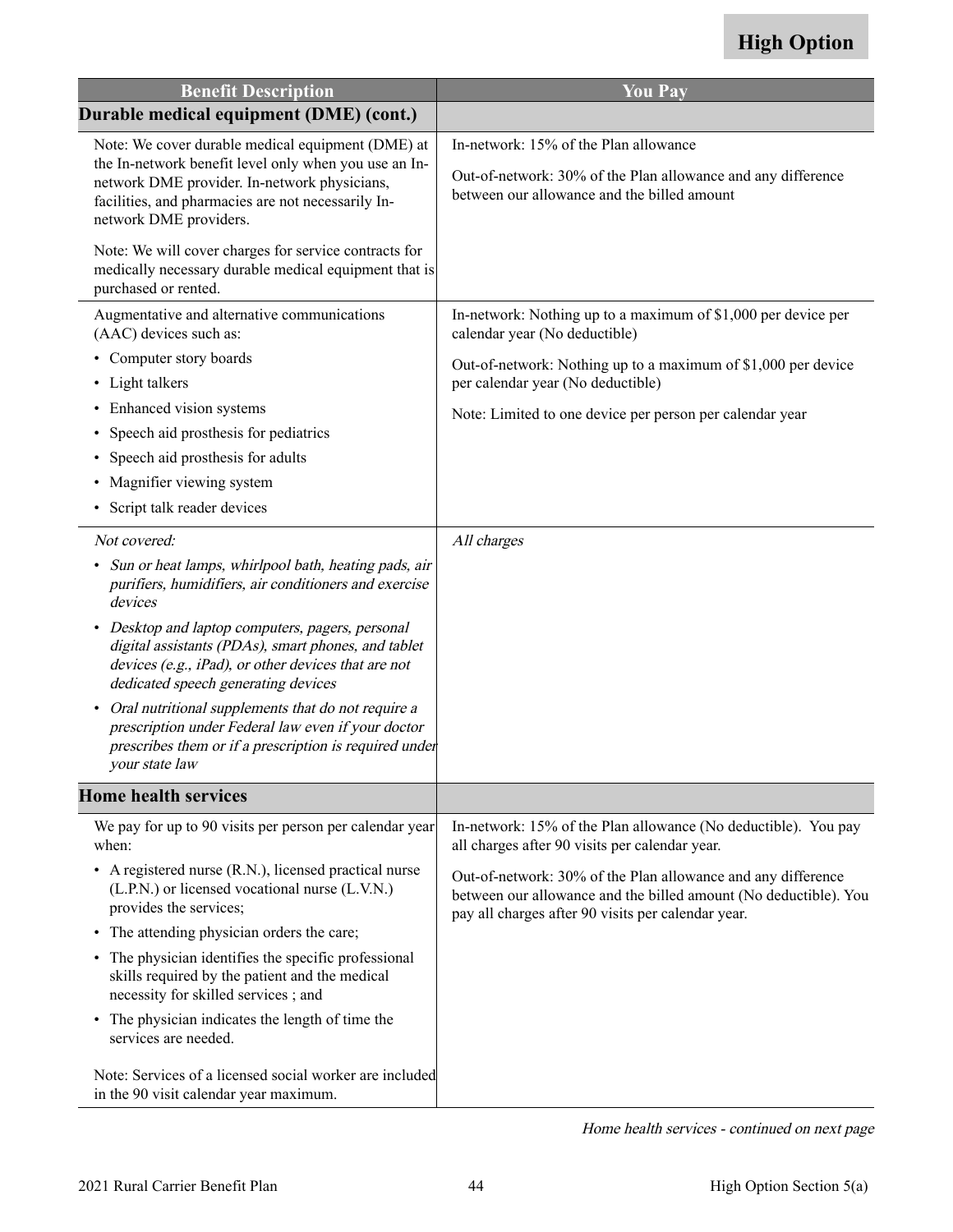| <b>Benefit Description</b>                                                                                                                                                                                                                                                                                 | <b>You Pay</b>                                                                                                                                                                                                                                       |
|------------------------------------------------------------------------------------------------------------------------------------------------------------------------------------------------------------------------------------------------------------------------------------------------------------|------------------------------------------------------------------------------------------------------------------------------------------------------------------------------------------------------------------------------------------------------|
| Durable medical equipment (DME) (cont.)                                                                                                                                                                                                                                                                    |                                                                                                                                                                                                                                                      |
| Note: We cover durable medical equipment (DME) at<br>the In-network benefit level only when you use an In-<br>network DME provider. In-network physicians,<br>facilities, and pharmacies are not necessarily In-<br>network DME providers.                                                                 | In-network: 15% of the Plan allowance<br>Out-of-network: 30% of the Plan allowance and any difference<br>between our allowance and the billed amount                                                                                                 |
| Note: We will cover charges for service contracts for<br>medically necessary durable medical equipment that is<br>purchased or rented.                                                                                                                                                                     |                                                                                                                                                                                                                                                      |
| Augmentative and alternative communications<br>(AAC) devices such as:                                                                                                                                                                                                                                      | In-network: Nothing up to a maximum of \$1,000 per device per<br>calendar year (No deductible)                                                                                                                                                       |
| • Computer story boards<br>Light talkers<br>٠                                                                                                                                                                                                                                                              | Out-of-network: Nothing up to a maximum of \$1,000 per device<br>per calendar year (No deductible)                                                                                                                                                   |
| Enhanced vision systems<br>Speech aid prosthesis for pediatrics<br>$\bullet$<br>Speech aid prosthesis for adults<br>Magnifier viewing system<br>٠<br>• Script talk reader devices                                                                                                                          | Note: Limited to one device per person per calendar year                                                                                                                                                                                             |
| Not covered:                                                                                                                                                                                                                                                                                               | All charges                                                                                                                                                                                                                                          |
| Sun or heat lamps, whirlpool bath, heating pads, air<br>٠<br>purifiers, humidifiers, air conditioners and exercise<br>devices<br>Desktop and laptop computers, pagers, personal<br>$\bullet$<br>digital assistants (PDAs), smart phones, and tablet<br>devices (e.g., iPad), or other devices that are not |                                                                                                                                                                                                                                                      |
| dedicated speech generating devices<br>Oral nutritional supplements that do not require a<br>$\bullet$<br>prescription under Federal law even if your doctor<br>prescribes them or if a prescription is required under<br>your state law                                                                   |                                                                                                                                                                                                                                                      |
| <b>Home health services</b>                                                                                                                                                                                                                                                                                |                                                                                                                                                                                                                                                      |
| We pay for up to 90 visits per person per calendar year<br>when:<br>• A registered nurse (R.N.), licensed practical nurse<br>(L.P.N.) or licensed vocational nurse (L.V.N.)<br>provides the services;                                                                                                      | In-network: 15% of the Plan allowance (No deductible). You pay<br>all charges after 90 visits per calendar year.<br>Out-of-network: 30% of the Plan allowance and any difference<br>between our allowance and the billed amount (No deductible). You |
| The attending physician orders the care;<br>$\bullet$<br>• The physician identifies the specific professional<br>skills required by the patient and the medical<br>necessity for skilled services; and                                                                                                     | pay all charges after 90 visits per calendar year.                                                                                                                                                                                                   |
| • The physician indicates the length of time the<br>services are needed.                                                                                                                                                                                                                                   |                                                                                                                                                                                                                                                      |
| Note: Services of a licensed social worker are included<br>in the 90 visit calendar year maximum.                                                                                                                                                                                                          |                                                                                                                                                                                                                                                      |

Home health services - continued on next page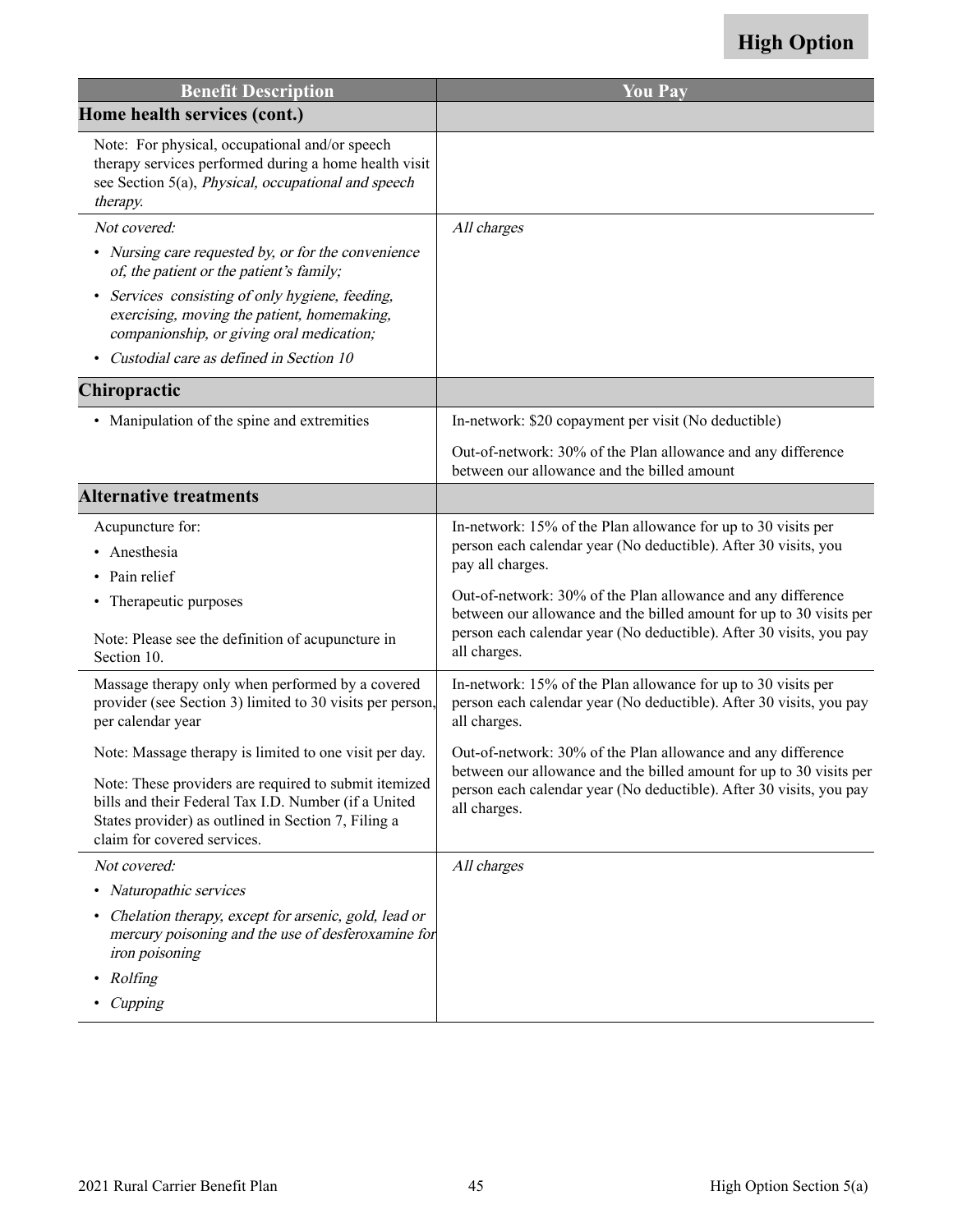| <b>Benefit Description</b>                                                                                                                                                                          | <b>You Pay</b>                                                                                                                                             |
|-----------------------------------------------------------------------------------------------------------------------------------------------------------------------------------------------------|------------------------------------------------------------------------------------------------------------------------------------------------------------|
| Home health services (cont.)                                                                                                                                                                        |                                                                                                                                                            |
| Note: For physical, occupational and/or speech<br>therapy services performed during a home health visit<br>see Section 5(a), Physical, occupational and speech<br>therapy.                          |                                                                                                                                                            |
| Not covered:                                                                                                                                                                                        | All charges                                                                                                                                                |
| • Nursing care requested by, or for the convenience<br>of, the patient or the patient's family;                                                                                                     |                                                                                                                                                            |
| Services consisting of only hygiene, feeding,<br>$\bullet$<br>exercising, moving the patient, homemaking,<br>companionship, or giving oral medication;                                              |                                                                                                                                                            |
| Custodial care as defined in Section 10                                                                                                                                                             |                                                                                                                                                            |
| Chiropractic                                                                                                                                                                                        |                                                                                                                                                            |
| • Manipulation of the spine and extremities                                                                                                                                                         | In-network: \$20 copayment per visit (No deductible)                                                                                                       |
|                                                                                                                                                                                                     | Out-of-network: 30% of the Plan allowance and any difference<br>between our allowance and the billed amount                                                |
| <b>Alternative treatments</b>                                                                                                                                                                       |                                                                                                                                                            |
| Acupuncture for:<br>Anesthesia                                                                                                                                                                      | In-network: 15% of the Plan allowance for up to 30 visits per<br>person each calendar year (No deductible). After 30 visits, you<br>pay all charges.       |
| Pain relief<br>• Therapeutic purposes                                                                                                                                                               | Out-of-network: 30% of the Plan allowance and any difference<br>between our allowance and the billed amount for up to 30 visits per                        |
| Note: Please see the definition of acupuncture in<br>Section 10.                                                                                                                                    | person each calendar year (No deductible). After 30 visits, you pay<br>all charges.                                                                        |
| Massage therapy only when performed by a covered<br>provider (see Section 3) limited to 30 visits per person,<br>per calendar year                                                                  | In-network: 15% of the Plan allowance for up to 30 visits per<br>person each calendar year (No deductible). After 30 visits, you pay<br>all charges.       |
| Note: Massage therapy is limited to one visit per day.                                                                                                                                              | Out-of-network: 30% of the Plan allowance and any difference                                                                                               |
| Note: These providers are required to submit itemized<br>bills and their Federal Tax I.D. Number (if a United<br>States provider) as outlined in Section 7, Filing a<br>claim for covered services. | between our allowance and the billed amount for up to 30 visits per<br>person each calendar year (No deductible). After 30 visits, you pay<br>all charges. |
| Not covered:                                                                                                                                                                                        | All charges                                                                                                                                                |
| • Naturopathic services                                                                                                                                                                             |                                                                                                                                                            |
| Chelation therapy, except for arsenic, gold, lead or<br>٠<br>mercury poisoning and the use of desferoxamine for<br>iron poisoning                                                                   |                                                                                                                                                            |
| Rolfing<br>٠                                                                                                                                                                                        |                                                                                                                                                            |
| Cupping                                                                                                                                                                                             |                                                                                                                                                            |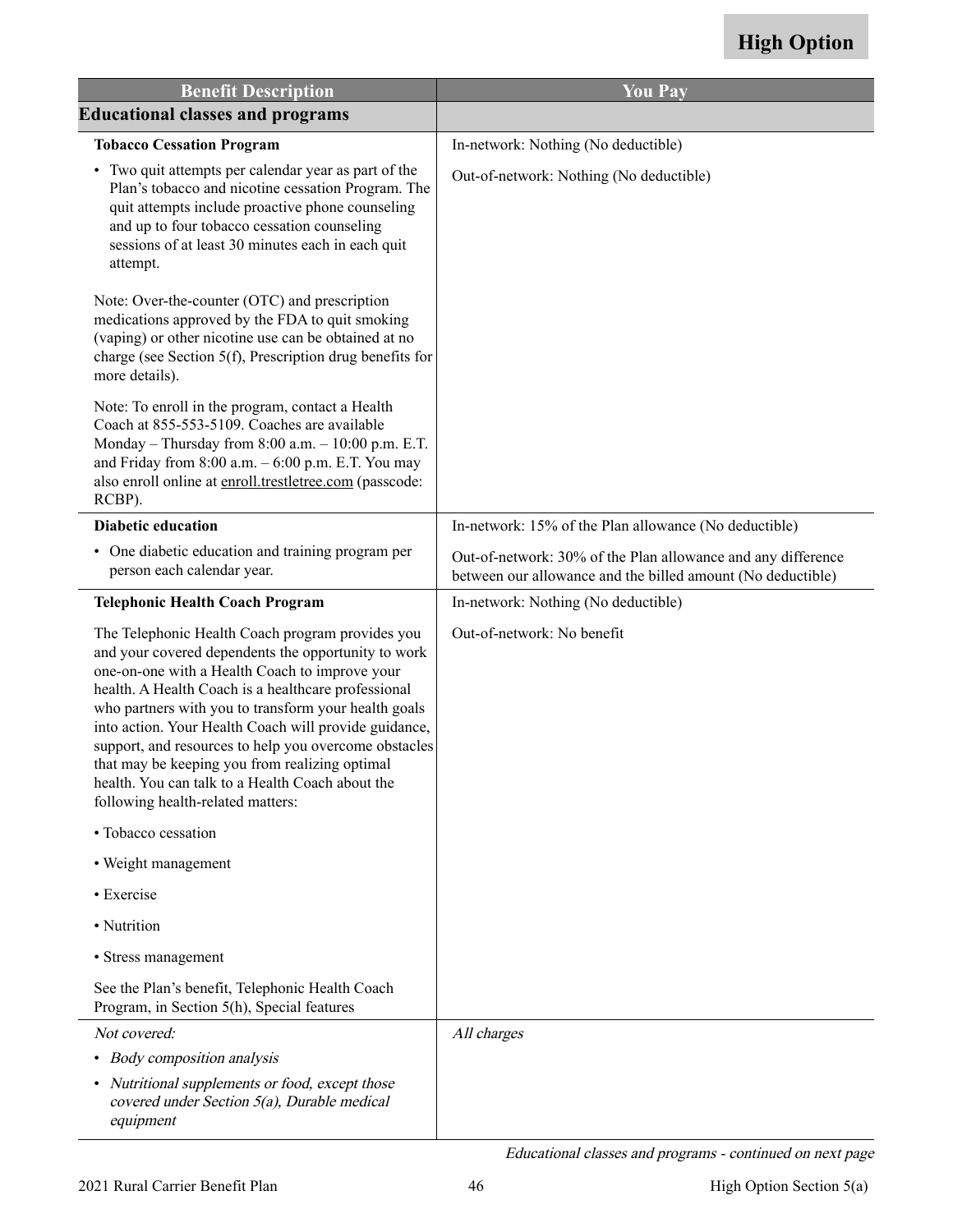<span id="page-47-0"></span>

| <b>Benefit Description</b>                                                                                                                                                                                                                                                                                                                                                                                                                                                                                                            | <b>You Pay</b>                                                                                                              |
|---------------------------------------------------------------------------------------------------------------------------------------------------------------------------------------------------------------------------------------------------------------------------------------------------------------------------------------------------------------------------------------------------------------------------------------------------------------------------------------------------------------------------------------|-----------------------------------------------------------------------------------------------------------------------------|
| <b>Educational classes and programs</b>                                                                                                                                                                                                                                                                                                                                                                                                                                                                                               |                                                                                                                             |
| <b>Tobacco Cessation Program</b>                                                                                                                                                                                                                                                                                                                                                                                                                                                                                                      | In-network: Nothing (No deductible)                                                                                         |
| • Two quit attempts per calendar year as part of the<br>Plan's tobacco and nicotine cessation Program. The<br>quit attempts include proactive phone counseling<br>and up to four tobacco cessation counseling<br>sessions of at least 30 minutes each in each quit<br>attempt.                                                                                                                                                                                                                                                        | Out-of-network: Nothing (No deductible)                                                                                     |
| Note: Over-the-counter (OTC) and prescription<br>medications approved by the FDA to quit smoking<br>(vaping) or other nicotine use can be obtained at no<br>charge (see Section 5(f), Prescription drug benefits for<br>more details).                                                                                                                                                                                                                                                                                                |                                                                                                                             |
| Note: To enroll in the program, contact a Health<br>Coach at 855-553-5109. Coaches are available<br>Monday - Thursday from $8:00$ a.m. $-10:00$ p.m. E.T.<br>and Friday from $8:00$ a.m. $-6:00$ p.m. E.T. You may<br>also enroll online at enroll.trestletree.com (passcode:<br>RCBP).                                                                                                                                                                                                                                               |                                                                                                                             |
| <b>Diabetic education</b>                                                                                                                                                                                                                                                                                                                                                                                                                                                                                                             | In-network: 15% of the Plan allowance (No deductible)                                                                       |
| • One diabetic education and training program per<br>person each calendar year.                                                                                                                                                                                                                                                                                                                                                                                                                                                       | Out-of-network: 30% of the Plan allowance and any difference<br>between our allowance and the billed amount (No deductible) |
| <b>Telephonic Health Coach Program</b>                                                                                                                                                                                                                                                                                                                                                                                                                                                                                                | In-network: Nothing (No deductible)                                                                                         |
| The Telephonic Health Coach program provides you<br>and your covered dependents the opportunity to work<br>one-on-one with a Health Coach to improve your<br>health. A Health Coach is a healthcare professional<br>who partners with you to transform your health goals<br>into action. Your Health Coach will provide guidance,<br>support, and resources to help you overcome obstacles<br>that may be keeping you from realizing optimal<br>health. You can talk to a Health Coach about the<br>following health-related matters: | Out-of-network: No benefit                                                                                                  |
| • Tobacco cessation                                                                                                                                                                                                                                                                                                                                                                                                                                                                                                                   |                                                                                                                             |
| • Weight management                                                                                                                                                                                                                                                                                                                                                                                                                                                                                                                   |                                                                                                                             |
| • Exercise                                                                                                                                                                                                                                                                                                                                                                                                                                                                                                                            |                                                                                                                             |
| • Nutrition                                                                                                                                                                                                                                                                                                                                                                                                                                                                                                                           |                                                                                                                             |
| • Stress management                                                                                                                                                                                                                                                                                                                                                                                                                                                                                                                   |                                                                                                                             |
| See the Plan's benefit, Telephonic Health Coach<br>Program, in Section 5(h), Special features                                                                                                                                                                                                                                                                                                                                                                                                                                         |                                                                                                                             |
| Not covered:                                                                                                                                                                                                                                                                                                                                                                                                                                                                                                                          | All charges                                                                                                                 |
| • Body composition analysis                                                                                                                                                                                                                                                                                                                                                                                                                                                                                                           |                                                                                                                             |
| • Nutritional supplements or food, except those<br>covered under Section 5(a), Durable medical<br>equipment                                                                                                                                                                                                                                                                                                                                                                                                                           |                                                                                                                             |

Educational classes and programs - continued on next page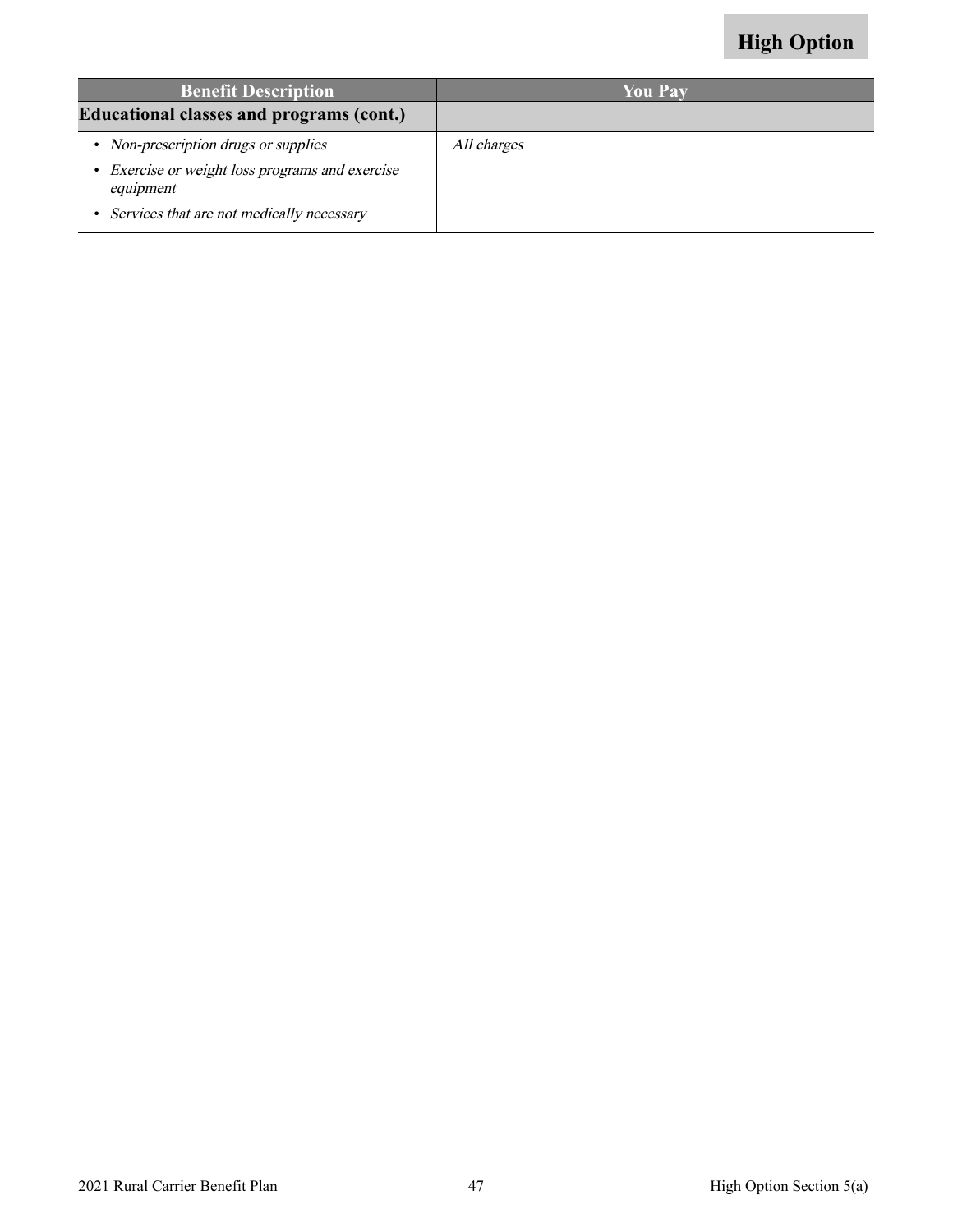| <b>Benefit Description</b>                                                                                                                          | <b>You Pay</b> |
|-----------------------------------------------------------------------------------------------------------------------------------------------------|----------------|
| <b>Educational classes and programs (cont.)</b>                                                                                                     |                |
| • Non-prescription drugs or supplies<br>• Exercise or weight loss programs and exercise<br>equipment<br>• Services that are not medically necessary | All charges    |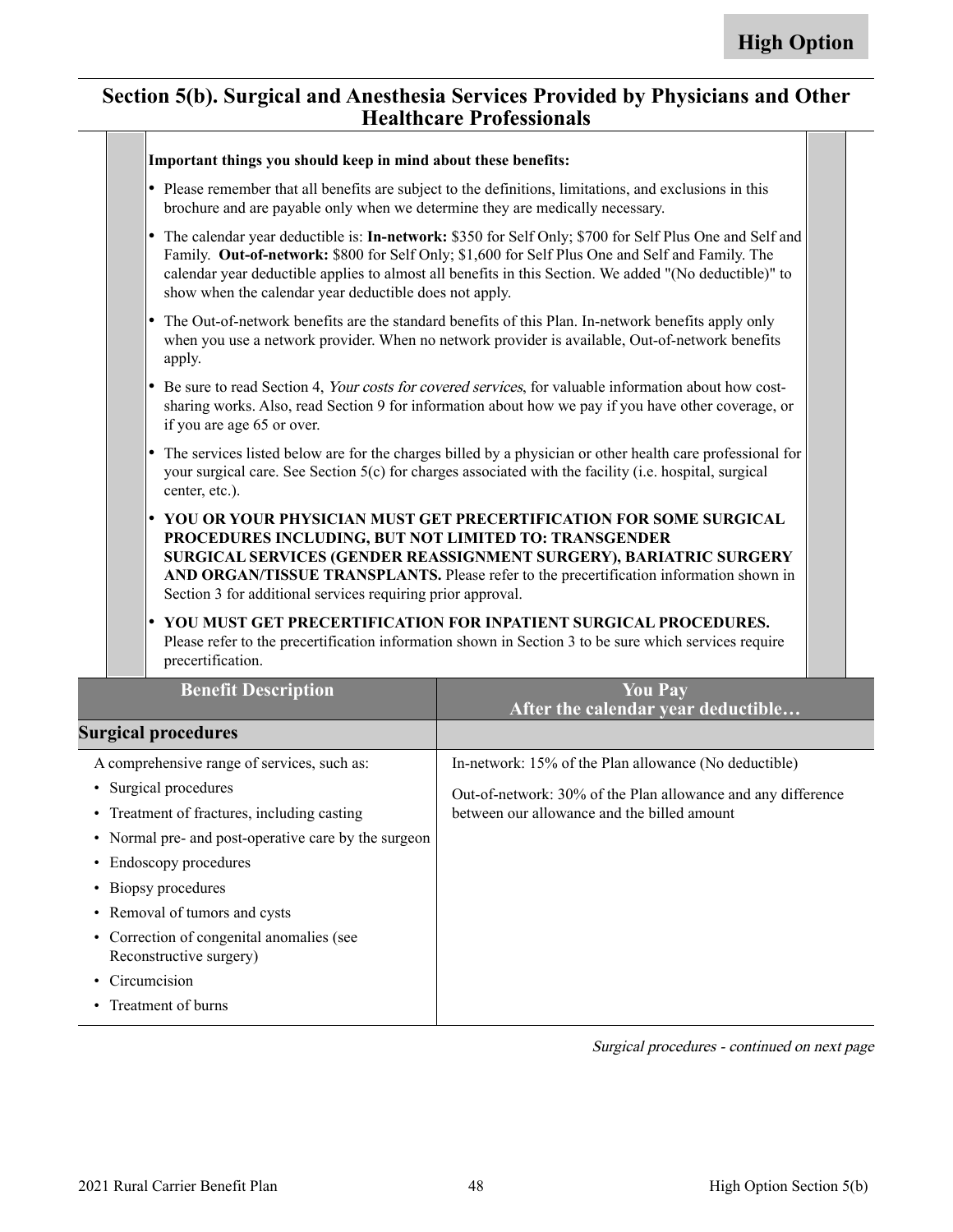#### **Section 5(b). Surgical and Anesthesia Services Provided by Physicians and Other Healthcare Professionals**

| Important things you should keep in mind about these benefits:                                                                                                                                                                                                                                                                                                                             |                                                                                                                                                                           |  |
|--------------------------------------------------------------------------------------------------------------------------------------------------------------------------------------------------------------------------------------------------------------------------------------------------------------------------------------------------------------------------------------------|---------------------------------------------------------------------------------------------------------------------------------------------------------------------------|--|
| • Please remember that all benefits are subject to the definitions, limitations, and exclusions in this<br>brochure and are payable only when we determine they are medically necessary.                                                                                                                                                                                                   |                                                                                                                                                                           |  |
| The calendar year deductible is: In-network: \$350 for Self Only; \$700 for Self Plus One and Self and<br>$\bullet$<br>Family. Out-of-network: \$800 for Self Only; \$1,600 for Self Plus One and Self and Family. The<br>calendar year deductible applies to almost all benefits in this Section. We added "(No deductible)" to<br>show when the calendar year deductible does not apply. |                                                                                                                                                                           |  |
| The Out-of-network benefits are the standard benefits of this Plan. In-network benefits apply only<br>when you use a network provider. When no network provider is available, Out-of-network benefits<br>apply.                                                                                                                                                                            |                                                                                                                                                                           |  |
| Be sure to read Section 4, Your costs for covered services, for valuable information about how cost-<br>$\bullet$<br>sharing works. Also, read Section 9 for information about how we pay if you have other coverage, or<br>if you are age 65 or over.                                                                                                                                     |                                                                                                                                                                           |  |
| The services listed below are for the charges billed by a physician or other health care professional for<br>your surgical care. See Section 5(c) for charges associated with the facility (i.e. hospital, surgical<br>center, etc.).                                                                                                                                                      |                                                                                                                                                                           |  |
| YOU OR YOUR PHYSICIAN MUST GET PRECERTIFICATION FOR SOME SURGICAL<br>PROCEDURES INCLUDING, BUT NOT LIMITED TO: TRANSGENDER<br>SURGICAL SERVICES (GENDER REASSIGNMENT SURGERY), BARIATRIC SURGERY<br>AND ORGAN/TISSUE TRANSPLANTS. Please refer to the precertification information shown in<br>Section 3 for additional services requiring prior approval.                                 |                                                                                                                                                                           |  |
| precertification.                                                                                                                                                                                                                                                                                                                                                                          | YOU MUST GET PRECERTIFICATION FOR INPATIENT SURGICAL PROCEDURES.<br>Please refer to the precertification information shown in Section 3 to be sure which services require |  |
| <b>Benefit Description</b>                                                                                                                                                                                                                                                                                                                                                                 | <b>You Pay</b><br>After the calendar year deductible                                                                                                                      |  |
| <b>Surgical procedures</b>                                                                                                                                                                                                                                                                                                                                                                 |                                                                                                                                                                           |  |
| A comprehensive range of services, such as:                                                                                                                                                                                                                                                                                                                                                | In-network: 15% of the Plan allowance (No deductible)                                                                                                                     |  |
| • Surgical procedures                                                                                                                                                                                                                                                                                                                                                                      | Out-of-network: 30% of the Plan allowance and any difference                                                                                                              |  |
| • Treatment of fractures, including casting                                                                                                                                                                                                                                                                                                                                                | between our allowance and the billed amount                                                                                                                               |  |
| • Normal pre- and post-operative care by the surgeon                                                                                                                                                                                                                                                                                                                                       |                                                                                                                                                                           |  |
| • Endoscopy procedures                                                                                                                                                                                                                                                                                                                                                                     |                                                                                                                                                                           |  |
| • Biopsy procedures                                                                                                                                                                                                                                                                                                                                                                        |                                                                                                                                                                           |  |
| • Removal of tumors and cysts                                                                                                                                                                                                                                                                                                                                                              |                                                                                                                                                                           |  |
| • Correction of congenital anomalies (see<br>Reconstructive surgery)                                                                                                                                                                                                                                                                                                                       |                                                                                                                                                                           |  |
| • Circumcision                                                                                                                                                                                                                                                                                                                                                                             |                                                                                                                                                                           |  |

Surgical procedures - continued on next page

• Treatment of burns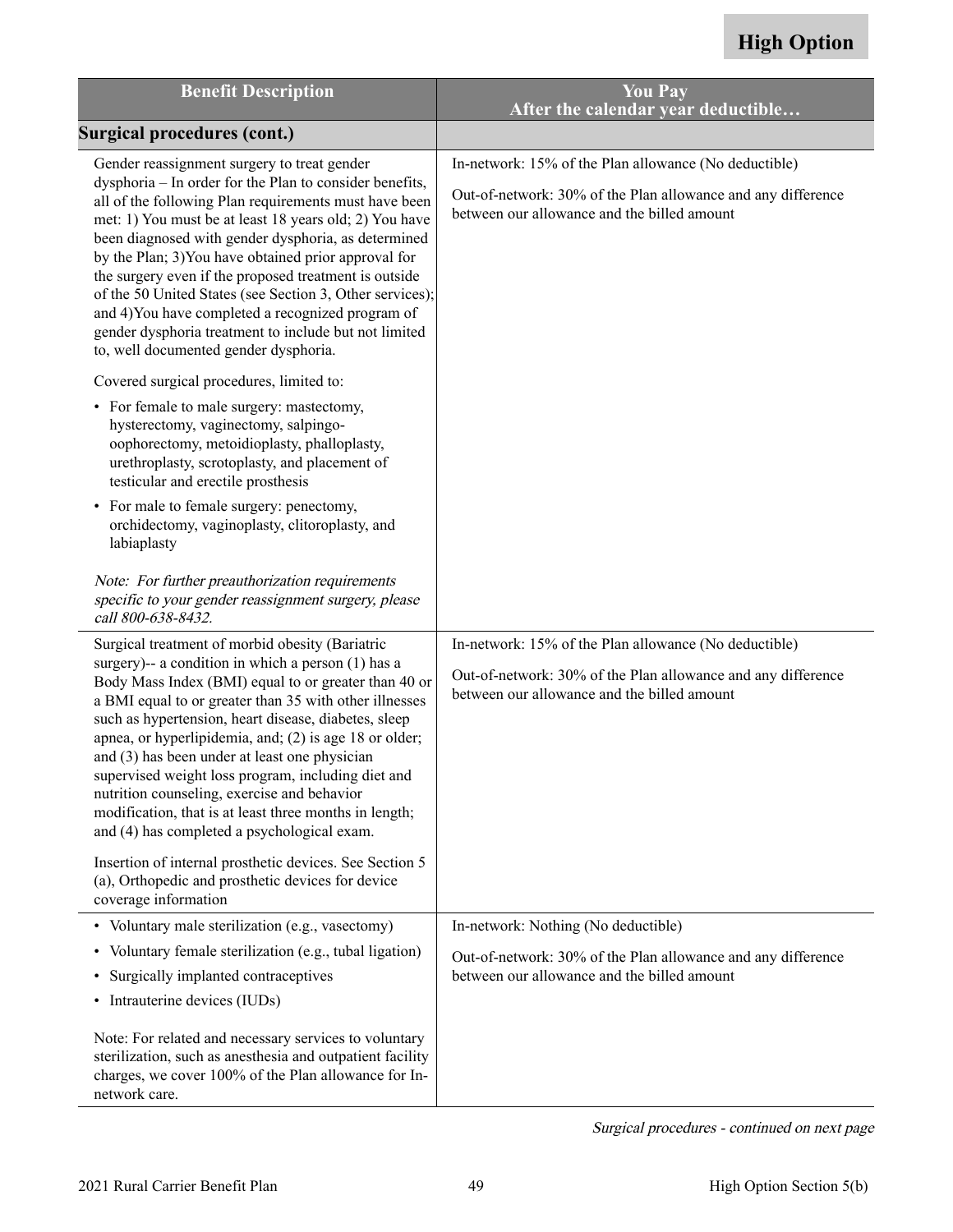<span id="page-50-0"></span>

| <b>Benefit Description</b>                                                                                                                                                                                                                                                                                                                                                                                                                                                                                                                                                                                                                                                                                                                                                                                                                                                                                                                                                                               | <b>You Pay</b><br>After the calendar year deductible                                                                                                                 |
|----------------------------------------------------------------------------------------------------------------------------------------------------------------------------------------------------------------------------------------------------------------------------------------------------------------------------------------------------------------------------------------------------------------------------------------------------------------------------------------------------------------------------------------------------------------------------------------------------------------------------------------------------------------------------------------------------------------------------------------------------------------------------------------------------------------------------------------------------------------------------------------------------------------------------------------------------------------------------------------------------------|----------------------------------------------------------------------------------------------------------------------------------------------------------------------|
| <b>Surgical procedures (cont.)</b>                                                                                                                                                                                                                                                                                                                                                                                                                                                                                                                                                                                                                                                                                                                                                                                                                                                                                                                                                                       |                                                                                                                                                                      |
| Gender reassignment surgery to treat gender<br>dysphoria - In order for the Plan to consider benefits,<br>all of the following Plan requirements must have been<br>met: 1) You must be at least 18 years old; 2) You have<br>been diagnosed with gender dysphoria, as determined<br>by the Plan; 3) You have obtained prior approval for<br>the surgery even if the proposed treatment is outside<br>of the 50 United States (see Section 3, Other services);<br>and 4) You have completed a recognized program of<br>gender dysphoria treatment to include but not limited<br>to, well documented gender dysphoria.<br>Covered surgical procedures, limited to:<br>• For female to male surgery: mastectomy,<br>hysterectomy, vaginectomy, salpingo-<br>oophorectomy, metoidioplasty, phalloplasty,<br>urethroplasty, scrotoplasty, and placement of<br>testicular and erectile prosthesis<br>• For male to female surgery: penectomy,<br>orchidectomy, vaginoplasty, clitoroplasty, and<br>labiaplasty | In-network: 15% of the Plan allowance (No deductible)<br>Out-of-network: 30% of the Plan allowance and any difference<br>between our allowance and the billed amount |
| Note: For further preauthorization requirements<br>specific to your gender reassignment surgery, please<br>call 800-638-8432.                                                                                                                                                                                                                                                                                                                                                                                                                                                                                                                                                                                                                                                                                                                                                                                                                                                                            |                                                                                                                                                                      |
| Surgical treatment of morbid obesity (Bariatric<br>surgery)-- a condition in which a person (1) has a<br>Body Mass Index (BMI) equal to or greater than 40 or<br>a BMI equal to or greater than 35 with other illnesses<br>such as hypertension, heart disease, diabetes, sleep<br>apnea, or hyperlipidemia, and; (2) is age 18 or older;<br>and (3) has been under at least one physician<br>supervised weight loss program, including diet and<br>nutrition counseling, exercise and behavior<br>modification, that is at least three months in length;<br>and (4) has completed a psychological exam.                                                                                                                                                                                                                                                                                                                                                                                                 | In-network: 15% of the Plan allowance (No deductible)<br>Out-of-network: 30% of the Plan allowance and any difference<br>between our allowance and the billed amount |
| Insertion of internal prosthetic devices. See Section 5<br>(a), Orthopedic and prosthetic devices for device<br>coverage information                                                                                                                                                                                                                                                                                                                                                                                                                                                                                                                                                                                                                                                                                                                                                                                                                                                                     |                                                                                                                                                                      |
| • Voluntary male sterilization (e.g., vasectomy)<br>Voluntary female sterilization (e.g., tubal ligation)<br>$\bullet$<br>Surgically implanted contraceptives<br>• Intrauterine devices (IUDs)                                                                                                                                                                                                                                                                                                                                                                                                                                                                                                                                                                                                                                                                                                                                                                                                           | In-network: Nothing (No deductible)<br>Out-of-network: 30% of the Plan allowance and any difference<br>between our allowance and the billed amount                   |
| Note: For related and necessary services to voluntary<br>sterilization, such as anesthesia and outpatient facility<br>charges, we cover 100% of the Plan allowance for In-<br>network care.                                                                                                                                                                                                                                                                                                                                                                                                                                                                                                                                                                                                                                                                                                                                                                                                              |                                                                                                                                                                      |

Surgical procedures - continued on next page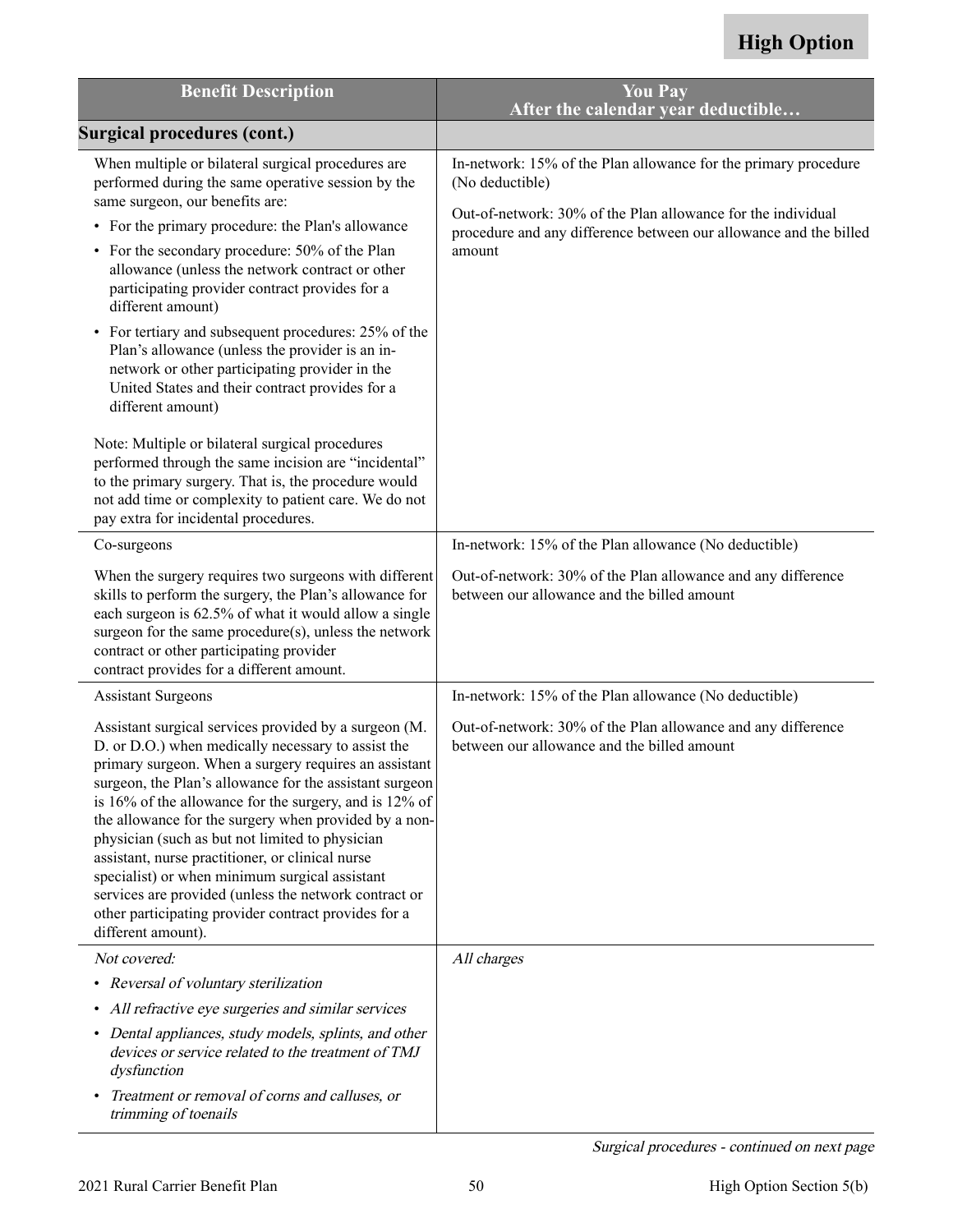| <b>Benefit Description</b>                                                                                                                                                                                                                                                                                                                                                                                                                                                                                                                                                                                                                         | <b>You Pay</b><br>After the calendar year deductible                                                                                        |
|----------------------------------------------------------------------------------------------------------------------------------------------------------------------------------------------------------------------------------------------------------------------------------------------------------------------------------------------------------------------------------------------------------------------------------------------------------------------------------------------------------------------------------------------------------------------------------------------------------------------------------------------------|---------------------------------------------------------------------------------------------------------------------------------------------|
| <b>Surgical procedures (cont.)</b>                                                                                                                                                                                                                                                                                                                                                                                                                                                                                                                                                                                                                 |                                                                                                                                             |
| When multiple or bilateral surgical procedures are<br>performed during the same operative session by the<br>same surgeon, our benefits are:                                                                                                                                                                                                                                                                                                                                                                                                                                                                                                        | In-network: 15% of the Plan allowance for the primary procedure<br>(No deductible)                                                          |
| • For the primary procedure: the Plan's allowance<br>• For the secondary procedure: 50% of the Plan<br>allowance (unless the network contract or other<br>participating provider contract provides for a<br>different amount)                                                                                                                                                                                                                                                                                                                                                                                                                      | Out-of-network: 30% of the Plan allowance for the individual<br>procedure and any difference between our allowance and the billed<br>amount |
| • For tertiary and subsequent procedures: 25% of the<br>Plan's allowance (unless the provider is an in-<br>network or other participating provider in the<br>United States and their contract provides for a<br>different amount)                                                                                                                                                                                                                                                                                                                                                                                                                  |                                                                                                                                             |
| Note: Multiple or bilateral surgical procedures<br>performed through the same incision are "incidental"<br>to the primary surgery. That is, the procedure would<br>not add time or complexity to patient care. We do not<br>pay extra for incidental procedures.                                                                                                                                                                                                                                                                                                                                                                                   |                                                                                                                                             |
| Co-surgeons                                                                                                                                                                                                                                                                                                                                                                                                                                                                                                                                                                                                                                        | In-network: 15% of the Plan allowance (No deductible)                                                                                       |
| When the surgery requires two surgeons with different<br>skills to perform the surgery, the Plan's allowance for<br>each surgeon is 62.5% of what it would allow a single<br>surgeon for the same procedure(s), unless the network<br>contract or other participating provider<br>contract provides for a different amount.                                                                                                                                                                                                                                                                                                                        | Out-of-network: 30% of the Plan allowance and any difference<br>between our allowance and the billed amount                                 |
| <b>Assistant Surgeons</b>                                                                                                                                                                                                                                                                                                                                                                                                                                                                                                                                                                                                                          | In-network: 15% of the Plan allowance (No deductible)                                                                                       |
| Assistant surgical services provided by a surgeon (M.<br>D. or D.O.) when medically necessary to assist the<br>primary surgeon. When a surgery requires an assistant<br>surgeon, the Plan's allowance for the assistant surgeon<br>is 16% of the allowance for the surgery, and is 12% of<br>the allowance for the surgery when provided by a non-<br>physician (such as but not limited to physician<br>assistant, nurse practitioner, or clinical nurse<br>specialist) or when minimum surgical assistant<br>services are provided (unless the network contract or<br>other participating provider contract provides for a<br>different amount). | Out-of-network: 30% of the Plan allowance and any difference<br>between our allowance and the billed amount                                 |
| Not covered:                                                                                                                                                                                                                                                                                                                                                                                                                                                                                                                                                                                                                                       | All charges                                                                                                                                 |
| Reversal of voluntary sterilization<br>$\bullet$                                                                                                                                                                                                                                                                                                                                                                                                                                                                                                                                                                                                   |                                                                                                                                             |
| • All refractive eye surgeries and similar services<br>• Dental appliances, study models, splints, and other<br>devices or service related to the treatment of TMJ<br>dysfunction                                                                                                                                                                                                                                                                                                                                                                                                                                                                  |                                                                                                                                             |
| Treatment or removal of corns and calluses, or<br>$\bullet$<br>trimming of toenails                                                                                                                                                                                                                                                                                                                                                                                                                                                                                                                                                                |                                                                                                                                             |

Surgical procedures - continued on next page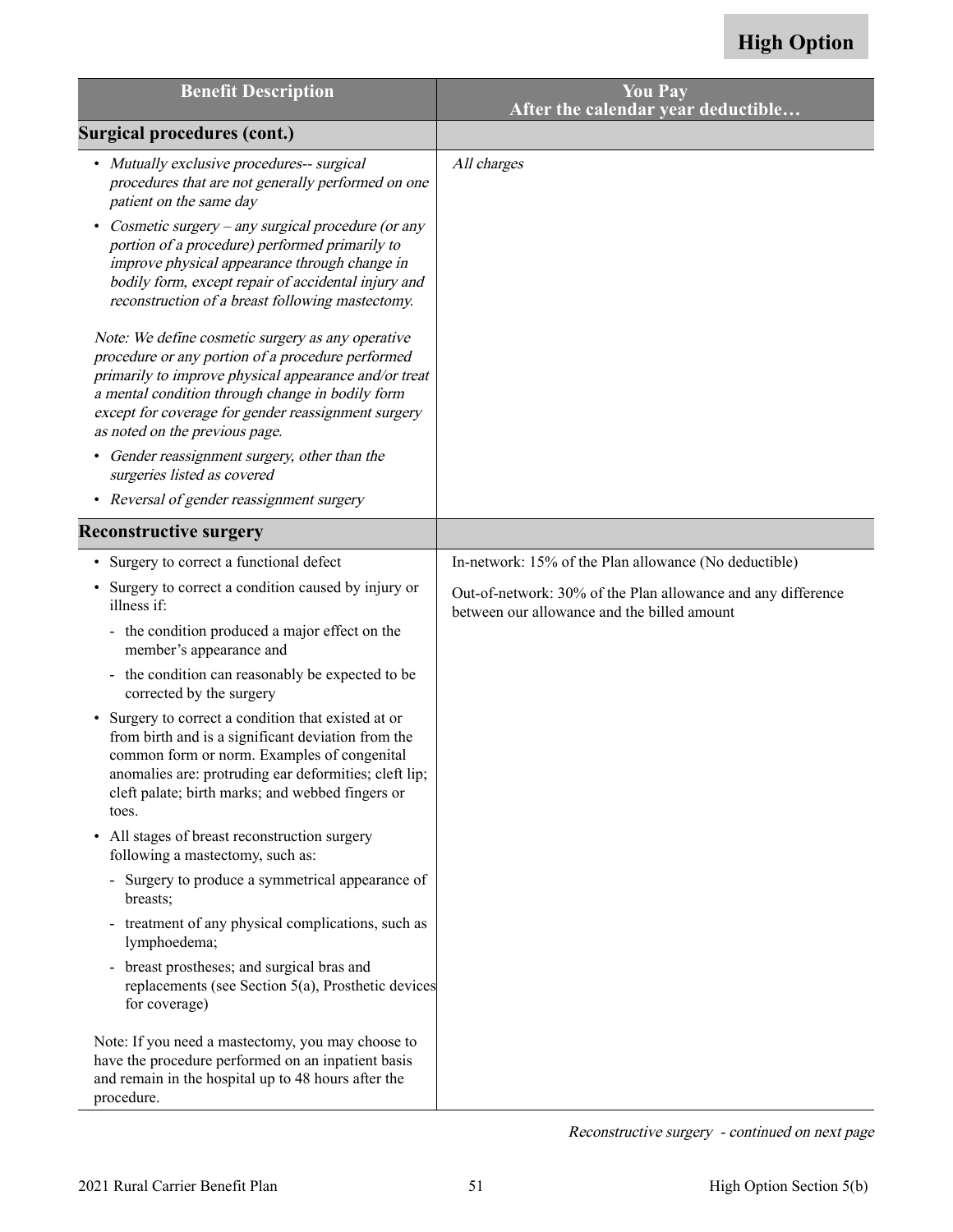| <b>Benefit Description</b>                                                                                                                                                                                                                                                                                   | <b>You Pay</b><br>After the calendar year deductible                                                        |
|--------------------------------------------------------------------------------------------------------------------------------------------------------------------------------------------------------------------------------------------------------------------------------------------------------------|-------------------------------------------------------------------------------------------------------------|
| <b>Surgical procedures (cont.)</b>                                                                                                                                                                                                                                                                           |                                                                                                             |
| • Mutually exclusive procedures-- surgical<br>procedures that are not generally performed on one<br>patient on the same day                                                                                                                                                                                  | All charges                                                                                                 |
| Cosmetic surgery – any surgical procedure (or any<br>portion of a procedure) performed primarily to<br>improve physical appearance through change in<br>bodily form, except repair of accidental injury and<br>reconstruction of a breast following mastectomy.                                              |                                                                                                             |
| Note: We define cosmetic surgery as any operative<br>procedure or any portion of a procedure performed<br>primarily to improve physical appearance and/or treat<br>a mental condition through change in bodily form<br>except for coverage for gender reassignment surgery<br>as noted on the previous page. |                                                                                                             |
| • Gender reassignment surgery, other than the<br>surgeries listed as covered                                                                                                                                                                                                                                 |                                                                                                             |
| • Reversal of gender reassignment surgery                                                                                                                                                                                                                                                                    |                                                                                                             |
| <b>Reconstructive surgery</b>                                                                                                                                                                                                                                                                                |                                                                                                             |
| Surgery to correct a functional defect                                                                                                                                                                                                                                                                       | In-network: 15% of the Plan allowance (No deductible)                                                       |
| Surgery to correct a condition caused by injury or<br>illness if:                                                                                                                                                                                                                                            | Out-of-network: 30% of the Plan allowance and any difference<br>between our allowance and the billed amount |
| - the condition produced a major effect on the<br>member's appearance and                                                                                                                                                                                                                                    |                                                                                                             |
| - the condition can reasonably be expected to be<br>corrected by the surgery                                                                                                                                                                                                                                 |                                                                                                             |
| Surgery to correct a condition that existed at or<br>from birth and is a significant deviation from the<br>common form or norm. Examples of congenital<br>anomalies are: protruding ear deformities; cleft lip;<br>cleft palate; birth marks; and webbed fingers or<br>toes.                                 |                                                                                                             |
| All stages of breast reconstruction surgery<br>following a mastectomy, such as:                                                                                                                                                                                                                              |                                                                                                             |
| - Surgery to produce a symmetrical appearance of<br>breasts;                                                                                                                                                                                                                                                 |                                                                                                             |
| - treatment of any physical complications, such as<br>lymphoedema;                                                                                                                                                                                                                                           |                                                                                                             |
| breast prostheses; and surgical bras and<br>replacements (see Section 5(a), Prosthetic devices<br>for coverage)                                                                                                                                                                                              |                                                                                                             |
| Note: If you need a mastectomy, you may choose to<br>have the procedure performed on an inpatient basis<br>and remain in the hospital up to 48 hours after the<br>procedure.                                                                                                                                 |                                                                                                             |

Reconstructive surgery - continued on next page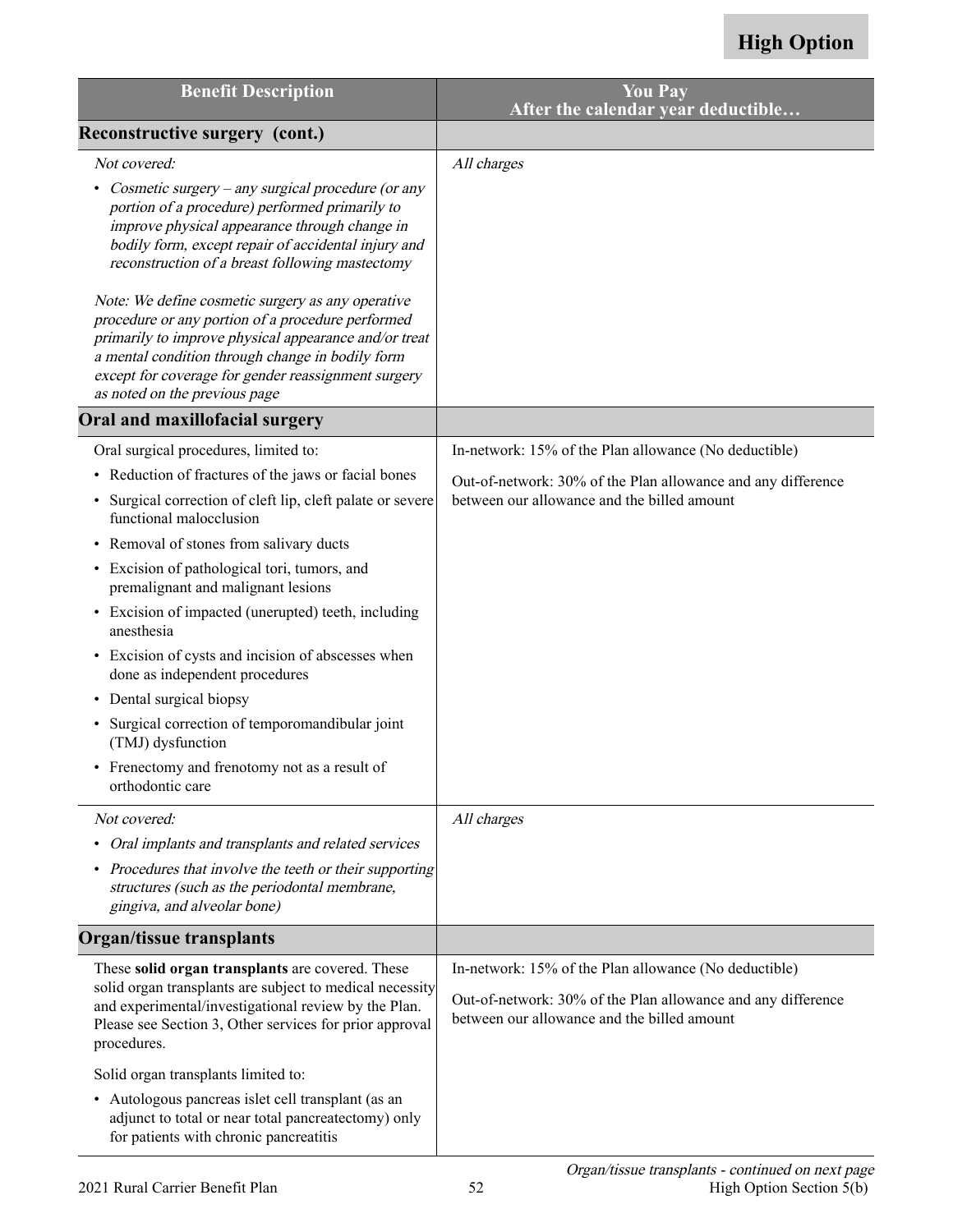| <b>Benefit Description</b>                                                                                                                                                                                                                                                                                  | <b>You Pay</b><br>After the calendar year deductible                                                                                                                 |
|-------------------------------------------------------------------------------------------------------------------------------------------------------------------------------------------------------------------------------------------------------------------------------------------------------------|----------------------------------------------------------------------------------------------------------------------------------------------------------------------|
| Reconstructive surgery (cont.)                                                                                                                                                                                                                                                                              |                                                                                                                                                                      |
| Not covered:                                                                                                                                                                                                                                                                                                | All charges                                                                                                                                                          |
| Cosmetic surgery – any surgical procedure (or any<br>portion of a procedure) performed primarily to<br>improve physical appearance through change in<br>bodily form, except repair of accidental injury and<br>reconstruction of a breast following mastectomy                                              |                                                                                                                                                                      |
| Note: We define cosmetic surgery as any operative<br>procedure or any portion of a procedure performed<br>primarily to improve physical appearance and/or treat<br>a mental condition through change in bodily form<br>except for coverage for gender reassignment surgery<br>as noted on the previous page |                                                                                                                                                                      |
| Oral and maxillofacial surgery                                                                                                                                                                                                                                                                              |                                                                                                                                                                      |
| Oral surgical procedures, limited to:                                                                                                                                                                                                                                                                       | In-network: 15% of the Plan allowance (No deductible)                                                                                                                |
| • Reduction of fractures of the jaws or facial bones                                                                                                                                                                                                                                                        | Out-of-network: 30% of the Plan allowance and any difference                                                                                                         |
| Surgical correction of cleft lip, cleft palate or severe<br>$\bullet$<br>functional malocclusion                                                                                                                                                                                                            | between our allowance and the billed amount                                                                                                                          |
| • Removal of stones from salivary ducts                                                                                                                                                                                                                                                                     |                                                                                                                                                                      |
| • Excision of pathological tori, tumors, and<br>premalignant and malignant lesions                                                                                                                                                                                                                          |                                                                                                                                                                      |
| • Excision of impacted (unerupted) teeth, including<br>anesthesia                                                                                                                                                                                                                                           |                                                                                                                                                                      |
| • Excision of cysts and incision of abscesses when<br>done as independent procedures                                                                                                                                                                                                                        |                                                                                                                                                                      |
| • Dental surgical biopsy                                                                                                                                                                                                                                                                                    |                                                                                                                                                                      |
| Surgical correction of temporomandibular joint<br>(TMJ) dysfunction                                                                                                                                                                                                                                         |                                                                                                                                                                      |
| • Frenectomy and frenotomy not as a result of<br>orthodontic care                                                                                                                                                                                                                                           |                                                                                                                                                                      |
| Not covered:                                                                                                                                                                                                                                                                                                | All charges                                                                                                                                                          |
| • Oral implants and transplants and related services                                                                                                                                                                                                                                                        |                                                                                                                                                                      |
| • Procedures that involve the teeth or their supporting<br>structures (such as the periodontal membrane,<br>gingiva, and alveolar bone)                                                                                                                                                                     |                                                                                                                                                                      |
| <b>Organ/tissue transplants</b>                                                                                                                                                                                                                                                                             |                                                                                                                                                                      |
| These solid organ transplants are covered. These<br>solid organ transplants are subject to medical necessity<br>and experimental/investigational review by the Plan.<br>Please see Section 3, Other services for prior approval<br>procedures.                                                              | In-network: 15% of the Plan allowance (No deductible)<br>Out-of-network: 30% of the Plan allowance and any difference<br>between our allowance and the billed amount |
| Solid organ transplants limited to:                                                                                                                                                                                                                                                                         |                                                                                                                                                                      |
| • Autologous pancreas islet cell transplant (as an<br>adjunct to total or near total pancreatectomy) only<br>for patients with chronic pancreatitis                                                                                                                                                         |                                                                                                                                                                      |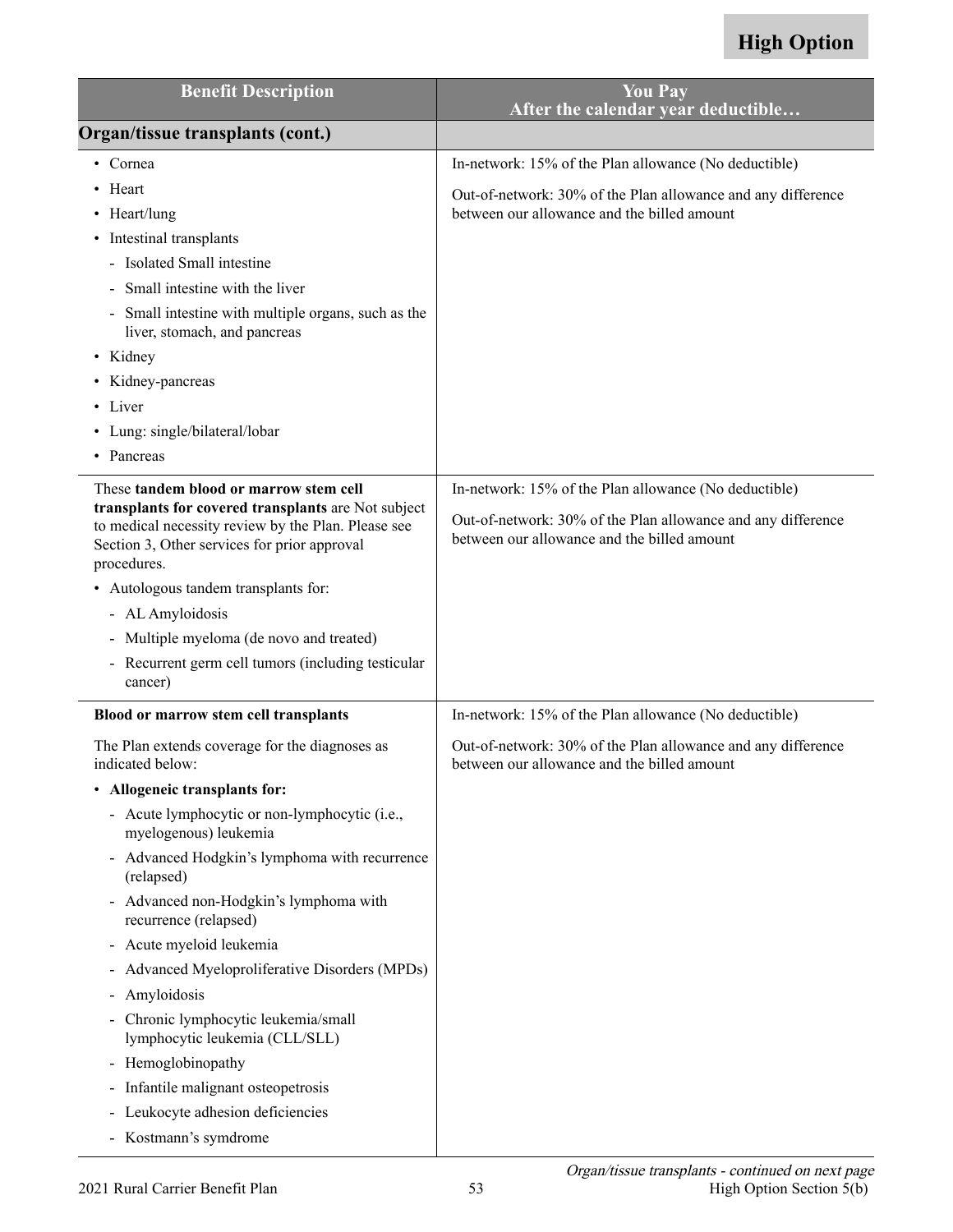| <b>Benefit Description</b>                                                                                                                                                                                                                                                | <b>You Pay</b><br>After the calendar year deductible                                                                                                                 |
|---------------------------------------------------------------------------------------------------------------------------------------------------------------------------------------------------------------------------------------------------------------------------|----------------------------------------------------------------------------------------------------------------------------------------------------------------------|
| Organ/tissue transplants (cont.)                                                                                                                                                                                                                                          |                                                                                                                                                                      |
| • Cornea<br>• Heart<br>$\cdot$ Heart/lung                                                                                                                                                                                                                                 | In-network: 15% of the Plan allowance (No deductible)<br>Out-of-network: 30% of the Plan allowance and any difference<br>between our allowance and the billed amount |
| • Intestinal transplants<br>- Isolated Small intestine<br>Small intestine with the liver<br>Small intestine with multiple organs, such as the<br>liver, stomach, and pancreas<br>• Kidney<br>• Kidney-pancreas<br>• Liver<br>• Lung: single/bilateral/lobar<br>• Pancreas |                                                                                                                                                                      |
| These tandem blood or marrow stem cell<br>transplants for covered transplants are Not subject<br>to medical necessity review by the Plan. Please see<br>Section 3, Other services for prior approval<br>procedures.                                                       | In-network: 15% of the Plan allowance (No deductible)<br>Out-of-network: 30% of the Plan allowance and any difference<br>between our allowance and the billed amount |
| • Autologous tandem transplants for:<br>- AL Amyloidosis                                                                                                                                                                                                                  |                                                                                                                                                                      |
| - Multiple myeloma (de novo and treated)                                                                                                                                                                                                                                  |                                                                                                                                                                      |
| - Recurrent germ cell tumors (including testicular<br>cancer)                                                                                                                                                                                                             |                                                                                                                                                                      |
| Blood or marrow stem cell transplants                                                                                                                                                                                                                                     | In-network: 15% of the Plan allowance (No deductible)                                                                                                                |
| The Plan extends coverage for the diagnoses as<br>indicated below:                                                                                                                                                                                                        | Out-of-network: 30% of the Plan allowance and any difference<br>between our allowance and the billed amount                                                          |
| • Allogeneic transplants for:                                                                                                                                                                                                                                             |                                                                                                                                                                      |
| - Acute lymphocytic or non-lymphocytic (i.e.,<br>myelogenous) leukemia                                                                                                                                                                                                    |                                                                                                                                                                      |
| - Advanced Hodgkin's lymphoma with recurrence<br>(relapsed)                                                                                                                                                                                                               |                                                                                                                                                                      |
| - Advanced non-Hodgkin's lymphoma with<br>recurrence (relapsed)                                                                                                                                                                                                           |                                                                                                                                                                      |
| - Acute myeloid leukemia                                                                                                                                                                                                                                                  |                                                                                                                                                                      |
| - Advanced Myeloproliferative Disorders (MPDs)                                                                                                                                                                                                                            |                                                                                                                                                                      |
| Amyloidosis                                                                                                                                                                                                                                                               |                                                                                                                                                                      |
| - Chronic lymphocytic leukemia/small<br>lymphocytic leukemia (CLL/SLL)                                                                                                                                                                                                    |                                                                                                                                                                      |
| - Hemoglobinopathy                                                                                                                                                                                                                                                        |                                                                                                                                                                      |
| - Infantile malignant osteopetrosis                                                                                                                                                                                                                                       |                                                                                                                                                                      |
| - Leukocyte adhesion deficiencies                                                                                                                                                                                                                                         |                                                                                                                                                                      |
| - Kostmann's symdrome                                                                                                                                                                                                                                                     |                                                                                                                                                                      |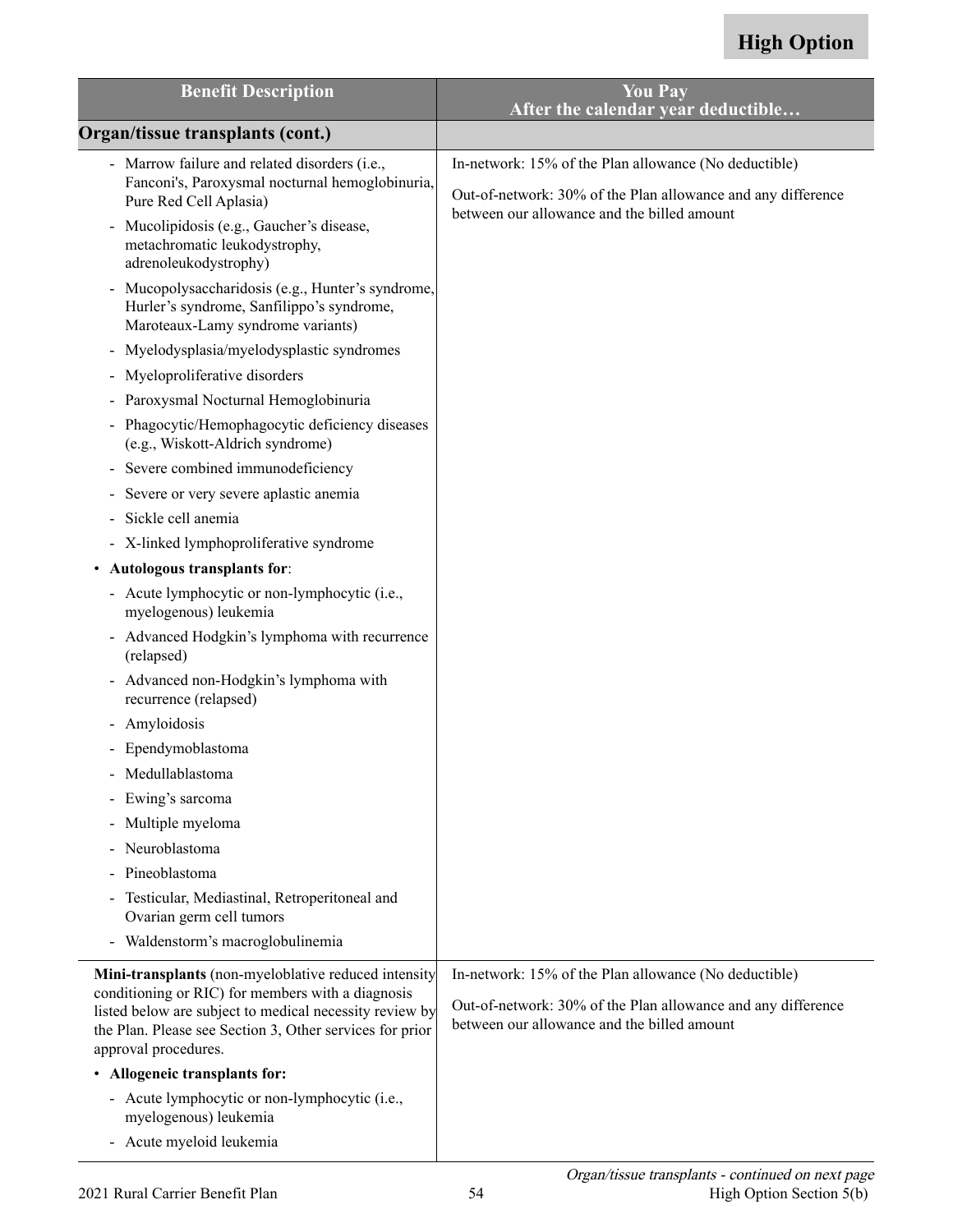| <b>Benefit Description</b>                                                                                                                                                                                                                               | <b>You Pay</b><br>After the calendar year deductible                                                                                                                 |
|----------------------------------------------------------------------------------------------------------------------------------------------------------------------------------------------------------------------------------------------------------|----------------------------------------------------------------------------------------------------------------------------------------------------------------------|
| Organ/tissue transplants (cont.)                                                                                                                                                                                                                         |                                                                                                                                                                      |
| - Marrow failure and related disorders (i.e.,                                                                                                                                                                                                            | In-network: 15% of the Plan allowance (No deductible)                                                                                                                |
| Fanconi's, Paroxysmal nocturnal hemoglobinuria,<br>Pure Red Cell Aplasia)                                                                                                                                                                                | Out-of-network: 30% of the Plan allowance and any difference<br>between our allowance and the billed amount                                                          |
| Mucolipidosis (e.g., Gaucher's disease,<br>$\blacksquare$<br>metachromatic leukodystrophy,<br>adrenoleukodystrophy)                                                                                                                                      |                                                                                                                                                                      |
| Mucopolysaccharidosis (e.g., Hunter's syndrome,<br>Hurler's syndrome, Sanfilippo's syndrome,<br>Maroteaux-Lamy syndrome variants)                                                                                                                        |                                                                                                                                                                      |
| Myelodysplasia/myelodysplastic syndromes<br>$\blacksquare$                                                                                                                                                                                               |                                                                                                                                                                      |
| Myeloproliferative disorders<br>$\blacksquare$                                                                                                                                                                                                           |                                                                                                                                                                      |
| Paroxysmal Nocturnal Hemoglobinuria                                                                                                                                                                                                                      |                                                                                                                                                                      |
| Phagocytic/Hemophagocytic deficiency diseases<br>$\blacksquare$<br>(e.g., Wiskott-Aldrich syndrome)                                                                                                                                                      |                                                                                                                                                                      |
| Severe combined immunodeficiency<br>$\qquad \qquad \blacksquare$                                                                                                                                                                                         |                                                                                                                                                                      |
| Severe or very severe aplastic anemia<br>$\blacksquare$                                                                                                                                                                                                  |                                                                                                                                                                      |
| Sickle cell anemia                                                                                                                                                                                                                                       |                                                                                                                                                                      |
| - X-linked lymphoproliferative syndrome                                                                                                                                                                                                                  |                                                                                                                                                                      |
| • Autologous transplants for:                                                                                                                                                                                                                            |                                                                                                                                                                      |
| - Acute lymphocytic or non-lymphocytic (i.e.,<br>myelogenous) leukemia                                                                                                                                                                                   |                                                                                                                                                                      |
| - Advanced Hodgkin's lymphoma with recurrence<br>(relapsed)                                                                                                                                                                                              |                                                                                                                                                                      |
| Advanced non-Hodgkin's lymphoma with<br>recurrence (relapsed)                                                                                                                                                                                            |                                                                                                                                                                      |
| Amyloidosis<br>$\qquad \qquad \blacksquare$                                                                                                                                                                                                              |                                                                                                                                                                      |
| Ependymoblastoma                                                                                                                                                                                                                                         |                                                                                                                                                                      |
| Medullablastoma                                                                                                                                                                                                                                          |                                                                                                                                                                      |
| - Ewing's sarcoma                                                                                                                                                                                                                                        |                                                                                                                                                                      |
| Multiple myeloma                                                                                                                                                                                                                                         |                                                                                                                                                                      |
| Neuroblastoma                                                                                                                                                                                                                                            |                                                                                                                                                                      |
| Pineoblastoma                                                                                                                                                                                                                                            |                                                                                                                                                                      |
| Testicular, Mediastinal, Retroperitoneal and<br>Ovarian germ cell tumors                                                                                                                                                                                 |                                                                                                                                                                      |
| Waldenstorm's macroglobulinemia                                                                                                                                                                                                                          |                                                                                                                                                                      |
| Mini-transplants (non-myeloblative reduced intensity<br>conditioning or RIC) for members with a diagnosis<br>listed below are subject to medical necessity review by<br>the Plan. Please see Section 3, Other services for prior<br>approval procedures. | In-network: 15% of the Plan allowance (No deductible)<br>Out-of-network: 30% of the Plan allowance and any difference<br>between our allowance and the billed amount |
| • Allogeneic transplants for:                                                                                                                                                                                                                            |                                                                                                                                                                      |
| - Acute lymphocytic or non-lymphocytic (i.e.,<br>myelogenous) leukemia                                                                                                                                                                                   |                                                                                                                                                                      |
| - Acute myeloid leukemia                                                                                                                                                                                                                                 |                                                                                                                                                                      |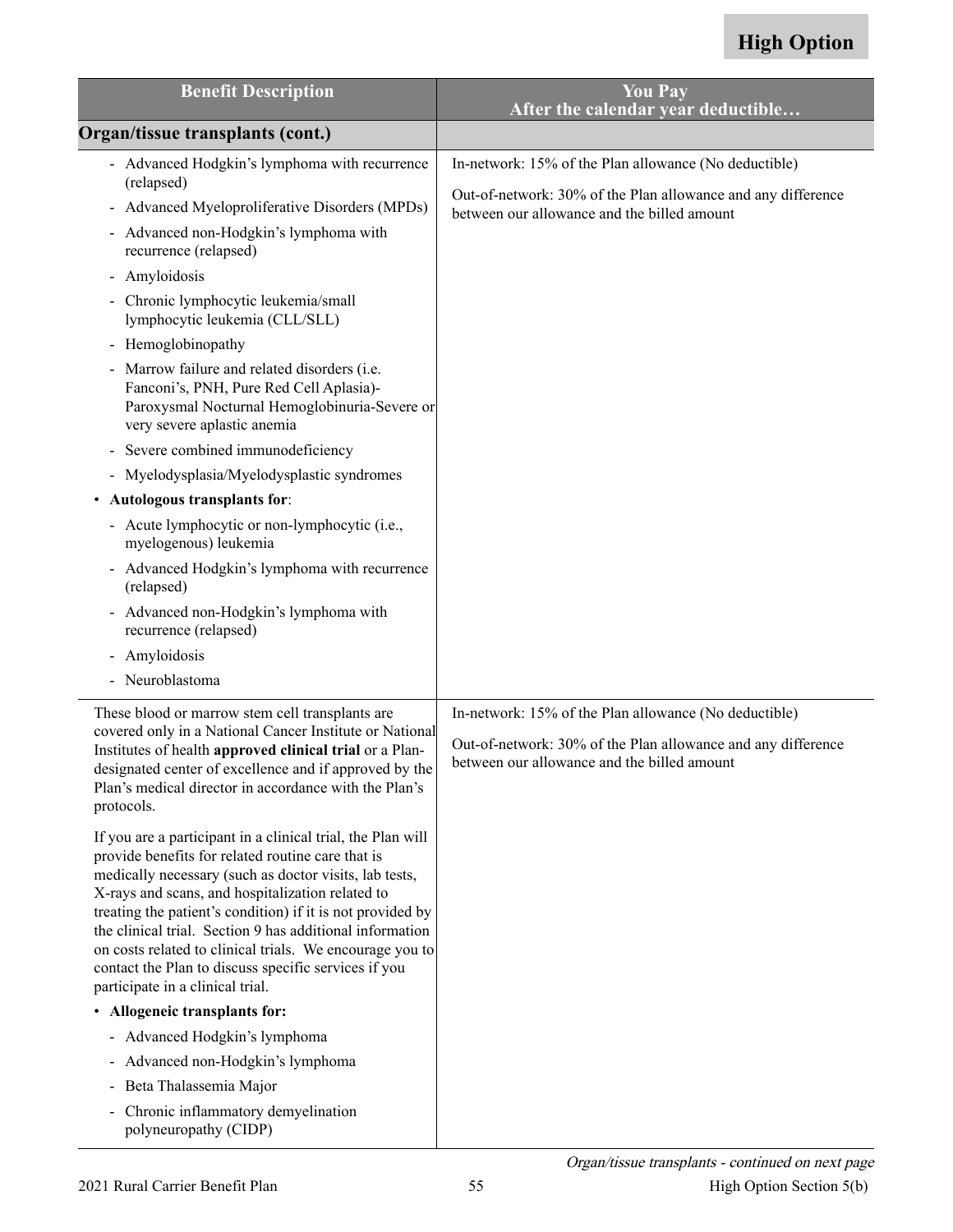| <b>Benefit Description</b>                                                                                                                                                                                                                                                                                                                                                                                                                                                                                       | <b>You Pay</b><br>After the calendar year deductible                                                                                                                 |
|------------------------------------------------------------------------------------------------------------------------------------------------------------------------------------------------------------------------------------------------------------------------------------------------------------------------------------------------------------------------------------------------------------------------------------------------------------------------------------------------------------------|----------------------------------------------------------------------------------------------------------------------------------------------------------------------|
| Organ/tissue transplants (cont.)                                                                                                                                                                                                                                                                                                                                                                                                                                                                                 |                                                                                                                                                                      |
| - Advanced Hodgkin's lymphoma with recurrence<br>(relapsed)<br>- Advanced Myeloproliferative Disorders (MPDs)                                                                                                                                                                                                                                                                                                                                                                                                    | In-network: 15% of the Plan allowance (No deductible)<br>Out-of-network: 30% of the Plan allowance and any difference<br>between our allowance and the billed amount |
| Advanced non-Hodgkin's lymphoma with<br>$\blacksquare$<br>recurrence (relapsed)                                                                                                                                                                                                                                                                                                                                                                                                                                  |                                                                                                                                                                      |
| Amyloidosis<br>۰.                                                                                                                                                                                                                                                                                                                                                                                                                                                                                                |                                                                                                                                                                      |
| Chronic lymphocytic leukemia/small<br>lymphocytic leukemia (CLL/SLL)                                                                                                                                                                                                                                                                                                                                                                                                                                             |                                                                                                                                                                      |
| - Hemoglobinopathy                                                                                                                                                                                                                                                                                                                                                                                                                                                                                               |                                                                                                                                                                      |
| - Marrow failure and related disorders (i.e.<br>Fanconi's, PNH, Pure Red Cell Aplasia)-<br>Paroxysmal Nocturnal Hemoglobinuria-Severe or<br>very severe aplastic anemia                                                                                                                                                                                                                                                                                                                                          |                                                                                                                                                                      |
| Severe combined immunodeficiency                                                                                                                                                                                                                                                                                                                                                                                                                                                                                 |                                                                                                                                                                      |
| Myelodysplasia/Myelodysplastic syndromes                                                                                                                                                                                                                                                                                                                                                                                                                                                                         |                                                                                                                                                                      |
| Autologous transplants for:                                                                                                                                                                                                                                                                                                                                                                                                                                                                                      |                                                                                                                                                                      |
| - Acute lymphocytic or non-lymphocytic (i.e.,<br>myelogenous) leukemia                                                                                                                                                                                                                                                                                                                                                                                                                                           |                                                                                                                                                                      |
| Advanced Hodgkin's lymphoma with recurrence<br>$\overline{\phantom{0}}$<br>(relapsed)                                                                                                                                                                                                                                                                                                                                                                                                                            |                                                                                                                                                                      |
| - Advanced non-Hodgkin's lymphoma with<br>recurrence (relapsed)                                                                                                                                                                                                                                                                                                                                                                                                                                                  |                                                                                                                                                                      |
| Amyloidosis<br>$\blacksquare$                                                                                                                                                                                                                                                                                                                                                                                                                                                                                    |                                                                                                                                                                      |
| Neuroblastoma                                                                                                                                                                                                                                                                                                                                                                                                                                                                                                    |                                                                                                                                                                      |
| These blood or marrow stem cell transplants are<br>covered only in a National Cancer Institute or National<br>Institutes of health approved clinical trial or a Plan-<br>designated center of excellence and if approved by the<br>Plan's medical director in accordance with the Plan's<br>protocols.                                                                                                                                                                                                           | In-network: 15% of the Plan allowance (No deductible)<br>Out-of-network: 30% of the Plan allowance and any difference<br>between our allowance and the billed amount |
| If you are a participant in a clinical trial, the Plan will<br>provide benefits for related routine care that is<br>medically necessary (such as doctor visits, lab tests,<br>X-rays and scans, and hospitalization related to<br>treating the patient's condition) if it is not provided by<br>the clinical trial. Section 9 has additional information<br>on costs related to clinical trials. We encourage you to<br>contact the Plan to discuss specific services if you<br>participate in a clinical trial. |                                                                                                                                                                      |
| • Allogeneic transplants for:                                                                                                                                                                                                                                                                                                                                                                                                                                                                                    |                                                                                                                                                                      |
| - Advanced Hodgkin's lymphoma                                                                                                                                                                                                                                                                                                                                                                                                                                                                                    |                                                                                                                                                                      |
| Advanced non-Hodgkin's lymphoma<br>$\blacksquare$                                                                                                                                                                                                                                                                                                                                                                                                                                                                |                                                                                                                                                                      |
| Beta Thalassemia Major                                                                                                                                                                                                                                                                                                                                                                                                                                                                                           |                                                                                                                                                                      |
| Chronic inflammatory demyelination<br>$\blacksquare$<br>polyneuropathy (CIDP)                                                                                                                                                                                                                                                                                                                                                                                                                                    |                                                                                                                                                                      |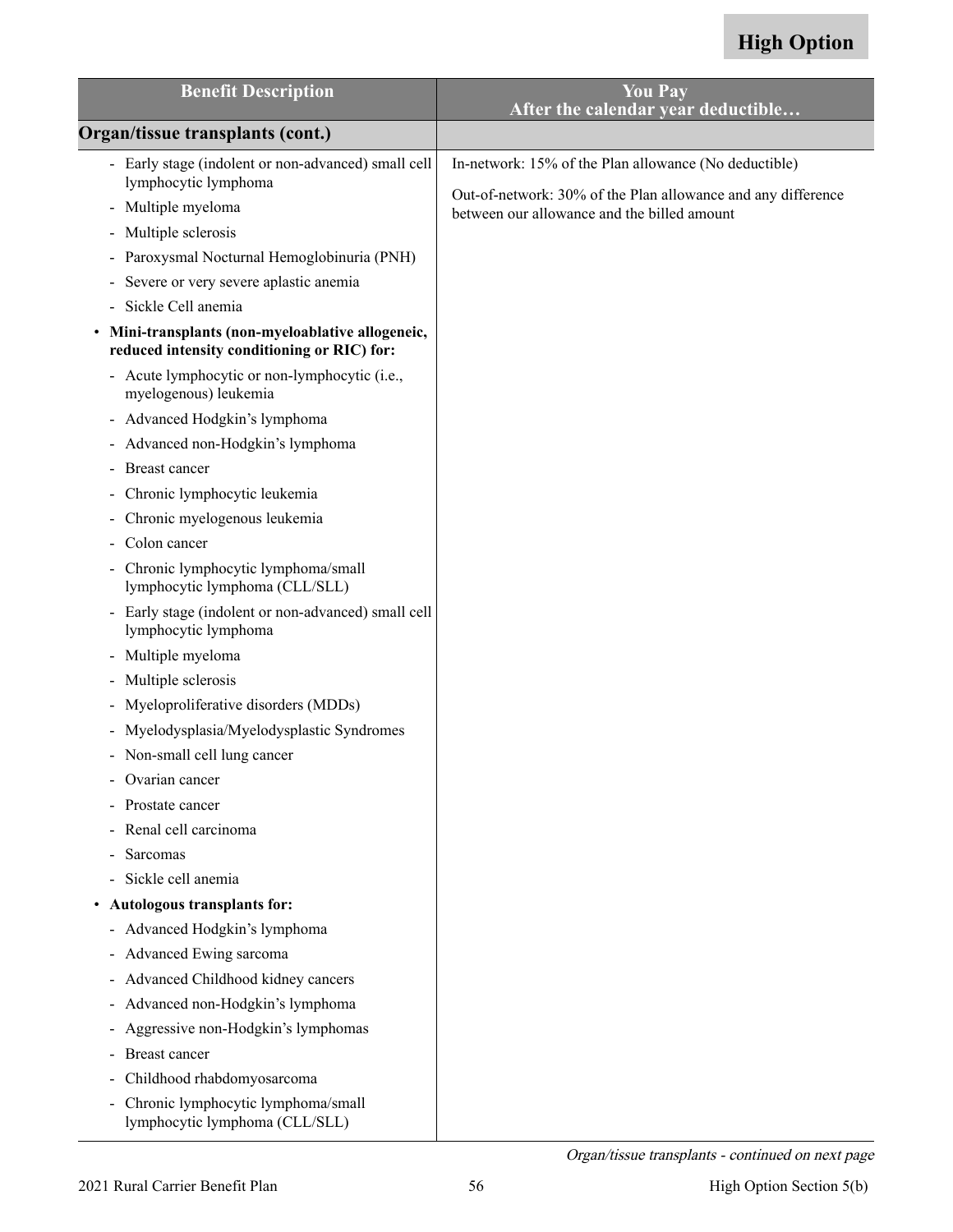| <b>Benefit Description</b>                                                                                                                                                                                                                                                                                                                                                                                                                                                                                                                                                                                                                                                                                                                                                                                                                                                                                                                                                                                                   | <b>You Pay</b><br>After the calendar year deductible                                                                                                                 |
|------------------------------------------------------------------------------------------------------------------------------------------------------------------------------------------------------------------------------------------------------------------------------------------------------------------------------------------------------------------------------------------------------------------------------------------------------------------------------------------------------------------------------------------------------------------------------------------------------------------------------------------------------------------------------------------------------------------------------------------------------------------------------------------------------------------------------------------------------------------------------------------------------------------------------------------------------------------------------------------------------------------------------|----------------------------------------------------------------------------------------------------------------------------------------------------------------------|
| Organ/tissue transplants (cont.)                                                                                                                                                                                                                                                                                                                                                                                                                                                                                                                                                                                                                                                                                                                                                                                                                                                                                                                                                                                             |                                                                                                                                                                      |
| - Early stage (indolent or non-advanced) small cell<br>lymphocytic lymphoma<br>Multiple myeloma<br>$\overline{\phantom{0}}$<br>Multiple sclerosis<br>-<br>Paroxysmal Nocturnal Hemoglobinuria (PNH)<br>$\qquad \qquad \blacksquare$<br>Severe or very severe aplastic anemia<br>-<br>Sickle Cell anemia<br>Mini-transplants (non-myeloablative allogeneic,<br>reduced intensity conditioning or RIC) for:<br>Acute lymphocytic or non-lymphocytic (i.e.,<br>$\overline{\phantom{0}}$<br>myelogenous) leukemia<br>Advanced Hodgkin's lymphoma<br>-<br>- Advanced non-Hodgkin's lymphoma<br>Breast cancer<br>Chronic lymphocytic leukemia<br>$\qquad \qquad \blacksquare$<br>Chronic myelogenous leukemia<br>۰<br>Colon cancer<br>Chronic lymphocytic lymphoma/small<br>$\blacksquare$<br>lymphocytic lymphoma (CLL/SLL)<br>- Early stage (indolent or non-advanced) small cell<br>lymphocytic lymphoma<br>Multiple myeloma<br>-<br>Multiple sclerosis<br>-<br>Myeloproliferative disorders (MDDs)<br>$\overline{\phantom{0}}$ | In-network: 15% of the Plan allowance (No deductible)<br>Out-of-network: 30% of the Plan allowance and any difference<br>between our allowance and the billed amount |
| Myelodysplasia/Myelodysplastic Syndromes<br>- Non-small cell lung cancer<br>Ovarian cancer<br>$\overline{a}$<br>Prostate cancer<br>-<br>Renal cell carcinoma<br>$\qquad \qquad \blacksquare$<br>Sarcomas<br>Sickle cell anemia<br>-<br>Autologous transplants for:<br>$\bullet$<br>- Advanced Hodgkin's lymphoma<br>- Advanced Ewing sarcoma<br>Advanced Childhood kidney cancers<br>-<br>Advanced non-Hodgkin's lymphoma<br>-<br>Aggressive non-Hodgkin's lymphomas<br>-<br>Breast cancer<br>-<br>Childhood rhabdomyosarcoma<br>-<br>Chronic lymphocytic lymphoma/small<br>$\overline{\phantom{0}}$<br>lymphocytic lymphoma (CLL/SLL)                                                                                                                                                                                                                                                                                                                                                                                       |                                                                                                                                                                      |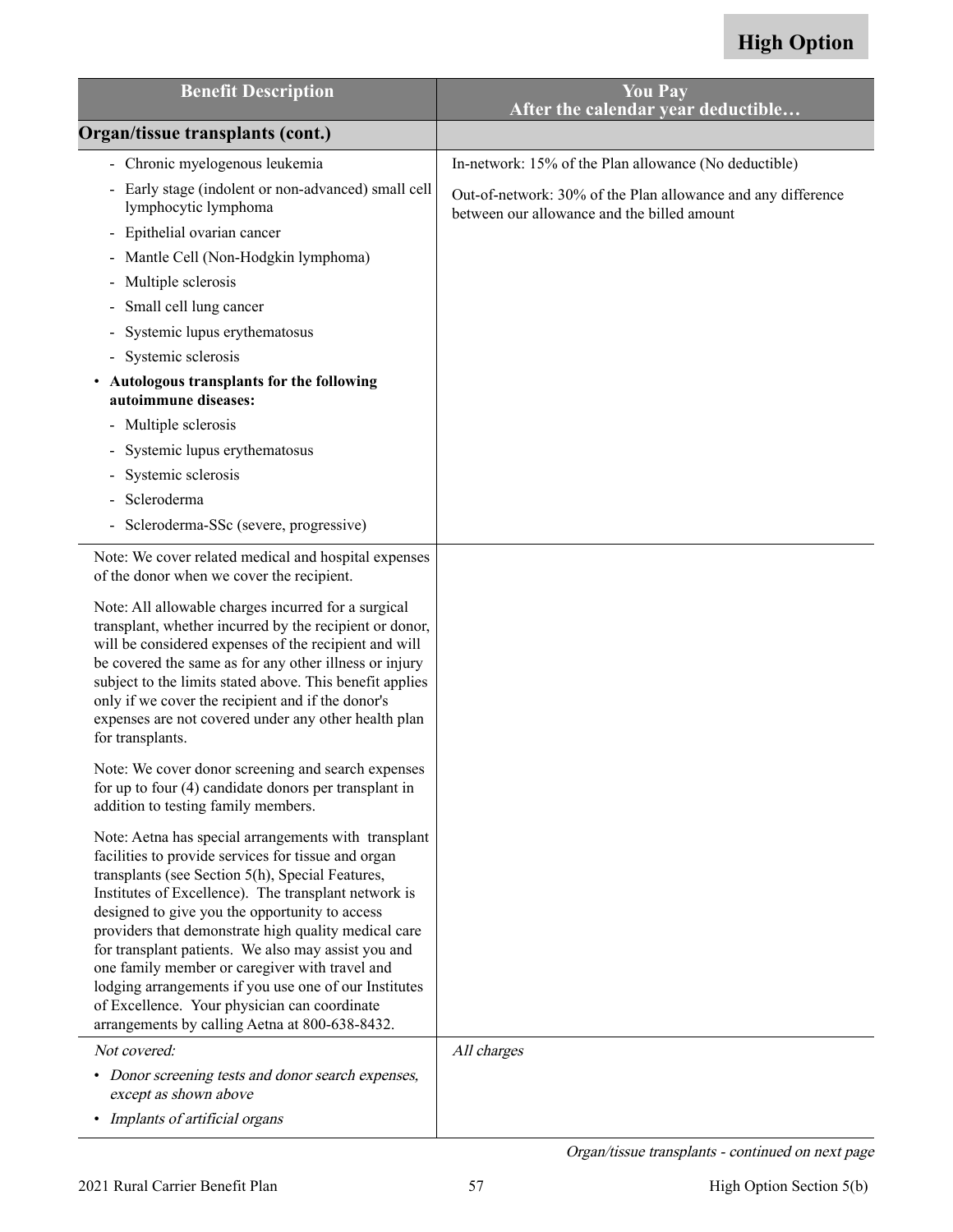| <b>Benefit Description</b>                                                                                                                                                                                                                                                                                                                                                                                                                                                                                                                                                                                                                                                                                                                                  | <b>You Pay</b><br>After the calendar year deductible                                                                                                                 |
|-------------------------------------------------------------------------------------------------------------------------------------------------------------------------------------------------------------------------------------------------------------------------------------------------------------------------------------------------------------------------------------------------------------------------------------------------------------------------------------------------------------------------------------------------------------------------------------------------------------------------------------------------------------------------------------------------------------------------------------------------------------|----------------------------------------------------------------------------------------------------------------------------------------------------------------------|
| Organ/tissue transplants (cont.)                                                                                                                                                                                                                                                                                                                                                                                                                                                                                                                                                                                                                                                                                                                            |                                                                                                                                                                      |
| - Chronic myelogenous leukemia<br>- Early stage (indolent or non-advanced) small cell<br>lymphocytic lymphoma<br>Epithelial ovarian cancer<br>Mantle Cell (Non-Hodgkin lymphoma)<br>Multiple sclerosis<br>$\blacksquare$<br>Small cell lung cancer<br>Systemic lupus erythematosus<br>Systemic sclerosis<br>$\blacksquare$<br>Autologous transplants for the following<br>autoimmune diseases:<br>Multiple sclerosis<br>Systemic lupus erythematosus                                                                                                                                                                                                                                                                                                        | In-network: 15% of the Plan allowance (No deductible)<br>Out-of-network: 30% of the Plan allowance and any difference<br>between our allowance and the billed amount |
| Systemic sclerosis<br>Scleroderma<br>Scleroderma-SSc (severe, progressive)<br>$\blacksquare$                                                                                                                                                                                                                                                                                                                                                                                                                                                                                                                                                                                                                                                                |                                                                                                                                                                      |
| Note: We cover related medical and hospital expenses<br>of the donor when we cover the recipient.<br>Note: All allowable charges incurred for a surgical<br>transplant, whether incurred by the recipient or donor,<br>will be considered expenses of the recipient and will<br>be covered the same as for any other illness or injury<br>subject to the limits stated above. This benefit applies<br>only if we cover the recipient and if the donor's<br>expenses are not covered under any other health plan<br>for transplants.                                                                                                                                                                                                                         |                                                                                                                                                                      |
| Note: We cover donor screening and search expenses<br>for up to four (4) candidate donors per transplant in<br>addition to testing family members.<br>Note: Aetna has special arrangements with transplant<br>facilities to provide services for tissue and organ<br>transplants (see Section 5(h), Special Features,<br>Institutes of Excellence). The transplant network is<br>designed to give you the opportunity to access<br>providers that demonstrate high quality medical care<br>for transplant patients. We also may assist you and<br>one family member or caregiver with travel and<br>lodging arrangements if you use one of our Institutes<br>of Excellence. Your physician can coordinate<br>arrangements by calling Aetna at 800-638-8432. |                                                                                                                                                                      |
| Not covered:<br>• Donor screening tests and donor search expenses,<br>except as shown above<br>• Implants of artificial organs                                                                                                                                                                                                                                                                                                                                                                                                                                                                                                                                                                                                                              | All charges                                                                                                                                                          |

Organ/tissue transplants - continued on next page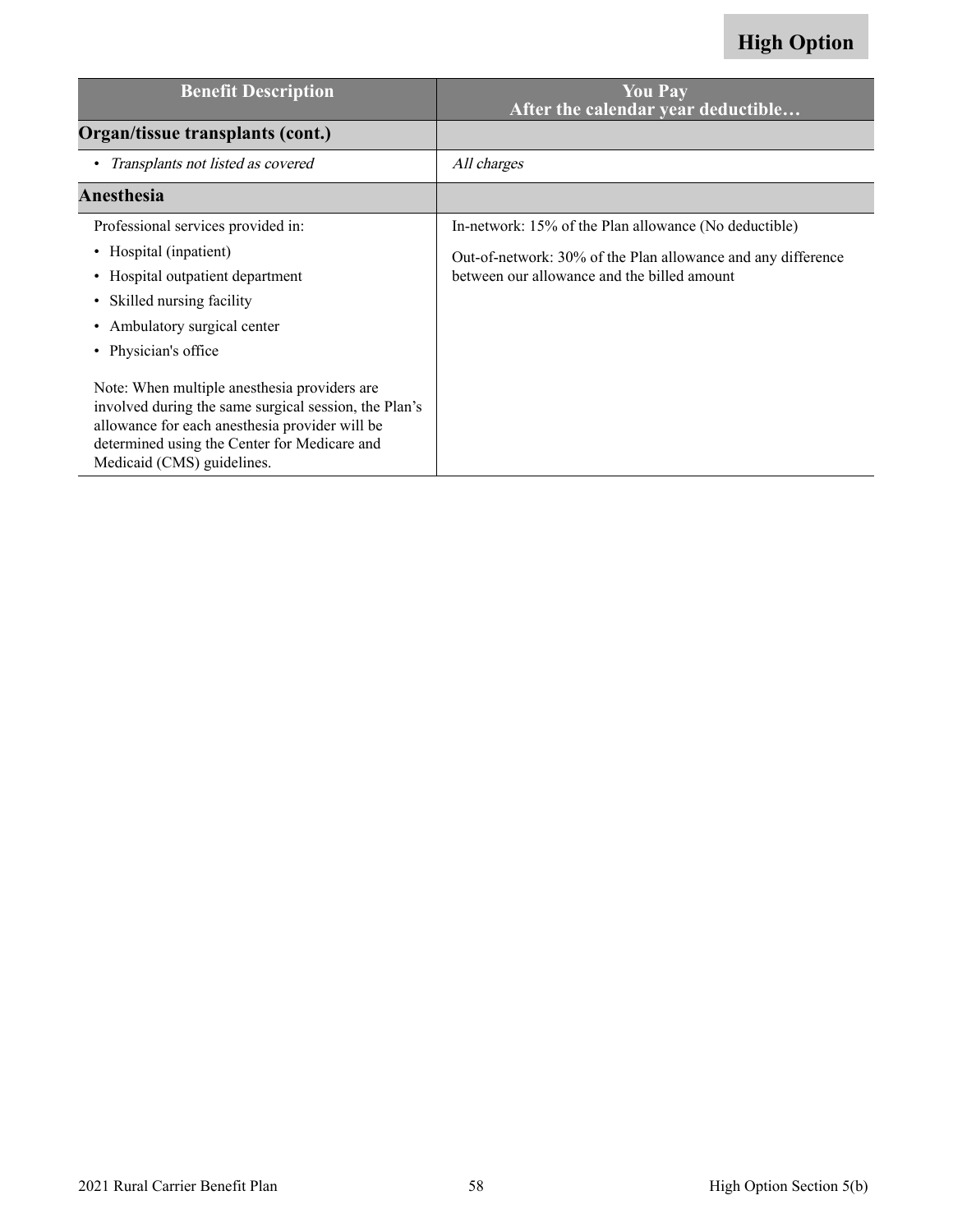| <b>Benefit Description</b>                                                                                                                                                                                                            | <b>You Pay</b><br>After the calendar year deductible                                                        |
|---------------------------------------------------------------------------------------------------------------------------------------------------------------------------------------------------------------------------------------|-------------------------------------------------------------------------------------------------------------|
| Organ/tissue transplants (cont.)                                                                                                                                                                                                      |                                                                                                             |
| • Transplants not listed as covered                                                                                                                                                                                                   | All charges                                                                                                 |
| Anesthesia                                                                                                                                                                                                                            |                                                                                                             |
| Professional services provided in:                                                                                                                                                                                                    | In-network: 15% of the Plan allowance (No deductible)                                                       |
| • Hospital (inpatient)<br>Hospital outpatient department<br>Skilled nursing facility<br>$\bullet$<br>• Ambulatory surgical center<br>• Physician's office                                                                             | Out-of-network: 30% of the Plan allowance and any difference<br>between our allowance and the billed amount |
| Note: When multiple anesthesia providers are<br>involved during the same surgical session, the Plan's<br>allowance for each anesthesia provider will be<br>determined using the Center for Medicare and<br>Medicaid (CMS) guidelines. |                                                                                                             |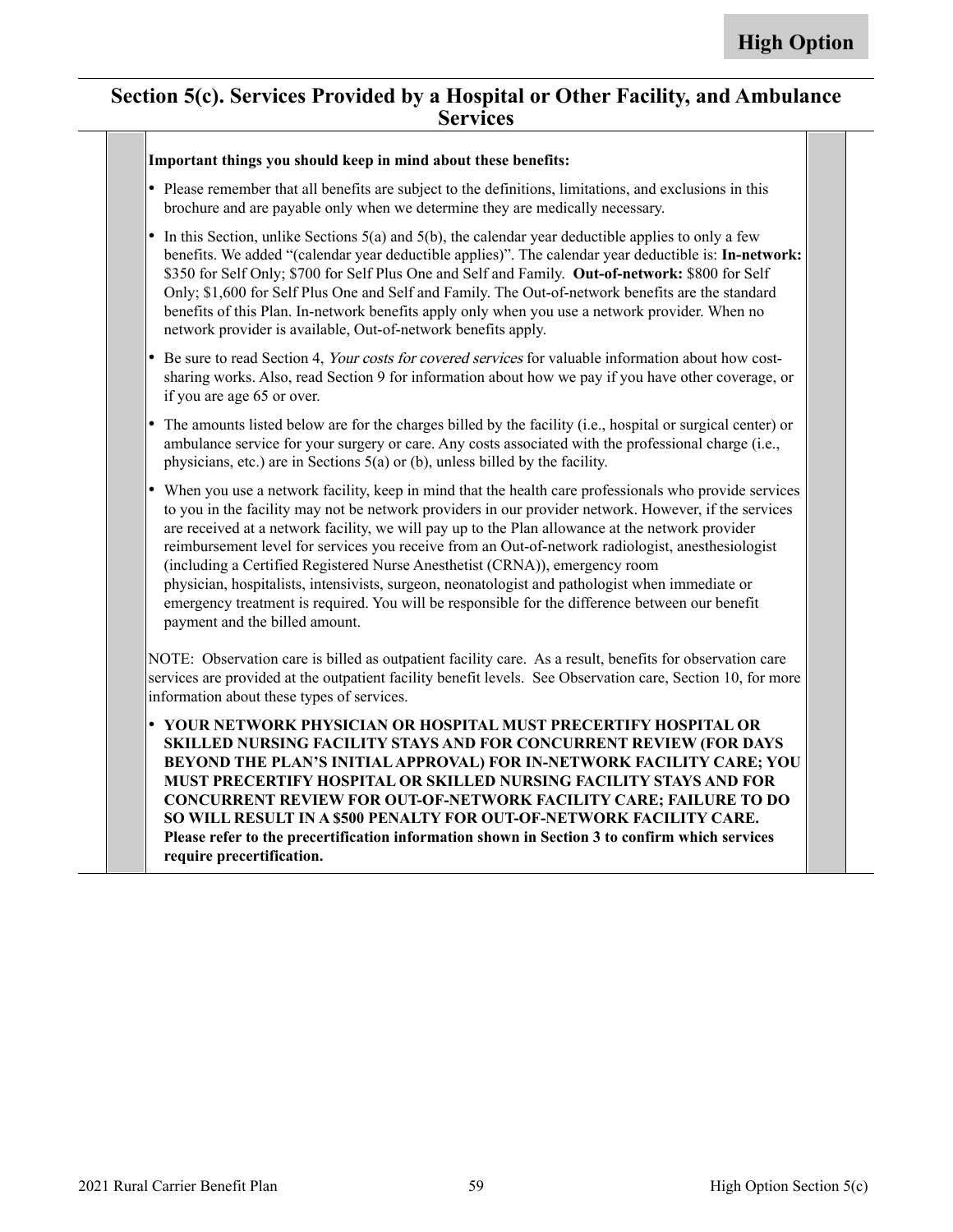#### **Section 5(c). Services Provided by a Hospital or Other Facility, and Ambulance Services**

#### **Important things you should keep in mind about these benefits:**

- Please remember that all benefits are subject to the definitions, limitations, and exclusions in this brochure and are payable only when we determine they are medically necessary.
- •In this Section, unlike Sections  $5(a)$  and  $5(b)$ , the calendar year deductible applies to only a few benefits. We added "(calendar year deductible applies)". The calendar year deductible is: **In-network:** \$350 for Self Only; \$700 for Self Plus One and Self and Family. **Out-of-network:** \$800 for Self Only; \$1,600 for Self Plus One and Self and Family. The Out-of-network benefits are the standard benefits of this Plan. In-network benefits apply only when you use a network provider. When no network provider is available, Out-of-network benefits apply.
- • Be sure to read Section 4, Your costs for covered services for valuable information about how costsharing works. Also, read Section 9 for information about how we pay if you have other coverage, or if you are age 65 or over.
- • The amounts listed below are for the charges billed by the facility (i.e., hospital or surgical center) or ambulance service for your surgery or care. Any costs associated with the professional charge (i.e., physicians, etc.) are in Sections 5(a) or (b), unless billed by the facility.
- • When you use a network facility, keep in mind that the health care professionals who provide services to you in the facility may not be network providers in our provider network. However, if the services are received at a network facility, we will pay up to the Plan allowance at the network provider reimbursement level for services you receive from an Out-of-network radiologist, anesthesiologist (including a Certified Registered Nurse Anesthetist (CRNA)), emergency room physician, hospitalists, intensivists, surgeon, neonatologist and pathologist when immediate or emergency treatment is required. You will be responsible for the difference between our benefit payment and the billed amount.

NOTE: Observation care is billed as outpatient facility care. As a result, benefits for observation care services are provided at the outpatient facility benefit levels. See Observation care, Section 10, for more information about these types of services.

• **YOUR NETWORK PHYSICIAN OR HOSPITAL MUST PRECERTIFY HOSPITAL OR SKILLED NURSING FACILITY STAYS AND FOR CONCURRENT REVIEW (FOR DAYS BEYOND THE PLAN'S INITIAL APPROVAL) FOR IN-NETWORK FACILITY CARE; YOU MUST PRECERTIFY HOSPITAL OR SKILLED NURSING FACILITY STAYS AND FOR CONCURRENT REVIEW FOR OUT-OF-NETWORK FACILITY CARE; FAILURE TO DO SO WILL RESULT IN A \$500 PENALTY FOR OUT-OF-NETWORK FACILITY CARE. Please refer to the precertification information shown in Section 3 to confirm which services require precertification.**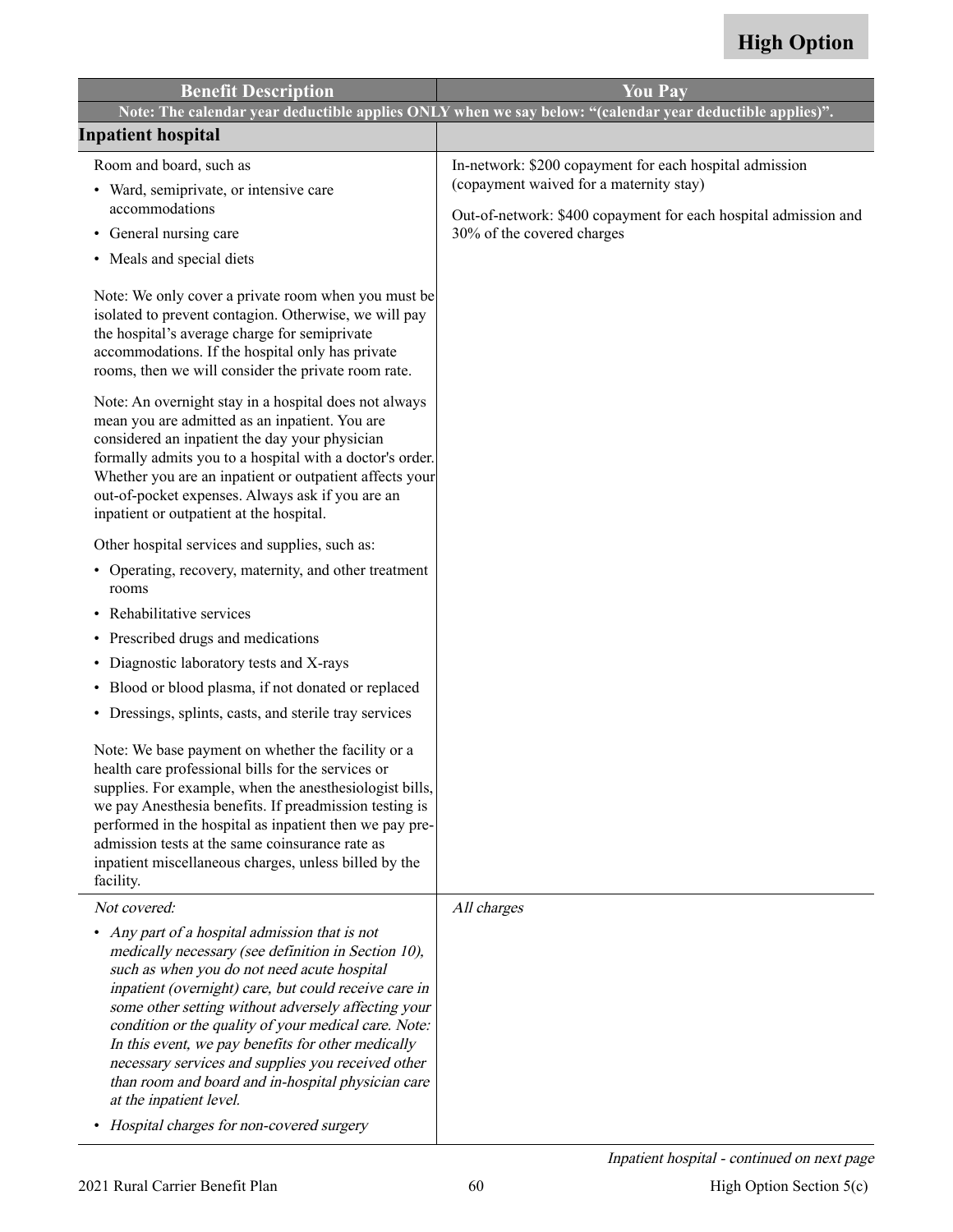| <b>Benefit Description</b>                                                                                                                                                                                                                                                                                                                                                                                                                                                                                                                                                         | <b>You Pay</b>                                                                                                                                                                                      |
|------------------------------------------------------------------------------------------------------------------------------------------------------------------------------------------------------------------------------------------------------------------------------------------------------------------------------------------------------------------------------------------------------------------------------------------------------------------------------------------------------------------------------------------------------------------------------------|-----------------------------------------------------------------------------------------------------------------------------------------------------------------------------------------------------|
|                                                                                                                                                                                                                                                                                                                                                                                                                                                                                                                                                                                    | Note: The calendar year deductible applies ONLY when we say below: "(calendar year deductible applies)".                                                                                            |
| <b>Inpatient hospital</b>                                                                                                                                                                                                                                                                                                                                                                                                                                                                                                                                                          |                                                                                                                                                                                                     |
| Room and board, such as<br>• Ward, semiprivate, or intensive care<br>accommodations<br>• General nursing care<br>• Meals and special diets<br>Note: We only cover a private room when you must be<br>isolated to prevent contagion. Otherwise, we will pay<br>the hospital's average charge for semiprivate<br>accommodations. If the hospital only has private<br>rooms, then we will consider the private room rate.<br>Note: An overnight stay in a hospital does not always<br>mean you are admitted as an inpatient. You are                                                  | In-network: \$200 copayment for each hospital admission<br>(copayment waived for a maternity stay)<br>Out-of-network: \$400 copayment for each hospital admission and<br>30% of the covered charges |
| considered an inpatient the day your physician<br>formally admits you to a hospital with a doctor's order.<br>Whether you are an inpatient or outpatient affects your<br>out-of-pocket expenses. Always ask if you are an<br>inpatient or outpatient at the hospital.                                                                                                                                                                                                                                                                                                              |                                                                                                                                                                                                     |
| Other hospital services and supplies, such as:                                                                                                                                                                                                                                                                                                                                                                                                                                                                                                                                     |                                                                                                                                                                                                     |
| • Operating, recovery, maternity, and other treatment<br>rooms                                                                                                                                                                                                                                                                                                                                                                                                                                                                                                                     |                                                                                                                                                                                                     |
| Rehabilitative services                                                                                                                                                                                                                                                                                                                                                                                                                                                                                                                                                            |                                                                                                                                                                                                     |
| • Prescribed drugs and medications                                                                                                                                                                                                                                                                                                                                                                                                                                                                                                                                                 |                                                                                                                                                                                                     |
| Diagnostic laboratory tests and X-rays<br>٠                                                                                                                                                                                                                                                                                                                                                                                                                                                                                                                                        |                                                                                                                                                                                                     |
| Blood or blood plasma, if not donated or replaced<br>٠                                                                                                                                                                                                                                                                                                                                                                                                                                                                                                                             |                                                                                                                                                                                                     |
| • Dressings, splints, casts, and sterile tray services                                                                                                                                                                                                                                                                                                                                                                                                                                                                                                                             |                                                                                                                                                                                                     |
| Note: We base payment on whether the facility or a<br>health care professional bills for the services or<br>supplies. For example, when the anesthesiologist bills,<br>we pay Anesthesia benefits. If preadmission testing is<br>performed in the hospital as inpatient then we pay pre-<br>admission tests at the same coinsurance rate as<br>inpatient miscellaneous charges, unless billed by the<br>facility.                                                                                                                                                                  |                                                                                                                                                                                                     |
| Not covered:                                                                                                                                                                                                                                                                                                                                                                                                                                                                                                                                                                       | All charges                                                                                                                                                                                         |
| Any part of a hospital admission that is not<br>$\bullet$<br>medically necessary (see definition in Section 10),<br>such as when you do not need acute hospital<br>inpatient (overnight) care, but could receive care in<br>some other setting without adversely affecting your<br>condition or the quality of your medical care. Note:<br>In this event, we pay benefits for other medically<br>necessary services and supplies you received other<br>than room and board and in-hospital physician care<br>at the inpatient level.<br>• Hospital charges for non-covered surgery |                                                                                                                                                                                                     |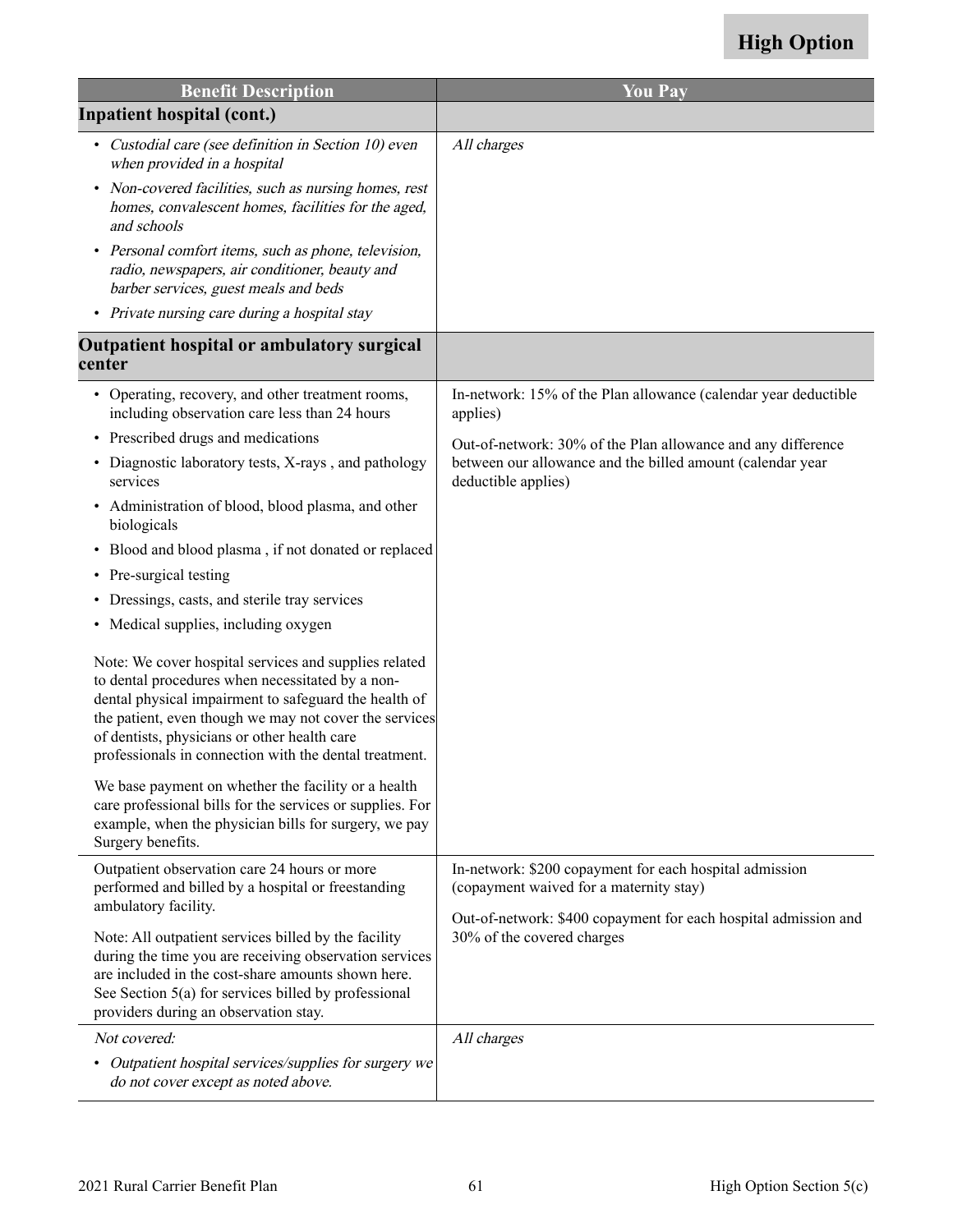| <b>Benefit Description</b>                                                                                                                                                                                                                                                                                                             | <b>You Pay</b>                                                                                                                                                        |
|----------------------------------------------------------------------------------------------------------------------------------------------------------------------------------------------------------------------------------------------------------------------------------------------------------------------------------------|-----------------------------------------------------------------------------------------------------------------------------------------------------------------------|
| <b>Inpatient hospital (cont.)</b>                                                                                                                                                                                                                                                                                                      |                                                                                                                                                                       |
| • Custodial care (see definition in Section 10) even<br>when provided in a hospital                                                                                                                                                                                                                                                    | All charges                                                                                                                                                           |
| Non-covered facilities, such as nursing homes, rest<br>homes, convalescent homes, facilities for the aged,<br>and schools                                                                                                                                                                                                              |                                                                                                                                                                       |
| • Personal comfort items, such as phone, television,<br>radio, newspapers, air conditioner, beauty and<br>barber services, guest meals and beds                                                                                                                                                                                        |                                                                                                                                                                       |
| • Private nursing care during a hospital stay                                                                                                                                                                                                                                                                                          |                                                                                                                                                                       |
| Outpatient hospital or ambulatory surgical<br>center                                                                                                                                                                                                                                                                                   |                                                                                                                                                                       |
| • Operating, recovery, and other treatment rooms,<br>including observation care less than 24 hours                                                                                                                                                                                                                                     | In-network: 15% of the Plan allowance (calendar year deductible<br>applies)                                                                                           |
| • Prescribed drugs and medications                                                                                                                                                                                                                                                                                                     | Out-of-network: 30% of the Plan allowance and any difference                                                                                                          |
| • Diagnostic laboratory tests, X-rays, and pathology<br>services                                                                                                                                                                                                                                                                       | between our allowance and the billed amount (calendar year<br>deductible applies)                                                                                     |
| • Administration of blood, blood plasma, and other<br>biologicals                                                                                                                                                                                                                                                                      |                                                                                                                                                                       |
| • Blood and blood plasma, if not donated or replaced                                                                                                                                                                                                                                                                                   |                                                                                                                                                                       |
| • Pre-surgical testing                                                                                                                                                                                                                                                                                                                 |                                                                                                                                                                       |
| Dressings, casts, and sterile tray services                                                                                                                                                                                                                                                                                            |                                                                                                                                                                       |
| • Medical supplies, including oxygen                                                                                                                                                                                                                                                                                                   |                                                                                                                                                                       |
| Note: We cover hospital services and supplies related<br>to dental procedures when necessitated by a non-<br>dental physical impairment to safeguard the health of<br>the patient, even though we may not cover the services<br>of dentists, physicians or other health care<br>professionals in connection with the dental treatment. |                                                                                                                                                                       |
| We base payment on whether the facility or a health<br>care professional bills for the services or supplies. For<br>example, when the physician bills for surgery, we pay<br>Surgery benefits.                                                                                                                                         |                                                                                                                                                                       |
| Outpatient observation care 24 hours or more<br>performed and billed by a hospital or freestanding<br>ambulatory facility.                                                                                                                                                                                                             | In-network: \$200 copayment for each hospital admission<br>(copayment waived for a maternity stay)<br>Out-of-network: \$400 copayment for each hospital admission and |
| Note: All outpatient services billed by the facility<br>during the time you are receiving observation services<br>are included in the cost-share amounts shown here.<br>See Section 5(a) for services billed by professional<br>providers during an observation stay.                                                                  | 30% of the covered charges                                                                                                                                            |
| Not covered:                                                                                                                                                                                                                                                                                                                           | All charges                                                                                                                                                           |
| • Outpatient hospital services/supplies for surgery we<br>do not cover except as noted above.                                                                                                                                                                                                                                          |                                                                                                                                                                       |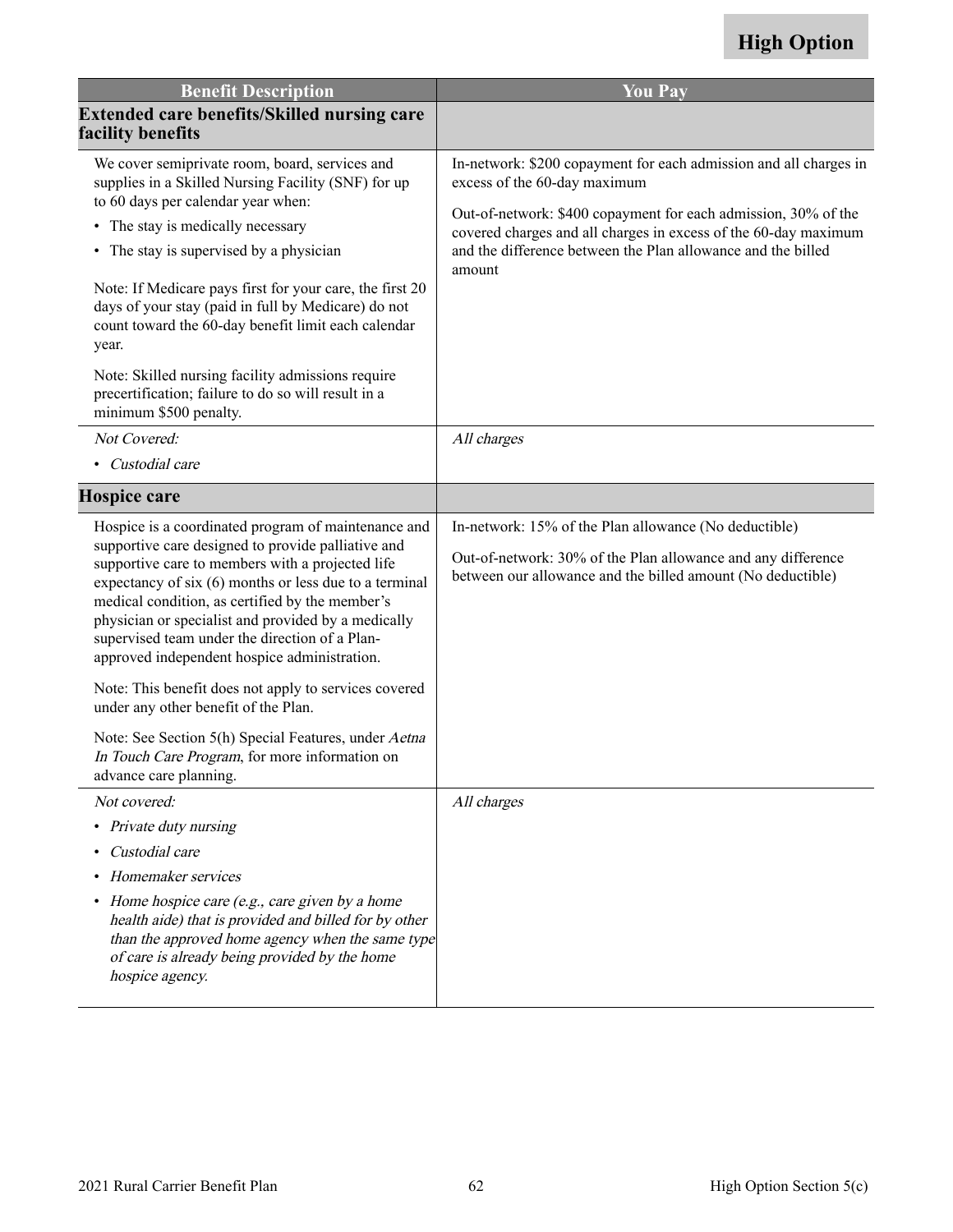| <b>Benefit Description</b>                                                                                                                                                                                                                                                                                                                                                                                                          | <b>You Pay</b>                                                                                                                                                                       |
|-------------------------------------------------------------------------------------------------------------------------------------------------------------------------------------------------------------------------------------------------------------------------------------------------------------------------------------------------------------------------------------------------------------------------------------|--------------------------------------------------------------------------------------------------------------------------------------------------------------------------------------|
| <b>Extended care benefits/Skilled nursing care</b><br>facility benefits                                                                                                                                                                                                                                                                                                                                                             |                                                                                                                                                                                      |
| We cover semiprivate room, board, services and<br>supplies in a Skilled Nursing Facility (SNF) for up                                                                                                                                                                                                                                                                                                                               | In-network: \$200 copayment for each admission and all charges in<br>excess of the 60-day maximum                                                                                    |
| to 60 days per calendar year when:<br>• The stay is medically necessary                                                                                                                                                                                                                                                                                                                                                             | Out-of-network: \$400 copayment for each admission, 30% of the<br>covered charges and all charges in excess of the 60-day maximum                                                    |
| The stay is supervised by a physician<br>$\bullet$                                                                                                                                                                                                                                                                                                                                                                                  | and the difference between the Plan allowance and the billed<br>amount                                                                                                               |
| Note: If Medicare pays first for your care, the first 20<br>days of your stay (paid in full by Medicare) do not<br>count toward the 60-day benefit limit each calendar<br>year.                                                                                                                                                                                                                                                     |                                                                                                                                                                                      |
| Note: Skilled nursing facility admissions require<br>precertification; failure to do so will result in a<br>minimum \$500 penalty.                                                                                                                                                                                                                                                                                                  |                                                                                                                                                                                      |
| Not Covered:                                                                                                                                                                                                                                                                                                                                                                                                                        | All charges                                                                                                                                                                          |
| • Custodial care                                                                                                                                                                                                                                                                                                                                                                                                                    |                                                                                                                                                                                      |
| <b>Hospice care</b>                                                                                                                                                                                                                                                                                                                                                                                                                 |                                                                                                                                                                                      |
| Hospice is a coordinated program of maintenance and<br>supportive care designed to provide palliative and<br>supportive care to members with a projected life<br>expectancy of six (6) months or less due to a terminal<br>medical condition, as certified by the member's<br>physician or specialist and provided by a medically<br>supervised team under the direction of a Plan-<br>approved independent hospice administration. | In-network: 15% of the Plan allowance (No deductible)<br>Out-of-network: 30% of the Plan allowance and any difference<br>between our allowance and the billed amount (No deductible) |
| Note: This benefit does not apply to services covered<br>under any other benefit of the Plan.                                                                                                                                                                                                                                                                                                                                       |                                                                                                                                                                                      |
| Note: See Section 5(h) Special Features, under Aetna<br>In Touch Care Program, for more information on<br>advance care planning.                                                                                                                                                                                                                                                                                                    |                                                                                                                                                                                      |
| Not covered:                                                                                                                                                                                                                                                                                                                                                                                                                        | All charges                                                                                                                                                                          |
| • Private duty nursing                                                                                                                                                                                                                                                                                                                                                                                                              |                                                                                                                                                                                      |
| Custodial care<br>$\bullet$                                                                                                                                                                                                                                                                                                                                                                                                         |                                                                                                                                                                                      |
| Homemaker services                                                                                                                                                                                                                                                                                                                                                                                                                  |                                                                                                                                                                                      |
| • Home hospice care (e.g., care given by a home<br>health aide) that is provided and billed for by other<br>than the approved home agency when the same type<br>of care is already being provided by the home<br>hospice agency.                                                                                                                                                                                                    |                                                                                                                                                                                      |
|                                                                                                                                                                                                                                                                                                                                                                                                                                     |                                                                                                                                                                                      |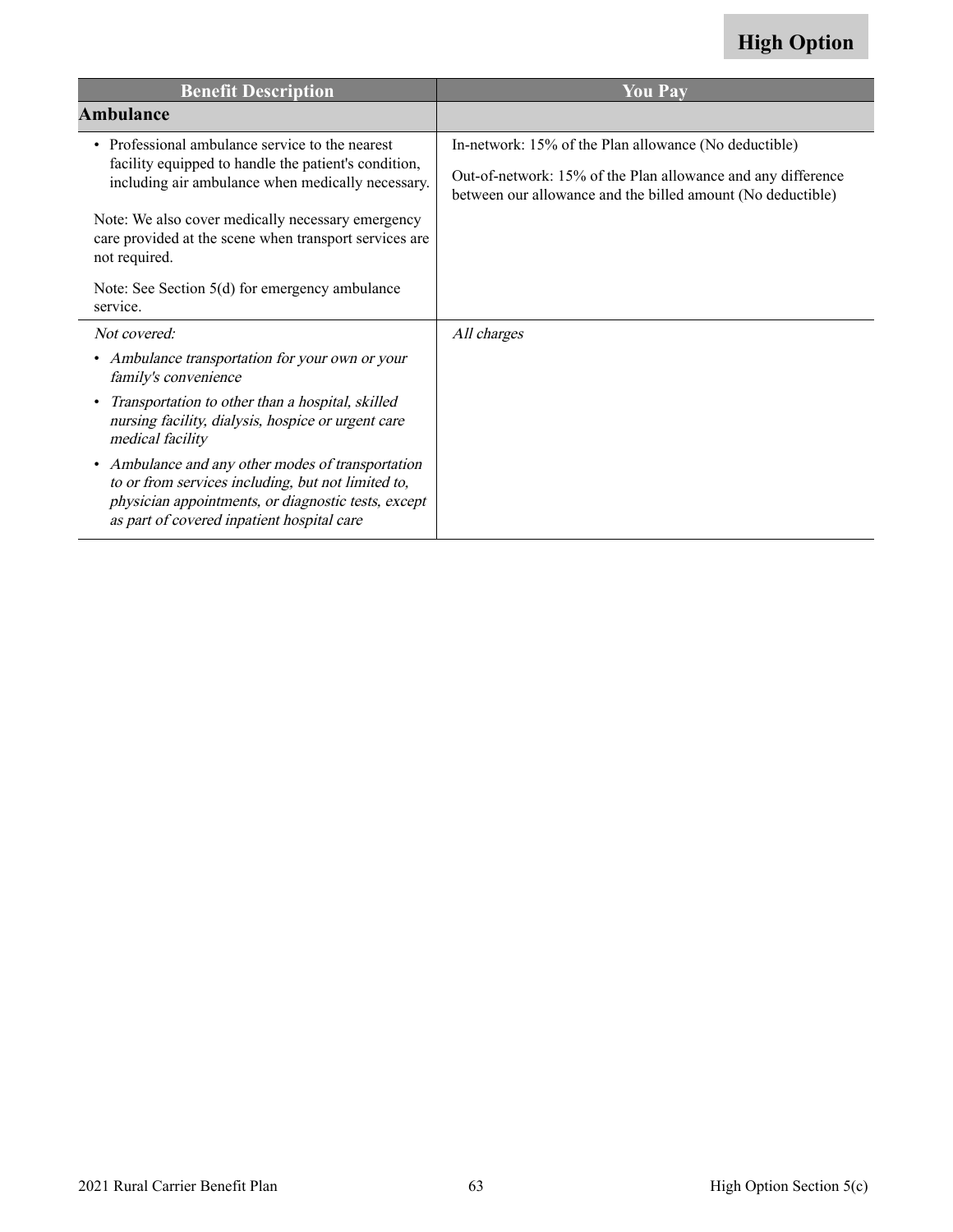| <b>Benefit Description</b>                                                                                                                                                                                   | <b>You Pay</b>                                                                                                                                                                       |
|--------------------------------------------------------------------------------------------------------------------------------------------------------------------------------------------------------------|--------------------------------------------------------------------------------------------------------------------------------------------------------------------------------------|
| <b>Ambulance</b>                                                                                                                                                                                             |                                                                                                                                                                                      |
| • Professional ambulance service to the nearest<br>facility equipped to handle the patient's condition,<br>including air ambulance when medically necessary.                                                 | In-network: 15% of the Plan allowance (No deductible)<br>Out-of-network: 15% of the Plan allowance and any difference<br>between our allowance and the billed amount (No deductible) |
| Note: We also cover medically necessary emergency<br>care provided at the scene when transport services are<br>not required.                                                                                 |                                                                                                                                                                                      |
| Note: See Section $5(d)$ for emergency ambulance<br>service.                                                                                                                                                 |                                                                                                                                                                                      |
| Not covered:                                                                                                                                                                                                 | All charges                                                                                                                                                                          |
| • Ambulance transportation for your own or your<br>family's convenience                                                                                                                                      |                                                                                                                                                                                      |
| Transportation to other than a hospital, skilled<br>nursing facility, dialysis, hospice or urgent care<br>medical facility                                                                                   |                                                                                                                                                                                      |
| • Ambulance and any other modes of transportation<br>to or from services including, but not limited to,<br>physician appointments, or diagnostic tests, except<br>as part of covered inpatient hospital care |                                                                                                                                                                                      |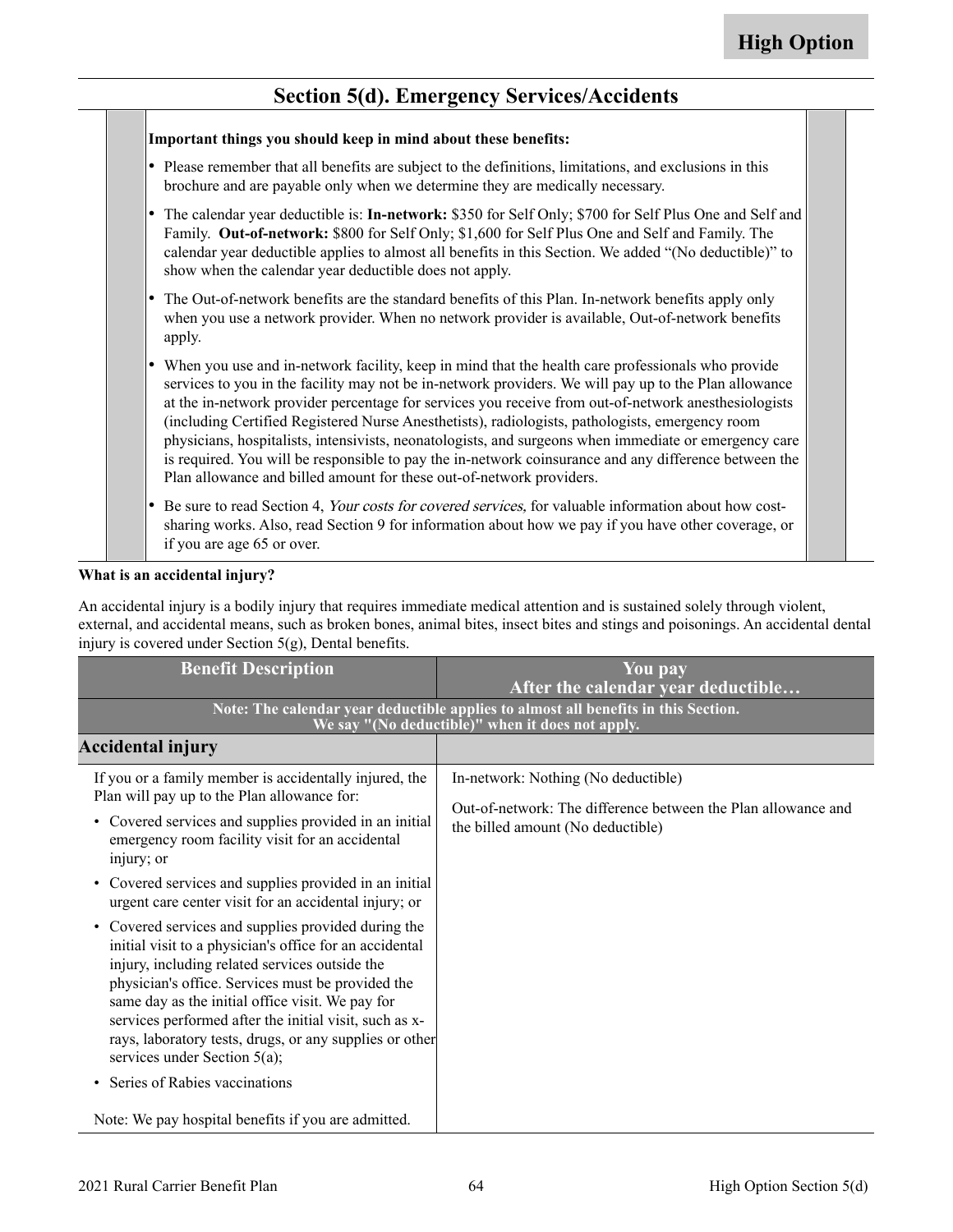#### **Section 5(d). Emergency Services/Accidents**

|   | Important things you should keep in mind about these benefits:                                                                                                                                                                                                                                                                                                                                                                                                                                                                                                                                                                                                                                                  |  |
|---|-----------------------------------------------------------------------------------------------------------------------------------------------------------------------------------------------------------------------------------------------------------------------------------------------------------------------------------------------------------------------------------------------------------------------------------------------------------------------------------------------------------------------------------------------------------------------------------------------------------------------------------------------------------------------------------------------------------------|--|
|   | Please remember that all benefits are subject to the definitions, limitations, and exclusions in this<br>brochure and are payable only when we determine they are medically necessary.                                                                                                                                                                                                                                                                                                                                                                                                                                                                                                                          |  |
|   | The calendar year deductible is: In-network: \$350 for Self Only; \$700 for Self Plus One and Self and<br>Family. Out-of-network: \$800 for Self Only; \$1,600 for Self Plus One and Self and Family. The<br>calendar year deductible applies to almost all benefits in this Section. We added "(No deductible)" to<br>show when the calendar year deductible does not apply.                                                                                                                                                                                                                                                                                                                                   |  |
|   | The Out-of-network benefits are the standard benefits of this Plan. In-network benefits apply only<br>when you use a network provider. When no network provider is available, Out-of-network benefits<br>apply.                                                                                                                                                                                                                                                                                                                                                                                                                                                                                                 |  |
| ٠ | When you use and in-network facility, keep in mind that the health care professionals who provide<br>services to you in the facility may not be in-network providers. We will pay up to the Plan allowance<br>at the in-network provider percentage for services you receive from out-of-network anesthesiologists<br>(including Certified Registered Nurse Anesthetists), radiologists, pathologists, emergency room<br>physicians, hospitalists, intensivists, neonatologists, and surgeons when immediate or emergency care<br>is required. You will be responsible to pay the in-network coinsurance and any difference between the<br>Plan allowance and billed amount for these out-of-network providers. |  |
|   | Be sure to read Section 4, Your costs for covered services, for valuable information about how cost-<br>sharing works. Also, read Section 9 for information about how we pay if you have other coverage, or<br>if you are age 65 or over.                                                                                                                                                                                                                                                                                                                                                                                                                                                                       |  |

#### **What is an accidental injury?**

An accidental injury is a bodily injury that requires immediate medical attention and is sustained solely through violent, external, and accidental means, such as broken bones, animal bites, insect bites and stings and poisonings. An accidental dental injury is covered under Section 5(g), Dental benefits.

| <b>Benefit Description</b>                                                                                                                                                                                                                                                                                                                                                                                                        | You pay<br>After the calendar year deductible                                                                                          |
|-----------------------------------------------------------------------------------------------------------------------------------------------------------------------------------------------------------------------------------------------------------------------------------------------------------------------------------------------------------------------------------------------------------------------------------|----------------------------------------------------------------------------------------------------------------------------------------|
|                                                                                                                                                                                                                                                                                                                                                                                                                                   | Note: The calendar year deductible applies to almost all benefits in this Section.<br>We say "(No deductible)" when it does not apply. |
| <b>Accidental injury</b>                                                                                                                                                                                                                                                                                                                                                                                                          |                                                                                                                                        |
| If you or a family member is accidentally injured, the<br>Plan will pay up to the Plan allowance for:                                                                                                                                                                                                                                                                                                                             | In-network: Nothing (No deductible)                                                                                                    |
| • Covered services and supplies provided in an initial<br>emergency room facility visit for an accidental<br>injury; or                                                                                                                                                                                                                                                                                                           | Out-of-network: The difference between the Plan allowance and<br>the billed amount (No deductible)                                     |
| • Covered services and supplies provided in an initial<br>urgent care center visit for an accidental injury; or                                                                                                                                                                                                                                                                                                                   |                                                                                                                                        |
| • Covered services and supplies provided during the<br>initial visit to a physician's office for an accidental<br>injury, including related services outside the<br>physician's office. Services must be provided the<br>same day as the initial office visit. We pay for<br>services performed after the initial visit, such as x-<br>rays, laboratory tests, drugs, or any supplies or other<br>services under Section $5(a)$ ; |                                                                                                                                        |
| Series of Rabies vaccinations<br>$\bullet$                                                                                                                                                                                                                                                                                                                                                                                        |                                                                                                                                        |
| Note: We pay hospital benefits if you are admitted.                                                                                                                                                                                                                                                                                                                                                                               |                                                                                                                                        |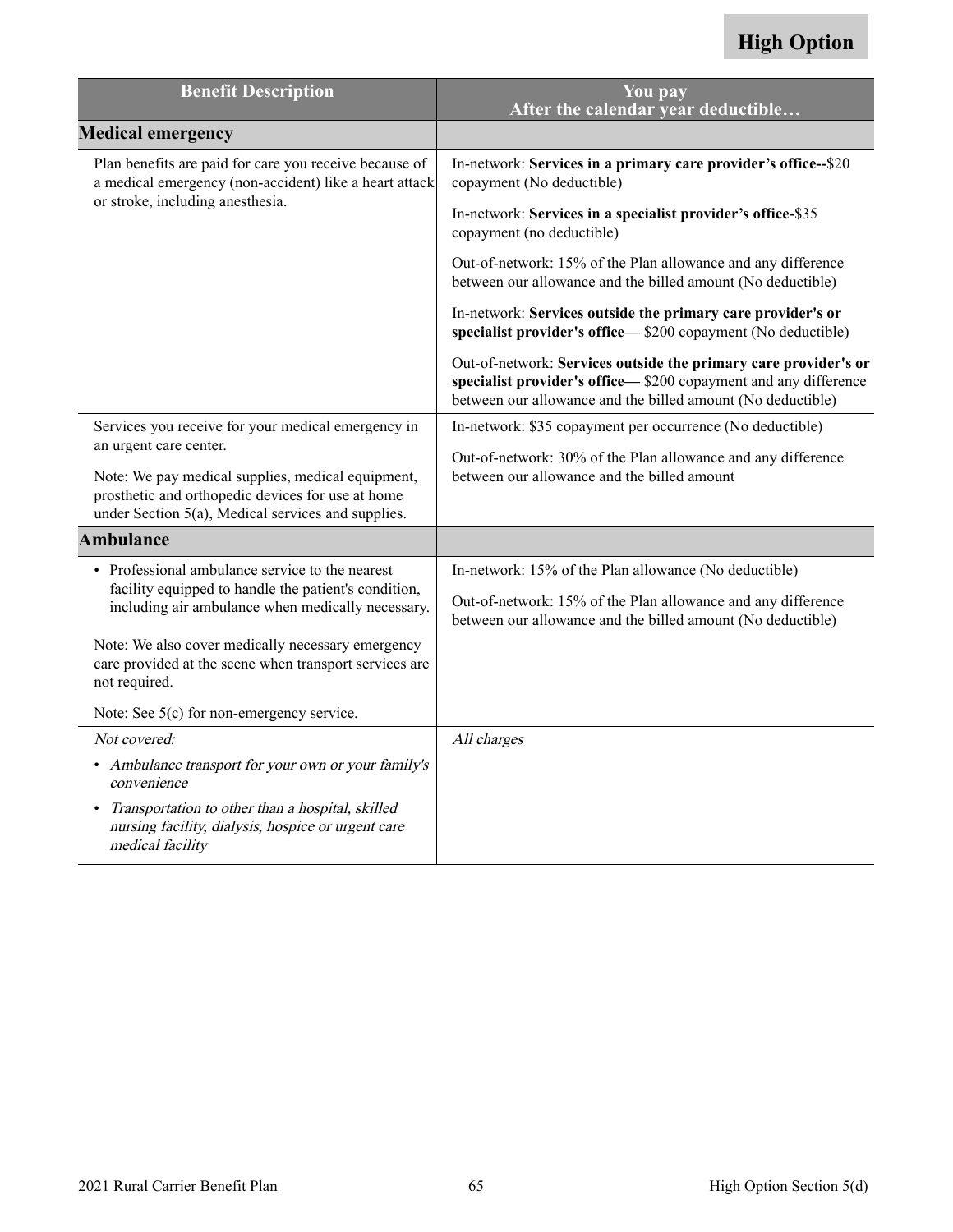| <b>Benefit Description</b>                                                                                                       | $\overline{\text{You}}$ pay<br>After the calendar vear deductible                                                                                                                                 |
|----------------------------------------------------------------------------------------------------------------------------------|---------------------------------------------------------------------------------------------------------------------------------------------------------------------------------------------------|
| <b>Medical emergency</b>                                                                                                         |                                                                                                                                                                                                   |
| Plan benefits are paid for care you receive because of<br>a medical emergency (non-accident) like a heart attack                 | In-network: Services in a primary care provider's office--\$20<br>copayment (No deductible)                                                                                                       |
| or stroke, including anesthesia.                                                                                                 | In-network: Services in a specialist provider's office-\$35<br>copayment (no deductible)                                                                                                          |
|                                                                                                                                  | Out-of-network: 15% of the Plan allowance and any difference<br>between our allowance and the billed amount (No deductible)                                                                       |
|                                                                                                                                  | In-network: Services outside the primary care provider's or<br>specialist provider's office—\$200 copayment (No deductible)                                                                       |
|                                                                                                                                  | Out-of-network: Services outside the primary care provider's or<br>specialist provider's office-\$200 copayment and any difference<br>between our allowance and the billed amount (No deductible) |
| Services you receive for your medical emergency in                                                                               | In-network: \$35 copayment per occurrence (No deductible)                                                                                                                                         |
| an urgent care center.<br>Note: We pay medical supplies, medical equipment,<br>prosthetic and orthopedic devices for use at home | Out-of-network: 30% of the Plan allowance and any difference<br>between our allowance and the billed amount                                                                                       |
| under Section 5(a), Medical services and supplies.                                                                               |                                                                                                                                                                                                   |
| <b>Ambulance</b>                                                                                                                 |                                                                                                                                                                                                   |
| • Professional ambulance service to the nearest                                                                                  | In-network: 15% of the Plan allowance (No deductible)                                                                                                                                             |
| facility equipped to handle the patient's condition,<br>including air ambulance when medically necessary.                        | Out-of-network: 15% of the Plan allowance and any difference<br>between our allowance and the billed amount (No deductible)                                                                       |
| Note: We also cover medically necessary emergency<br>care provided at the scene when transport services are<br>not required.     |                                                                                                                                                                                                   |
| Note: See 5(c) for non-emergency service.                                                                                        |                                                                                                                                                                                                   |
| Not covered:                                                                                                                     | All charges                                                                                                                                                                                       |
| • Ambulance transport for your own or your family's<br>convenience                                                               |                                                                                                                                                                                                   |
| Transportation to other than a hospital, skilled<br>nursing facility, dialysis, hospice or urgent care<br>medical facility       |                                                                                                                                                                                                   |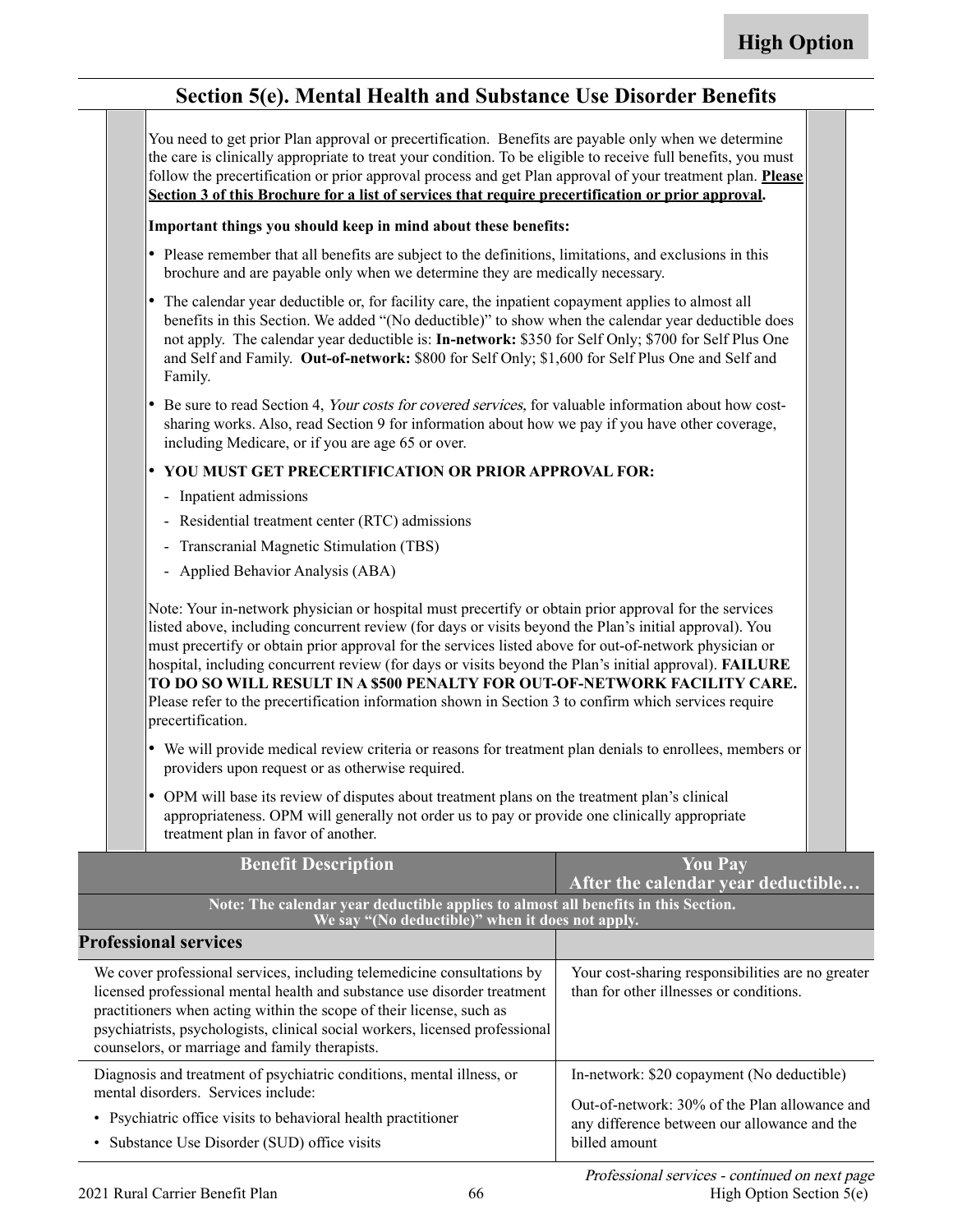#### **Section 5(e). Mental Health and Substance Use Disorder Benefits**

You need to get prior Plan approval or precertification. Benefits are payable only when we determine the care is clinically appropriate to treat your condition. To be eligible to receive full benefits, you must follow the precertification or prior approval process and get Plan approval of your treatment plan. **Please Section 3 of this Brochure for a list of services that require precertification or prior approval.**

#### **Important things you should keep in mind about these benefits:**

- Please remember that all benefits are subject to the definitions, limitations, and exclusions in this brochure and are payable only when we determine they are medically necessary.
- The calendar year deductible or, for facility care, the inpatient copayment applies to almost all benefits in this Section. We added "(No deductible)" to show when the calendar year deductible does not apply. The calendar year deductible is: **In-network:** \$350 for Self Only; \$700 for Self Plus One and Self and Family. **Out-of-network:** \$800 for Self Only; \$1,600 for Self Plus One and Self and Family.
- • Be sure to read Section 4, Your costs for covered services, for valuable information about how costsharing works. Also, read Section 9 for information about how we pay if you have other coverage, including Medicare, or if you are age 65 or over.

#### • **YOU MUST GET PRECERTIFICATION OR PRIOR APPROVAL FOR:**

- Inpatient admissions
- Residential treatment center (RTC) admissions
- Transcranial Magnetic Stimulation (TBS)
- Applied Behavior Analysis (ABA)

Note: Your in-network physician or hospital must precertify or obtain prior approval for the services listed above, including concurrent review (for days or visits beyond the Plan's initial approval). You must precertify or obtain prior approval for the services listed above for out-of-network physician or hospital, including concurrent review (for days or visits beyond the Plan's initial approval). **FAILURE TO DO SO WILL RESULT IN A \$500 PENALTY FOR OUT-OF-NETWORK FACILITY CARE.**  Please refer to the precertification information shown in Section 3 to confirm which services require precertification.

- We will provide medical review criteria or reasons for treatment plan denials to enrollees, members or providers upon request or as otherwise required.
- OPM will base its review of disputes about treatment plans on the treatment plan's clinical appropriateness. OPM will generally not order us to pay or provide one clinically appropriate treatment plan in favor of another.

| <b>Benefit Description</b>                                                                                                                                                                                                                                                                                                                                    | <b>You Pay</b><br>After the calendar year deductible                                                                                                         |
|---------------------------------------------------------------------------------------------------------------------------------------------------------------------------------------------------------------------------------------------------------------------------------------------------------------------------------------------------------------|--------------------------------------------------------------------------------------------------------------------------------------------------------------|
| Note: The calendar year deductible applies to almost all benefits in this Section.<br>We say "(No deductible)" when it does not apply.                                                                                                                                                                                                                        |                                                                                                                                                              |
| <b>Professional services</b>                                                                                                                                                                                                                                                                                                                                  |                                                                                                                                                              |
| We cover professional services, including telemedicine consultations by<br>licensed professional mental health and substance use disorder treatment<br>practitioners when acting within the scope of their license, such as<br>psychiatrists, psychologists, clinical social workers, licensed professional<br>counselors, or marriage and family therapists. | Your cost-sharing responsibilities are no greater<br>than for other illnesses or conditions.                                                                 |
| Diagnosis and treatment of psychiatric conditions, mental illness, or<br>mental disorders. Services include:<br>• Psychiatric office visits to behavioral health practitioner<br>• Substance Use Disorder (SUD) office visits                                                                                                                                 | In-network: \$20 copayment (No deductible)<br>Out-of-network: 30% of the Plan allowance and<br>any difference between our allowance and the<br>billed amount |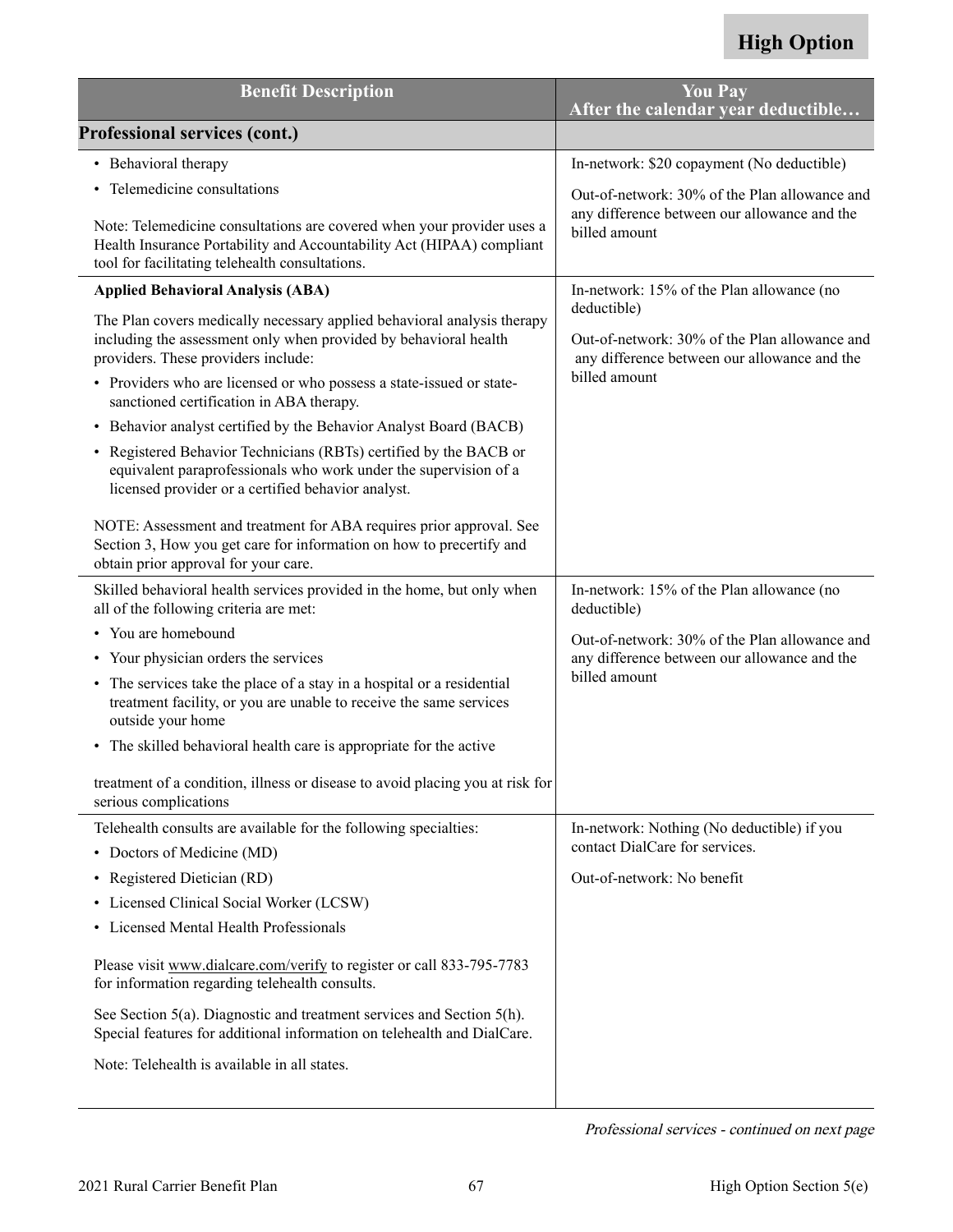| <b>Benefit Description</b>                                                                                                                                                                         | <b>You Pay</b><br>After the calendar year deductible                                                                          |
|----------------------------------------------------------------------------------------------------------------------------------------------------------------------------------------------------|-------------------------------------------------------------------------------------------------------------------------------|
| <b>Professional services (cont.)</b>                                                                                                                                                               |                                                                                                                               |
| • Behavioral therapy                                                                                                                                                                               | In-network: \$20 copayment (No deductible)                                                                                    |
| • Telemedicine consultations                                                                                                                                                                       | Out-of-network: 30% of the Plan allowance and                                                                                 |
| Note: Telemedicine consultations are covered when your provider uses a<br>Health Insurance Portability and Accountability Act (HIPAA) compliant<br>tool for facilitating telehealth consultations. | any difference between our allowance and the<br>billed amount                                                                 |
| <b>Applied Behavioral Analysis (ABA)</b>                                                                                                                                                           | In-network: 15% of the Plan allowance (no                                                                                     |
| The Plan covers medically necessary applied behavioral analysis therapy<br>including the assessment only when provided by behavioral health<br>providers. These providers include:                 | deductible)<br>Out-of-network: 30% of the Plan allowance and<br>any difference between our allowance and the<br>billed amount |
| • Providers who are licensed or who possess a state-issued or state-<br>sanctioned certification in ABA therapy.                                                                                   |                                                                                                                               |
| • Behavior analyst certified by the Behavior Analyst Board (BACB)                                                                                                                                  |                                                                                                                               |
| • Registered Behavior Technicians (RBTs) certified by the BACB or<br>equivalent paraprofessionals who work under the supervision of a<br>licensed provider or a certified behavior analyst.        |                                                                                                                               |
| NOTE: Assessment and treatment for ABA requires prior approval. See<br>Section 3, How you get care for information on how to precertify and<br>obtain prior approval for your care.                |                                                                                                                               |
| Skilled behavioral health services provided in the home, but only when<br>all of the following criteria are met:                                                                                   | In-network: 15% of the Plan allowance (no<br>deductible)                                                                      |
| • You are homebound                                                                                                                                                                                | Out-of-network: 30% of the Plan allowance and                                                                                 |
| • Your physician orders the services                                                                                                                                                               | any difference between our allowance and the                                                                                  |
| The services take the place of a stay in a hospital or a residential<br>$\bullet$<br>treatment facility, or you are unable to receive the same services<br>outside your home                       | billed amount                                                                                                                 |
| • The skilled behavioral health care is appropriate for the active                                                                                                                                 |                                                                                                                               |
| treatment of a condition, illness or disease to avoid placing you at risk for<br>serious complications                                                                                             |                                                                                                                               |
| Telehealth consults are available for the following specialties:                                                                                                                                   | In-network: Nothing (No deductible) if you                                                                                    |
| • Doctors of Medicine (MD)                                                                                                                                                                         | contact DialCare for services.                                                                                                |
| Registered Dietician (RD)<br>٠                                                                                                                                                                     | Out-of-network: No benefit                                                                                                    |
| Licensed Clinical Social Worker (LCSW)<br>٠                                                                                                                                                        |                                                                                                                               |
| • Licensed Mental Health Professionals                                                                                                                                                             |                                                                                                                               |
| Please visit www.dialcare.com/verify to register or call 833-795-7783<br>for information regarding telehealth consults.                                                                            |                                                                                                                               |
| See Section 5(a). Diagnostic and treatment services and Section 5(h).<br>Special features for additional information on telehealth and DialCare.                                                   |                                                                                                                               |
| Note: Telehealth is available in all states.                                                                                                                                                       |                                                                                                                               |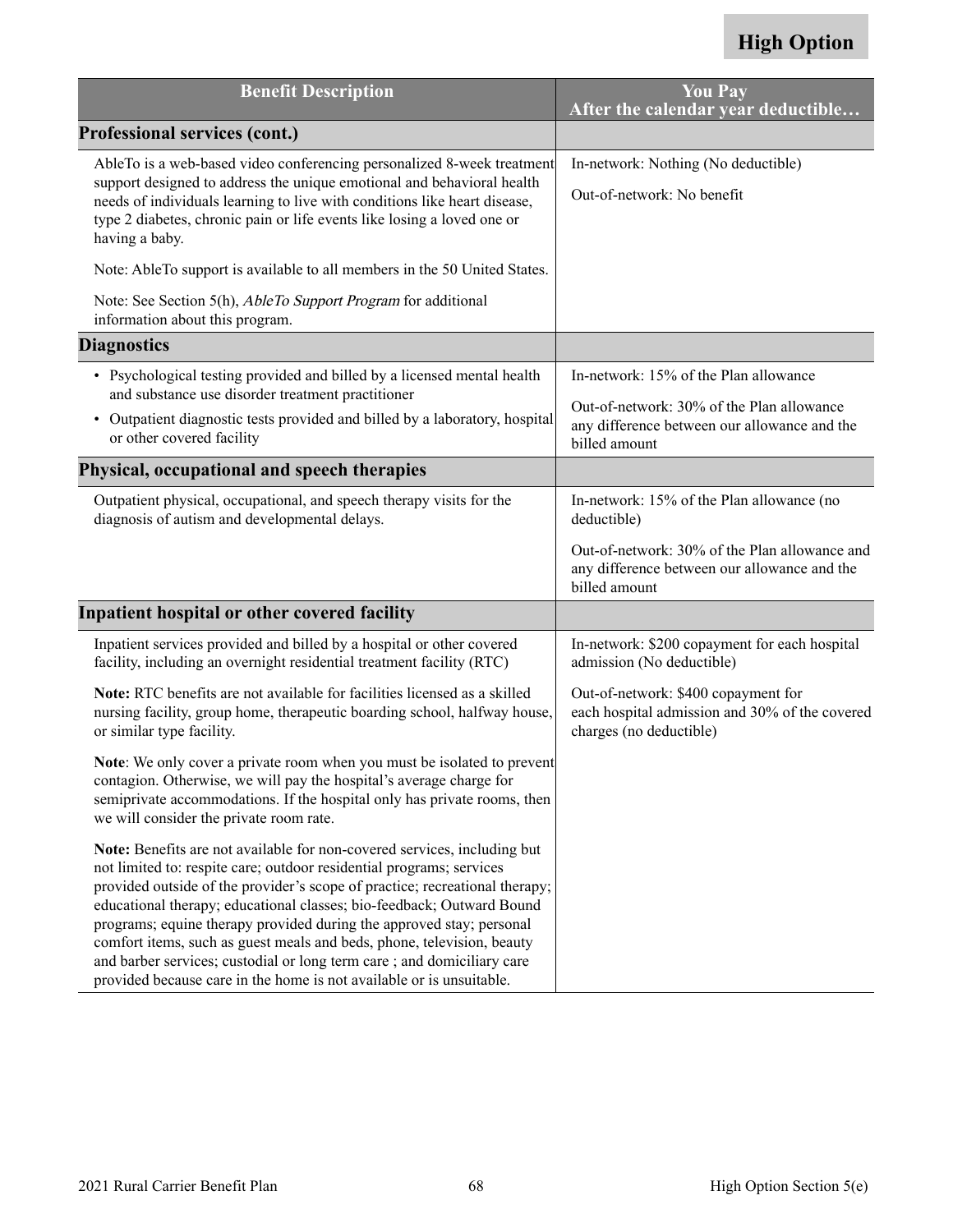<span id="page-69-0"></span>

| <b>Benefit Description</b>                                                                                                                                                                                                                                                                                                                                                                                                                                                                                                                                                                                   | <b>You Pay</b><br>After the calendar year deductible                                                             |
|--------------------------------------------------------------------------------------------------------------------------------------------------------------------------------------------------------------------------------------------------------------------------------------------------------------------------------------------------------------------------------------------------------------------------------------------------------------------------------------------------------------------------------------------------------------------------------------------------------------|------------------------------------------------------------------------------------------------------------------|
| <b>Professional services (cont.)</b>                                                                                                                                                                                                                                                                                                                                                                                                                                                                                                                                                                         |                                                                                                                  |
| AbleTo is a web-based video conferencing personalized 8-week treatment<br>support designed to address the unique emotional and behavioral health<br>needs of individuals learning to live with conditions like heart disease,<br>type 2 diabetes, chronic pain or life events like losing a loved one or<br>having a baby.                                                                                                                                                                                                                                                                                   | In-network: Nothing (No deductible)<br>Out-of-network: No benefit                                                |
| Note: AbleTo support is available to all members in the 50 United States.                                                                                                                                                                                                                                                                                                                                                                                                                                                                                                                                    |                                                                                                                  |
| Note: See Section 5(h), AbleTo Support Program for additional<br>information about this program.                                                                                                                                                                                                                                                                                                                                                                                                                                                                                                             |                                                                                                                  |
| <b>Diagnostics</b>                                                                                                                                                                                                                                                                                                                                                                                                                                                                                                                                                                                           |                                                                                                                  |
| • Psychological testing provided and billed by a licensed mental health<br>and substance use disorder treatment practitioner                                                                                                                                                                                                                                                                                                                                                                                                                                                                                 | In-network: 15% of the Plan allowance                                                                            |
| Outpatient diagnostic tests provided and billed by a laboratory, hospital<br>$\bullet$<br>or other covered facility                                                                                                                                                                                                                                                                                                                                                                                                                                                                                          | Out-of-network: 30% of the Plan allowance<br>any difference between our allowance and the<br>billed amount       |
| Physical, occupational and speech therapies                                                                                                                                                                                                                                                                                                                                                                                                                                                                                                                                                                  |                                                                                                                  |
| Outpatient physical, occupational, and speech therapy visits for the<br>diagnosis of autism and developmental delays.                                                                                                                                                                                                                                                                                                                                                                                                                                                                                        | In-network: 15% of the Plan allowance (no<br>deductible)                                                         |
|                                                                                                                                                                                                                                                                                                                                                                                                                                                                                                                                                                                                              | Out-of-network: 30% of the Plan allowance and<br>any difference between our allowance and the<br>billed amount   |
| Inpatient hospital or other covered facility                                                                                                                                                                                                                                                                                                                                                                                                                                                                                                                                                                 |                                                                                                                  |
| Inpatient services provided and billed by a hospital or other covered<br>facility, including an overnight residential treatment facility (RTC)                                                                                                                                                                                                                                                                                                                                                                                                                                                               | In-network: \$200 copayment for each hospital<br>admission (No deductible)                                       |
| Note: RTC benefits are not available for facilities licensed as a skilled<br>nursing facility, group home, therapeutic boarding school, halfway house,<br>or similar type facility.                                                                                                                                                                                                                                                                                                                                                                                                                          | Out-of-network: \$400 copayment for<br>each hospital admission and 30% of the covered<br>charges (no deductible) |
| Note: We only cover a private room when you must be isolated to prevent<br>contagion. Otherwise, we will pay the hospital's average charge for<br>semiprivate accommodations. If the hospital only has private rooms, then<br>we will consider the private room rate.                                                                                                                                                                                                                                                                                                                                        |                                                                                                                  |
| Note: Benefits are not available for non-covered services, including but<br>not limited to: respite care; outdoor residential programs; services<br>provided outside of the provider's scope of practice; recreational therapy;<br>educational therapy; educational classes; bio-feedback; Outward Bound<br>programs; equine therapy provided during the approved stay; personal<br>comfort items, such as guest meals and beds, phone, television, beauty<br>and barber services; custodial or long term care; and domiciliary care<br>provided because care in the home is not available or is unsuitable. |                                                                                                                  |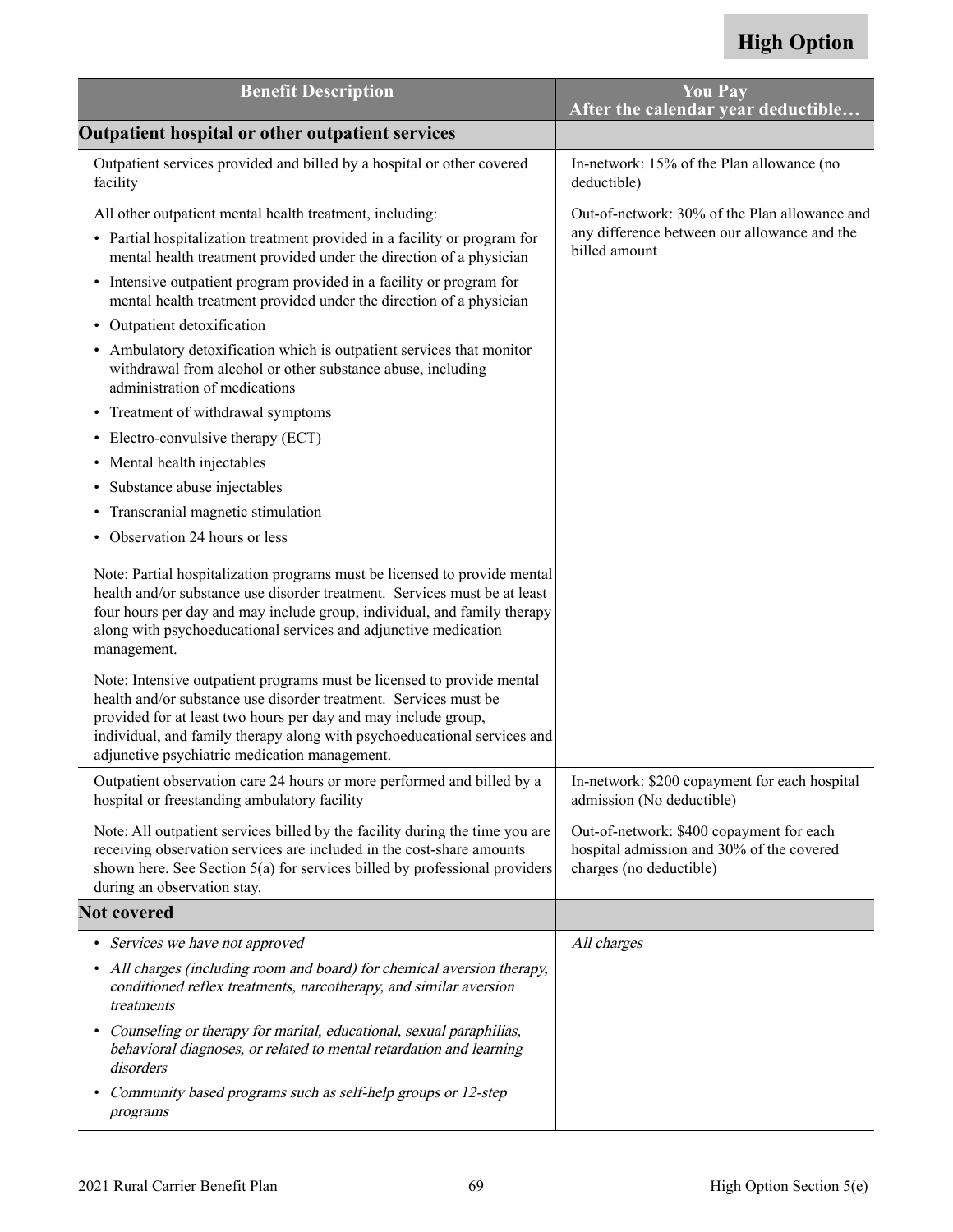| <b>Benefit Description</b>                                                                                                                                                                                                                                                                                                                | <b>You Pay</b><br>After the calendar year deductible                                                             |
|-------------------------------------------------------------------------------------------------------------------------------------------------------------------------------------------------------------------------------------------------------------------------------------------------------------------------------------------|------------------------------------------------------------------------------------------------------------------|
| Outpatient hospital or other outpatient services                                                                                                                                                                                                                                                                                          |                                                                                                                  |
| Outpatient services provided and billed by a hospital or other covered<br>facility                                                                                                                                                                                                                                                        | In-network: 15% of the Plan allowance (no<br>deductible)                                                         |
| All other outpatient mental health treatment, including:<br>• Partial hospitalization treatment provided in a facility or program for<br>mental health treatment provided under the direction of a physician                                                                                                                              | Out-of-network: 30% of the Plan allowance and<br>any difference between our allowance and the<br>billed amount   |
| • Intensive outpatient program provided in a facility or program for<br>mental health treatment provided under the direction of a physician                                                                                                                                                                                               |                                                                                                                  |
| • Outpatient detoxification                                                                                                                                                                                                                                                                                                               |                                                                                                                  |
| • Ambulatory detoxification which is outpatient services that monitor<br>withdrawal from alcohol or other substance abuse, including<br>administration of medications                                                                                                                                                                     |                                                                                                                  |
| • Treatment of withdrawal symptoms                                                                                                                                                                                                                                                                                                        |                                                                                                                  |
| • Electro-convulsive therapy (ECT)                                                                                                                                                                                                                                                                                                        |                                                                                                                  |
| Mental health injectables<br>٠                                                                                                                                                                                                                                                                                                            |                                                                                                                  |
| Substance abuse injectables<br>٠                                                                                                                                                                                                                                                                                                          |                                                                                                                  |
| Transcranial magnetic stimulation<br>٠                                                                                                                                                                                                                                                                                                    |                                                                                                                  |
| Observation 24 hours or less<br>٠                                                                                                                                                                                                                                                                                                         |                                                                                                                  |
| Note: Partial hospitalization programs must be licensed to provide mental<br>health and/or substance use disorder treatment. Services must be at least<br>four hours per day and may include group, individual, and family therapy<br>along with psychoeducational services and adjunctive medication<br>management.                      |                                                                                                                  |
| Note: Intensive outpatient programs must be licensed to provide mental<br>health and/or substance use disorder treatment. Services must be<br>provided for at least two hours per day and may include group,<br>individual, and family therapy along with psychoeducational services and<br>adjunctive psychiatric medication management. |                                                                                                                  |
| Outpatient observation care 24 hours or more performed and billed by a<br>hospital or freestanding ambulatory facility                                                                                                                                                                                                                    | In-network: \$200 copayment for each hospital<br>admission (No deductible)                                       |
| Note: All outpatient services billed by the facility during the time you are<br>receiving observation services are included in the cost-share amounts<br>shown here. See Section 5(a) for services billed by professional providers<br>during an observation stay.                                                                        | Out-of-network: \$400 copayment for each<br>hospital admission and 30% of the covered<br>charges (no deductible) |
| <b>Not covered</b>                                                                                                                                                                                                                                                                                                                        |                                                                                                                  |
| • Services we have not approved                                                                                                                                                                                                                                                                                                           | All charges                                                                                                      |
| All charges (including room and board) for chemical aversion therapy,<br>٠<br>conditioned reflex treatments, narcotherapy, and similar aversion<br>treatments                                                                                                                                                                             |                                                                                                                  |
| Counseling or therapy for marital, educational, sexual paraphilias,<br>٠<br>behavioral diagnoses, or related to mental retardation and learning<br>disorders                                                                                                                                                                              |                                                                                                                  |
| Community based programs such as self-help groups or 12-step<br>٠<br>programs                                                                                                                                                                                                                                                             |                                                                                                                  |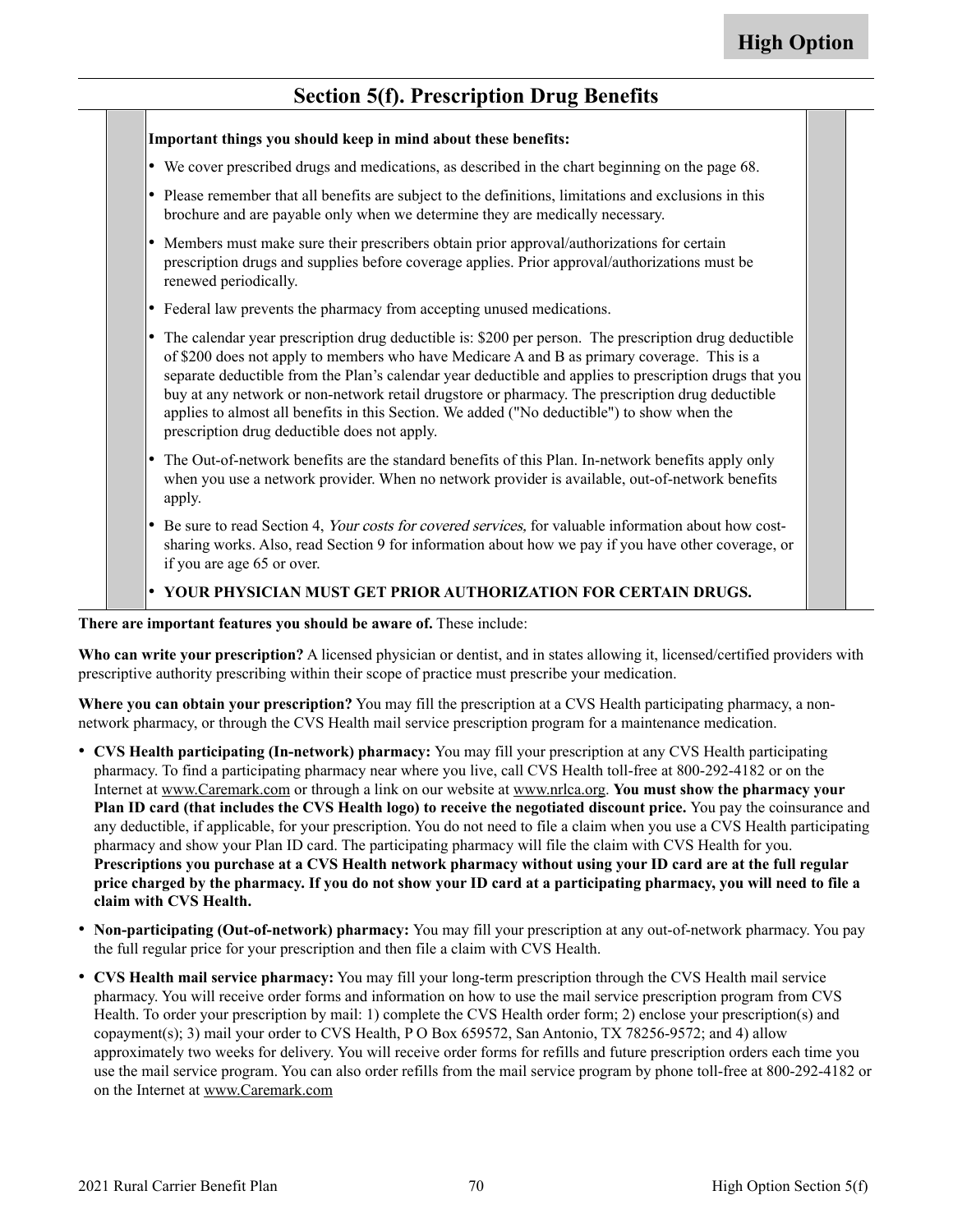#### **Section 5(f). Prescription Drug Benefits**

|           | Important things you should keep in mind about these benefits:                                                                                                                                                                                                                                                                                                                                                                                                                                                                                                       |
|-----------|----------------------------------------------------------------------------------------------------------------------------------------------------------------------------------------------------------------------------------------------------------------------------------------------------------------------------------------------------------------------------------------------------------------------------------------------------------------------------------------------------------------------------------------------------------------------|
|           | • We cover prescribed drugs and medications, as described in the chart beginning on the page 68.                                                                                                                                                                                                                                                                                                                                                                                                                                                                     |
|           | • Please remember that all benefits are subject to the definitions, limitations and exclusions in this<br>brochure and are payable only when we determine they are medically necessary.                                                                                                                                                                                                                                                                                                                                                                              |
| $\bullet$ | Members must make sure their prescribers obtain prior approval/authorizations for certain<br>prescription drugs and supplies before coverage applies. Prior approval/authorizations must be<br>renewed periodically.                                                                                                                                                                                                                                                                                                                                                 |
|           | • Federal law prevents the pharmacy from accepting unused medications.                                                                                                                                                                                                                                                                                                                                                                                                                                                                                               |
|           | • The calendar year prescription drug deductible is: \$200 per person. The prescription drug deductible<br>of \$200 does not apply to members who have Medicare A and B as primary coverage. This is a<br>separate deductible from the Plan's calendar year deductible and applies to prescription drugs that you<br>buy at any network or non-network retail drugstore or pharmacy. The prescription drug deductible<br>applies to almost all benefits in this Section. We added ("No deductible") to show when the<br>prescription drug deductible does not apply. |
| $\bullet$ | The Out-of-network benefits are the standard benefits of this Plan. In-network benefits apply only<br>when you use a network provider. When no network provider is available, out-of-network benefits<br>apply.                                                                                                                                                                                                                                                                                                                                                      |
| ∣∙        | Be sure to read Section 4, Your costs for covered services, for valuable information about how cost-<br>sharing works. Also, read Section 9 for information about how we pay if you have other coverage, or<br>if you are age 65 or over.                                                                                                                                                                                                                                                                                                                            |
|           | • YOUR PHYSICIAN MUST GET PRIOR AUTHORIZATION FOR CERTAIN DRUGS.                                                                                                                                                                                                                                                                                                                                                                                                                                                                                                     |

**Who can write your prescription?** A licensed physician or dentist, and in states allowing it, licensed/certified providers with prescriptive authority prescribing within their scope of practice must prescribe your medication.

**Where you can obtain your prescription?** You may fill the prescription at a CVS Health participating pharmacy, a nonnetwork pharmacy, or through the CVS Health mail service prescription program for a maintenance medication.

- **CVS Health participating (In-network) pharmacy:** You may fill your prescription at any CVS Health participating pharmacy. To find a participating pharmacy near where you live, call CVS Health toll-free at 800-292-4182 or on the Internet at [www.Caremark.com](http://www.Caremark.com) or through a link on our website at [www.nrlca.org.](http://www.nrlca.org) **You must show the pharmacy your Plan ID card (that includes the CVS Health logo) to receive the negotiated discount price.** You pay the coinsurance and any deductible, if applicable, for your prescription. You do not need to file a claim when you use a CVS Health participating pharmacy and show your Plan ID card. The participating pharmacy will file the claim with CVS Health for you. **Prescriptions you purchase at a CVS Health network pharmacy without using your ID card are at the full regular price charged by the pharmacy. If you do not show your ID card at a participating pharmacy, you will need to file a claim with CVS Health.**
- **Non-participating (Out-of-network) pharmacy:** You may fill your prescription at any out-of-network pharmacy. You pay the full regular price for your prescription and then file a claim with CVS Health.
- **CVS Health mail service pharmacy:** You may fill your long-term prescription through the CVS Health mail service pharmacy. You will receive order forms and information on how to use the mail service prescription program from CVS Health. To order your prescription by mail: 1) complete the CVS Health order form; 2) enclose your prescription(s) and copayment(s); 3) mail your order to CVS Health, P O Box 659572, San Antonio, TX 78256-9572; and 4) allow approximately two weeks for delivery. You will receive order forms for refills and future prescription orders each time you use the mail service program. You can also order refills from the mail service program by phone toll-free at 800-292-4182 or on the Internet at [www.Caremark.com](http://www.Caremark.com)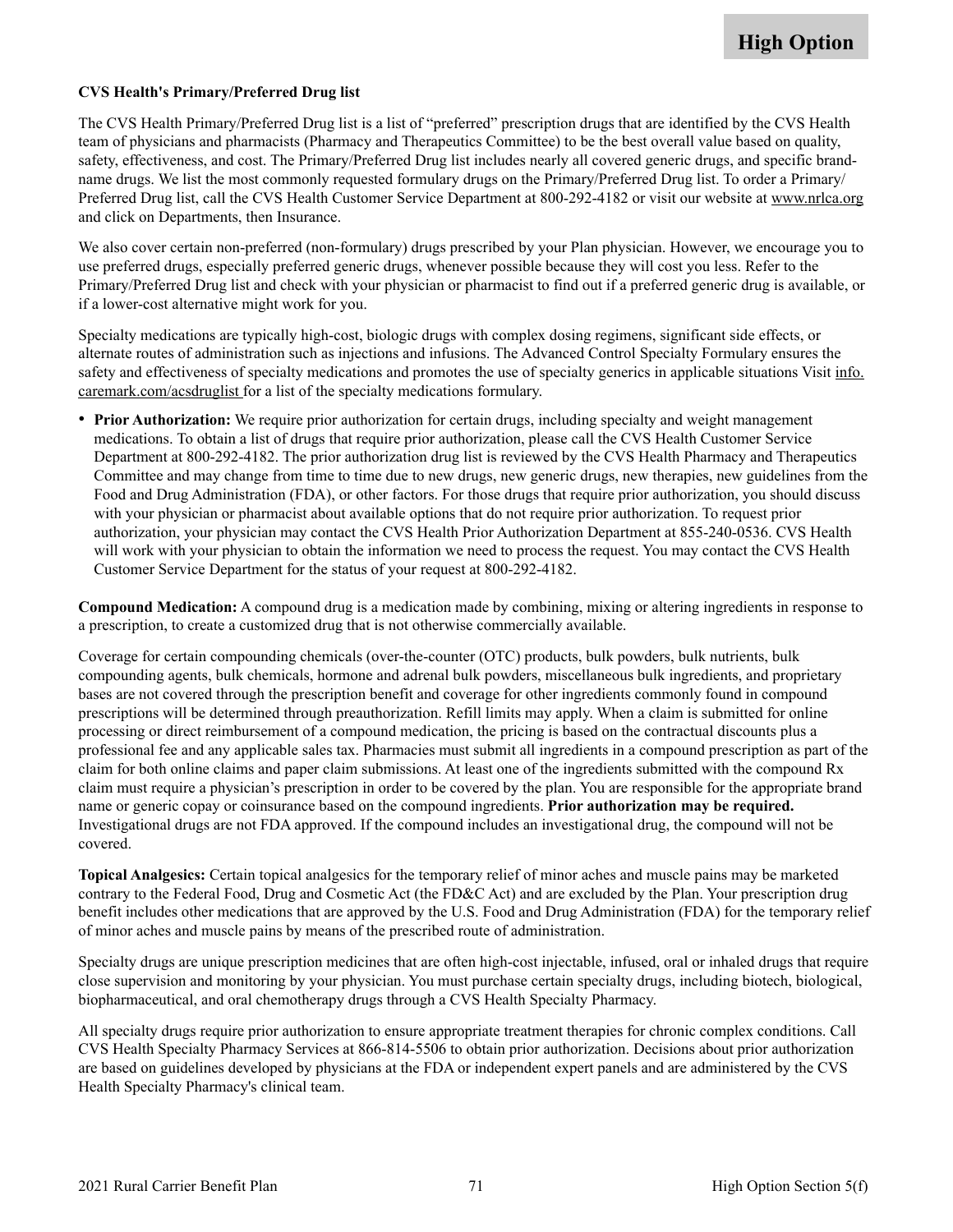### **CVS Health's Primary/Preferred Drug list**

The CVS Health Primary/Preferred Drug list is a list of "preferred" prescription drugs that are identified by the CVS Health team of physicians and pharmacists (Pharmacy and Therapeutics Committee) to be the best overall value based on quality, safety, effectiveness, and cost. The Primary/Preferred Drug list includes nearly all covered generic drugs, and specific brandname drugs. We list the most commonly requested formulary drugs on the Primary/Preferred Drug list. To order a Primary/ Preferred Drug list, call the CVS Health Customer Service Department at 800-292-4182 or visit our website a[t www.nrlca.org](http://www.nrlca.org)  and click on Departments, then Insurance.

We also cover certain non-preferred (non-formulary) drugs prescribed by your Plan physician. However, we encourage you to use preferred drugs, especially preferred generic drugs, whenever possible because they will cost you less. Refer to the Primary/Preferred Drug list and check with your physician or pharmacist to find out if a preferred generic drug is available, or if a lower-cost alternative might work for you.

Specialty medications are typically high-cost, biologic drugs with complex dosing regimens, significant side effects, or alternate routes of administration such as injections and infusions. The Advanced Control Specialty Formulary ensures the safety and effectiveness of specialty medications and promotes the use of specialty generics in applicable situations Visit [info.](http://info.caremark.com/acsdruglist) [caremark.com/acsdruglist f](http://info.caremark.com/acsdruglist)or a list of the specialty medications formulary.

• **Prior Authorization:** We require prior authorization for certain drugs, including specialty and weight management medications. To obtain a list of drugs that require prior authorization, please call the CVS Health Customer Service Department at 800-292-4182. The prior authorization drug list is reviewed by the CVS Health Pharmacy and Therapeutics Committee and may change from time to time due to new drugs, new generic drugs, new therapies, new guidelines from the Food and Drug Administration (FDA), or other factors. For those drugs that require prior authorization, you should discuss with your physician or pharmacist about available options that do not require prior authorization. To request prior authorization, your physician may contact the CVS Health Prior Authorization Department at 855-240-0536. CVS Health will work with your physician to obtain the information we need to process the request. You may contact the CVS Health Customer Service Department for the status of your request at 800-292-4182.

**Compound Medication:** A compound drug is a medication made by combining, mixing or altering ingredients in response to a prescription, to create a customized drug that is not otherwise commercially available.

Coverage for certain compounding chemicals (over-the-counter (OTC) products, bulk powders, bulk nutrients, bulk compounding agents, bulk chemicals, hormone and adrenal bulk powders, miscellaneous bulk ingredients, and proprietary bases are not covered through the prescription benefit and coverage for other ingredients commonly found in compound prescriptions will be determined through preauthorization. Refill limits may apply. When a claim is submitted for online processing or direct reimbursement of a compound medication, the pricing is based on the contractual discounts plus a professional fee and any applicable sales tax. Pharmacies must submit all ingredients in a compound prescription as part of the claim for both online claims and paper claim submissions. At least one of the ingredients submitted with the compound Rx claim must require a physician's prescription in order to be covered by the plan. You are responsible for the appropriate brand name or generic copay or coinsurance based on the compound ingredients. **Prior authorization may be required.** Investigational drugs are not FDA approved. If the compound includes an investigational drug, the compound will not be covered.

**Topical Analgesics:** Certain topical analgesics for the temporary relief of minor aches and muscle pains may be marketed contrary to the Federal Food, Drug and Cosmetic Act (the FD&C Act) and are excluded by the Plan. Your prescription drug benefit includes other medications that are approved by the U.S. Food and Drug Administration (FDA) for the temporary relief of minor aches and muscle pains by means of the prescribed route of administration.

Specialty drugs are unique prescription medicines that are often high-cost injectable, infused, oral or inhaled drugs that require close supervision and monitoring by your physician. You must purchase certain specialty drugs, including biotech, biological, biopharmaceutical, and oral chemotherapy drugs through a CVS Health Specialty Pharmacy.

All specialty drugs require prior authorization to ensure appropriate treatment therapies for chronic complex conditions. Call CVS Health Specialty Pharmacy Services at 866-814-5506 to obtain prior authorization. Decisions about prior authorization are based on guidelines developed by physicians at the FDA or independent expert panels and are administered by the CVS Health Specialty Pharmacy's clinical team.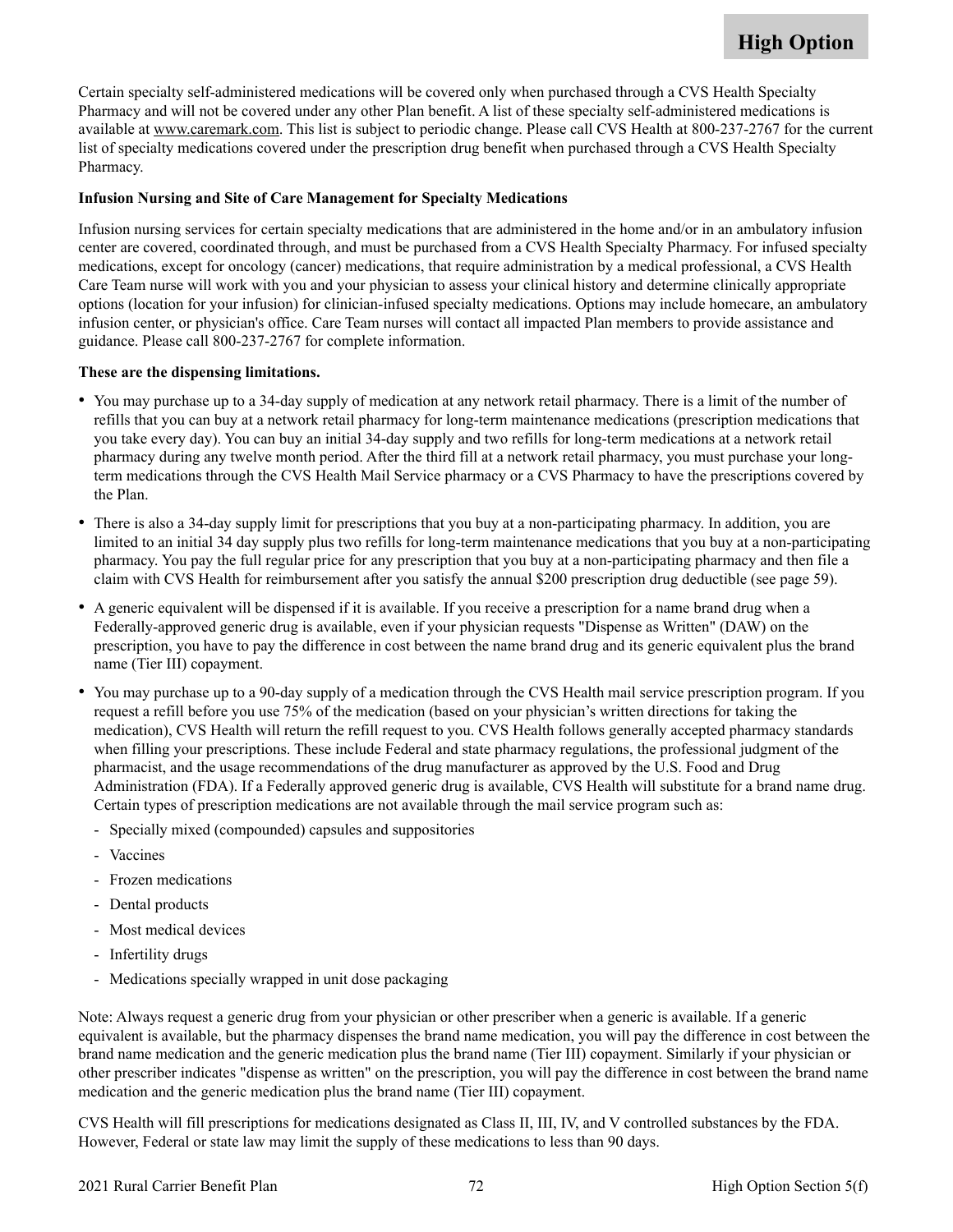Certain specialty self-administered medications will be covered only when purchased through a CVS Health Specialty Pharmacy and will not be covered under any other Plan benefit. A list of these specialty self-administered medications is available a[t www.caremark.com.](http://www.Caremark.com) This list is subject to periodic change. Please call CVS Health at 800-237-2767 for the current list of specialty medications covered under the prescription drug benefit when purchased through a CVS Health Specialty Pharmacy.

### **Infusion Nursing and Site of Care Management for Specialty Medications**

Infusion nursing services for certain specialty medications that are administered in the home and/or in an ambulatory infusion center are covered, coordinated through, and must be purchased from a CVS Health Specialty Pharmacy. For infused specialty medications, except for oncology (cancer) medications, that require administration by a medical professional, a CVS Health Care Team nurse will work with you and your physician to assess your clinical history and determine clinically appropriate options (location for your infusion) for clinician-infused specialty medications. Options may include homecare, an ambulatory infusion center, or physician's office. Care Team nurses will contact all impacted Plan members to provide assistance and guidance. Please call 800-237-2767 for complete information.

### **These are the dispensing limitations.**

- You may purchase up to a 34-day supply of medication at any network retail pharmacy. There is a limit of the number of refills that you can buy at a network retail pharmacy for long-term maintenance medications (prescription medications that you take every day). You can buy an initial 34-day supply and two refills for long-term medications at a network retail pharmacy during any twelve month period. After the third fill at a network retail pharmacy, you must purchase your longterm medications through the CVS Health Mail Service pharmacy or a CVS Pharmacy to have the prescriptions covered by the Plan.
- There is also a 34-day supply limit for prescriptions that you buy at a non-participating pharmacy. In addition, you are limited to an initial 34 day supply plus two refills for long-term maintenance medications that you buy at a non-participating pharmacy. You pay the full regular price for any prescription that you buy at a non-participating pharmacy and then file a claim with CVS Health for reimbursement after you satisfy the annual \$200 prescription drug deductible (see page [59\)](#page-60-0).
- A generic equivalent will be dispensed if it is available. If you receive a prescription for a name brand drug when a Federally-approved generic drug is available, even if your physician requests "Dispense as Written" (DAW) on the prescription, you have to pay the difference in cost between the name brand drug and its generic equivalent plus the brand name (Tier III) copayment.
- • You may purchase up to a 90-day supply of a medication through the CVS Health mail service prescription program. If you request a refill before you use 75% of the medication (based on your physician's written directions for taking the medication), CVS Health will return the refill request to you. CVS Health follows generally accepted pharmacy standards when filling your prescriptions. These include Federal and state pharmacy regulations, the professional judgment of the pharmacist, and the usage recommendations of the drug manufacturer as approved by the U.S. Food and Drug Administration (FDA). If a Federally approved generic drug is available, CVS Health will substitute for a brand name drug. Certain types of prescription medications are not available through the mail service program such as:
	- Specially mixed (compounded) capsules and suppositories
	- Vaccines
	- Frozen medications
	- Dental products
	- Most medical devices
	- Infertility drugs
	- Medications specially wrapped in unit dose packaging

Note: Always request a generic drug from your physician or other prescriber when a generic is available. If a generic equivalent is available, but the pharmacy dispenses the brand name medication, you will pay the difference in cost between the brand name medication and the generic medication plus the brand name (Tier III) copayment. Similarly if your physician or other prescriber indicates "dispense as written" on the prescription, you will pay the difference in cost between the brand name medication and the generic medication plus the brand name (Tier III) copayment.

CVS Health will fill prescriptions for medications designated as Class II, III, IV, and V controlled substances by the FDA. However, Federal or state law may limit the supply of these medications to less than 90 days.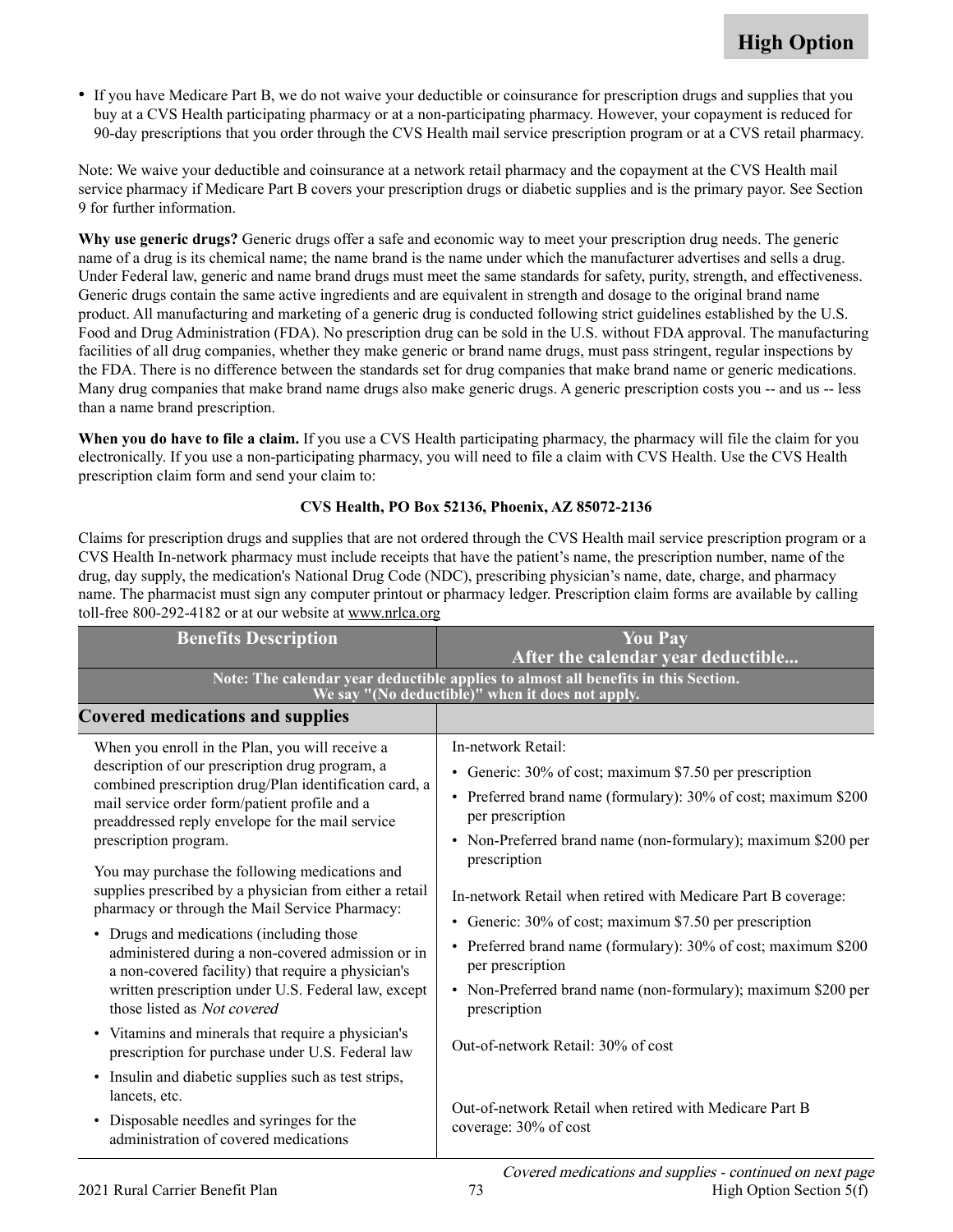• If you have Medicare Part B, we do not waive your deductible or coinsurance for prescription drugs and supplies that you buy at a CVS Health participating pharmacy or at a non-participating pharmacy. However, your copayment is reduced for 90-day prescriptions that you order through the CVS Health mail service prescription program or at a CVS retail pharmacy.

Note: We waive your deductible and coinsurance at a network retail pharmacy and the copayment at the CVS Health mail service pharmacy if Medicare Part B covers your prescription drugs or diabetic supplies and is the primary payor. See Section 9 for further information.

**Why use generic drugs?** Generic drugs offer a safe and economic way to meet your prescription drug needs. The generic name of a drug is its chemical name; the name brand is the name under which the manufacturer advertises and sells a drug. Under Federal law, generic and name brand drugs must meet the same standards for safety, purity, strength, and effectiveness. Generic drugs contain the same active ingredients and are equivalent in strength and dosage to the original brand name product. All manufacturing and marketing of a generic drug is conducted following strict guidelines established by the U.S. Food and Drug Administration (FDA). No prescription drug can be sold in the U.S. without FDA approval. The manufacturing facilities of all drug companies, whether they make generic or brand name drugs, must pass stringent, regular inspections by the FDA. There is no difference between the standards set for drug companies that make brand name or generic medications. Many drug companies that make brand name drugs also make generic drugs. A generic prescription costs you -- and us -- less than a name brand prescription.

**When you do have to file a claim.** If you use a CVS Health participating pharmacy, the pharmacy will file the claim for you electronically. If you use a non-participating pharmacy, you will need to file a claim with CVS Health. Use the CVS Health prescription claim form and send your claim to:

### **CVS Health, PO Box 52136, Phoenix, AZ 85072-2136**

Claims for prescription drugs and supplies that are not ordered through the CVS Health mail service prescription program or a CVS Health In-network pharmacy must include receipts that have the patient's name, the prescription number, name of the drug, day supply, the medication's National Drug Code (NDC), prescribing physician's name, date, charge, and pharmacy name. The pharmacist must sign any computer printout or pharmacy ledger. Prescription claim forms are available by calling toll-free  $800-292-4182$  or at our website at www.nrlca.org

| <b>Benefits Description</b>                                                                                                                                                                                                                                                                                                                                                                                                                                                                                                                                                                                                                                                                                                                                                                                             | <b>You Pay</b><br>After the calendar year deductible                                                                                                                                                                                                                                                                                                                                                                                                                                                                                                                                                     |
|-------------------------------------------------------------------------------------------------------------------------------------------------------------------------------------------------------------------------------------------------------------------------------------------------------------------------------------------------------------------------------------------------------------------------------------------------------------------------------------------------------------------------------------------------------------------------------------------------------------------------------------------------------------------------------------------------------------------------------------------------------------------------------------------------------------------------|----------------------------------------------------------------------------------------------------------------------------------------------------------------------------------------------------------------------------------------------------------------------------------------------------------------------------------------------------------------------------------------------------------------------------------------------------------------------------------------------------------------------------------------------------------------------------------------------------------|
|                                                                                                                                                                                                                                                                                                                                                                                                                                                                                                                                                                                                                                                                                                                                                                                                                         | Note: The calendar year deductible applies to almost all benefits in this Section.<br>We say "(No deductible)" when it does not apply.                                                                                                                                                                                                                                                                                                                                                                                                                                                                   |
| <b>Covered medications and supplies</b>                                                                                                                                                                                                                                                                                                                                                                                                                                                                                                                                                                                                                                                                                                                                                                                 |                                                                                                                                                                                                                                                                                                                                                                                                                                                                                                                                                                                                          |
| When you enroll in the Plan, you will receive a<br>description of our prescription drug program, a<br>combined prescription drug/Plan identification card, a<br>mail service order form/patient profile and a<br>preaddressed reply envelope for the mail service<br>prescription program.<br>You may purchase the following medications and<br>supplies prescribed by a physician from either a retail<br>pharmacy or through the Mail Service Pharmacy:<br>• Drugs and medications (including those<br>administered during a non-covered admission or in<br>a non-covered facility) that require a physician's<br>written prescription under U.S. Federal law, except<br>those listed as <i>Not covered</i><br>• Vitamins and minerals that require a physician's<br>prescription for purchase under U.S. Federal law | In-network Retail:<br>Generic: 30% of cost; maximum \$7.50 per prescription<br>$\bullet$<br>• Preferred brand name (formulary): 30% of cost; maximum \$200<br>per prescription<br>• Non-Preferred brand name (non-formulary); maximum \$200 per<br>prescription<br>In-network Retail when retired with Medicare Part B coverage:<br>• Generic: 30% of cost; maximum \$7.50 per prescription<br>• Preferred brand name (formulary): 30% of cost; maximum \$200<br>per prescription<br>• Non-Preferred brand name (non-formulary); maximum \$200 per<br>prescription<br>Out-of-network Retail: 30% of cost |
| • Insulin and diabetic supplies such as test strips,<br>lancets, etc.<br>• Disposable needles and syringes for the<br>administration of covered medications                                                                                                                                                                                                                                                                                                                                                                                                                                                                                                                                                                                                                                                             | Out-of-network Retail when retired with Medicare Part B<br>coverage: 30% of cost                                                                                                                                                                                                                                                                                                                                                                                                                                                                                                                         |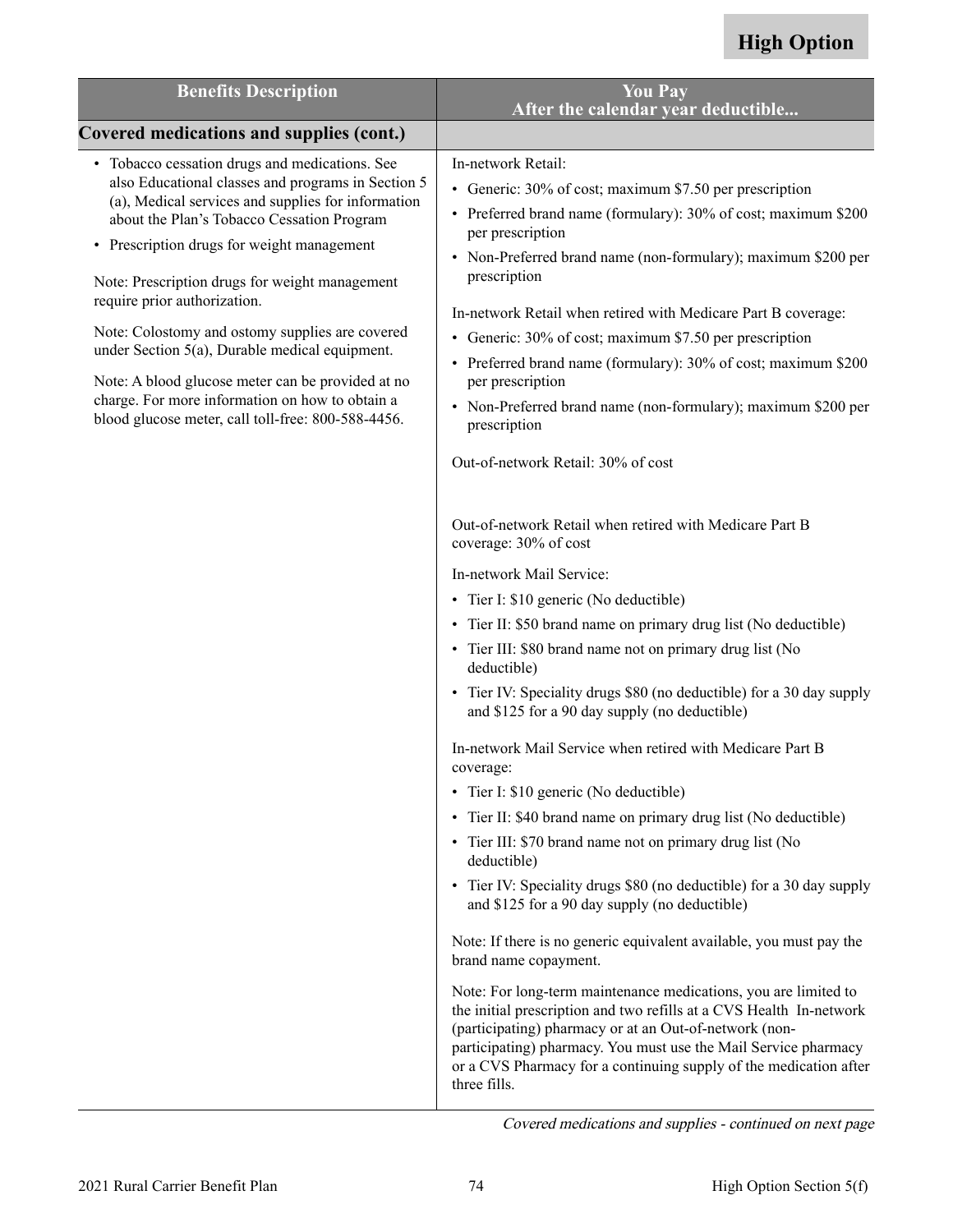| <b>Benefits Description</b>                                                                                                                                                                                                                                                                                                                                                                                                                                                                                                                                                                                    | <b>You Pay</b><br>After the calendar year deductible                                                                                                                                                                                                                                                                                                                                                                                                                                                                                                                                                                                                                                                                                                                                                                                                                                                                                                                                                                                                                                                                                                                                                                                                                                                                                                                                                                                                                                                                                                                                                                                                                |
|----------------------------------------------------------------------------------------------------------------------------------------------------------------------------------------------------------------------------------------------------------------------------------------------------------------------------------------------------------------------------------------------------------------------------------------------------------------------------------------------------------------------------------------------------------------------------------------------------------------|---------------------------------------------------------------------------------------------------------------------------------------------------------------------------------------------------------------------------------------------------------------------------------------------------------------------------------------------------------------------------------------------------------------------------------------------------------------------------------------------------------------------------------------------------------------------------------------------------------------------------------------------------------------------------------------------------------------------------------------------------------------------------------------------------------------------------------------------------------------------------------------------------------------------------------------------------------------------------------------------------------------------------------------------------------------------------------------------------------------------------------------------------------------------------------------------------------------------------------------------------------------------------------------------------------------------------------------------------------------------------------------------------------------------------------------------------------------------------------------------------------------------------------------------------------------------------------------------------------------------------------------------------------------------|
| Covered medications and supplies (cont.)                                                                                                                                                                                                                                                                                                                                                                                                                                                                                                                                                                       |                                                                                                                                                                                                                                                                                                                                                                                                                                                                                                                                                                                                                                                                                                                                                                                                                                                                                                                                                                                                                                                                                                                                                                                                                                                                                                                                                                                                                                                                                                                                                                                                                                                                     |
| • Tobacco cessation drugs and medications. See<br>also Educational classes and programs in Section 5<br>(a), Medical services and supplies for information<br>about the Plan's Tobacco Cessation Program<br>• Prescription drugs for weight management<br>Note: Prescription drugs for weight management<br>require prior authorization.<br>Note: Colostomy and ostomy supplies are covered<br>under Section $5(a)$ , Durable medical equipment.<br>Note: A blood glucose meter can be provided at no<br>charge. For more information on how to obtain a<br>blood glucose meter, call toll-free: 800-588-4456. | In-network Retail:<br>• Generic: 30% of cost; maximum \$7.50 per prescription<br>• Preferred brand name (formulary): 30% of cost; maximum \$200<br>per prescription<br>• Non-Preferred brand name (non-formulary); maximum \$200 per<br>prescription<br>In-network Retail when retired with Medicare Part B coverage:<br>• Generic: 30% of cost; maximum \$7.50 per prescription<br>• Preferred brand name (formulary): 30% of cost; maximum \$200<br>per prescription<br>• Non-Preferred brand name (non-formulary); maximum \$200 per<br>prescription<br>Out-of-network Retail: 30% of cost<br>Out-of-network Retail when retired with Medicare Part B<br>coverage: 30% of cost<br>In-network Mail Service:<br>• Tier I: \$10 generic (No deductible)<br>• Tier II: \$50 brand name on primary drug list (No deductible)<br>• Tier III: \$80 brand name not on primary drug list (No<br>deductible)<br>• Tier IV: Speciality drugs \$80 (no deductible) for a 30 day supply<br>and \$125 for a 90 day supply (no deductible)<br>In-network Mail Service when retired with Medicare Part B<br>coverage:<br>• Tier I: \$10 generic (No deductible)<br>• Tier II: \$40 brand name on primary drug list (No deductible)<br>• Tier III: \$70 brand name not on primary drug list (No<br>deductible)<br>• Tier IV: Speciality drugs \$80 (no deductible) for a 30 day supply<br>and \$125 for a 90 day supply (no deductible)<br>Note: If there is no generic equivalent available, you must pay the<br>brand name copayment.<br>Note: For long-term maintenance medications, you are limited to<br>the initial prescription and two refills at a CVS Health In-network |
|                                                                                                                                                                                                                                                                                                                                                                                                                                                                                                                                                                                                                | (participating) pharmacy or at an Out-of-network (non-<br>participating) pharmacy. You must use the Mail Service pharmacy<br>or a CVS Pharmacy for a continuing supply of the medication after<br>three fills.                                                                                                                                                                                                                                                                                                                                                                                                                                                                                                                                                                                                                                                                                                                                                                                                                                                                                                                                                                                                                                                                                                                                                                                                                                                                                                                                                                                                                                                      |

Covered medications and supplies - continued on next page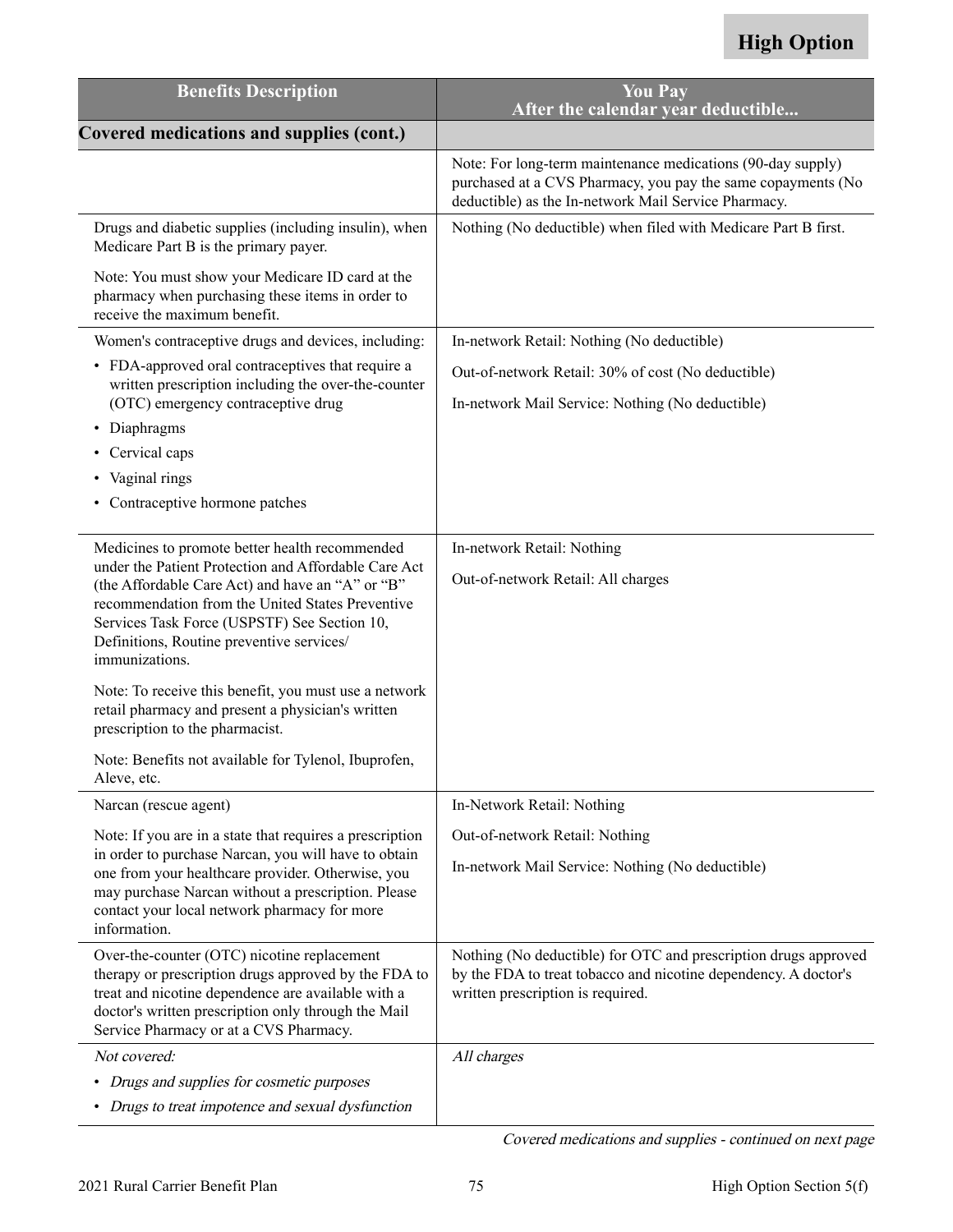| <b>Benefits Description</b>                                                                                                                                                                                                                                                 | <b>You Pay</b><br>After the calendar year deductible                                                                                                                                |
|-----------------------------------------------------------------------------------------------------------------------------------------------------------------------------------------------------------------------------------------------------------------------------|-------------------------------------------------------------------------------------------------------------------------------------------------------------------------------------|
| <b>Covered medications and supplies (cont.)</b>                                                                                                                                                                                                                             |                                                                                                                                                                                     |
|                                                                                                                                                                                                                                                                             | Note: For long-term maintenance medications (90-day supply)<br>purchased at a CVS Pharmacy, you pay the same copayments (No<br>deductible) as the In-network Mail Service Pharmacy. |
| Drugs and diabetic supplies (including insulin), when<br>Medicare Part B is the primary payer.                                                                                                                                                                              | Nothing (No deductible) when filed with Medicare Part B first.                                                                                                                      |
| Note: You must show your Medicare ID card at the<br>pharmacy when purchasing these items in order to<br>receive the maximum benefit.                                                                                                                                        |                                                                                                                                                                                     |
| Women's contraceptive drugs and devices, including:                                                                                                                                                                                                                         | In-network Retail: Nothing (No deductible)                                                                                                                                          |
| • FDA-approved oral contraceptives that require a<br>written prescription including the over-the-counter<br>(OTC) emergency contraceptive drug                                                                                                                              | Out-of-network Retail: 30% of cost (No deductible)<br>In-network Mail Service: Nothing (No deductible)                                                                              |
| • Diaphragms                                                                                                                                                                                                                                                                |                                                                                                                                                                                     |
| Cervical caps<br>٠                                                                                                                                                                                                                                                          |                                                                                                                                                                                     |
| Vaginal rings                                                                                                                                                                                                                                                               |                                                                                                                                                                                     |
| • Contraceptive hormone patches                                                                                                                                                                                                                                             |                                                                                                                                                                                     |
| Medicines to promote better health recommended                                                                                                                                                                                                                              | In-network Retail: Nothing                                                                                                                                                          |
| under the Patient Protection and Affordable Care Act<br>(the Affordable Care Act) and have an "A" or "B"<br>recommendation from the United States Preventive<br>Services Task Force (USPSTF) See Section 10,<br>Definitions, Routine preventive services/<br>immunizations. | Out-of-network Retail: All charges                                                                                                                                                  |
| Note: To receive this benefit, you must use a network<br>retail pharmacy and present a physician's written<br>prescription to the pharmacist.                                                                                                                               |                                                                                                                                                                                     |
| Note: Benefits not available for Tylenol, Ibuprofen,<br>Aleve, etc.                                                                                                                                                                                                         |                                                                                                                                                                                     |
| Narcan (rescue agent)                                                                                                                                                                                                                                                       | In-Network Retail: Nothing                                                                                                                                                          |
| Note: If you are in a state that requires a prescription                                                                                                                                                                                                                    | Out-of-network Retail: Nothing                                                                                                                                                      |
| in order to purchase Narcan, you will have to obtain<br>one from your healthcare provider. Otherwise, you<br>may purchase Narcan without a prescription. Please<br>contact your local network pharmacy for more<br>information.                                             | In-network Mail Service: Nothing (No deductible)                                                                                                                                    |
| Over-the-counter (OTC) nicotine replacement<br>therapy or prescription drugs approved by the FDA to<br>treat and nicotine dependence are available with a<br>doctor's written prescription only through the Mail<br>Service Pharmacy or at a CVS Pharmacy.                  | Nothing (No deductible) for OTC and prescription drugs approved<br>by the FDA to treat tobacco and nicotine dependency. A doctor's<br>written prescription is required.             |
| Not covered:                                                                                                                                                                                                                                                                | All charges                                                                                                                                                                         |
| • Drugs and supplies for cosmetic purposes                                                                                                                                                                                                                                  |                                                                                                                                                                                     |
| • Drugs to treat impotence and sexual dysfunction                                                                                                                                                                                                                           |                                                                                                                                                                                     |

Covered medications and supplies - continued on next page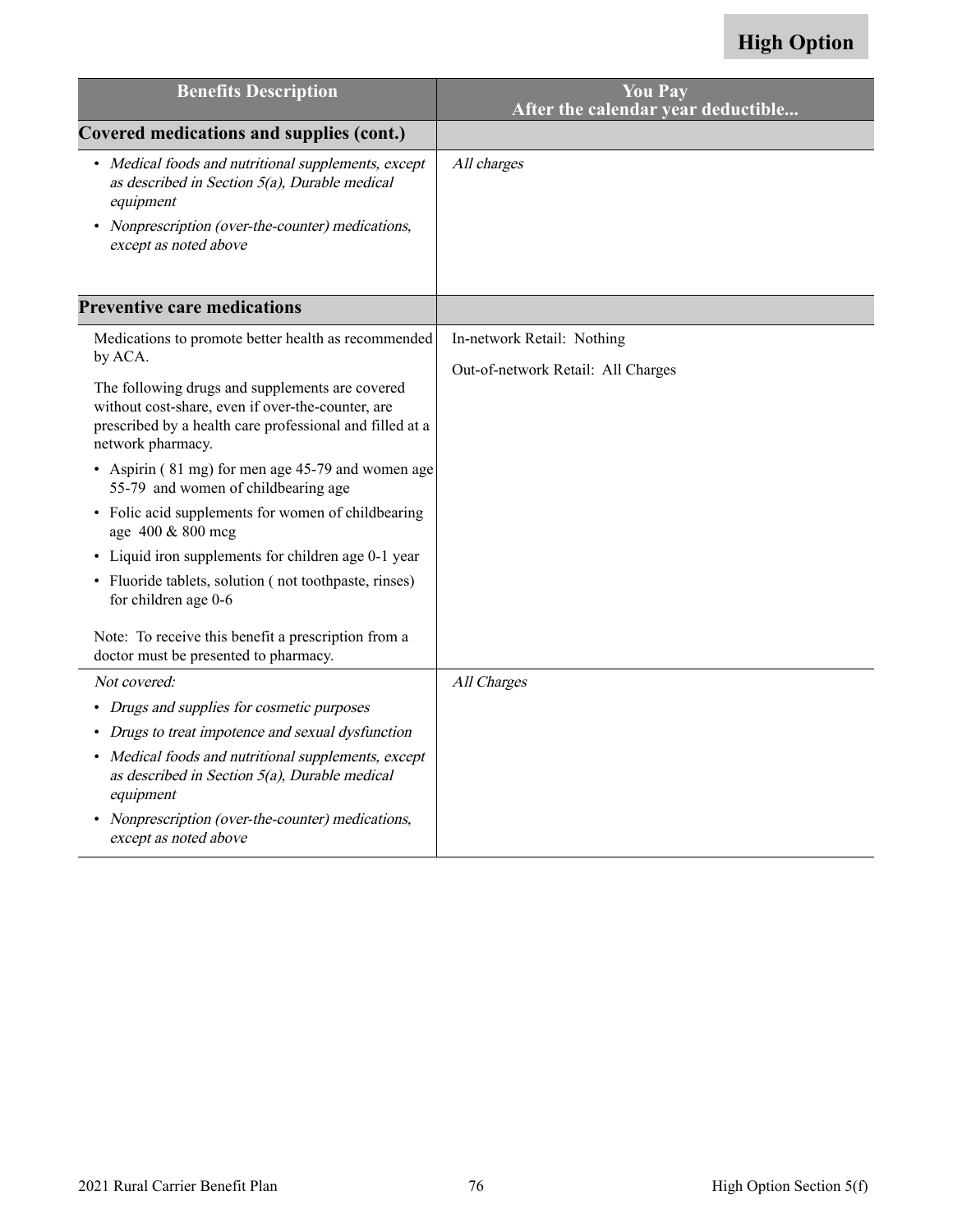| <b>Benefits Description</b>                                                                                                                                                           | <b>You Pay</b><br>After the calendar year deductible |
|---------------------------------------------------------------------------------------------------------------------------------------------------------------------------------------|------------------------------------------------------|
| Covered medications and supplies (cont.)                                                                                                                                              |                                                      |
| • Medical foods and nutritional supplements, except<br>as described in Section $5(a)$ , Durable medical<br>equipment                                                                  | All charges                                          |
| Nonprescription (over-the-counter) medications,<br>except as noted above                                                                                                              |                                                      |
| <b>Preventive care medications</b>                                                                                                                                                    |                                                      |
| Medications to promote better health as recommended                                                                                                                                   | In-network Retail: Nothing                           |
| by ACA.                                                                                                                                                                               | Out-of-network Retail: All Charges                   |
| The following drugs and supplements are covered<br>without cost-share, even if over-the-counter, are<br>prescribed by a health care professional and filled at a<br>network pharmacy. |                                                      |
| • Aspirin (81 mg) for men age 45-79 and women age<br>55-79 and women of childbearing age                                                                                              |                                                      |
| • Folic acid supplements for women of childbearing<br>age 400 & 800 mcg                                                                                                               |                                                      |
| • Liquid iron supplements for children age 0-1 year                                                                                                                                   |                                                      |
| • Fluoride tablets, solution (not toothpaste, rinses)<br>for children age 0-6                                                                                                         |                                                      |
| Note: To receive this benefit a prescription from a<br>doctor must be presented to pharmacy.                                                                                          |                                                      |
| Not covered:                                                                                                                                                                          | All Charges                                          |
| • Drugs and supplies for cosmetic purposes                                                                                                                                            |                                                      |
| Drugs to treat impotence and sexual dysfunction                                                                                                                                       |                                                      |
| Medical foods and nutritional supplements, except<br>as described in Section $5(a)$ , Durable medical<br>equipment                                                                    |                                                      |
| Nonprescription (over-the-counter) medications,<br>except as noted above                                                                                                              |                                                      |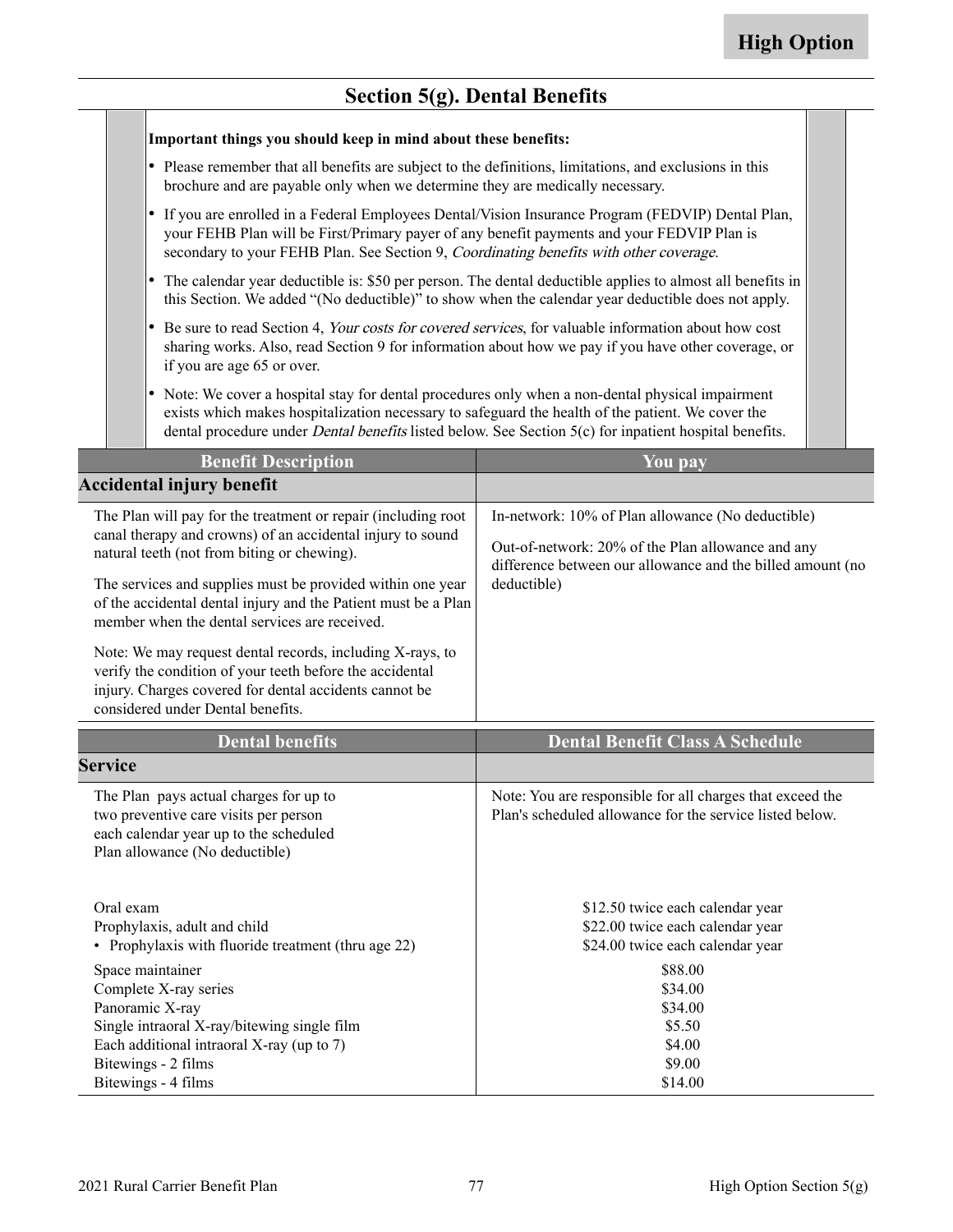## **Section 5(g). Dental Benefits**

|                                                                                                                                                                                                                                                                                                                                                                                                                                                                                                                                                                                     | $\sim$ coron $\mathcal{C}(s)$ . $\sim$ change $\sim$ cm                                                                                                                                                                                                                                                                 |                                                                                                                                                                                     |
|-------------------------------------------------------------------------------------------------------------------------------------------------------------------------------------------------------------------------------------------------------------------------------------------------------------------------------------------------------------------------------------------------------------------------------------------------------------------------------------------------------------------------------------------------------------------------------------|-------------------------------------------------------------------------------------------------------------------------------------------------------------------------------------------------------------------------------------------------------------------------------------------------------------------------|-------------------------------------------------------------------------------------------------------------------------------------------------------------------------------------|
|                                                                                                                                                                                                                                                                                                                                                                                                                                                                                                                                                                                     | Important things you should keep in mind about these benefits:                                                                                                                                                                                                                                                          |                                                                                                                                                                                     |
| • Please remember that all benefits are subject to the definitions, limitations, and exclusions in this<br>brochure and are payable only when we determine they are medically necessary.                                                                                                                                                                                                                                                                                                                                                                                            |                                                                                                                                                                                                                                                                                                                         |                                                                                                                                                                                     |
| • If you are enrolled in a Federal Employees Dental/Vision Insurance Program (FEDVIP) Dental Plan,<br>your FEHB Plan will be First/Primary payer of any benefit payments and your FEDVIP Plan is<br>secondary to your FEHB Plan. See Section 9, Coordinating benefits with other coverage.                                                                                                                                                                                                                                                                                          |                                                                                                                                                                                                                                                                                                                         |                                                                                                                                                                                     |
| • The calendar year deductible is: \$50 per person. The dental deductible applies to almost all benefits in<br>this Section. We added "(No deductible)" to show when the calendar year deductible does not apply.                                                                                                                                                                                                                                                                                                                                                                   |                                                                                                                                                                                                                                                                                                                         |                                                                                                                                                                                     |
| • Be sure to read Section 4, Your costs for covered services, for valuable information about how cost<br>sharing works. Also, read Section 9 for information about how we pay if you have other coverage, or<br>if you are age 65 or over.                                                                                                                                                                                                                                                                                                                                          |                                                                                                                                                                                                                                                                                                                         |                                                                                                                                                                                     |
|                                                                                                                                                                                                                                                                                                                                                                                                                                                                                                                                                                                     | • Note: We cover a hospital stay for dental procedures only when a non-dental physical impairment<br>exists which makes hospitalization necessary to safeguard the health of the patient. We cover the<br>dental procedure under <i>Dental benefits</i> listed below. See Section 5(c) for inpatient hospital benefits. |                                                                                                                                                                                     |
|                                                                                                                                                                                                                                                                                                                                                                                                                                                                                                                                                                                     | <b>Benefit Description</b>                                                                                                                                                                                                                                                                                              | You pay                                                                                                                                                                             |
|                                                                                                                                                                                                                                                                                                                                                                                                                                                                                                                                                                                     | <b>Accidental injury benefit</b>                                                                                                                                                                                                                                                                                        |                                                                                                                                                                                     |
| The Plan will pay for the treatment or repair (including root<br>canal therapy and crowns) of an accidental injury to sound<br>natural teeth (not from biting or chewing).<br>The services and supplies must be provided within one year<br>of the accidental dental injury and the Patient must be a Plan<br>member when the dental services are received.<br>Note: We may request dental records, including X-rays, to<br>verify the condition of your teeth before the accidental<br>injury. Charges covered for dental accidents cannot be<br>considered under Dental benefits. |                                                                                                                                                                                                                                                                                                                         | In-network: 10% of Plan allowance (No deductible)<br>Out-of-network: 20% of the Plan allowance and any<br>difference between our allowance and the billed amount (no<br>deductible) |
|                                                                                                                                                                                                                                                                                                                                                                                                                                                                                                                                                                                     | <b>Dental benefits</b>                                                                                                                                                                                                                                                                                                  | <b>Dental Benefit Class A Schedule</b>                                                                                                                                              |
| <b>Service</b>                                                                                                                                                                                                                                                                                                                                                                                                                                                                                                                                                                      |                                                                                                                                                                                                                                                                                                                         |                                                                                                                                                                                     |
|                                                                                                                                                                                                                                                                                                                                                                                                                                                                                                                                                                                     | The Plan pays actual charges for up to<br>two preventive care visits per person<br>each calendar year up to the scheduled<br>Plan allowance (No deductible)                                                                                                                                                             | Note: You are responsible for all charges that exceed the<br>Plan's scheduled allowance for the service listed below.                                                               |
| Oral exam<br>Prophylaxis, adult and child<br>• Prophylaxis with fluoride treatment (thru age 22)                                                                                                                                                                                                                                                                                                                                                                                                                                                                                    |                                                                                                                                                                                                                                                                                                                         | \$12.50 twice each calendar year<br>\$22.00 twice each calendar year<br>\$24.00 twice each calendar year                                                                            |
| Space maintainer<br>Complete X-ray series<br>Panoramic X-ray<br>Single intraoral X-ray/bitewing single film<br>Each additional intraoral X-ray (up to 7)<br>Bitewings - 2 films<br>Bitewings - 4 films                                                                                                                                                                                                                                                                                                                                                                              |                                                                                                                                                                                                                                                                                                                         | \$88.00<br>\$34.00<br>\$34.00<br>\$5.50<br>\$4.00<br>\$9.00<br>\$14.00                                                                                                              |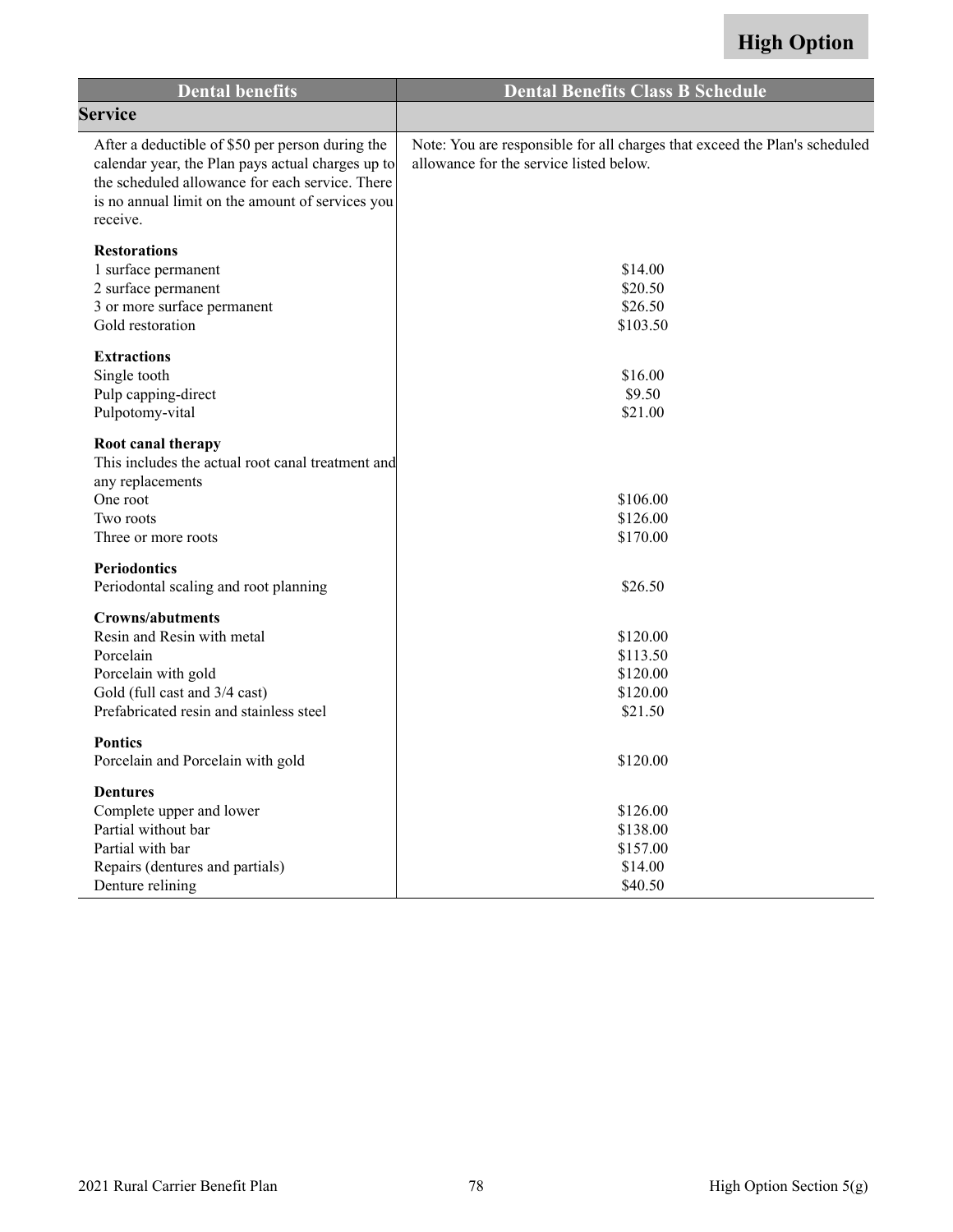| <b>Dental benefits</b>                                                                                                                                                                                                   | <b>Dental Benefits Class B Schedule</b>                                                                               |
|--------------------------------------------------------------------------------------------------------------------------------------------------------------------------------------------------------------------------|-----------------------------------------------------------------------------------------------------------------------|
| <b>Service</b>                                                                                                                                                                                                           |                                                                                                                       |
| After a deductible of \$50 per person during the<br>calendar year, the Plan pays actual charges up to<br>the scheduled allowance for each service. There<br>is no annual limit on the amount of services you<br>receive. | Note: You are responsible for all charges that exceed the Plan's scheduled<br>allowance for the service listed below. |
| <b>Restorations</b><br>1 surface permanent<br>2 surface permanent<br>3 or more surface permanent<br>Gold restoration                                                                                                     | \$14.00<br>\$20.50<br>\$26.50<br>\$103.50                                                                             |
| <b>Extractions</b><br>Single tooth<br>Pulp capping-direct<br>Pulpotomy-vital                                                                                                                                             | \$16.00<br>\$9.50<br>\$21.00                                                                                          |
| Root canal therapy<br>This includes the actual root canal treatment and<br>any replacements<br>One root<br>Two roots<br>Three or more roots                                                                              | \$106.00<br>\$126.00<br>\$170.00                                                                                      |
| <b>Periodontics</b><br>Periodontal scaling and root planning                                                                                                                                                             | \$26.50                                                                                                               |
| <b>Crowns/abutments</b><br>Resin and Resin with metal<br>Porcelain<br>Porcelain with gold<br>Gold (full cast and 3/4 cast)<br>Prefabricated resin and stainless steel                                                    | \$120.00<br>\$113.50<br>\$120.00<br>\$120.00<br>\$21.50                                                               |
| <b>Pontics</b><br>Porcelain and Porcelain with gold                                                                                                                                                                      | \$120.00                                                                                                              |
| <b>Dentures</b><br>Complete upper and lower<br>Partial without bar<br>Partial with bar<br>Repairs (dentures and partials)<br>Denture relining                                                                            | \$126.00<br>\$138.00<br>\$157.00<br>\$14.00<br>\$40.50                                                                |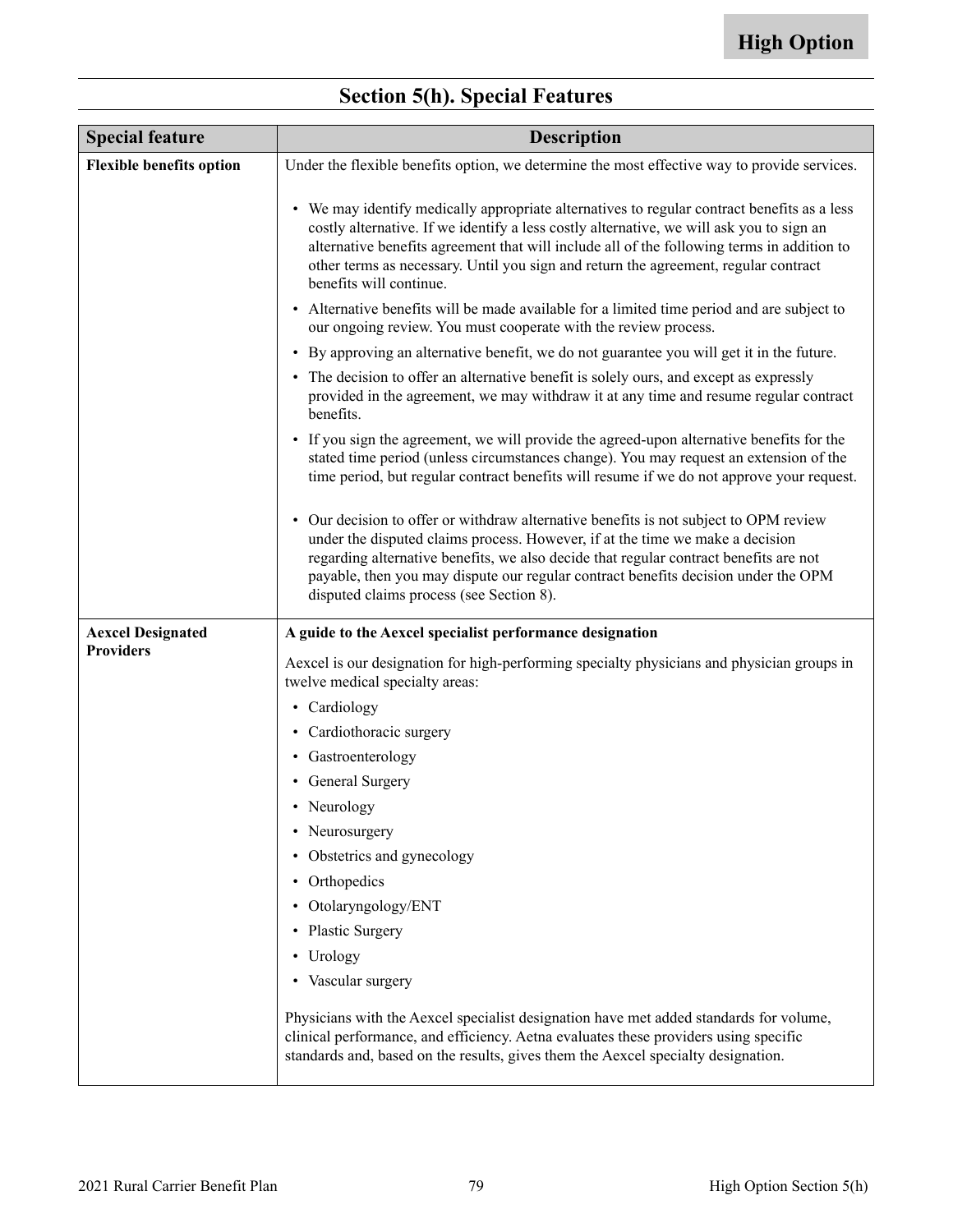| <b>Special feature</b>          | <b>Description</b>                                                                                                                                                                                                                                                                                                                                                                                      |
|---------------------------------|---------------------------------------------------------------------------------------------------------------------------------------------------------------------------------------------------------------------------------------------------------------------------------------------------------------------------------------------------------------------------------------------------------|
| <b>Flexible benefits option</b> | Under the flexible benefits option, we determine the most effective way to provide services.                                                                                                                                                                                                                                                                                                            |
|                                 | • We may identify medically appropriate alternatives to regular contract benefits as a less<br>costly alternative. If we identify a less costly alternative, we will ask you to sign an<br>alternative benefits agreement that will include all of the following terms in addition to<br>other terms as necessary. Until you sign and return the agreement, regular contract<br>benefits will continue. |
|                                 | • Alternative benefits will be made available for a limited time period and are subject to<br>our ongoing review. You must cooperate with the review process.                                                                                                                                                                                                                                           |
|                                 | • By approving an alternative benefit, we do not guarantee you will get it in the future.                                                                                                                                                                                                                                                                                                               |
|                                 | • The decision to offer an alternative benefit is solely ours, and except as expressly<br>provided in the agreement, we may withdraw it at any time and resume regular contract<br>benefits.                                                                                                                                                                                                            |
|                                 | • If you sign the agreement, we will provide the agreed-upon alternative benefits for the<br>stated time period (unless circumstances change). You may request an extension of the<br>time period, but regular contract benefits will resume if we do not approve your request.                                                                                                                         |
|                                 | • Our decision to offer or withdraw alternative benefits is not subject to OPM review<br>under the disputed claims process. However, if at the time we make a decision<br>regarding alternative benefits, we also decide that regular contract benefits are not<br>payable, then you may dispute our regular contract benefits decision under the OPM<br>disputed claims process (see Section 8).       |
| <b>Aexcel Designated</b>        | A guide to the Aexcel specialist performance designation                                                                                                                                                                                                                                                                                                                                                |
| <b>Providers</b>                | A excel is our designation for high-performing specialty physicians and physician groups in<br>twelve medical specialty areas:                                                                                                                                                                                                                                                                          |
|                                 | • Cardiology                                                                                                                                                                                                                                                                                                                                                                                            |
|                                 | • Cardiothoracic surgery                                                                                                                                                                                                                                                                                                                                                                                |
|                                 | • Gastroenterology                                                                                                                                                                                                                                                                                                                                                                                      |
|                                 | • General Surgery                                                                                                                                                                                                                                                                                                                                                                                       |
|                                 | • Neurology                                                                                                                                                                                                                                                                                                                                                                                             |
|                                 | • Neurosurgery                                                                                                                                                                                                                                                                                                                                                                                          |
|                                 | • Obstetrics and gynecology                                                                                                                                                                                                                                                                                                                                                                             |
|                                 | • Orthopedics                                                                                                                                                                                                                                                                                                                                                                                           |
|                                 | • Otolaryngology/ENT                                                                                                                                                                                                                                                                                                                                                                                    |
|                                 | • Plastic Surgery                                                                                                                                                                                                                                                                                                                                                                                       |
|                                 | • Urology                                                                                                                                                                                                                                                                                                                                                                                               |
|                                 | • Vascular surgery                                                                                                                                                                                                                                                                                                                                                                                      |
|                                 | Physicians with the Aexcel specialist designation have met added standards for volume,<br>clinical performance, and efficiency. Aetna evaluates these providers using specific<br>standards and, based on the results, gives them the Aexcel specialty designation.                                                                                                                                     |

# **Section 5(h). Special Features**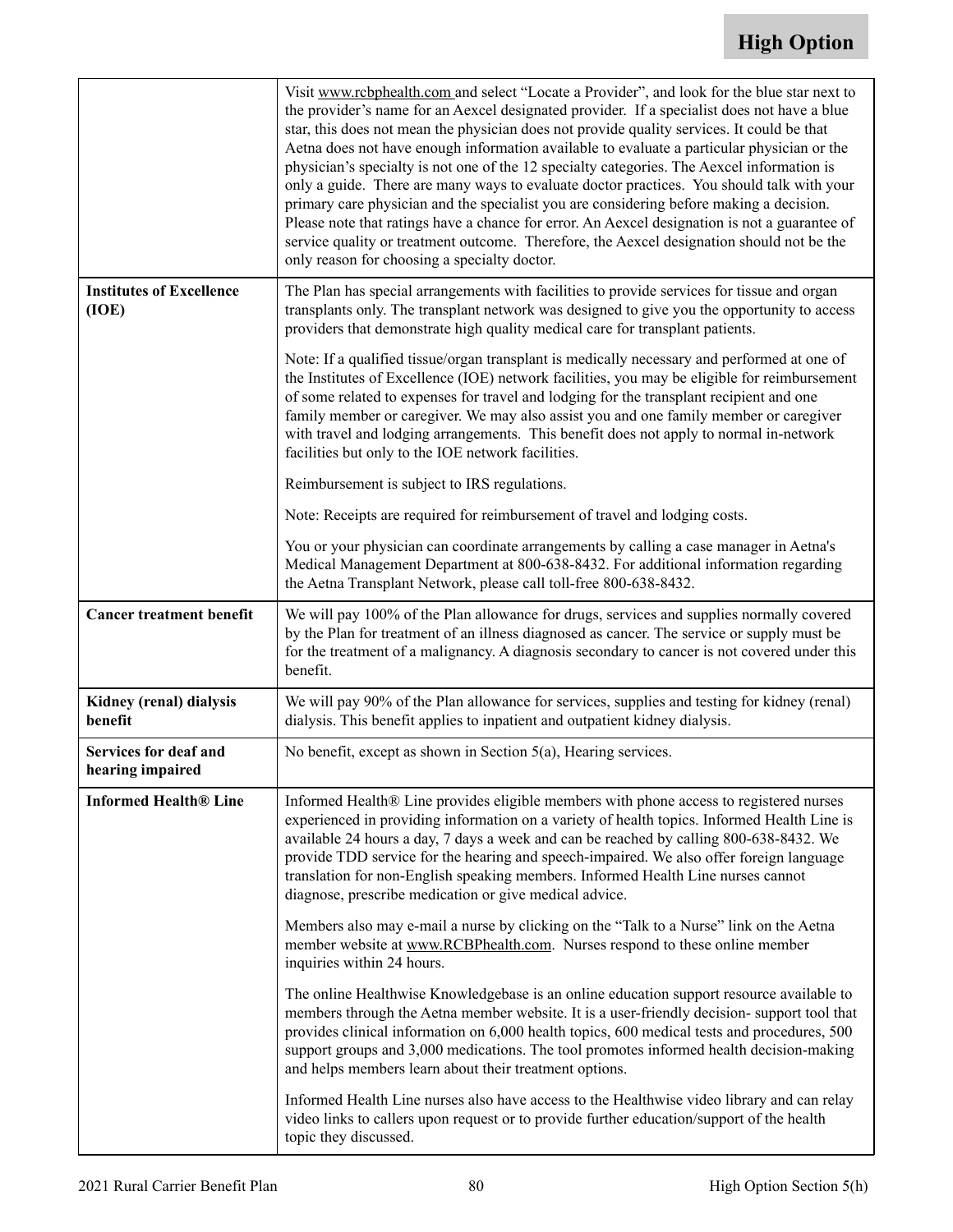|                                           | Visit www.rcbphealth.com and select "Locate a Provider", and look for the blue star next to<br>the provider's name for an Aexcel designated provider. If a specialist does not have a blue<br>star, this does not mean the physician does not provide quality services. It could be that<br>Aetna does not have enough information available to evaluate a particular physician or the<br>physician's specialty is not one of the 12 specialty categories. The Aexcel information is<br>only a guide. There are many ways to evaluate doctor practices. You should talk with your<br>primary care physician and the specialist you are considering before making a decision.<br>Please note that ratings have a chance for error. An Aexcel designation is not a guarantee of<br>service quality or treatment outcome. Therefore, the Aexcel designation should not be the<br>only reason for choosing a specialty doctor. |
|-------------------------------------------|----------------------------------------------------------------------------------------------------------------------------------------------------------------------------------------------------------------------------------------------------------------------------------------------------------------------------------------------------------------------------------------------------------------------------------------------------------------------------------------------------------------------------------------------------------------------------------------------------------------------------------------------------------------------------------------------------------------------------------------------------------------------------------------------------------------------------------------------------------------------------------------------------------------------------|
| <b>Institutes of Excellence</b><br>(IOE)  | The Plan has special arrangements with facilities to provide services for tissue and organ<br>transplants only. The transplant network was designed to give you the opportunity to access<br>providers that demonstrate high quality medical care for transplant patients.                                                                                                                                                                                                                                                                                                                                                                                                                                                                                                                                                                                                                                                 |
|                                           | Note: If a qualified tissue/organ transplant is medically necessary and performed at one of<br>the Institutes of Excellence (IOE) network facilities, you may be eligible for reimbursement<br>of some related to expenses for travel and lodging for the transplant recipient and one<br>family member or caregiver. We may also assist you and one family member or caregiver<br>with travel and lodging arrangements. This benefit does not apply to normal in-network<br>facilities but only to the IOE network facilities.                                                                                                                                                                                                                                                                                                                                                                                            |
|                                           | Reimbursement is subject to IRS regulations.                                                                                                                                                                                                                                                                                                                                                                                                                                                                                                                                                                                                                                                                                                                                                                                                                                                                               |
|                                           | Note: Receipts are required for reimbursement of travel and lodging costs.                                                                                                                                                                                                                                                                                                                                                                                                                                                                                                                                                                                                                                                                                                                                                                                                                                                 |
|                                           | You or your physician can coordinate arrangements by calling a case manager in Aetna's<br>Medical Management Department at 800-638-8432. For additional information regarding<br>the Aetna Transplant Network, please call toll-free 800-638-8432.                                                                                                                                                                                                                                                                                                                                                                                                                                                                                                                                                                                                                                                                         |
| <b>Cancer treatment benefit</b>           | We will pay 100% of the Plan allowance for drugs, services and supplies normally covered<br>by the Plan for treatment of an illness diagnosed as cancer. The service or supply must be<br>for the treatment of a malignancy. A diagnosis secondary to cancer is not covered under this<br>benefit.                                                                                                                                                                                                                                                                                                                                                                                                                                                                                                                                                                                                                         |
| Kidney (renal) dialysis<br>benefit        | We will pay 90% of the Plan allowance for services, supplies and testing for kidney (renal)<br>dialysis. This benefit applies to inpatient and outpatient kidney dialysis.                                                                                                                                                                                                                                                                                                                                                                                                                                                                                                                                                                                                                                                                                                                                                 |
| Services for deaf and<br>hearing impaired | No benefit, except as shown in Section $5(a)$ , Hearing services.                                                                                                                                                                                                                                                                                                                                                                                                                                                                                                                                                                                                                                                                                                                                                                                                                                                          |
| <b>Informed Health® Line</b>              | Informed Health® Line provides eligible members with phone access to registered nurses<br>experienced in providing information on a variety of health topics. Informed Health Line is<br>available 24 hours a day, 7 days a week and can be reached by calling 800-638-8432. We<br>provide TDD service for the hearing and speech-impaired. We also offer foreign language<br>translation for non-English speaking members. Informed Health Line nurses cannot<br>diagnose, prescribe medication or give medical advice.                                                                                                                                                                                                                                                                                                                                                                                                   |
|                                           | Members also may e-mail a nurse by clicking on the "Talk to a Nurse" link on the Aetna<br>member website at www.RCBPhealth.com. Nurses respond to these online member<br>inquiries within 24 hours.                                                                                                                                                                                                                                                                                                                                                                                                                                                                                                                                                                                                                                                                                                                        |
|                                           | The online Healthwise Knowledgebase is an online education support resource available to<br>members through the Aetna member website. It is a user-friendly decision-support tool that<br>provides clinical information on 6,000 health topics, 600 medical tests and procedures, 500<br>support groups and 3,000 medications. The tool promotes informed health decision-making<br>and helps members learn about their treatment options.                                                                                                                                                                                                                                                                                                                                                                                                                                                                                 |
|                                           | Informed Health Line nurses also have access to the Healthwise video library and can relay<br>video links to callers upon request or to provide further education/support of the health<br>topic they discussed.                                                                                                                                                                                                                                                                                                                                                                                                                                                                                                                                                                                                                                                                                                           |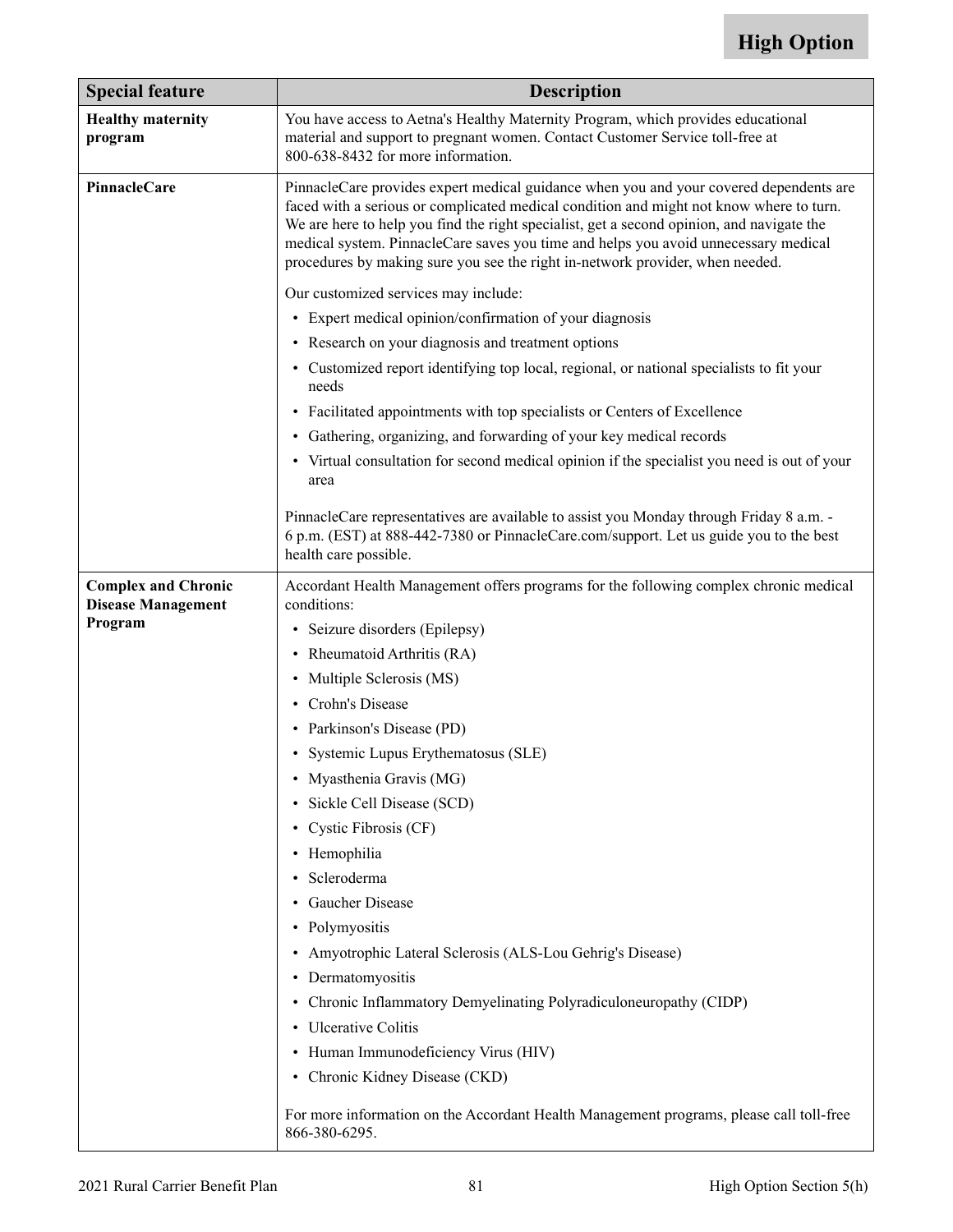| <b>Special feature</b>                                             | <b>Description</b>                                                                                                                                                                                                                                                                                                                                                                                                                                                                                                                                                                                                                                                                                                                                                                                                                |
|--------------------------------------------------------------------|-----------------------------------------------------------------------------------------------------------------------------------------------------------------------------------------------------------------------------------------------------------------------------------------------------------------------------------------------------------------------------------------------------------------------------------------------------------------------------------------------------------------------------------------------------------------------------------------------------------------------------------------------------------------------------------------------------------------------------------------------------------------------------------------------------------------------------------|
| <b>Healthy maternity</b><br>program                                | You have access to Aetna's Healthy Maternity Program, which provides educational<br>material and support to pregnant women. Contact Customer Service toll-free at<br>800-638-8432 for more information.                                                                                                                                                                                                                                                                                                                                                                                                                                                                                                                                                                                                                           |
| PinnacleCare                                                       | PinnacleCare provides expert medical guidance when you and your covered dependents are<br>faced with a serious or complicated medical condition and might not know where to turn.<br>We are here to help you find the right specialist, get a second opinion, and navigate the<br>medical system. PinnacleCare saves you time and helps you avoid unnecessary medical<br>procedures by making sure you see the right in-network provider, when needed.                                                                                                                                                                                                                                                                                                                                                                            |
|                                                                    | Our customized services may include:                                                                                                                                                                                                                                                                                                                                                                                                                                                                                                                                                                                                                                                                                                                                                                                              |
|                                                                    | • Expert medical opinion/confirmation of your diagnosis                                                                                                                                                                                                                                                                                                                                                                                                                                                                                                                                                                                                                                                                                                                                                                           |
|                                                                    | • Research on your diagnosis and treatment options                                                                                                                                                                                                                                                                                                                                                                                                                                                                                                                                                                                                                                                                                                                                                                                |
|                                                                    | • Customized report identifying top local, regional, or national specialists to fit your<br>needs                                                                                                                                                                                                                                                                                                                                                                                                                                                                                                                                                                                                                                                                                                                                 |
|                                                                    | • Facilitated appointments with top specialists or Centers of Excellence                                                                                                                                                                                                                                                                                                                                                                                                                                                                                                                                                                                                                                                                                                                                                          |
|                                                                    | • Gathering, organizing, and forwarding of your key medical records                                                                                                                                                                                                                                                                                                                                                                                                                                                                                                                                                                                                                                                                                                                                                               |
|                                                                    | • Virtual consultation for second medical opinion if the specialist you need is out of your<br>area                                                                                                                                                                                                                                                                                                                                                                                                                                                                                                                                                                                                                                                                                                                               |
|                                                                    | PinnacleCare representatives are available to assist you Monday through Friday 8 a.m. -<br>6 p.m. (EST) at 888-442-7380 or PinnacleCare.com/support. Let us guide you to the best<br>health care possible.                                                                                                                                                                                                                                                                                                                                                                                                                                                                                                                                                                                                                        |
| <b>Complex and Chronic</b><br><b>Disease Management</b><br>Program | Accordant Health Management offers programs for the following complex chronic medical<br>conditions:<br>• Seizure disorders (Epilepsy)<br>• Rheumatoid Arthritis (RA)<br>• Multiple Sclerosis (MS)<br>• Crohn's Disease<br>• Parkinson's Disease (PD)<br>• Systemic Lupus Erythematosus (SLE)<br>• Myasthenia Gravis (MG)<br>· Sickle Cell Disease (SCD)<br>• Cystic Fibrosis (CF)<br>• Hemophilia<br>· Scleroderma<br>• Gaucher Disease<br>• Polymyositis<br>• Amyotrophic Lateral Sclerosis (ALS-Lou Gehrig's Disease)<br>• Dermatomyositis<br>• Chronic Inflammatory Demyelinating Polyradiculoneuropathy (CIDP)<br>• Ulcerative Colitis<br>• Human Immunodeficiency Virus (HIV)<br>• Chronic Kidney Disease (CKD)<br>For more information on the Accordant Health Management programs, please call toll-free<br>866-380-6295. |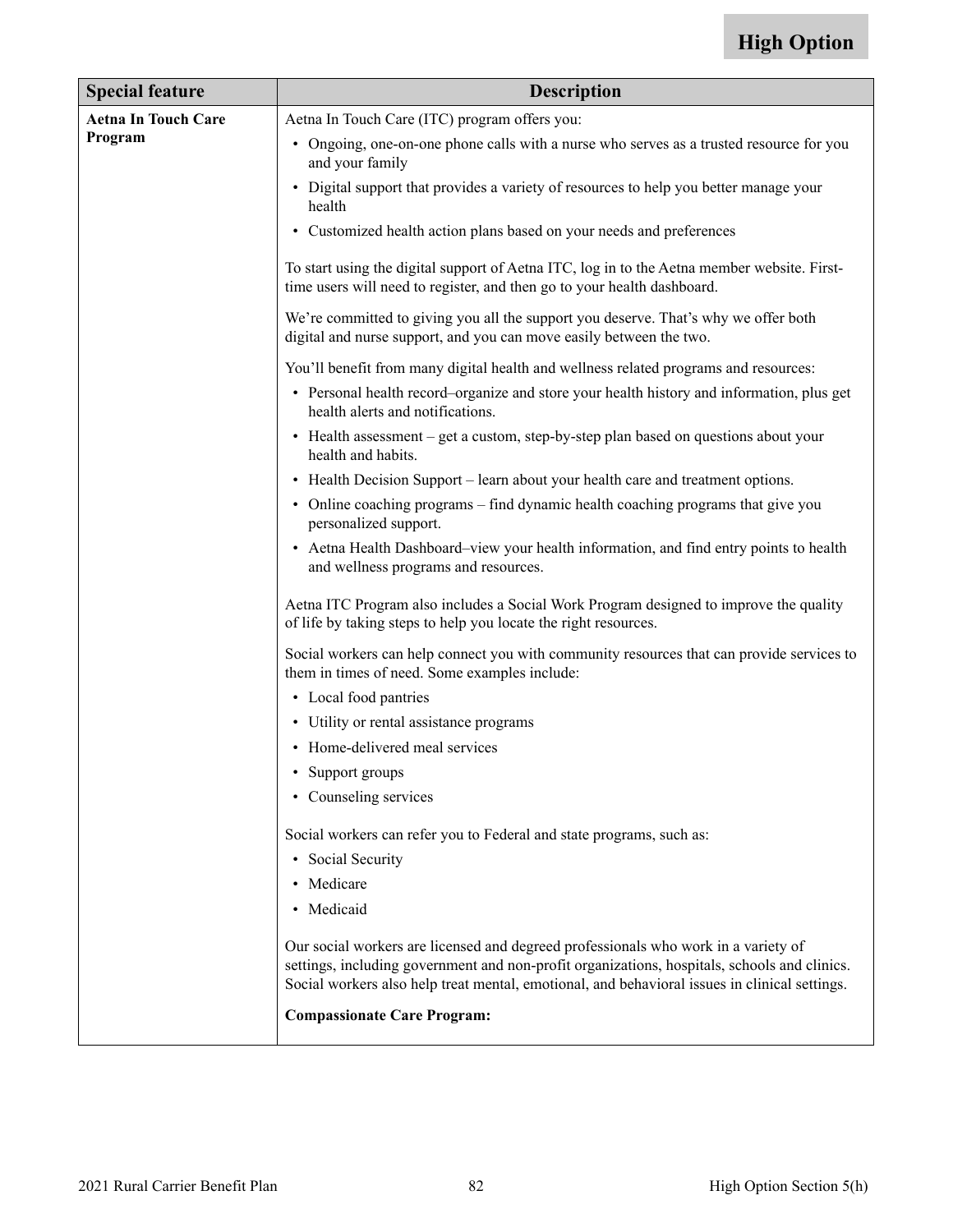| <b>Special feature</b>     | <b>Description</b>                                                                                                                                                                                                                                                                  |  |
|----------------------------|-------------------------------------------------------------------------------------------------------------------------------------------------------------------------------------------------------------------------------------------------------------------------------------|--|
| <b>Aetna In Touch Care</b> | Aetna In Touch Care (ITC) program offers you:                                                                                                                                                                                                                                       |  |
| Program                    | • Ongoing, one-on-one phone calls with a nurse who serves as a trusted resource for you<br>and your family                                                                                                                                                                          |  |
|                            | • Digital support that provides a variety of resources to help you better manage your<br>health                                                                                                                                                                                     |  |
|                            | • Customized health action plans based on your needs and preferences                                                                                                                                                                                                                |  |
|                            | To start using the digital support of Aetna ITC, log in to the Aetna member website. First-<br>time users will need to register, and then go to your health dashboard.                                                                                                              |  |
|                            | We're committed to giving you all the support you deserve. That's why we offer both<br>digital and nurse support, and you can move easily between the two.                                                                                                                          |  |
|                            | You'll benefit from many digital health and wellness related programs and resources:                                                                                                                                                                                                |  |
|                            | • Personal health record–organize and store your health history and information, plus get<br>health alerts and notifications.                                                                                                                                                       |  |
|                            | • Health assessment – get a custom, step-by-step plan based on questions about your<br>health and habits.                                                                                                                                                                           |  |
|                            | • Health Decision Support – learn about your health care and treatment options.                                                                                                                                                                                                     |  |
|                            | • Online coaching programs – find dynamic health coaching programs that give you<br>personalized support.                                                                                                                                                                           |  |
|                            | • Aetna Health Dashboard–view your health information, and find entry points to health<br>and wellness programs and resources.                                                                                                                                                      |  |
|                            | Aetna ITC Program also includes a Social Work Program designed to improve the quality<br>of life by taking steps to help you locate the right resources.                                                                                                                            |  |
|                            | Social workers can help connect you with community resources that can provide services to<br>them in times of need. Some examples include:                                                                                                                                          |  |
|                            | • Local food pantries                                                                                                                                                                                                                                                               |  |
|                            | • Utility or rental assistance programs                                                                                                                                                                                                                                             |  |
|                            | • Home-delivered meal services                                                                                                                                                                                                                                                      |  |
|                            | • Support groups                                                                                                                                                                                                                                                                    |  |
|                            | • Counseling services                                                                                                                                                                                                                                                               |  |
|                            | Social workers can refer you to Federal and state programs, such as:                                                                                                                                                                                                                |  |
|                            | • Social Security                                                                                                                                                                                                                                                                   |  |
|                            | • Medicare                                                                                                                                                                                                                                                                          |  |
|                            | • Medicaid                                                                                                                                                                                                                                                                          |  |
|                            | Our social workers are licensed and degreed professionals who work in a variety of<br>settings, including government and non-profit organizations, hospitals, schools and clinics.<br>Social workers also help treat mental, emotional, and behavioral issues in clinical settings. |  |
|                            | <b>Compassionate Care Program:</b>                                                                                                                                                                                                                                                  |  |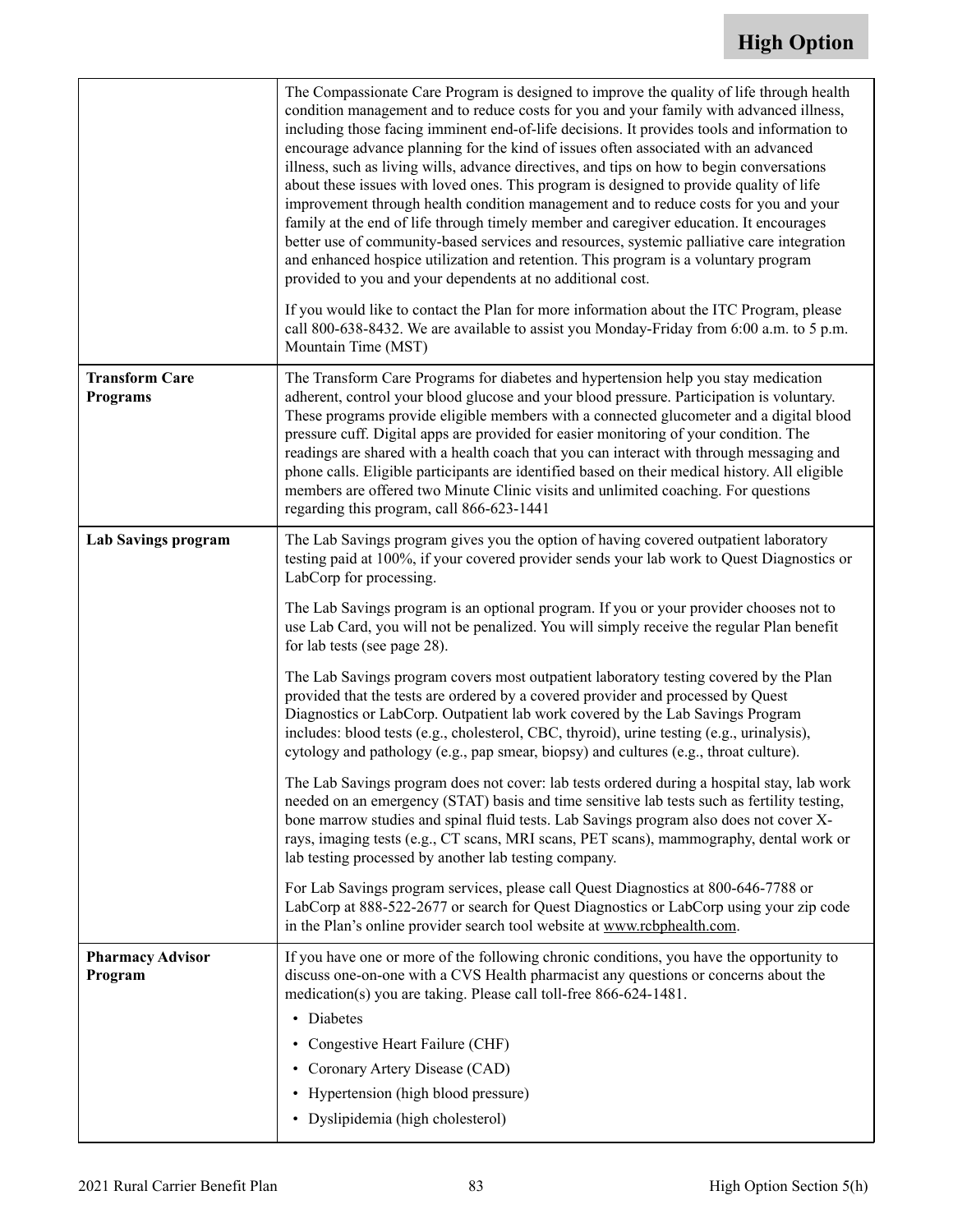|                                          | The Compassionate Care Program is designed to improve the quality of life through health<br>condition management and to reduce costs for you and your family with advanced illness,<br>including those facing imminent end-of-life decisions. It provides tools and information to<br>encourage advance planning for the kind of issues often associated with an advanced<br>illness, such as living wills, advance directives, and tips on how to begin conversations<br>about these issues with loved ones. This program is designed to provide quality of life<br>improvement through health condition management and to reduce costs for you and your<br>family at the end of life through timely member and caregiver education. It encourages<br>better use of community-based services and resources, systemic palliative care integration<br>and enhanced hospice utilization and retention. This program is a voluntary program<br>provided to you and your dependents at no additional cost. |
|------------------------------------------|--------------------------------------------------------------------------------------------------------------------------------------------------------------------------------------------------------------------------------------------------------------------------------------------------------------------------------------------------------------------------------------------------------------------------------------------------------------------------------------------------------------------------------------------------------------------------------------------------------------------------------------------------------------------------------------------------------------------------------------------------------------------------------------------------------------------------------------------------------------------------------------------------------------------------------------------------------------------------------------------------------|
|                                          | If you would like to contact the Plan for more information about the ITC Program, please<br>call 800-638-8432. We are available to assist you Monday-Friday from 6:00 a.m. to 5 p.m.<br>Mountain Time (MST)                                                                                                                                                                                                                                                                                                                                                                                                                                                                                                                                                                                                                                                                                                                                                                                            |
| <b>Transform Care</b><br><b>Programs</b> | The Transform Care Programs for diabetes and hypertension help you stay medication<br>adherent, control your blood glucose and your blood pressure. Participation is voluntary.<br>These programs provide eligible members with a connected glucometer and a digital blood<br>pressure cuff. Digital apps are provided for easier monitoring of your condition. The<br>readings are shared with a health coach that you can interact with through messaging and<br>phone calls. Eligible participants are identified based on their medical history. All eligible<br>members are offered two Minute Clinic visits and unlimited coaching. For questions<br>regarding this program, call 866-623-1441                                                                                                                                                                                                                                                                                                   |
| Lab Savings program                      | The Lab Savings program gives you the option of having covered outpatient laboratory<br>testing paid at 100%, if your covered provider sends your lab work to Quest Diagnostics or<br>LabCorp for processing.                                                                                                                                                                                                                                                                                                                                                                                                                                                                                                                                                                                                                                                                                                                                                                                          |
|                                          | The Lab Savings program is an optional program. If you or your provider chooses not to<br>use Lab Card, you will not be penalized. You will simply receive the regular Plan benefit<br>for lab tests (see page 28).                                                                                                                                                                                                                                                                                                                                                                                                                                                                                                                                                                                                                                                                                                                                                                                    |
|                                          | The Lab Savings program covers most outpatient laboratory testing covered by the Plan<br>provided that the tests are ordered by a covered provider and processed by Quest<br>Diagnostics or LabCorp. Outpatient lab work covered by the Lab Savings Program<br>includes: blood tests (e.g., cholesterol, CBC, thyroid), urine testing (e.g., urinalysis),<br>cytology and pathology (e.g., pap smear, biopsy) and cultures (e.g., throat culture).                                                                                                                                                                                                                                                                                                                                                                                                                                                                                                                                                     |
|                                          | The Lab Savings program does not cover: lab tests ordered during a hospital stay, lab work<br>needed on an emergency (STAT) basis and time sensitive lab tests such as fertility testing,<br>bone marrow studies and spinal fluid tests. Lab Savings program also does not cover X-<br>rays, imaging tests (e.g., CT scans, MRI scans, PET scans), mammography, dental work or<br>lab testing processed by another lab testing company.                                                                                                                                                                                                                                                                                                                                                                                                                                                                                                                                                                |
|                                          | For Lab Savings program services, please call Quest Diagnostics at 800-646-7788 or<br>LabCorp at 888-522-2677 or search for Quest Diagnostics or LabCorp using your zip code<br>in the Plan's online provider search tool website at www.rcbphealth.com.                                                                                                                                                                                                                                                                                                                                                                                                                                                                                                                                                                                                                                                                                                                                               |
| <b>Pharmacy Advisor</b><br>Program       | If you have one or more of the following chronic conditions, you have the opportunity to<br>discuss one-on-one with a CVS Health pharmacist any questions or concerns about the<br>medication(s) you are taking. Please call toll-free 866-624-1481.                                                                                                                                                                                                                                                                                                                                                                                                                                                                                                                                                                                                                                                                                                                                                   |
|                                          | • Diabetes                                                                                                                                                                                                                                                                                                                                                                                                                                                                                                                                                                                                                                                                                                                                                                                                                                                                                                                                                                                             |
|                                          | • Congestive Heart Failure (CHF)                                                                                                                                                                                                                                                                                                                                                                                                                                                                                                                                                                                                                                                                                                                                                                                                                                                                                                                                                                       |
|                                          | • Coronary Artery Disease (CAD)                                                                                                                                                                                                                                                                                                                                                                                                                                                                                                                                                                                                                                                                                                                                                                                                                                                                                                                                                                        |
|                                          | • Hypertension (high blood pressure)                                                                                                                                                                                                                                                                                                                                                                                                                                                                                                                                                                                                                                                                                                                                                                                                                                                                                                                                                                   |
|                                          | • Dyslipidemia (high cholesterol)                                                                                                                                                                                                                                                                                                                                                                                                                                                                                                                                                                                                                                                                                                                                                                                                                                                                                                                                                                      |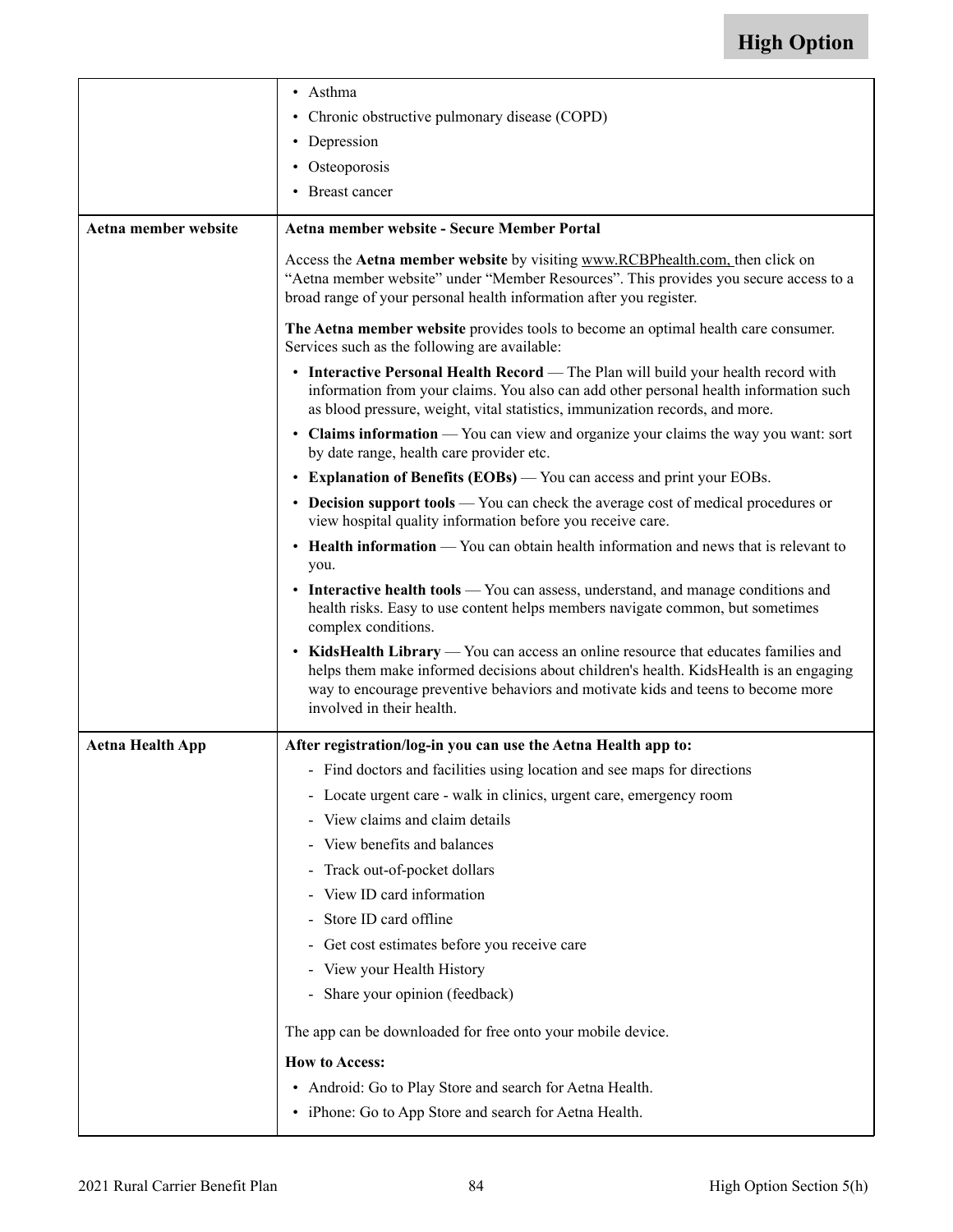|                         | • Asthma                                                                                                                                                                                                                                                                                      |
|-------------------------|-----------------------------------------------------------------------------------------------------------------------------------------------------------------------------------------------------------------------------------------------------------------------------------------------|
|                         | • Chronic obstructive pulmonary disease (COPD)                                                                                                                                                                                                                                                |
|                         | • Depression                                                                                                                                                                                                                                                                                  |
|                         | • Osteoporosis                                                                                                                                                                                                                                                                                |
|                         | • Breast cancer                                                                                                                                                                                                                                                                               |
| Aetna member website    | Aetna member website - Secure Member Portal                                                                                                                                                                                                                                                   |
|                         | Access the Aetna member website by visiting www.RCBPhealth.com, then click on<br>"Aetna member website" under "Member Resources". This provides you secure access to a<br>broad range of your personal health information after you register.                                                 |
|                         | The Aetna member website provides tools to become an optimal health care consumer.<br>Services such as the following are available:                                                                                                                                                           |
|                         | • Interactive Personal Health Record — The Plan will build your health record with<br>information from your claims. You also can add other personal health information such<br>as blood pressure, weight, vital statistics, immunization records, and more.                                   |
|                         | • Claims information - You can view and organize your claims the way you want: sort<br>by date range, health care provider etc.                                                                                                                                                               |
|                         | • Explanation of Benefits (EOBs) — You can access and print your EOBs.                                                                                                                                                                                                                        |
|                         | • Decision support tools — You can check the average cost of medical procedures or<br>view hospital quality information before you receive care.                                                                                                                                              |
|                         | • Health information — You can obtain health information and news that is relevant to<br>you.                                                                                                                                                                                                 |
|                         | • Interactive health tools — You can assess, understand, and manage conditions and<br>health risks. Easy to use content helps members navigate common, but sometimes<br>complex conditions.                                                                                                   |
|                         | • KidsHealth Library — You can access an online resource that educates families and<br>helps them make informed decisions about children's health. KidsHealth is an engaging<br>way to encourage preventive behaviors and motivate kids and teens to become more<br>involved in their health. |
| <b>Aetna Health App</b> | After registration/log-in you can use the Aetna Health app to:                                                                                                                                                                                                                                |
|                         | - Find doctors and facilities using location and see maps for directions                                                                                                                                                                                                                      |
|                         | - Locate urgent care - walk in clinics, urgent care, emergency room                                                                                                                                                                                                                           |
|                         | - View claims and claim details                                                                                                                                                                                                                                                               |
|                         | View benefits and balances                                                                                                                                                                                                                                                                    |
|                         | Track out-of-pocket dollars                                                                                                                                                                                                                                                                   |
|                         | - View ID card information                                                                                                                                                                                                                                                                    |
|                         | Store ID card offline                                                                                                                                                                                                                                                                         |
|                         | Get cost estimates before you receive care                                                                                                                                                                                                                                                    |
|                         | - View your Health History                                                                                                                                                                                                                                                                    |
|                         | - Share your opinion (feedback)                                                                                                                                                                                                                                                               |
|                         | The app can be downloaded for free onto your mobile device.                                                                                                                                                                                                                                   |
|                         | <b>How to Access:</b>                                                                                                                                                                                                                                                                         |
|                         | • Android: Go to Play Store and search for Aetna Health.                                                                                                                                                                                                                                      |
|                         | • iPhone: Go to App Store and search for Aetna Health.                                                                                                                                                                                                                                        |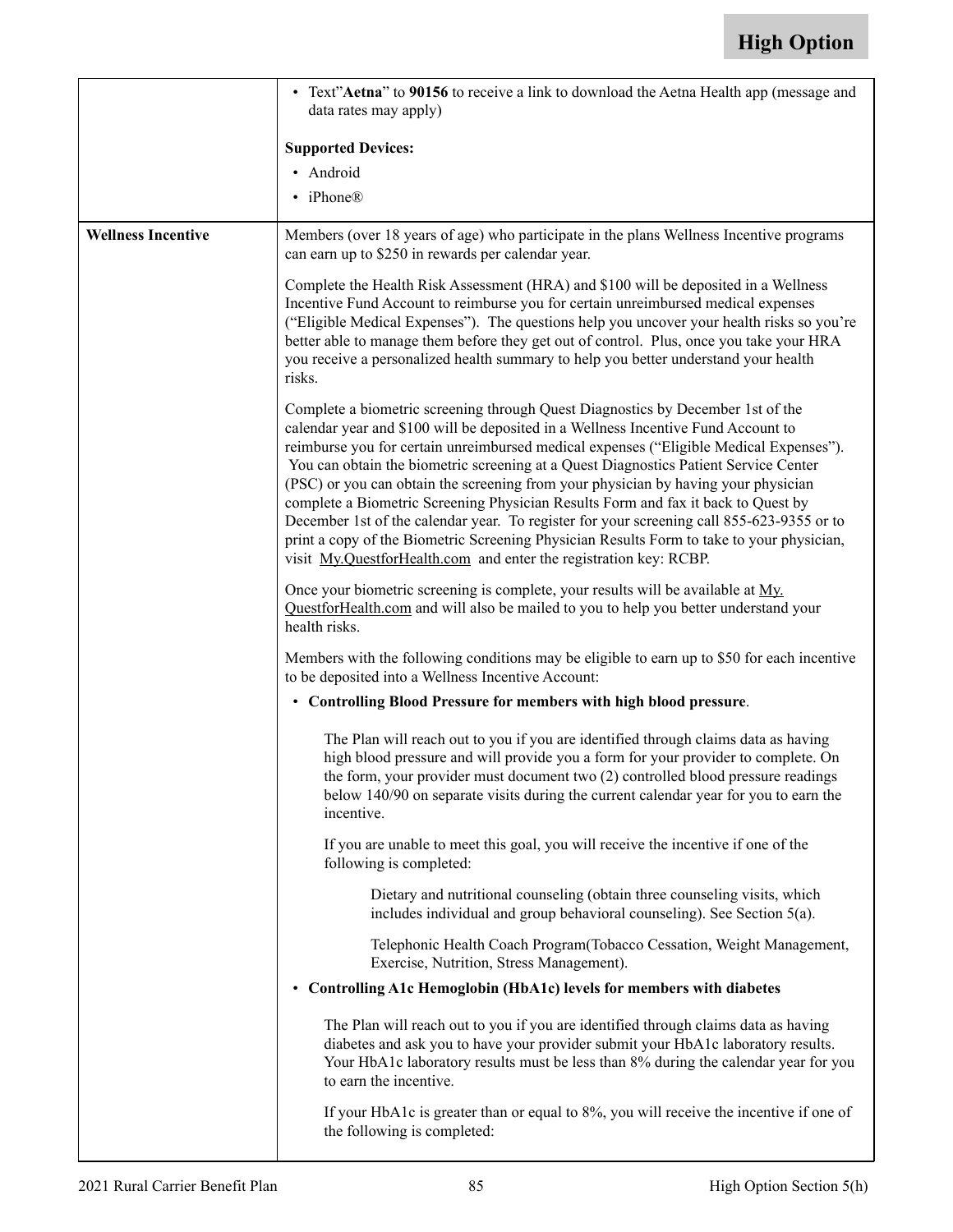|                           | • Text"Aetna" to 90156 to receive a link to download the Aetna Health app (message and<br>data rates may apply)                                                                                                                                                                                                                                                                                                                                                                                                                                                                                                                                                                                                                                                                                  |
|---------------------------|--------------------------------------------------------------------------------------------------------------------------------------------------------------------------------------------------------------------------------------------------------------------------------------------------------------------------------------------------------------------------------------------------------------------------------------------------------------------------------------------------------------------------------------------------------------------------------------------------------------------------------------------------------------------------------------------------------------------------------------------------------------------------------------------------|
|                           | <b>Supported Devices:</b>                                                                                                                                                                                                                                                                                                                                                                                                                                                                                                                                                                                                                                                                                                                                                                        |
|                           | · Android                                                                                                                                                                                                                                                                                                                                                                                                                                                                                                                                                                                                                                                                                                                                                                                        |
|                           | • iPhone®                                                                                                                                                                                                                                                                                                                                                                                                                                                                                                                                                                                                                                                                                                                                                                                        |
| <b>Wellness Incentive</b> | Members (over 18 years of age) who participate in the plans Wellness Incentive programs<br>can earn up to \$250 in rewards per calendar year.                                                                                                                                                                                                                                                                                                                                                                                                                                                                                                                                                                                                                                                    |
|                           | Complete the Health Risk Assessment (HRA) and \$100 will be deposited in a Wellness<br>Incentive Fund Account to reimburse you for certain unreimbursed medical expenses<br>("Eligible Medical Expenses"). The questions help you uncover your health risks so you're<br>better able to manage them before they get out of control. Plus, once you take your HRA<br>you receive a personalized health summary to help you better understand your health<br>risks.                                                                                                                                                                                                                                                                                                                                |
|                           | Complete a biometric screening through Quest Diagnostics by December 1st of the<br>calendar year and \$100 will be deposited in a Wellness Incentive Fund Account to<br>reimburse you for certain unreimbursed medical expenses ("Eligible Medical Expenses").<br>You can obtain the biometric screening at a Quest Diagnostics Patient Service Center<br>(PSC) or you can obtain the screening from your physician by having your physician<br>complete a Biometric Screening Physician Results Form and fax it back to Quest by<br>December 1st of the calendar year. To register for your screening call 855-623-9355 or to<br>print a copy of the Biometric Screening Physician Results Form to take to your physician,<br>visit My.QuestforHealth.com and enter the registration key: RCBP. |
|                           | Once your biometric screening is complete, your results will be available at My.<br>QuestforHealth.com and will also be mailed to you to help you better understand your<br>health risks.                                                                                                                                                                                                                                                                                                                                                                                                                                                                                                                                                                                                        |
|                           | Members with the following conditions may be eligible to earn up to \$50 for each incentive<br>to be deposited into a Wellness Incentive Account:                                                                                                                                                                                                                                                                                                                                                                                                                                                                                                                                                                                                                                                |
|                           | • Controlling Blood Pressure for members with high blood pressure.                                                                                                                                                                                                                                                                                                                                                                                                                                                                                                                                                                                                                                                                                                                               |
|                           | The Plan will reach out to you if you are identified through claims data as having<br>high blood pressure and will provide you a form for your provider to complete. On<br>the form, your provider must document two (2) controlled blood pressure readings<br>below 140/90 on separate visits during the current calendar year for you to earn the<br>incentive.                                                                                                                                                                                                                                                                                                                                                                                                                                |
|                           | If you are unable to meet this goal, you will receive the incentive if one of the<br>following is completed:                                                                                                                                                                                                                                                                                                                                                                                                                                                                                                                                                                                                                                                                                     |
|                           | Dietary and nutritional counseling (obtain three counseling visits, which<br>includes individual and group behavioral counseling). See Section 5(a).                                                                                                                                                                                                                                                                                                                                                                                                                                                                                                                                                                                                                                             |
|                           | Telephonic Health Coach Program (Tobacco Cessation, Weight Management,<br>Exercise, Nutrition, Stress Management).                                                                                                                                                                                                                                                                                                                                                                                                                                                                                                                                                                                                                                                                               |
|                           | • Controlling A1c Hemoglobin (HbA1c) levels for members with diabetes                                                                                                                                                                                                                                                                                                                                                                                                                                                                                                                                                                                                                                                                                                                            |
|                           | The Plan will reach out to you if you are identified through claims data as having<br>diabetes and ask you to have your provider submit your HbA1c laboratory results.<br>Your HbA1c laboratory results must be less than 8% during the calendar year for you<br>to earn the incentive.                                                                                                                                                                                                                                                                                                                                                                                                                                                                                                          |
|                           | If your HbA1c is greater than or equal to 8%, you will receive the incentive if one of<br>the following is completed:                                                                                                                                                                                                                                                                                                                                                                                                                                                                                                                                                                                                                                                                            |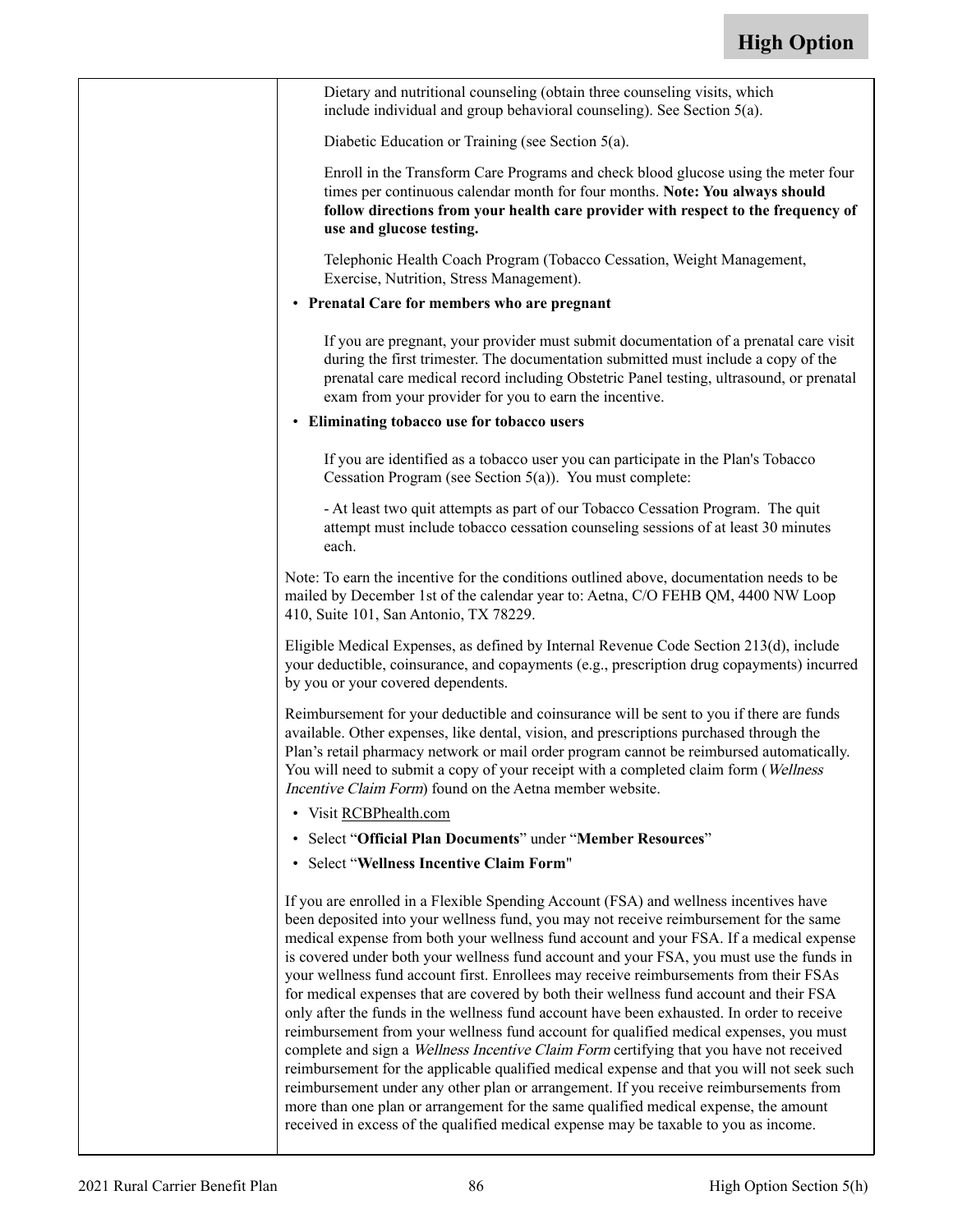| Dietary and nutritional counseling (obtain three counseling visits, which<br>include individual and group behavioral counseling). See Section 5(a).                                                                                                                                                                                                                                                                                                                                                                                                                                                                                                                                                                                                                                                                                                                                                                                                                                                                                                                                                                                                                                                                   |
|-----------------------------------------------------------------------------------------------------------------------------------------------------------------------------------------------------------------------------------------------------------------------------------------------------------------------------------------------------------------------------------------------------------------------------------------------------------------------------------------------------------------------------------------------------------------------------------------------------------------------------------------------------------------------------------------------------------------------------------------------------------------------------------------------------------------------------------------------------------------------------------------------------------------------------------------------------------------------------------------------------------------------------------------------------------------------------------------------------------------------------------------------------------------------------------------------------------------------|
| Diabetic Education or Training (see Section 5(a).                                                                                                                                                                                                                                                                                                                                                                                                                                                                                                                                                                                                                                                                                                                                                                                                                                                                                                                                                                                                                                                                                                                                                                     |
| Enroll in the Transform Care Programs and check blood glucose using the meter four<br>times per continuous calendar month for four months. Note: You always should<br>follow directions from your health care provider with respect to the frequency of<br>use and glucose testing.                                                                                                                                                                                                                                                                                                                                                                                                                                                                                                                                                                                                                                                                                                                                                                                                                                                                                                                                   |
| Telephonic Health Coach Program (Tobacco Cessation, Weight Management,<br>Exercise, Nutrition, Stress Management).                                                                                                                                                                                                                                                                                                                                                                                                                                                                                                                                                                                                                                                                                                                                                                                                                                                                                                                                                                                                                                                                                                    |
| • Prenatal Care for members who are pregnant                                                                                                                                                                                                                                                                                                                                                                                                                                                                                                                                                                                                                                                                                                                                                                                                                                                                                                                                                                                                                                                                                                                                                                          |
| If you are pregnant, your provider must submit documentation of a prenatal care visit<br>during the first trimester. The documentation submitted must include a copy of the<br>prenatal care medical record including Obstetric Panel testing, ultrasound, or prenatal<br>exam from your provider for you to earn the incentive.                                                                                                                                                                                                                                                                                                                                                                                                                                                                                                                                                                                                                                                                                                                                                                                                                                                                                      |
| • Eliminating tobacco use for tobacco users                                                                                                                                                                                                                                                                                                                                                                                                                                                                                                                                                                                                                                                                                                                                                                                                                                                                                                                                                                                                                                                                                                                                                                           |
| If you are identified as a tobacco user you can participate in the Plan's Tobacco<br>Cessation Program (see Section $5(a)$ ). You must complete:                                                                                                                                                                                                                                                                                                                                                                                                                                                                                                                                                                                                                                                                                                                                                                                                                                                                                                                                                                                                                                                                      |
| - At least two quit attempts as part of our Tobacco Cessation Program. The quit<br>attempt must include tobacco cessation counseling sessions of at least 30 minutes<br>each.                                                                                                                                                                                                                                                                                                                                                                                                                                                                                                                                                                                                                                                                                                                                                                                                                                                                                                                                                                                                                                         |
| Note: To earn the incentive for the conditions outlined above, documentation needs to be<br>mailed by December 1st of the calendar year to: Aetna, C/O FEHB QM, 4400 NW Loop<br>410, Suite 101, San Antonio, TX 78229.                                                                                                                                                                                                                                                                                                                                                                                                                                                                                                                                                                                                                                                                                                                                                                                                                                                                                                                                                                                                |
| Eligible Medical Expenses, as defined by Internal Revenue Code Section 213(d), include<br>your deductible, coinsurance, and copayments (e.g., prescription drug copayments) incurred<br>by you or your covered dependents.                                                                                                                                                                                                                                                                                                                                                                                                                                                                                                                                                                                                                                                                                                                                                                                                                                                                                                                                                                                            |
| Reimbursement for your deductible and coinsurance will be sent to you if there are funds<br>available. Other expenses, like dental, vision, and prescriptions purchased through the<br>Plan's retail pharmacy network or mail order program cannot be reimbursed automatically.<br>You will need to submit a copy of your receipt with a completed claim form (Wellness<br>Incentive Claim Form) found on the Aetna member website.                                                                                                                                                                                                                                                                                                                                                                                                                                                                                                                                                                                                                                                                                                                                                                                   |
| • Visit RCBPhealth.com                                                                                                                                                                                                                                                                                                                                                                                                                                                                                                                                                                                                                                                                                                                                                                                                                                                                                                                                                                                                                                                                                                                                                                                                |
| • Select "Official Plan Documents" under "Member Resources"                                                                                                                                                                                                                                                                                                                                                                                                                                                                                                                                                                                                                                                                                                                                                                                                                                                                                                                                                                                                                                                                                                                                                           |
| • Select "Wellness Incentive Claim Form"                                                                                                                                                                                                                                                                                                                                                                                                                                                                                                                                                                                                                                                                                                                                                                                                                                                                                                                                                                                                                                                                                                                                                                              |
| If you are enrolled in a Flexible Spending Account (FSA) and wellness incentives have<br>been deposited into your wellness fund, you may not receive reimbursement for the same<br>medical expense from both your wellness fund account and your FSA. If a medical expense<br>is covered under both your wellness fund account and your FSA, you must use the funds in<br>your wellness fund account first. Enrollees may receive reimbursements from their FSAs<br>for medical expenses that are covered by both their wellness fund account and their FSA<br>only after the funds in the wellness fund account have been exhausted. In order to receive<br>reimbursement from your wellness fund account for qualified medical expenses, you must<br>complete and sign a Wellness Incentive Claim Form certifying that you have not received<br>reimbursement for the applicable qualified medical expense and that you will not seek such<br>reimbursement under any other plan or arrangement. If you receive reimbursements from<br>more than one plan or arrangement for the same qualified medical expense, the amount<br>received in excess of the qualified medical expense may be taxable to you as income. |
|                                                                                                                                                                                                                                                                                                                                                                                                                                                                                                                                                                                                                                                                                                                                                                                                                                                                                                                                                                                                                                                                                                                                                                                                                       |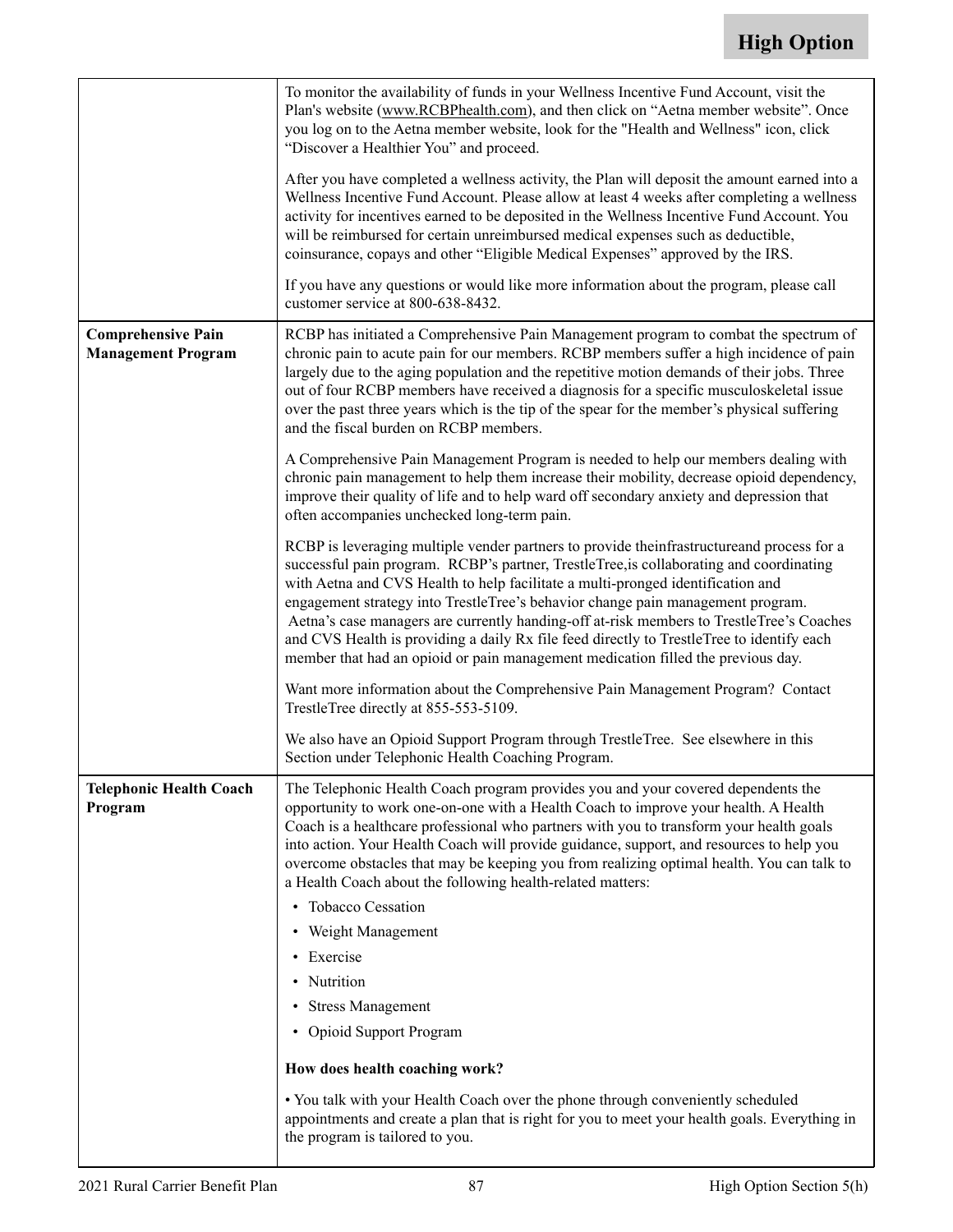|                                                        | To monitor the availability of funds in your Wellness Incentive Fund Account, visit the<br>Plan's website (www.RCBPhealth.com), and then click on "Aetna member website". Once<br>you log on to the Aetna member website, look for the "Health and Wellness" icon, click<br>"Discover a Healthier You" and proceed.<br>After you have completed a wellness activity, the Plan will deposit the amount earned into a<br>Wellness Incentive Fund Account. Please allow at least 4 weeks after completing a wellness<br>activity for incentives earned to be deposited in the Wellness Incentive Fund Account. You<br>will be reimbursed for certain unreimbursed medical expenses such as deductible,<br>coinsurance, copays and other "Eligible Medical Expenses" approved by the IRS.<br>If you have any questions or would like more information about the program, please call |
|--------------------------------------------------------|----------------------------------------------------------------------------------------------------------------------------------------------------------------------------------------------------------------------------------------------------------------------------------------------------------------------------------------------------------------------------------------------------------------------------------------------------------------------------------------------------------------------------------------------------------------------------------------------------------------------------------------------------------------------------------------------------------------------------------------------------------------------------------------------------------------------------------------------------------------------------------|
|                                                        | customer service at 800-638-8432.                                                                                                                                                                                                                                                                                                                                                                                                                                                                                                                                                                                                                                                                                                                                                                                                                                                |
| <b>Comprehensive Pain</b><br><b>Management Program</b> | RCBP has initiated a Comprehensive Pain Management program to combat the spectrum of<br>chronic pain to acute pain for our members. RCBP members suffer a high incidence of pain<br>largely due to the aging population and the repetitive motion demands of their jobs. Three<br>out of four RCBP members have received a diagnosis for a specific musculoskeletal issue<br>over the past three years which is the tip of the spear for the member's physical suffering<br>and the fiscal burden on RCBP members.                                                                                                                                                                                                                                                                                                                                                               |
|                                                        | A Comprehensive Pain Management Program is needed to help our members dealing with<br>chronic pain management to help them increase their mobility, decrease opioid dependency,<br>improve their quality of life and to help ward off secondary anxiety and depression that<br>often accompanies unchecked long-term pain.                                                                                                                                                                                                                                                                                                                                                                                                                                                                                                                                                       |
|                                                        | RCBP is leveraging multiple vender partners to provide the infrastructure and process for a<br>successful pain program. RCBP's partner, TrestleTree, is collaborating and coordinating<br>with Aetna and CVS Health to help facilitate a multi-pronged identification and<br>engagement strategy into TrestleTree's behavior change pain management program.<br>Aetna's case managers are currently handing-off at-risk members to TrestleTree's Coaches<br>and CVS Health is providing a daily Rx file feed directly to TrestleTree to identify each<br>member that had an opioid or pain management medication filled the previous day.                                                                                                                                                                                                                                        |
|                                                        | Want more information about the Comprehensive Pain Management Program? Contact<br>TrestleTree directly at 855-553-5109.                                                                                                                                                                                                                                                                                                                                                                                                                                                                                                                                                                                                                                                                                                                                                          |
|                                                        | We also have an Opioid Support Program through TrestleTree. See elsewhere in this<br>Section under Telephonic Health Coaching Program.                                                                                                                                                                                                                                                                                                                                                                                                                                                                                                                                                                                                                                                                                                                                           |
| <b>Telephonic Health Coach</b><br>Program              | The Telephonic Health Coach program provides you and your covered dependents the<br>opportunity to work one-on-one with a Health Coach to improve your health. A Health<br>Coach is a healthcare professional who partners with you to transform your health goals<br>into action. Your Health Coach will provide guidance, support, and resources to help you<br>overcome obstacles that may be keeping you from realizing optimal health. You can talk to<br>a Health Coach about the following health-related matters:<br>• Tobacco Cessation<br>• Weight Management<br>• Exercise<br>• Nutrition<br>• Stress Management<br>• Opioid Support Program<br>How does health coaching work?<br>• You talk with your Health Coach over the phone through conveniently scheduled                                                                                                     |
|                                                        | appointments and create a plan that is right for you to meet your health goals. Everything in<br>the program is tailored to you.                                                                                                                                                                                                                                                                                                                                                                                                                                                                                                                                                                                                                                                                                                                                                 |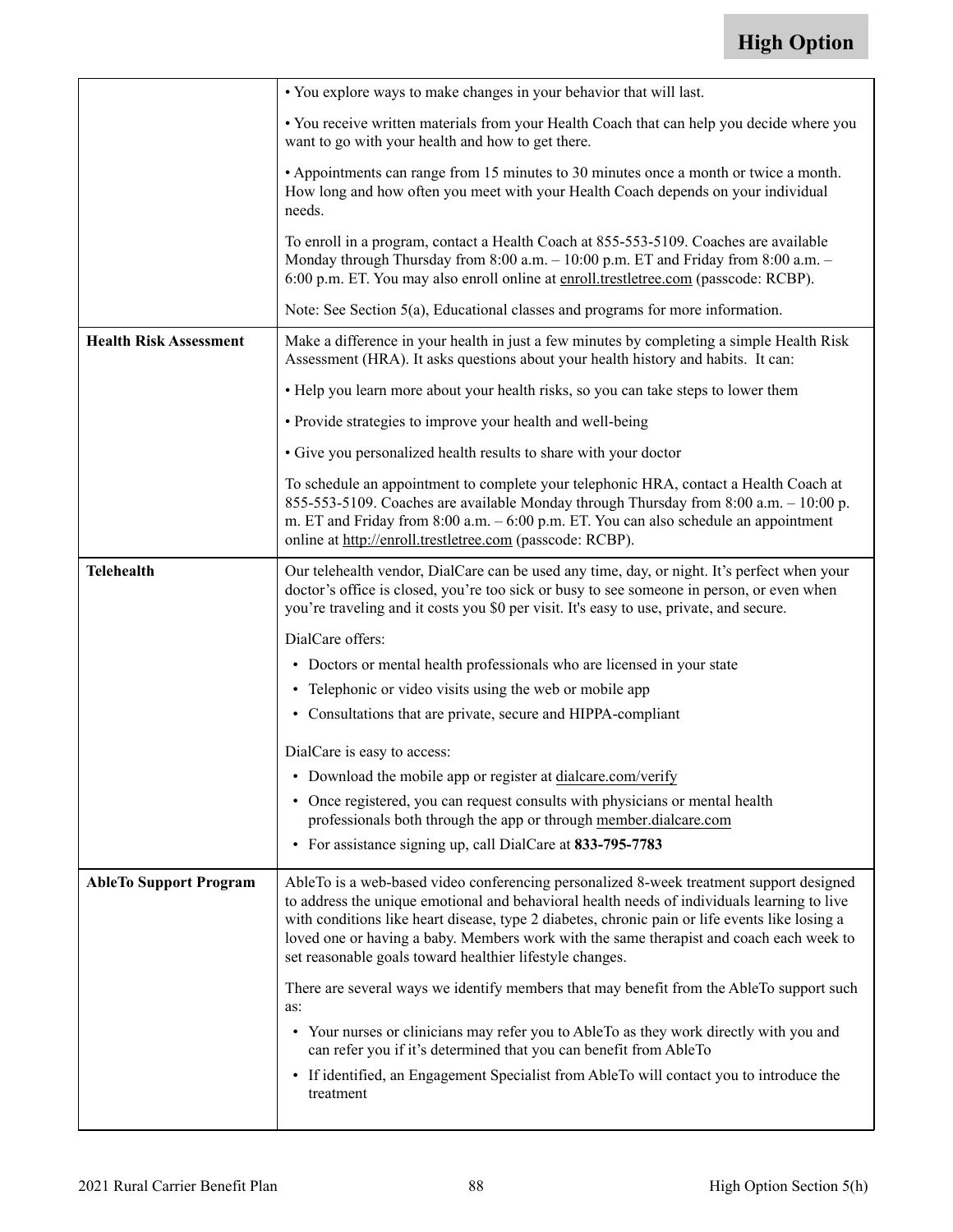|                               | • You explore ways to make changes in your behavior that will last.                                                                                                                                                                                                                                                                                                                                                                             |
|-------------------------------|-------------------------------------------------------------------------------------------------------------------------------------------------------------------------------------------------------------------------------------------------------------------------------------------------------------------------------------------------------------------------------------------------------------------------------------------------|
|                               | • You receive written materials from your Health Coach that can help you decide where you<br>want to go with your health and how to get there.                                                                                                                                                                                                                                                                                                  |
|                               | • Appointments can range from 15 minutes to 30 minutes once a month or twice a month.<br>How long and how often you meet with your Health Coach depends on your individual<br>needs.                                                                                                                                                                                                                                                            |
|                               | To enroll in a program, contact a Health Coach at 855-553-5109. Coaches are available<br>Monday through Thursday from 8:00 a.m. - 10:00 p.m. ET and Friday from 8:00 a.m. -<br>6:00 p.m. ET. You may also enroll online at enroll.trestletree.com (passcode: RCBP).                                                                                                                                                                             |
|                               | Note: See Section 5(a), Educational classes and programs for more information.                                                                                                                                                                                                                                                                                                                                                                  |
| <b>Health Risk Assessment</b> | Make a difference in your health in just a few minutes by completing a simple Health Risk<br>Assessment (HRA). It asks questions about your health history and habits. It can:                                                                                                                                                                                                                                                                  |
|                               | • Help you learn more about your health risks, so you can take steps to lower them                                                                                                                                                                                                                                                                                                                                                              |
|                               | • Provide strategies to improve your health and well-being                                                                                                                                                                                                                                                                                                                                                                                      |
|                               | • Give you personalized health results to share with your doctor                                                                                                                                                                                                                                                                                                                                                                                |
|                               | To schedule an appointment to complete your telephonic HRA, contact a Health Coach at<br>855-553-5109. Coaches are available Monday through Thursday from 8:00 a.m. $-10:00$ p.<br>m. ET and Friday from $8:00$ a.m. $-6:00$ p.m. ET. You can also schedule an appointment<br>online at http://enroll.trestletree.com (passcode: RCBP).                                                                                                         |
| <b>Telehealth</b>             | Our telehealth vendor, DialCare can be used any time, day, or night. It's perfect when your<br>doctor's office is closed, you're too sick or busy to see someone in person, or even when<br>you're traveling and it costs you \$0 per visit. It's easy to use, private, and secure.                                                                                                                                                             |
|                               | DialCare offers:                                                                                                                                                                                                                                                                                                                                                                                                                                |
|                               | • Doctors or mental health professionals who are licensed in your state                                                                                                                                                                                                                                                                                                                                                                         |
|                               | • Telephonic or video visits using the web or mobile app                                                                                                                                                                                                                                                                                                                                                                                        |
|                               | • Consultations that are private, secure and HIPPA-compliant                                                                                                                                                                                                                                                                                                                                                                                    |
|                               | DialCare is easy to access:                                                                                                                                                                                                                                                                                                                                                                                                                     |
|                               |                                                                                                                                                                                                                                                                                                                                                                                                                                                 |
|                               | • Download the mobile app or register at dialcare.com/verify                                                                                                                                                                                                                                                                                                                                                                                    |
|                               | • Once registered, you can request consults with physicians or mental health<br>professionals both through the app or through member.dialcare.com                                                                                                                                                                                                                                                                                               |
|                               | • For assistance signing up, call DialCare at 833-795-7783                                                                                                                                                                                                                                                                                                                                                                                      |
| <b>AbleTo Support Program</b> | AbleTo is a web-based video conferencing personalized 8-week treatment support designed<br>to address the unique emotional and behavioral health needs of individuals learning to live<br>with conditions like heart disease, type 2 diabetes, chronic pain or life events like losing a<br>loved one or having a baby. Members work with the same therapist and coach each week to<br>set reasonable goals toward healthier lifestyle changes. |
|                               | There are several ways we identify members that may benefit from the AbleTo support such<br>as:                                                                                                                                                                                                                                                                                                                                                 |
|                               | • Your nurses or clinicians may refer you to AbleTo as they work directly with you and<br>can refer you if it's determined that you can benefit from AbleTo                                                                                                                                                                                                                                                                                     |
|                               | • If identified, an Engagement Specialist from AbleTo will contact you to introduce the<br>treatment                                                                                                                                                                                                                                                                                                                                            |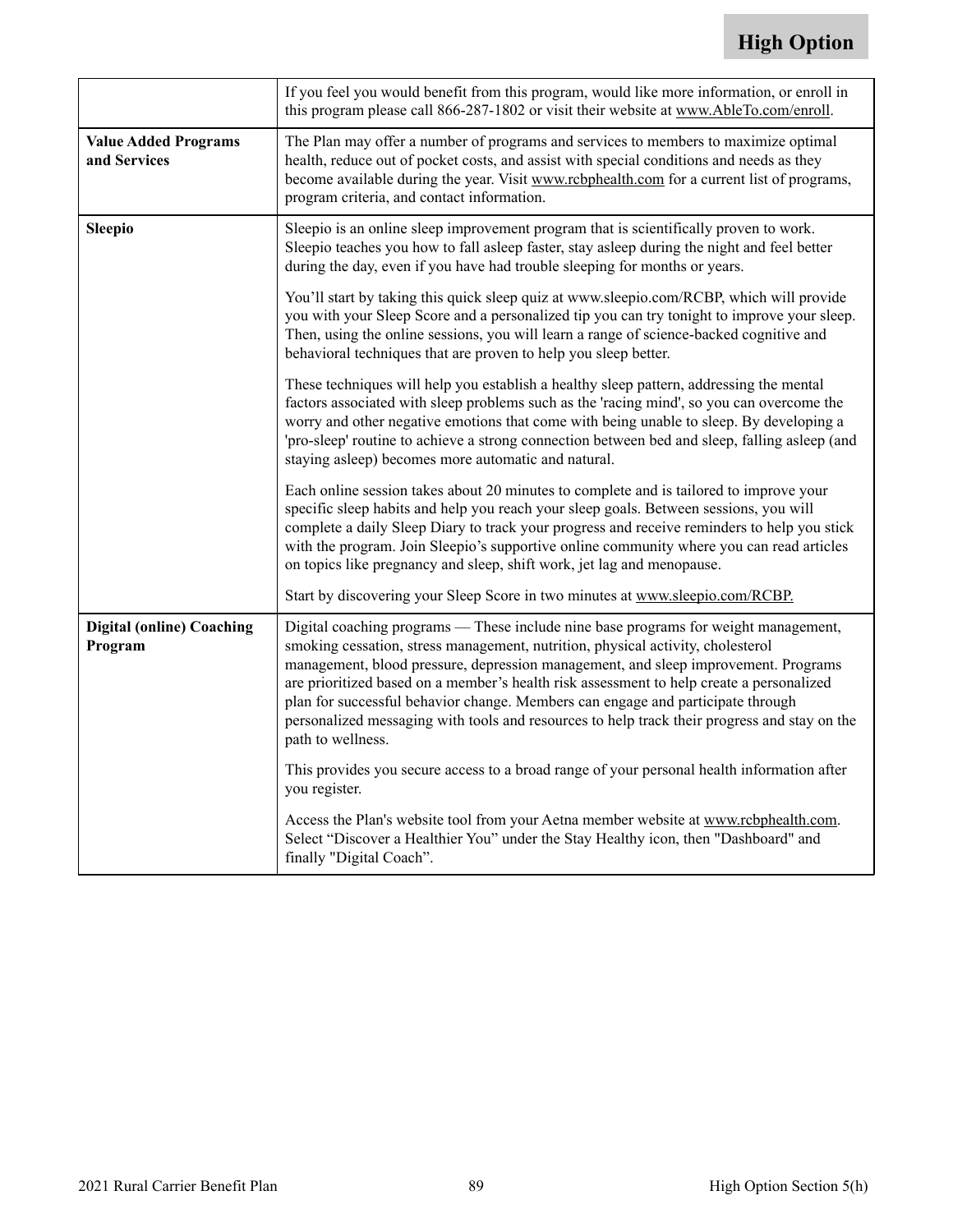<span id="page-90-0"></span>

|                                             | If you feel you would benefit from this program, would like more information, or enroll in<br>this program please call 866-287-1802 or visit their website at www.AbleTo.com/enroll.                                                                                                                                                                                                                                                                                                                                                                             |
|---------------------------------------------|------------------------------------------------------------------------------------------------------------------------------------------------------------------------------------------------------------------------------------------------------------------------------------------------------------------------------------------------------------------------------------------------------------------------------------------------------------------------------------------------------------------------------------------------------------------|
| <b>Value Added Programs</b><br>and Services | The Plan may offer a number of programs and services to members to maximize optimal<br>health, reduce out of pocket costs, and assist with special conditions and needs as they<br>become available during the year. Visit www.rcbphealth.com for a current list of programs,<br>program criteria, and contact information.                                                                                                                                                                                                                                      |
| <b>Sleepio</b>                              | Sleepio is an online sleep improvement program that is scientifically proven to work.<br>Sleepio teaches you how to fall asleep faster, stay asleep during the night and feel better<br>during the day, even if you have had trouble sleeping for months or years.                                                                                                                                                                                                                                                                                               |
|                                             | You'll start by taking this quick sleep quiz at www.sleepio.com/RCBP, which will provide<br>you with your Sleep Score and a personalized tip you can try tonight to improve your sleep.<br>Then, using the online sessions, you will learn a range of science-backed cognitive and<br>behavioral techniques that are proven to help you sleep better.                                                                                                                                                                                                            |
|                                             | These techniques will help you establish a healthy sleep pattern, addressing the mental<br>factors associated with sleep problems such as the 'racing mind', so you can overcome the<br>worry and other negative emotions that come with being unable to sleep. By developing a<br>'pro-sleep' routine to achieve a strong connection between bed and sleep, falling asleep (and<br>staying asleep) becomes more automatic and natural.                                                                                                                          |
|                                             | Each online session takes about 20 minutes to complete and is tailored to improve your<br>specific sleep habits and help you reach your sleep goals. Between sessions, you will<br>complete a daily Sleep Diary to track your progress and receive reminders to help you stick<br>with the program. Join Sleepio's supportive online community where you can read articles<br>on topics like pregnancy and sleep, shift work, jet lag and menopause.                                                                                                             |
|                                             | Start by discovering your Sleep Score in two minutes at www.sleepio.com/RCBP.                                                                                                                                                                                                                                                                                                                                                                                                                                                                                    |
| <b>Digital (online) Coaching</b><br>Program | Digital coaching programs - These include nine base programs for weight management,<br>smoking cessation, stress management, nutrition, physical activity, cholesterol<br>management, blood pressure, depression management, and sleep improvement. Programs<br>are prioritized based on a member's health risk assessment to help create a personalized<br>plan for successful behavior change. Members can engage and participate through<br>personalized messaging with tools and resources to help track their progress and stay on the<br>path to wellness. |
|                                             | This provides you secure access to a broad range of your personal health information after<br>you register.                                                                                                                                                                                                                                                                                                                                                                                                                                                      |
|                                             | Access the Plan's website tool from your Aetna member website at www.rcbphealth.com.<br>Select "Discover a Healthier You" under the Stay Healthy icon, then "Dashboard" and<br>finally "Digital Coach".                                                                                                                                                                                                                                                                                                                                                          |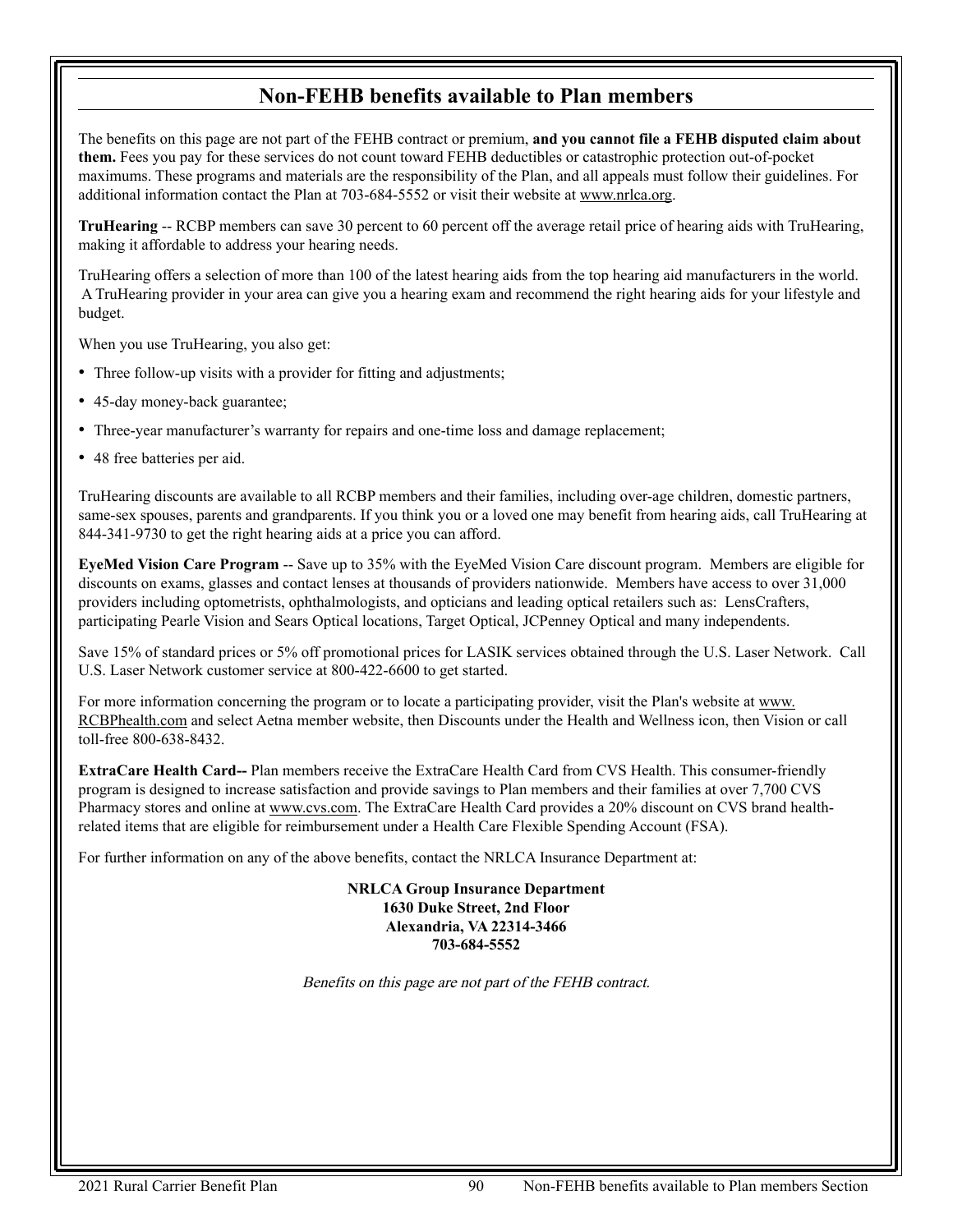## **Non-FEHB benefits available to Plan members**

The benefits on this page are not part of the FEHB contract or premium, **and you cannot file a FEHB disputed claim about them.** Fees you pay for these services do not count toward FEHB deductibles or catastrophic protection out-of-pocket maximums. These programs and materials are the responsibility of the Plan, and all appeals must follow their guidelines. For additional information contact the Plan at 703-684-5552 or visit their website a[t www.nrlca.org.](http://www.nrlca.org) 

**TruHearing** -- RCBP members can save 30 percent to 60 percent off the average retail price of hearing aids with TruHearing, making it affordable to address your hearing needs.

TruHearing offers a selection of more than 100 of the latest hearing aids from the top hearing aid manufacturers in the world. A TruHearing provider in your area can give you a hearing exam and recommend the right hearing aids for your lifestyle and budget.

When you use TruHearing, you also get:

- Three follow-up visits with a provider for fitting and adjustments;
- 45-day money-back guarantee;
- Three-year manufacturer's warranty for repairs and one-time loss and damage replacement;
- 48 free batteries per aid.

TruHearing discounts are available to all RCBP members and their families, including over-age children, domestic partners, same-sex spouses, parents and grandparents. If you think you or a loved one may benefit from hearing aids, call TruHearing at 844-341-9730 to get the right hearing aids at a price you can afford.

**EyeMed Vision Care Program** -- Save up to 35% with the EyeMed Vision Care discount program. Members are eligible for discounts on exams, glasses and contact lenses at thousands of providers nationwide. Members have access to over 31,000 providers including optometrists, ophthalmologists, and opticians and leading optical retailers such as: LensCrafters, participating Pearle Vision and Sears Optical locations, Target Optical, JCPenney Optical and many independents.

Save 15% of standard prices or 5% off promotional prices for LASIK services obtained through the U.S. Laser Network. Call U.S. Laser Network customer service at 800-422-6600 to get started.

For more information concerning the program or to locate a participating provider, visit the Plan's website at [www.](http://www.rcbphealth.com) [RCBPhealth.com](http://www.rcbphealth.com) and select Aetna member website, then Discounts under the Health and Wellness icon, then Vision or call toll-free 800-638-8432.

**ExtraCare Health Card--** Plan members receive the ExtraCare Health Card from CVS Health. This consumer-friendly program is designed to increase satisfaction and provide savings to Plan members and their families at over 7,700 CVS Pharmacy stores and online at [www.cvs.com. T](http://www.cvs.com)he ExtraCare Health Card provides a 20% discount on CVS brand healthrelated items that are eligible for reimbursement under a Health Care Flexible Spending Account (FSA).

For further information on any of the above benefits, contact the NRLCA Insurance Department at:

**NRLCA Group Insurance Department 1630 Duke Street, 2nd Floor Alexandria, VA 22314-3466 703-684-5552**

Benefits on this page are not part of the FEHB contract.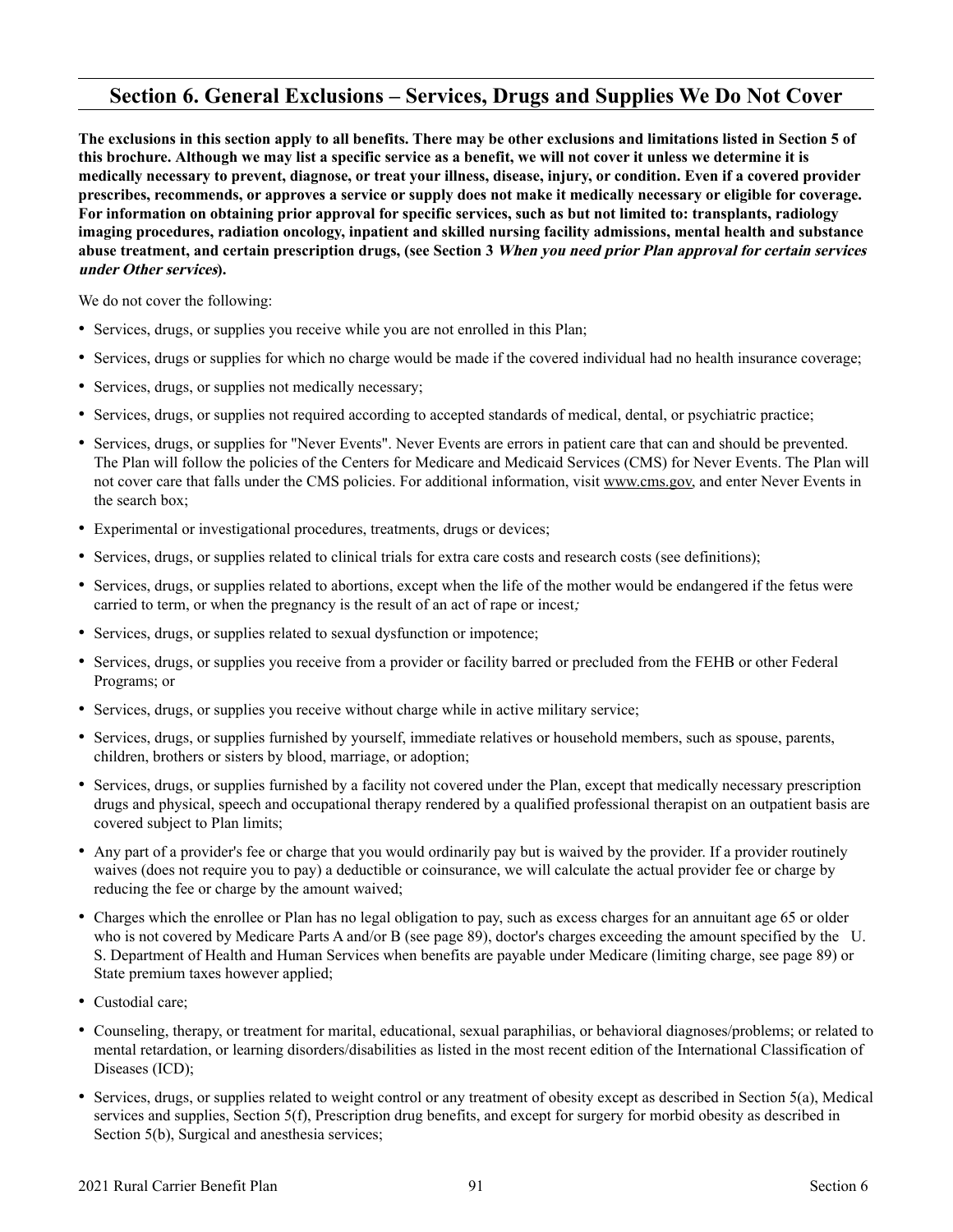## **Section 6. General Exclusions – Services, Drugs and Supplies We Do Not Cover**

**The exclusions in this section apply to all benefits. There may be other exclusions and limitations listed in Section 5 of this brochure. Although we may list a specific service as a benefit, we will not cover it unless we determine it is medically necessary to prevent, diagnose, or treat your illness, disease, injury, or condition. Even if a covered provider prescribes, recommends, or approves a service or supply does not make it medically necessary or eligible for coverage. For information on obtaining prior approval for specific services, such as but not limited to: transplants, radiology imaging procedures, radiation oncology, inpatient and skilled nursing facility admissions, mental health and substance abuse treatment, and certain prescription drugs, (see Section 3 When you need prior Plan approval for certain services under Other services).**

We do not cover the following:

- Services, drugs, or supplies you receive while you are not enrolled in this Plan;
- Services, drugs or supplies for which no charge would be made if the covered individual had no health insurance coverage;
- Services, drugs, or supplies not medically necessary;
- Services, drugs, or supplies not required according to accepted standards of medical, dental, or psychiatric practice;
- Services, drugs, or supplies for "Never Events". Never Events are errors in patient care that can and should be prevented. The Plan will follow the policies of the Centers for Medicare and Medicaid Services (CMS) for Never Events. The Plan will not cover care that falls under the CMS policies. For additional information, visit [www.cms.gov,](http://www.cms.gov) and enter Never Events in the search box;
- Experimental or investigational procedures, treatments, drugs or devices;
- Services, drugs, or supplies related to clinical trials for extra care costs and research costs (see definitions);
- Services, drugs, or supplies related to abortions, except when the life of the mother would be endangered if the fetus were carried to term, or when the pregnancy is the result of an act of rape or incest;
- Services, drugs, or supplies related to sexual dysfunction or impotence;
- Services, drugs, or supplies you receive from a provider or facility barred or precluded from the FEHB or other Federal Programs; or
- Services, drugs, or supplies you receive without charge while in active military service;
- Services, drugs, or supplies furnished by yourself, immediate relatives or household members, such as spouse, parents, children, brothers or sisters by blood, marriage, or adoption;
- Services, drugs, or supplies furnished by a facility not covered under the Plan, except that medically necessary prescription drugs and physical, speech and occupational therapy rendered by a qualified professional therapist on an outpatient basis are covered subject to Plan limits;
- Any part of a provider's fee or charge that you would ordinarily pay but is waived by the provider. If a provider routinely waives (does not require you to pay) a deductible or coinsurance, we will calculate the actual provider fee or charge by reducing the fee or charge by the amount waived;
- Charges which the enrollee or Plan has no legal obligation to pay, such as excess charges for an annuitant age 65 or older who is not covered by Medicare Parts A and/or B (see page [89\)](#page-90-0), doctor's charges exceeding the amount specified by the U. S. Department of Health and Human Services when benefits are payable under Medicare (limiting charge, see page [89\)](#page-90-0) or State premium taxes however applied;
- Custodial care;
- Counseling, therapy, or treatment for marital, educational, sexual paraphilias, or behavioral diagnoses/problems; or related to mental retardation, or learning disorders/disabilities as listed in the most recent edition of the International Classification of Diseases (ICD);
- Services, drugs, or supplies related to weight control or any treatment of obesity except as described in Section 5(a), Medical services and supplies, Section 5(f), Prescription drug benefits, and except for surgery for morbid obesity as described in Section 5(b), Surgical and anesthesia services;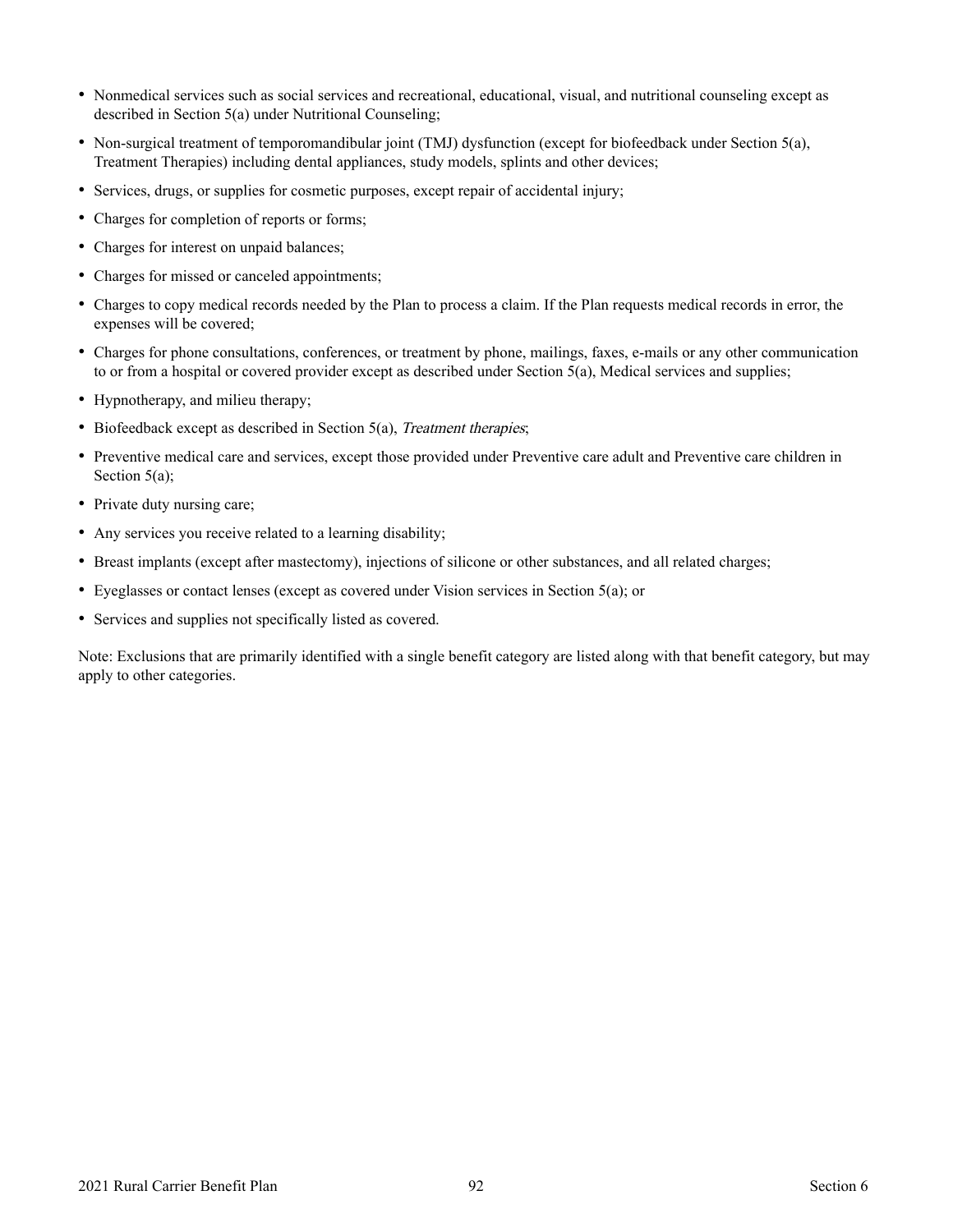- Nonmedical services such as social services and recreational, educational, visual, and nutritional counseling except as described in Section 5(a) under Nutritional Counseling;
- Non-surgical treatment of temporomandibular joint (TMJ) dysfunction (except for biofeedback under Section 5(a), Treatment Therapies) including dental appliances, study models, splints and other devices;
- Services, drugs, or supplies for cosmetic purposes, except repair of accidental injury;
- Charges for completion of reports or forms;
- Charges for interest on unpaid balances;
- Charges for missed or canceled appointments;
- Charges to copy medical records needed by the Plan to process a claim. If the Plan requests medical records in error, the expenses will be covered;
- Charges for phone consultations, conferences, or treatment by phone, mailings, faxes, e-mails or any other communication to or from a hospital or covered provider except as described under Section 5(a), Medical services and supplies;
- Hypnotherapy, and milieu therapy;
- Biofeedback except as described in Section 5(a), Treatment therapies;
- Preventive medical care and services, except those provided under Preventive care adult and Preventive care children in Section 5(a);
- Private duty nursing care;
- Any services you receive related to a learning disability;
- Breast implants (except after mastectomy), injections of silicone or other substances, and all related charges;
- Eyeglasses or contact lenses (except as covered under Vision services in Section 5(a); or
- Services and supplies not specifically listed as covered.

Note: Exclusions that are primarily identified with a single benefit category are listed along with that benefit category, but may apply to other categories.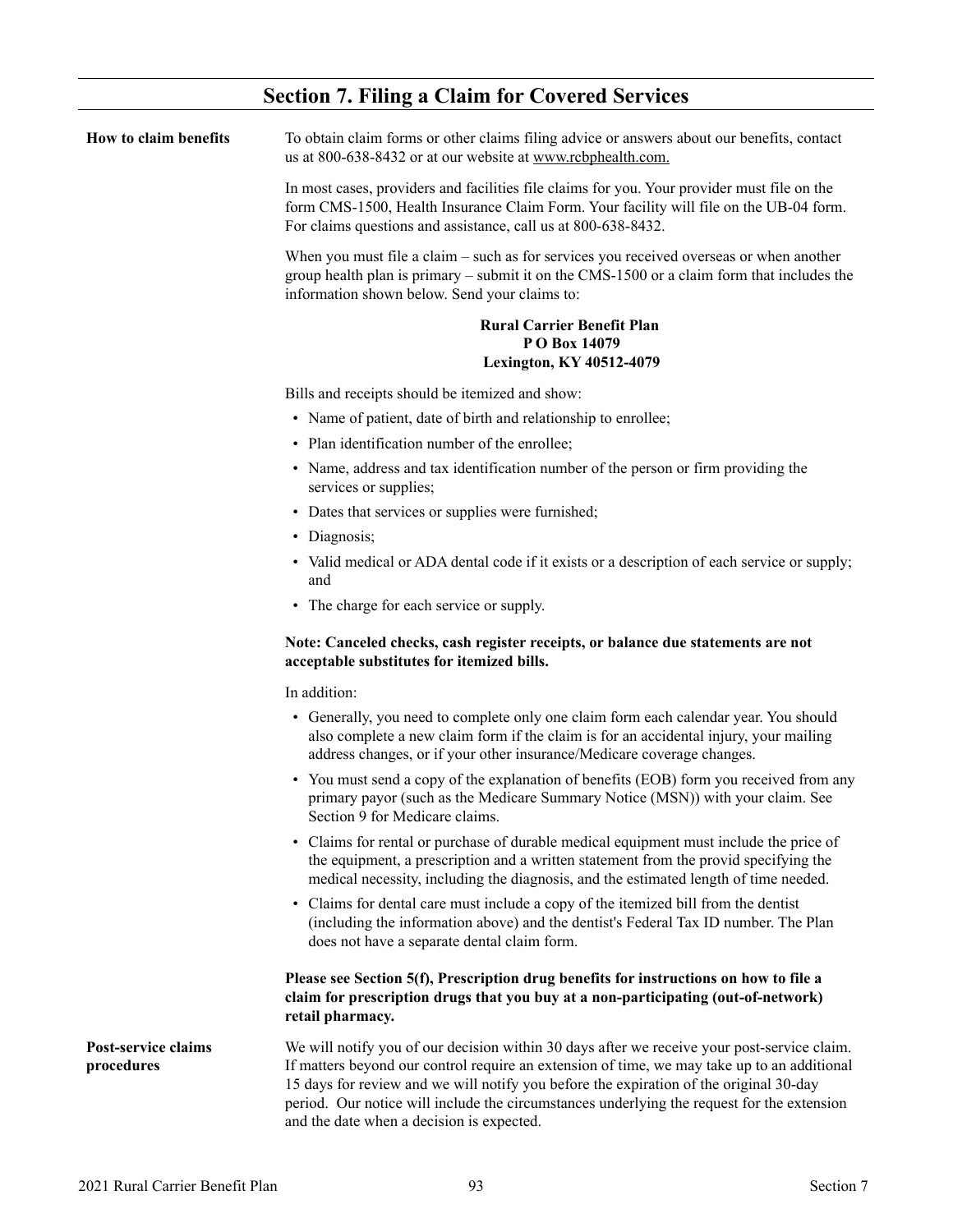| How to claim benefits                    | To obtain claim forms or other claims filing advice or answers about our benefits, contact<br>us at 800-638-8432 or at our website at www.rcbphealth.com.                                                                                                                                                                                                                                                                       |
|------------------------------------------|---------------------------------------------------------------------------------------------------------------------------------------------------------------------------------------------------------------------------------------------------------------------------------------------------------------------------------------------------------------------------------------------------------------------------------|
|                                          | In most cases, providers and facilities file claims for you. Your provider must file on the<br>form CMS-1500, Health Insurance Claim Form. Your facility will file on the UB-04 form.<br>For claims questions and assistance, call us at 800-638-8432.                                                                                                                                                                          |
|                                          | When you must file a claim – such as for services you received overseas or when another<br>group health plan is primary $-$ submit it on the CMS-1500 or a claim form that includes the<br>information shown below. Send your claims to:                                                                                                                                                                                        |
|                                          | <b>Rural Carrier Benefit Plan</b>                                                                                                                                                                                                                                                                                                                                                                                               |
|                                          | PO Box 14079<br><b>Lexington, KY 40512-4079</b>                                                                                                                                                                                                                                                                                                                                                                                 |
|                                          | Bills and receipts should be itemized and show:                                                                                                                                                                                                                                                                                                                                                                                 |
|                                          | • Name of patient, date of birth and relationship to enrollee;                                                                                                                                                                                                                                                                                                                                                                  |
|                                          | • Plan identification number of the enrollee;                                                                                                                                                                                                                                                                                                                                                                                   |
|                                          | • Name, address and tax identification number of the person or firm providing the<br>services or supplies;                                                                                                                                                                                                                                                                                                                      |
|                                          | • Dates that services or supplies were furnished;                                                                                                                                                                                                                                                                                                                                                                               |
|                                          | • Diagnosis;                                                                                                                                                                                                                                                                                                                                                                                                                    |
|                                          | • Valid medical or ADA dental code if it exists or a description of each service or supply;<br>and                                                                                                                                                                                                                                                                                                                              |
|                                          | • The charge for each service or supply.                                                                                                                                                                                                                                                                                                                                                                                        |
|                                          | Note: Canceled checks, cash register receipts, or balance due statements are not<br>acceptable substitutes for itemized bills.                                                                                                                                                                                                                                                                                                  |
|                                          | In addition:                                                                                                                                                                                                                                                                                                                                                                                                                    |
|                                          | • Generally, you need to complete only one claim form each calendar year. You should<br>also complete a new claim form if the claim is for an accidental injury, your mailing<br>address changes, or if your other insurance/Medicare coverage changes.                                                                                                                                                                         |
|                                          | • You must send a copy of the explanation of benefits (EOB) form you received from any<br>primary payor (such as the Medicare Summary Notice (MSN)) with your claim. See<br>Section 9 for Medicare claims.                                                                                                                                                                                                                      |
|                                          | • Claims for rental or purchase of durable medical equipment must include the price of<br>the equipment, a prescription and a written statement from the provid specifying the<br>medical necessity, including the diagnosis, and the estimated length of time needed.                                                                                                                                                          |
|                                          | • Claims for dental care must include a copy of the itemized bill from the dentist<br>(including the information above) and the dentist's Federal Tax ID number. The Plan<br>does not have a separate dental claim form.                                                                                                                                                                                                        |
|                                          | Please see Section 5(f), Prescription drug benefits for instructions on how to file a<br>claim for prescription drugs that you buy at a non-participating (out-of-network)<br>retail pharmacy.                                                                                                                                                                                                                                  |
| <b>Post-service claims</b><br>procedures | We will notify you of our decision within 30 days after we receive your post-service claim.<br>If matters beyond our control require an extension of time, we may take up to an additional<br>15 days for review and we will notify you before the expiration of the original 30-day<br>period. Our notice will include the circumstances underlying the request for the extension<br>and the date when a decision is expected. |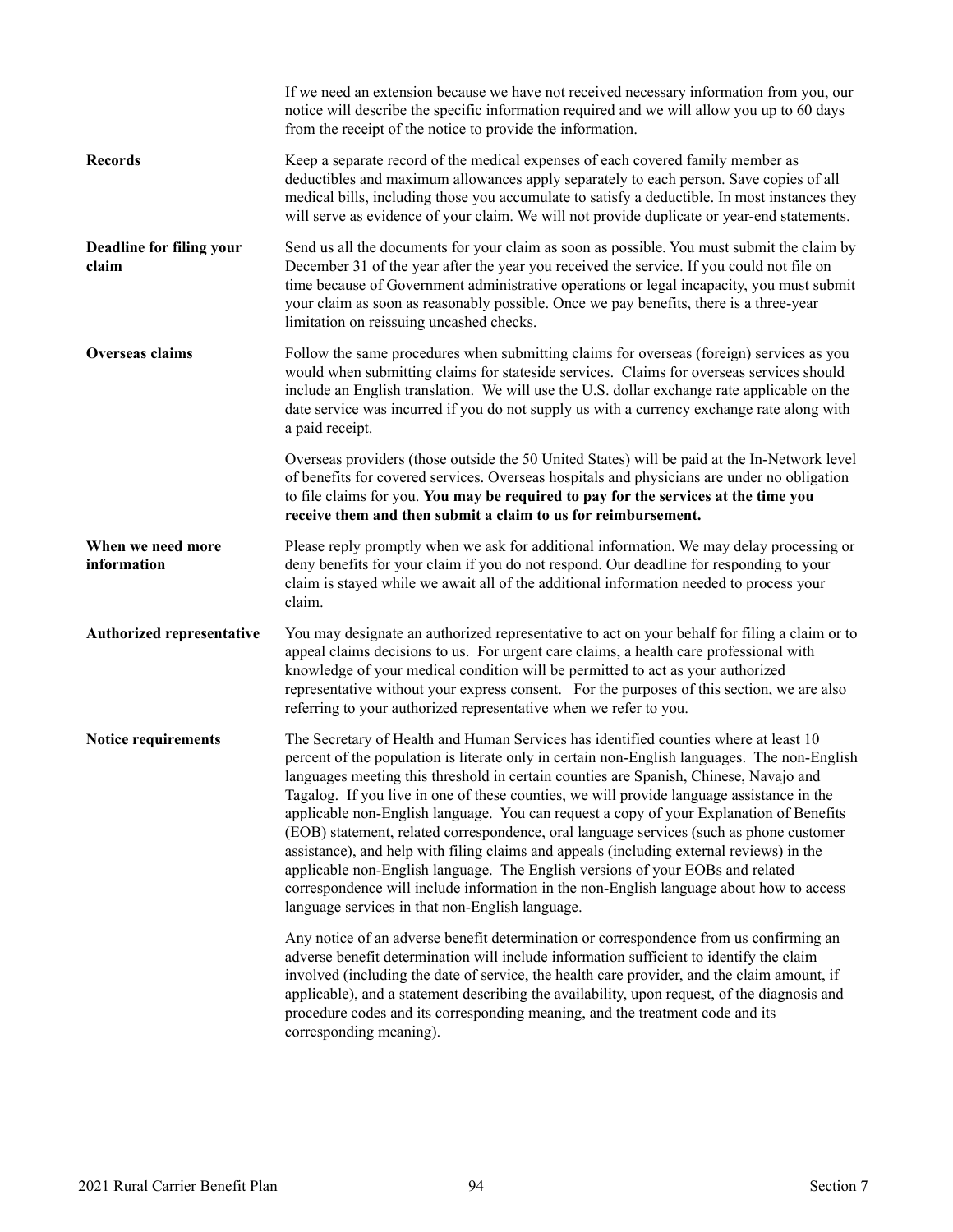|                                   | If we need an extension because we have not received necessary information from you, our<br>notice will describe the specific information required and we will allow you up to 60 days<br>from the receipt of the notice to provide the information.                                                                                                                                                                                                                                                                                                                                                                                                                                                                                                                                                                                                                                         |
|-----------------------------------|----------------------------------------------------------------------------------------------------------------------------------------------------------------------------------------------------------------------------------------------------------------------------------------------------------------------------------------------------------------------------------------------------------------------------------------------------------------------------------------------------------------------------------------------------------------------------------------------------------------------------------------------------------------------------------------------------------------------------------------------------------------------------------------------------------------------------------------------------------------------------------------------|
| <b>Records</b>                    | Keep a separate record of the medical expenses of each covered family member as<br>deductibles and maximum allowances apply separately to each person. Save copies of all<br>medical bills, including those you accumulate to satisfy a deductible. In most instances they<br>will serve as evidence of your claim. We will not provide duplicate or year-end statements.                                                                                                                                                                                                                                                                                                                                                                                                                                                                                                                    |
| Deadline for filing your<br>claim | Send us all the documents for your claim as soon as possible. You must submit the claim by<br>December 31 of the year after the year you received the service. If you could not file on<br>time because of Government administrative operations or legal incapacity, you must submit<br>your claim as soon as reasonably possible. Once we pay benefits, there is a three-year<br>limitation on reissuing uncashed checks.                                                                                                                                                                                                                                                                                                                                                                                                                                                                   |
| Overseas claims                   | Follow the same procedures when submitting claims for overseas (foreign) services as you<br>would when submitting claims for stateside services. Claims for overseas services should<br>include an English translation. We will use the U.S. dollar exchange rate applicable on the<br>date service was incurred if you do not supply us with a currency exchange rate along with<br>a paid receipt.                                                                                                                                                                                                                                                                                                                                                                                                                                                                                         |
|                                   | Overseas providers (those outside the 50 United States) will be paid at the In-Network level<br>of benefits for covered services. Overseas hospitals and physicians are under no obligation<br>to file claims for you. You may be required to pay for the services at the time you<br>receive them and then submit a claim to us for reimbursement.                                                                                                                                                                                                                                                                                                                                                                                                                                                                                                                                          |
| When we need more<br>information  | Please reply promptly when we ask for additional information. We may delay processing or<br>deny benefits for your claim if you do not respond. Our deadline for responding to your<br>claim is stayed while we await all of the additional information needed to process your<br>claim.                                                                                                                                                                                                                                                                                                                                                                                                                                                                                                                                                                                                     |
| Authorized representative         | You may designate an authorized representative to act on your behalf for filing a claim or to<br>appeal claims decisions to us. For urgent care claims, a health care professional with<br>knowledge of your medical condition will be permitted to act as your authorized<br>representative without your express consent. For the purposes of this section, we are also<br>referring to your authorized representative when we refer to you.                                                                                                                                                                                                                                                                                                                                                                                                                                                |
| <b>Notice requirements</b>        | The Secretary of Health and Human Services has identified counties where at least 10<br>percent of the population is literate only in certain non-English languages. The non-English<br>languages meeting this threshold in certain counties are Spanish, Chinese, Navajo and<br>Tagalog. If you live in one of these counties, we will provide language assistance in the<br>applicable non-English language. You can request a copy of your Explanation of Benefits<br>(EOB) statement, related correspondence, oral language services (such as phone customer<br>assistance), and help with filing claims and appeals (including external reviews) in the<br>applicable non-English language. The English versions of your EOBs and related<br>correspondence will include information in the non-English language about how to access<br>language services in that non-English language. |
|                                   | Any notice of an adverse benefit determination or correspondence from us confirming an<br>adverse benefit determination will include information sufficient to identify the claim<br>involved (including the date of service, the health care provider, and the claim amount, if<br>applicable), and a statement describing the availability, upon request, of the diagnosis and<br>procedure codes and its corresponding meaning, and the treatment code and its<br>corresponding meaning).                                                                                                                                                                                                                                                                                                                                                                                                 |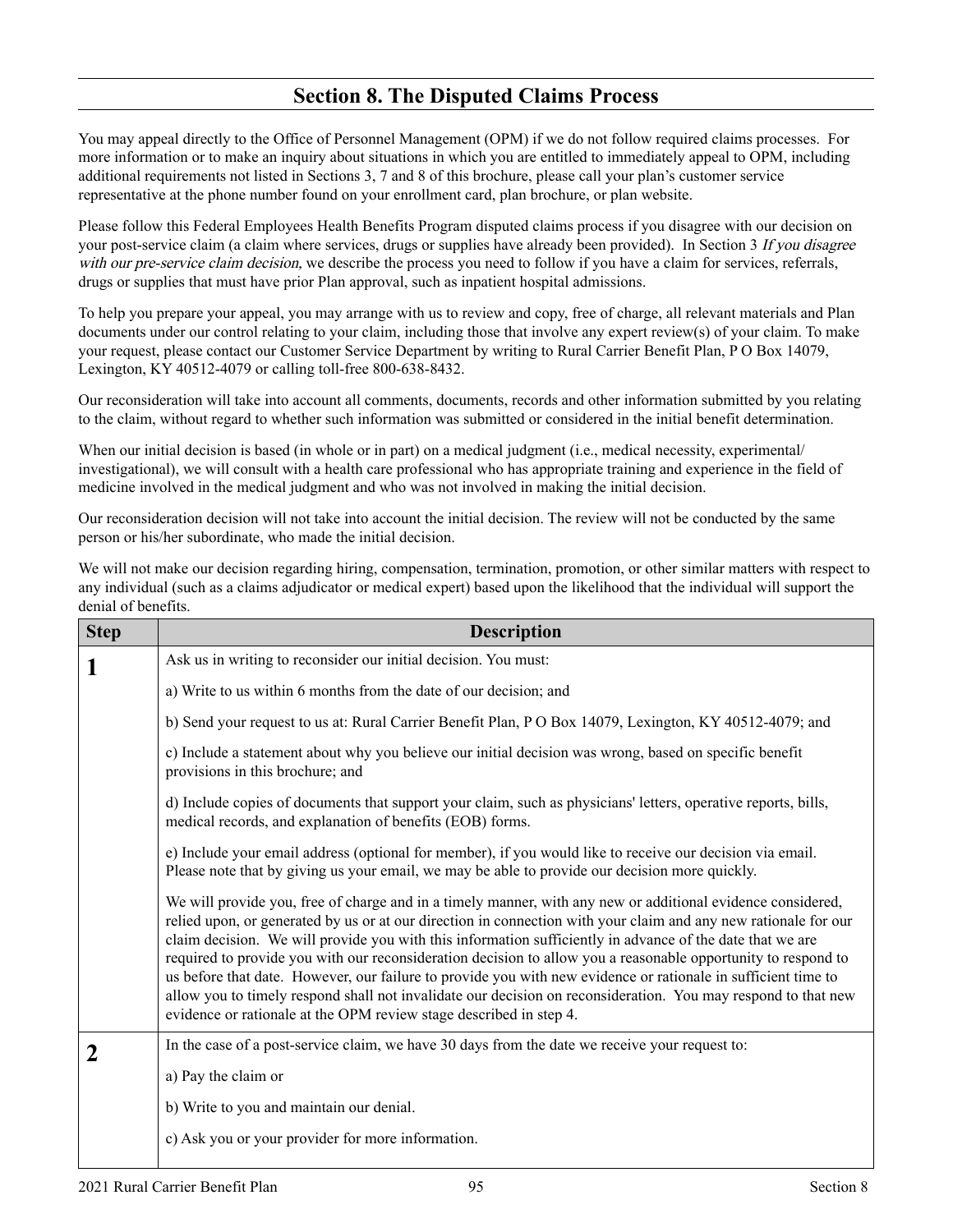### **Section 8. The Disputed Claims Process**

You may appeal directly to the Office of Personnel Management (OPM) if we do not follow required claims processes. For more information or to make an inquiry about situations in which you are entitled to immediately appeal to OPM, including additional requirements not listed in Sections 3, 7 and 8 of this brochure, please call your plan's customer service representative at the phone number found on your enrollment card, plan brochure, or plan website.

Please follow this Federal Employees Health Benefits Program disputed claims process if you disagree with our decision on your post-service claim (a claim where services, drugs or supplies have already been provided). In Section 3 If you disagree with our pre-service claim decision, we describe the process you need to follow if you have a claim for services, referrals, drugs or supplies that must have prior Plan approval, such as inpatient hospital admissions.

To help you prepare your appeal, you may arrange with us to review and copy, free of charge, all relevant materials and Plan documents under our control relating to your claim, including those that involve any expert review(s) of your claim. To make your request, please contact our Customer Service Department by writing to Rural Carrier Benefit Plan, P O Box 14079, Lexington, KY 40512-4079 or calling toll-free 800-638-8432.

Our reconsideration will take into account all comments, documents, records and other information submitted by you relating to the claim, without regard to whether such information was submitted or considered in the initial benefit determination.

When our initial decision is based (in whole or in part) on a medical judgment (i.e., medical necessity, experimental/ investigational), we will consult with a health care professional who has appropriate training and experience in the field of medicine involved in the medical judgment and who was not involved in making the initial decision.

Our reconsideration decision will not take into account the initial decision. The review will not be conducted by the same person or his/her subordinate, who made the initial decision.

We will not make our decision regarding hiring, compensation, termination, promotion, or other similar matters with respect to any individual (such as a claims adjudicator or medical expert) based upon the likelihood that the individual will support the denial of benefits.

| <b>Step</b> | <b>Description</b>                                                                                                                                                                                                                                                                                                                                                                                                                                                                                                                                                                                                                                                                                                                                                   |
|-------------|----------------------------------------------------------------------------------------------------------------------------------------------------------------------------------------------------------------------------------------------------------------------------------------------------------------------------------------------------------------------------------------------------------------------------------------------------------------------------------------------------------------------------------------------------------------------------------------------------------------------------------------------------------------------------------------------------------------------------------------------------------------------|
| 1           | Ask us in writing to reconsider our initial decision. You must:                                                                                                                                                                                                                                                                                                                                                                                                                                                                                                                                                                                                                                                                                                      |
|             | a) Write to us within 6 months from the date of our decision; and                                                                                                                                                                                                                                                                                                                                                                                                                                                                                                                                                                                                                                                                                                    |
|             | b) Send your request to us at: Rural Carrier Benefit Plan, P O Box 14079, Lexington, KY 40512-4079; and                                                                                                                                                                                                                                                                                                                                                                                                                                                                                                                                                                                                                                                              |
|             | c) Include a statement about why you believe our initial decision was wrong, based on specific benefit<br>provisions in this brochure; and                                                                                                                                                                                                                                                                                                                                                                                                                                                                                                                                                                                                                           |
|             | d) Include copies of documents that support your claim, such as physicians' letters, operative reports, bills,<br>medical records, and explanation of benefits (EOB) forms.                                                                                                                                                                                                                                                                                                                                                                                                                                                                                                                                                                                          |
|             | e) Include your email address (optional for member), if you would like to receive our decision via email.<br>Please note that by giving us your email, we may be able to provide our decision more quickly.                                                                                                                                                                                                                                                                                                                                                                                                                                                                                                                                                          |
|             | We will provide you, free of charge and in a timely manner, with any new or additional evidence considered,<br>relied upon, or generated by us or at our direction in connection with your claim and any new rationale for our<br>claim decision. We will provide you with this information sufficiently in advance of the date that we are<br>required to provide you with our reconsideration decision to allow you a reasonable opportunity to respond to<br>us before that date. However, our failure to provide you with new evidence or rationale in sufficient time to<br>allow you to timely respond shall not invalidate our decision on reconsideration. You may respond to that new<br>evidence or rationale at the OPM review stage described in step 4. |
| $\mathbf 2$ | In the case of a post-service claim, we have 30 days from the date we receive your request to:                                                                                                                                                                                                                                                                                                                                                                                                                                                                                                                                                                                                                                                                       |
|             | a) Pay the claim or                                                                                                                                                                                                                                                                                                                                                                                                                                                                                                                                                                                                                                                                                                                                                  |
|             | b) Write to you and maintain our denial.                                                                                                                                                                                                                                                                                                                                                                                                                                                                                                                                                                                                                                                                                                                             |
|             | c) Ask you or your provider for more information.                                                                                                                                                                                                                                                                                                                                                                                                                                                                                                                                                                                                                                                                                                                    |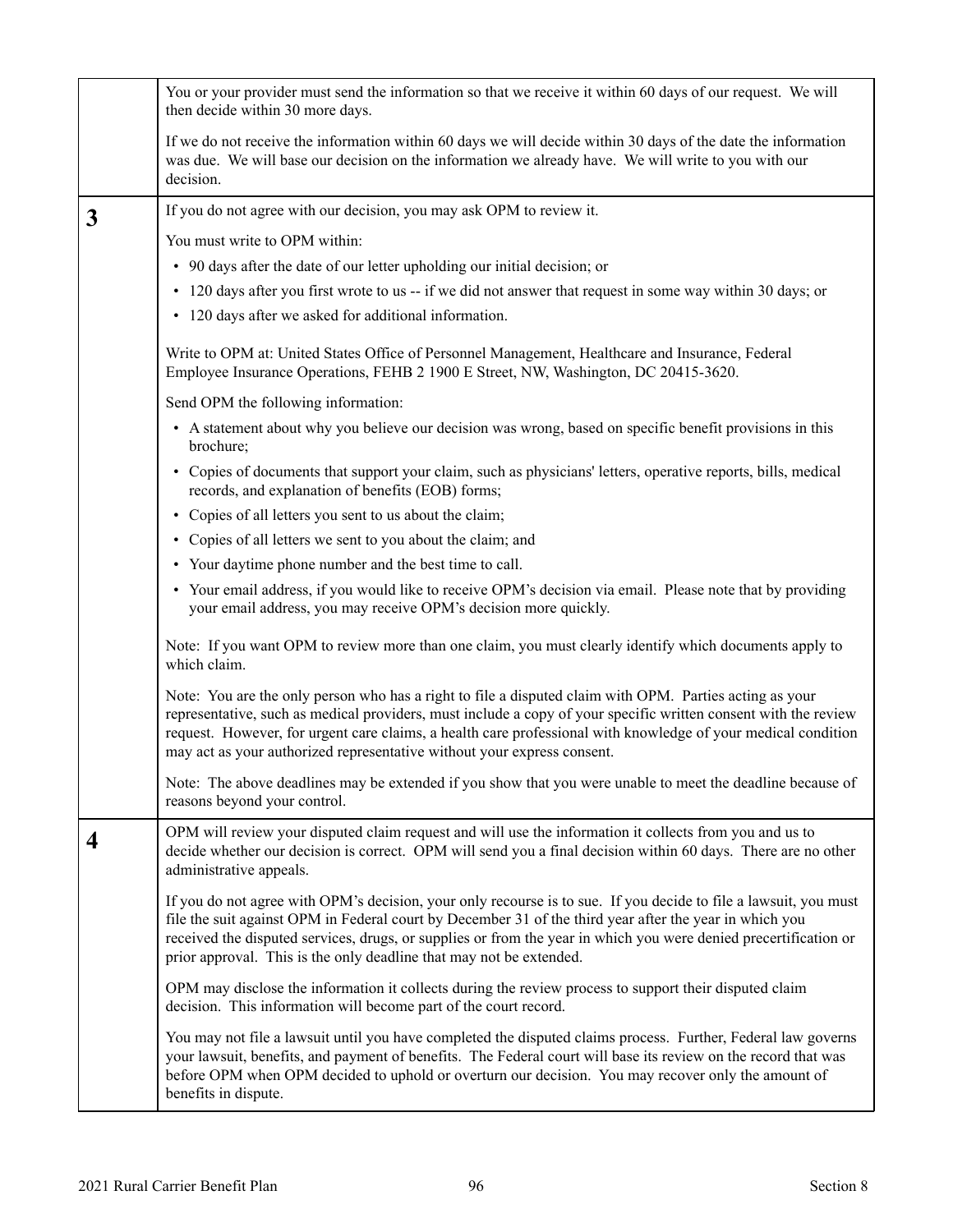|              | You or your provider must send the information so that we receive it within 60 days of our request. We will<br>then decide within 30 more days.                                                                                                                                                                                                                                                                        |
|--------------|------------------------------------------------------------------------------------------------------------------------------------------------------------------------------------------------------------------------------------------------------------------------------------------------------------------------------------------------------------------------------------------------------------------------|
|              | If we do not receive the information within 60 days we will decide within 30 days of the date the information<br>was due. We will base our decision on the information we already have. We will write to you with our<br>decision.                                                                                                                                                                                     |
| $\mathbf{3}$ | If you do not agree with our decision, you may ask OPM to review it.                                                                                                                                                                                                                                                                                                                                                   |
|              | You must write to OPM within:                                                                                                                                                                                                                                                                                                                                                                                          |
|              | • 90 days after the date of our letter upholding our initial decision; or                                                                                                                                                                                                                                                                                                                                              |
|              | • 120 days after you first wrote to us -- if we did not answer that request in some way within 30 days; or                                                                                                                                                                                                                                                                                                             |
|              | • 120 days after we asked for additional information.                                                                                                                                                                                                                                                                                                                                                                  |
|              | Write to OPM at: United States Office of Personnel Management, Healthcare and Insurance, Federal<br>Employee Insurance Operations, FEHB 2 1900 E Street, NW, Washington, DC 20415-3620.                                                                                                                                                                                                                                |
|              | Send OPM the following information:                                                                                                                                                                                                                                                                                                                                                                                    |
|              | • A statement about why you believe our decision was wrong, based on specific benefit provisions in this<br>brochure;                                                                                                                                                                                                                                                                                                  |
|              | • Copies of documents that support your claim, such as physicians' letters, operative reports, bills, medical<br>records, and explanation of benefits (EOB) forms;                                                                                                                                                                                                                                                     |
|              | • Copies of all letters you sent to us about the claim;                                                                                                                                                                                                                                                                                                                                                                |
|              | • Copies of all letters we sent to you about the claim; and                                                                                                                                                                                                                                                                                                                                                            |
|              | • Your daytime phone number and the best time to call.                                                                                                                                                                                                                                                                                                                                                                 |
|              | • Your email address, if you would like to receive OPM's decision via email. Please note that by providing<br>your email address, you may receive OPM's decision more quickly.                                                                                                                                                                                                                                         |
|              | Note: If you want OPM to review more than one claim, you must clearly identify which documents apply to<br>which claim.                                                                                                                                                                                                                                                                                                |
|              | Note: You are the only person who has a right to file a disputed claim with OPM. Parties acting as your<br>representative, such as medical providers, must include a copy of your specific written consent with the review<br>request. However, for urgent care claims, a health care professional with knowledge of your medical condition<br>may act as your authorized representative without your express consent. |
|              | Note: The above deadlines may be extended if you show that you were unable to meet the deadline because of<br>reasons beyond your control.                                                                                                                                                                                                                                                                             |
| 4            | OPM will review your disputed claim request and will use the information it collects from you and us to<br>decide whether our decision is correct. OPM will send you a final decision within 60 days. There are no other<br>administrative appeals.                                                                                                                                                                    |
|              | If you do not agree with OPM's decision, your only recourse is to sue. If you decide to file a lawsuit, you must<br>file the suit against OPM in Federal court by December 31 of the third year after the year in which you<br>received the disputed services, drugs, or supplies or from the year in which you were denied precertification or<br>prior approval. This is the only deadline that may not be extended. |
|              | OPM may disclose the information it collects during the review process to support their disputed claim<br>decision. This information will become part of the court record.                                                                                                                                                                                                                                             |
|              | You may not file a lawsuit until you have completed the disputed claims process. Further, Federal law governs<br>your lawsuit, benefits, and payment of benefits. The Federal court will base its review on the record that was<br>before OPM when OPM decided to uphold or overturn our decision. You may recover only the amount of<br>benefits in dispute.                                                          |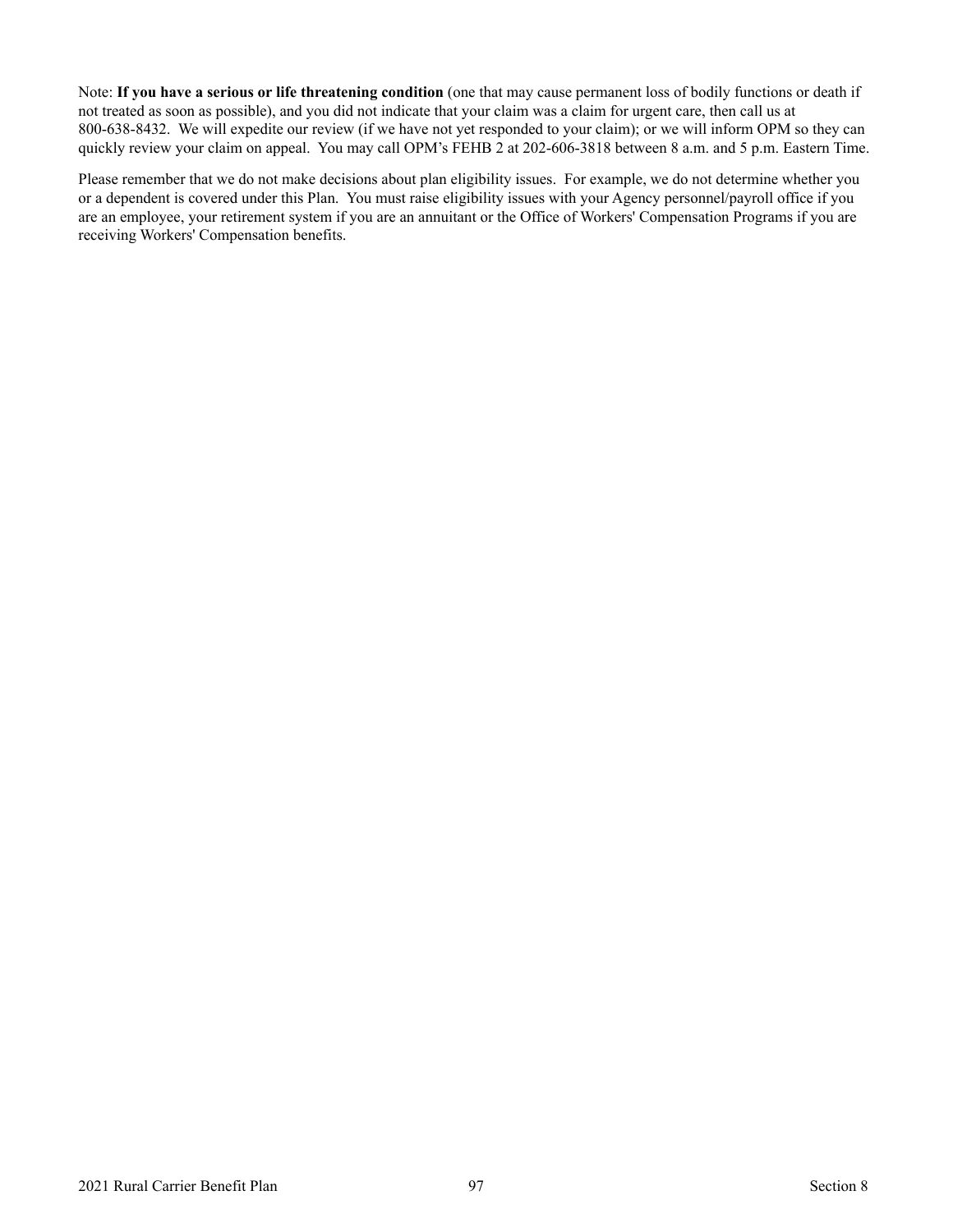Note: **If you have a serious or life threatening condition** (one that may cause permanent loss of bodily functions or death if not treated as soon as possible), and you did not indicate that your claim was a claim for urgent care, then call us at 800-638-8432. We will expedite our review (if we have not yet responded to your claim); or we will inform OPM so they can quickly review your claim on appeal. You may call OPM's FEHB 2 at 202-606-3818 between 8 a.m. and 5 p.m. Eastern Time.

Please remember that we do not make decisions about plan eligibility issues. For example, we do not determine whether you or a dependent is covered under this Plan. You must raise eligibility issues with your Agency personnel/payroll office if you are an employee, your retirement system if you are an annuitant or the Office of Workers' Compensation Programs if you are receiving Workers' Compensation benefits.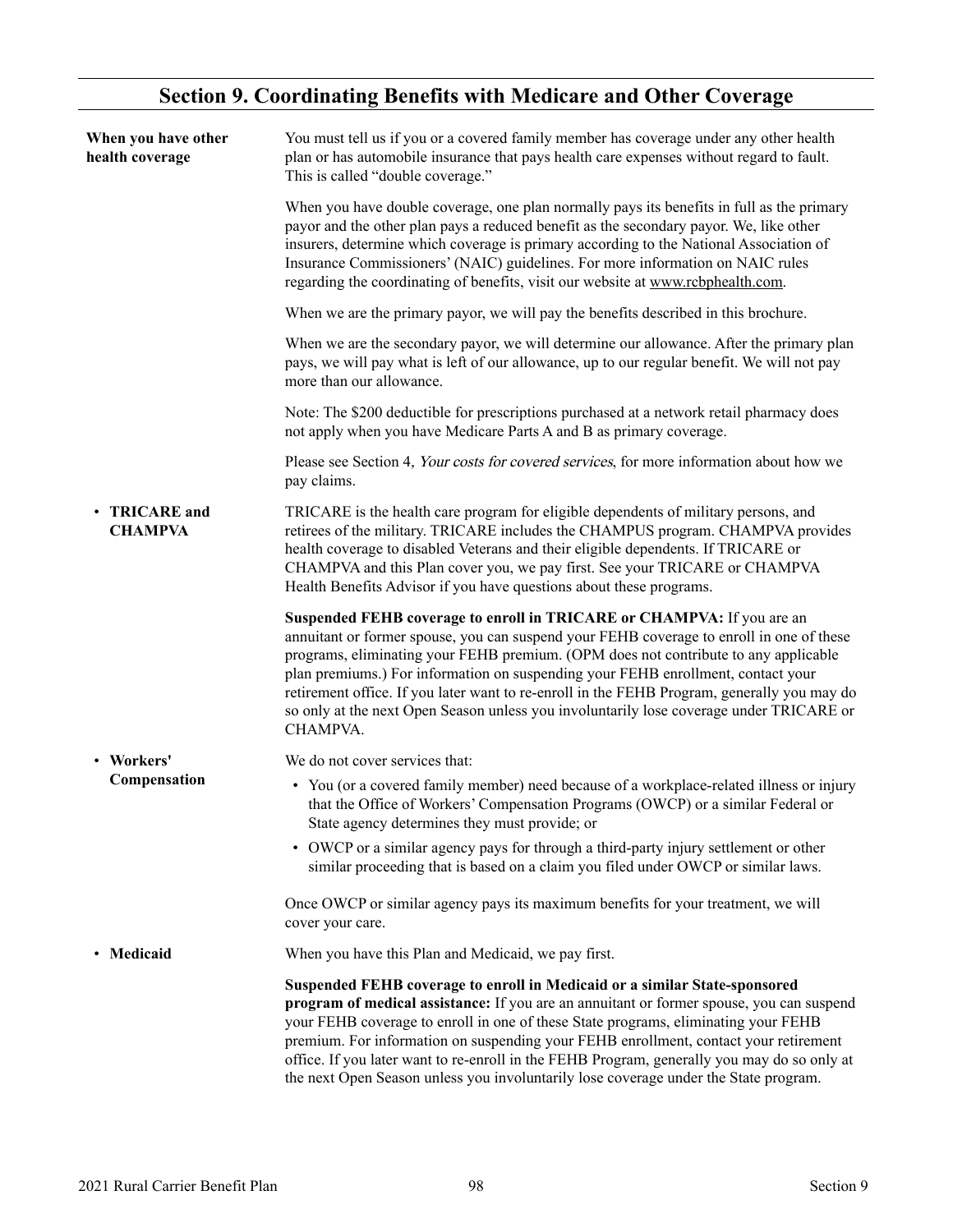## **Section 9. Coordinating Benefits with Medicare and Other Coverage**

<span id="page-99-0"></span>

| When you have other<br>health coverage | You must tell us if you or a covered family member has coverage under any other health<br>plan or has automobile insurance that pays health care expenses without regard to fault.<br>This is called "double coverage."                                                                                                                                                                                                                                                                                                                             |
|----------------------------------------|-----------------------------------------------------------------------------------------------------------------------------------------------------------------------------------------------------------------------------------------------------------------------------------------------------------------------------------------------------------------------------------------------------------------------------------------------------------------------------------------------------------------------------------------------------|
|                                        | When you have double coverage, one plan normally pays its benefits in full as the primary<br>payor and the other plan pays a reduced benefit as the secondary payor. We, like other<br>insurers, determine which coverage is primary according to the National Association of<br>Insurance Commissioners' (NAIC) guidelines. For more information on NAIC rules<br>regarding the coordinating of benefits, visit our website at www.rcbphealth.com.                                                                                                 |
|                                        | When we are the primary payor, we will pay the benefits described in this brochure.                                                                                                                                                                                                                                                                                                                                                                                                                                                                 |
|                                        | When we are the secondary payor, we will determine our allowance. After the primary plan<br>pays, we will pay what is left of our allowance, up to our regular benefit. We will not pay<br>more than our allowance.                                                                                                                                                                                                                                                                                                                                 |
|                                        | Note: The \$200 deductible for prescriptions purchased at a network retail pharmacy does<br>not apply when you have Medicare Parts A and B as primary coverage.                                                                                                                                                                                                                                                                                                                                                                                     |
|                                        | Please see Section 4, Your costs for covered services, for more information about how we<br>pay claims.                                                                                                                                                                                                                                                                                                                                                                                                                                             |
| • TRICARE and<br><b>CHAMPVA</b>        | TRICARE is the health care program for eligible dependents of military persons, and<br>retirees of the military. TRICARE includes the CHAMPUS program. CHAMPVA provides<br>health coverage to disabled Veterans and their eligible dependents. If TRICARE or<br>CHAMPVA and this Plan cover you, we pay first. See your TRICARE or CHAMPVA<br>Health Benefits Advisor if you have questions about these programs.                                                                                                                                   |
|                                        | Suspended FEHB coverage to enroll in TRICARE or CHAMPVA: If you are an<br>annuitant or former spouse, you can suspend your FEHB coverage to enroll in one of these<br>programs, eliminating your FEHB premium. (OPM does not contribute to any applicable<br>plan premiums.) For information on suspending your FEHB enrollment, contact your<br>retirement office. If you later want to re-enroll in the FEHB Program, generally you may do<br>so only at the next Open Season unless you involuntarily lose coverage under TRICARE or<br>CHAMPVA. |
| • Workers'                             | We do not cover services that:                                                                                                                                                                                                                                                                                                                                                                                                                                                                                                                      |
| Compensation                           | • You (or a covered family member) need because of a workplace-related illness or injury<br>that the Office of Workers' Compensation Programs (OWCP) or a similar Federal or<br>State agency determines they must provide; or                                                                                                                                                                                                                                                                                                                       |
|                                        | • OWCP or a similar agency pays for through a third-party injury settlement or other<br>similar proceeding that is based on a claim you filed under OWCP or similar laws.                                                                                                                                                                                                                                                                                                                                                                           |
|                                        | Once OWCP or similar agency pays its maximum benefits for your treatment, we will<br>cover your care.                                                                                                                                                                                                                                                                                                                                                                                                                                               |
| • Medicaid                             | When you have this Plan and Medicaid, we pay first.                                                                                                                                                                                                                                                                                                                                                                                                                                                                                                 |
|                                        | Suspended FEHB coverage to enroll in Medicaid or a similar State-sponsored<br>program of medical assistance: If you are an annuitant or former spouse, you can suspend<br>your FEHB coverage to enroll in one of these State programs, eliminating your FEHB<br>premium. For information on suspending your FEHB enrollment, contact your retirement<br>office. If you later want to re-enroll in the FEHB Program, generally you may do so only at<br>the next Open Season unless you involuntarily lose coverage under the State program.         |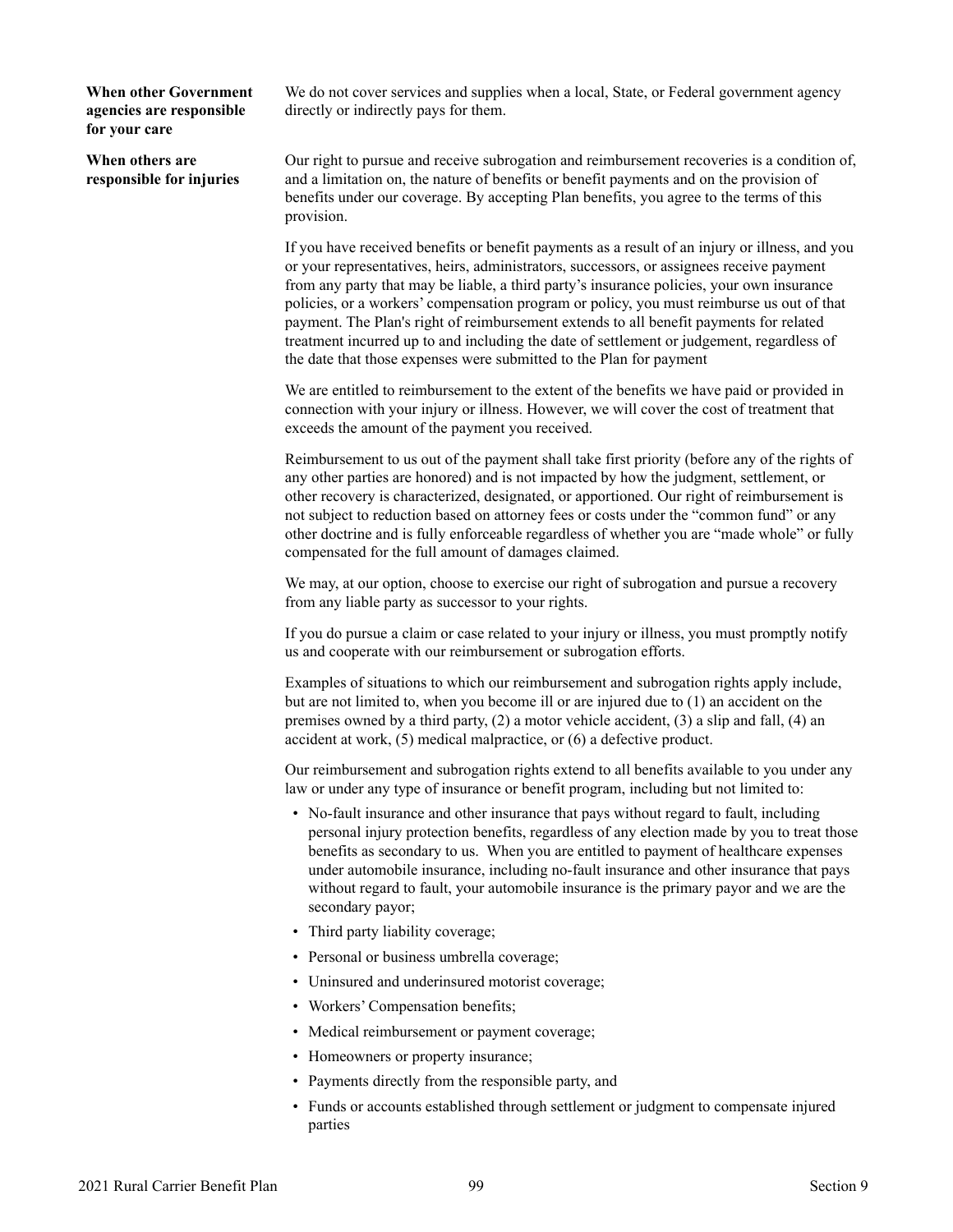**When other Government agencies are responsible for your care**

**When others are responsible for injuries** We do not cover services and supplies when a local, State, or Federal government agency directly or indirectly pays for them.

Our right to pursue and receive subrogation and reimbursement recoveries is a condition of, and a limitation on, the nature of benefits or benefit payments and on the provision of benefits under our coverage. By accepting Plan benefits, you agree to the terms of this provision.

If you have received benefits or benefit payments as a result of an injury or illness, and you or your representatives, heirs, administrators, successors, or assignees receive payment from any party that may be liable, a third party's insurance policies, your own insurance policies, or a workers' compensation program or policy, you must reimburse us out of that payment. The Plan's right of reimbursement extends to all benefit payments for related treatment incurred up to and including the date of settlement or judgement, regardless of the date that those expenses were submitted to the Plan for payment

We are entitled to reimbursement to the extent of the benefits we have paid or provided in connection with your injury or illness. However, we will cover the cost of treatment that exceeds the amount of the payment you received.

Reimbursement to us out of the payment shall take first priority (before any of the rights of any other parties are honored) and is not impacted by how the judgment, settlement, or other recovery is characterized, designated, or apportioned. Our right of reimbursement is not subject to reduction based on attorney fees or costs under the "common fund" or any other doctrine and is fully enforceable regardless of whether you are "made whole" or fully compensated for the full amount of damages claimed.

We may, at our option, choose to exercise our right of subrogation and pursue a recovery from any liable party as successor to your rights.

If you do pursue a claim or case related to your injury or illness, you must promptly notify us and cooperate with our reimbursement or subrogation efforts.

Examples of situations to which our reimbursement and subrogation rights apply include, but are not limited to, when you become ill or are injured due to (1) an accident on the premises owned by a third party, (2) a motor vehicle accident, (3) a slip and fall, (4) an accident at work, (5) medical malpractice, or (6) a defective product.

Our reimbursement and subrogation rights extend to all benefits available to you under any law or under any type of insurance or benefit program, including but not limited to:

- No-fault insurance and other insurance that pays without regard to fault, including personal injury protection benefits, regardless of any election made by you to treat those benefits as secondary to us. When you are entitled to payment of healthcare expenses under automobile insurance, including no-fault insurance and other insurance that pays without regard to fault, your automobile insurance is the primary payor and we are the secondary payor;
- Third party liability coverage;
- Personal or business umbrella coverage;
- Uninsured and underinsured motorist coverage;
- Workers' Compensation benefits;
- Medical reimbursement or payment coverage;
- Homeowners or property insurance;
- Payments directly from the responsible party, and
- Funds or accounts established through settlement or judgment to compensate injured parties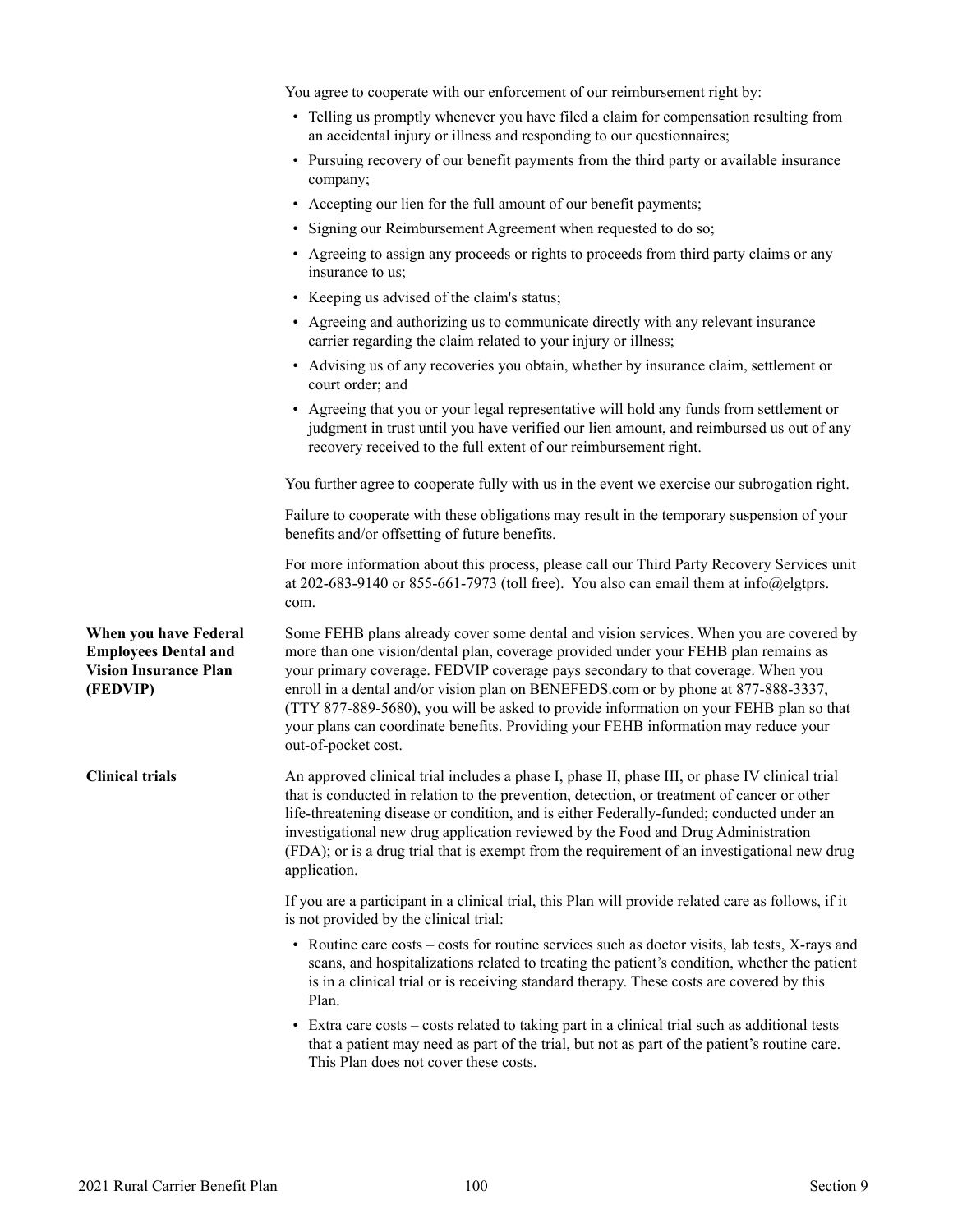|                                                                                                  | You agree to cooperate with our enforcement of our reimbursement right by:                                                                                                                                                                                                                                                                                                                                                                                                                                                                                      |
|--------------------------------------------------------------------------------------------------|-----------------------------------------------------------------------------------------------------------------------------------------------------------------------------------------------------------------------------------------------------------------------------------------------------------------------------------------------------------------------------------------------------------------------------------------------------------------------------------------------------------------------------------------------------------------|
|                                                                                                  | • Telling us promptly whenever you have filed a claim for compensation resulting from<br>an accidental injury or illness and responding to our questionnaires;                                                                                                                                                                                                                                                                                                                                                                                                  |
|                                                                                                  | • Pursuing recovery of our benefit payments from the third party or available insurance<br>company;                                                                                                                                                                                                                                                                                                                                                                                                                                                             |
|                                                                                                  | • Accepting our lien for the full amount of our benefit payments;                                                                                                                                                                                                                                                                                                                                                                                                                                                                                               |
|                                                                                                  | • Signing our Reimbursement Agreement when requested to do so;                                                                                                                                                                                                                                                                                                                                                                                                                                                                                                  |
|                                                                                                  | • Agreeing to assign any proceeds or rights to proceeds from third party claims or any<br>insurance to us;                                                                                                                                                                                                                                                                                                                                                                                                                                                      |
|                                                                                                  | • Keeping us advised of the claim's status;                                                                                                                                                                                                                                                                                                                                                                                                                                                                                                                     |
|                                                                                                  | • Agreeing and authorizing us to communicate directly with any relevant insurance<br>carrier regarding the claim related to your injury or illness;                                                                                                                                                                                                                                                                                                                                                                                                             |
|                                                                                                  | • Advising us of any recoveries you obtain, whether by insurance claim, settlement or<br>court order; and                                                                                                                                                                                                                                                                                                                                                                                                                                                       |
|                                                                                                  | • Agreeing that you or your legal representative will hold any funds from settlement or<br>judgment in trust until you have verified our lien amount, and reimbursed us out of any<br>recovery received to the full extent of our reimbursement right.                                                                                                                                                                                                                                                                                                          |
|                                                                                                  | You further agree to cooperate fully with us in the event we exercise our subrogation right.                                                                                                                                                                                                                                                                                                                                                                                                                                                                    |
|                                                                                                  | Failure to cooperate with these obligations may result in the temporary suspension of your<br>benefits and/or offsetting of future benefits.                                                                                                                                                                                                                                                                                                                                                                                                                    |
|                                                                                                  | For more information about this process, please call our Third Party Recovery Services unit<br>at 202-683-9140 or 855-661-7973 (toll free). You also can email them at info@elgtprs.<br>com.                                                                                                                                                                                                                                                                                                                                                                    |
| When you have Federal<br><b>Employees Dental and</b><br><b>Vision Insurance Plan</b><br>(FEDVIP) | Some FEHB plans already cover some dental and vision services. When you are covered by<br>more than one vision/dental plan, coverage provided under your FEHB plan remains as<br>your primary coverage. FEDVIP coverage pays secondary to that coverage. When you<br>enroll in a dental and/or vision plan on BENEFEDS.com or by phone at 877-888-3337,<br>(TTY 877-889-5680), you will be asked to provide information on your FEHB plan so that<br>your plans can coordinate benefits. Providing your FEHB information may reduce your<br>out-of-pocket cost. |
| Clinical trials                                                                                  | An approved clinical trial includes a phase I, phase II, phase III, or phase IV clinical trial<br>that is conducted in relation to the prevention, detection, or treatment of cancer or other<br>life-threatening disease or condition, and is either Federally-funded; conducted under an<br>investigational new drug application reviewed by the Food and Drug Administration<br>(FDA); or is a drug trial that is exempt from the requirement of an investigational new drug<br>application.                                                                 |
|                                                                                                  | If you are a participant in a clinical trial, this Plan will provide related care as follows, if it<br>is not provided by the clinical trial:                                                                                                                                                                                                                                                                                                                                                                                                                   |
|                                                                                                  | • Routine care costs – costs for routine services such as doctor visits, lab tests, X-rays and<br>scans, and hospitalizations related to treating the patient's condition, whether the patient<br>is in a clinical trial or is receiving standard therapy. These costs are covered by this<br>Plan.                                                                                                                                                                                                                                                             |
|                                                                                                  | • Extra care costs – costs related to taking part in a clinical trial such as additional tests<br>that a patient may need as part of the trial, but not as part of the patient's routine care.<br>This Plan does not cover these costs.                                                                                                                                                                                                                                                                                                                         |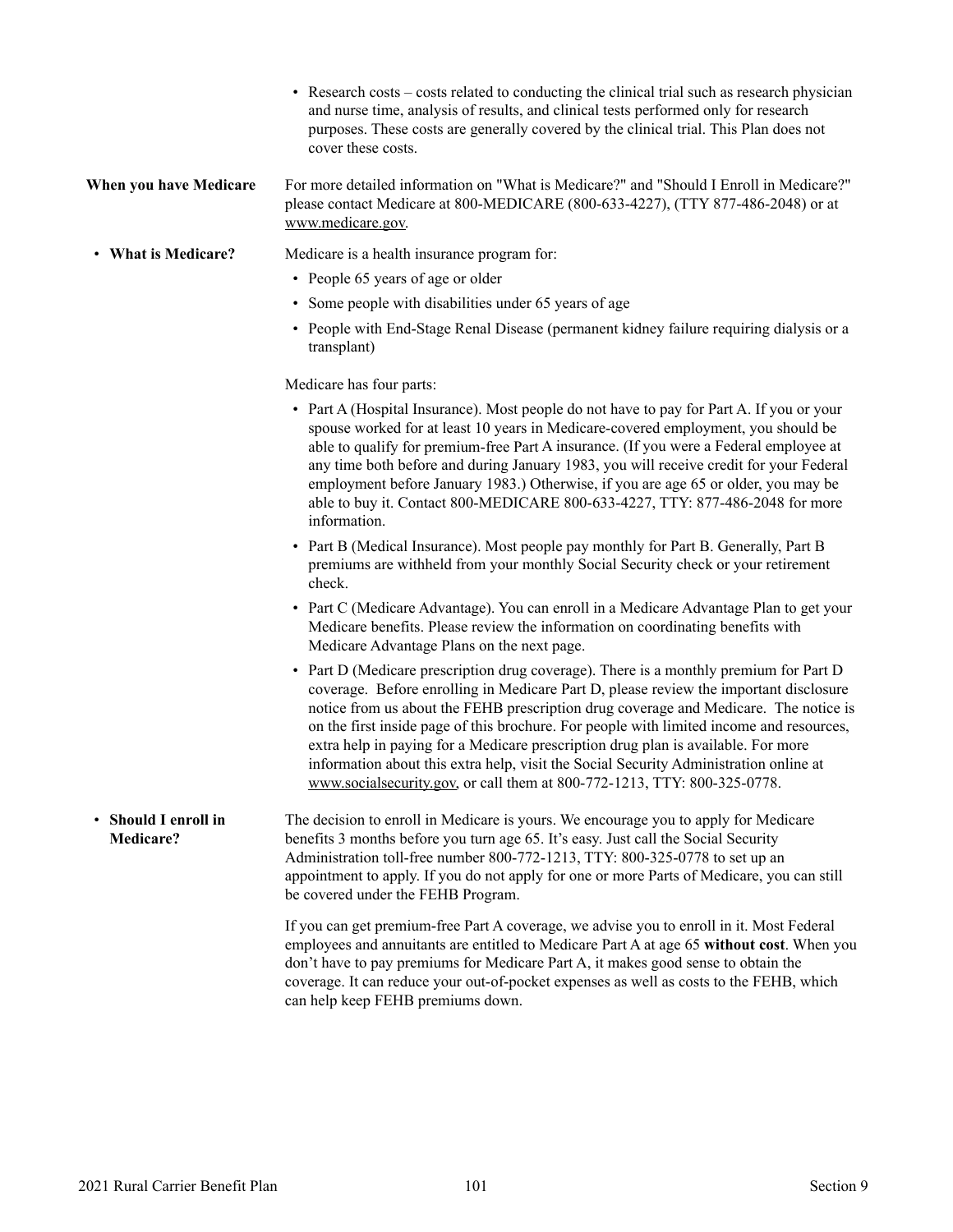- Research costs costs related to conducting the clinical trial such as research physician and nurse time, analysis of results, and clinical tests performed only for research purposes. These costs are generally covered by the clinical trial. This Plan does not cover these costs.
- **When you have Medicare** For more detailed information on "What is Medicare?" and "Should I Enroll in Medicare?" please contact Medicare at 800-MEDICARE (800-633-4227), (TTY 877-486-2048) or at [www.medicare.gov.](http://www.medicare.gov)
- **What is Medicare?** Medicare is a health insurance program for:
	- People 65 years of age or older
	- Some people with disabilities under 65 years of age
	- People with End-Stage Renal Disease (permanent kidney failure requiring dialysis or a transplant)

Medicare has four parts:

- Part A (Hospital Insurance). Most people do not have to pay for Part A. If you or your spouse worked for at least 10 years in Medicare-covered employment, you should be able to qualify for premium-free Part A insurance. (If you were a Federal employee at any time both before and during January 1983, you will receive credit for your Federal employment before January 1983.) Otherwise, if you are age 65 or older, you may be able to buy it. Contact 800-MEDICARE 800-633-4227, TTY: 877-486-2048 for more information.
- Part B (Medical Insurance). Most people pay monthly for Part B. Generally, Part B premiums are withheld from your monthly Social Security check or your retirement check.
- Part C (Medicare Advantage). You can enroll in a Medicare Advantage Plan to get your Medicare benefits. Please review the information on coordinating benefits with Medicare Advantage Plans on the next page.
- Part D (Medicare prescription drug coverage). There is a monthly premium for Part D coverage. Before enrolling in Medicare Part D, please review the important disclosure notice from us about the FEHB prescription drug coverage and Medicare. The notice is on the first inside page of this brochure. For people with limited income and resources, extra help in paying for a Medicare prescription drug plan is available. For more information about this extra help, visit the Social Security Administration online at [www.socialsecurity.gov,](http://www.socialsecurity.gov) or call them at 800-772-1213, TTY: 800-325-0778.
- **Should I enroll in Medicare?** The decision to enroll in Medicare is yours. We encourage you to apply for Medicare benefits 3 months before you turn age 65. It's easy. Just call the Social Security Administration toll-free number 800-772-1213, TTY: 800-325-0778 to set up an appointment to apply. If you do not apply for one or more Parts of Medicare, you can still be covered under the FEHB Program.

If you can get premium-free Part A coverage, we advise you to enroll in it. Most Federal employees and annuitants are entitled to Medicare Part A at age 65 **without cost**. When you don't have to pay premiums for Medicare Part A, it makes good sense to obtain the coverage. It can reduce your out-of-pocket expenses as well as costs to the FEHB, which can help keep FEHB premiums down.

•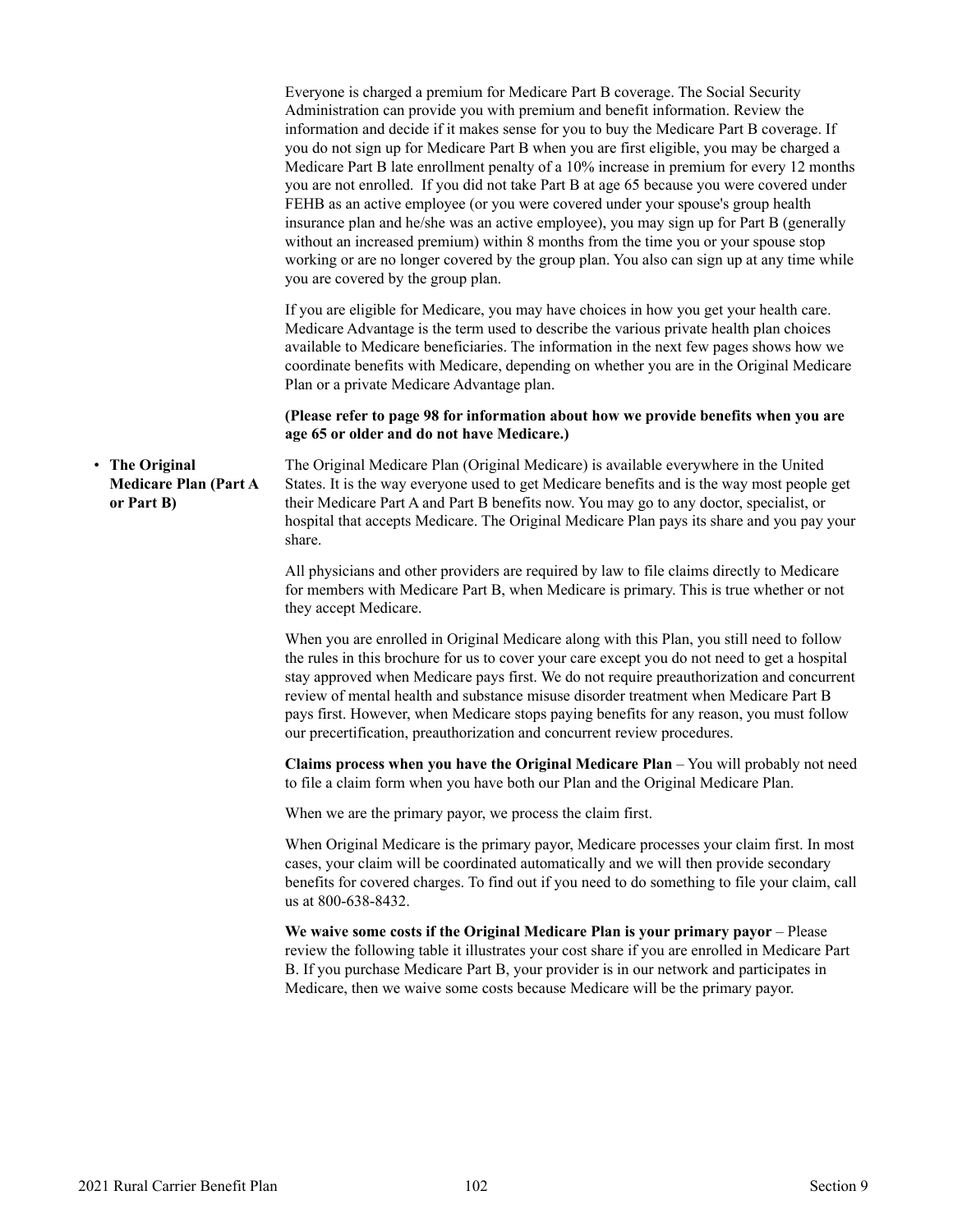|                                                              | Everyone is charged a premium for Medicare Part B coverage. The Social Security<br>Administration can provide you with premium and benefit information. Review the<br>information and decide if it makes sense for you to buy the Medicare Part B coverage. If<br>you do not sign up for Medicare Part B when you are first eligible, you may be charged a<br>Medicare Part B late enrollment penalty of a 10% increase in premium for every 12 months<br>you are not enrolled. If you did not take Part B at age 65 because you were covered under<br>FEHB as an active employee (or you were covered under your spouse's group health<br>insurance plan and he/she was an active employee), you may sign up for Part B (generally<br>without an increased premium) within 8 months from the time you or your spouse stop<br>working or are no longer covered by the group plan. You also can sign up at any time while<br>you are covered by the group plan. |
|--------------------------------------------------------------|----------------------------------------------------------------------------------------------------------------------------------------------------------------------------------------------------------------------------------------------------------------------------------------------------------------------------------------------------------------------------------------------------------------------------------------------------------------------------------------------------------------------------------------------------------------------------------------------------------------------------------------------------------------------------------------------------------------------------------------------------------------------------------------------------------------------------------------------------------------------------------------------------------------------------------------------------------------|
|                                                              | If you are eligible for Medicare, you may have choices in how you get your health care.<br>Medicare Advantage is the term used to describe the various private health plan choices<br>available to Medicare beneficiaries. The information in the next few pages shows how we<br>coordinate benefits with Medicare, depending on whether you are in the Original Medicare<br>Plan or a private Medicare Advantage plan.                                                                                                                                                                                                                                                                                                                                                                                                                                                                                                                                        |
|                                                              | (Please refer to page 98 for information about how we provide benefits when you are<br>age 65 or older and do not have Medicare.)                                                                                                                                                                                                                                                                                                                                                                                                                                                                                                                                                                                                                                                                                                                                                                                                                              |
| • The Original<br><b>Medicare Plan (Part A</b><br>or Part B) | The Original Medicare Plan (Original Medicare) is available everywhere in the United<br>States. It is the way everyone used to get Medicare benefits and is the way most people get<br>their Medicare Part A and Part B benefits now. You may go to any doctor, specialist, or<br>hospital that accepts Medicare. The Original Medicare Plan pays its share and you pay your<br>share.                                                                                                                                                                                                                                                                                                                                                                                                                                                                                                                                                                         |
|                                                              | All physicians and other providers are required by law to file claims directly to Medicare<br>for members with Medicare Part B, when Medicare is primary. This is true whether or not<br>they accept Medicare.                                                                                                                                                                                                                                                                                                                                                                                                                                                                                                                                                                                                                                                                                                                                                 |
|                                                              | When you are enrolled in Original Medicare along with this Plan, you still need to follow<br>the rules in this brochure for us to cover your care except you do not need to get a hospital<br>stay approved when Medicare pays first. We do not require preauthorization and concurrent<br>review of mental health and substance misuse disorder treatment when Medicare Part B<br>pays first. However, when Medicare stops paying benefits for any reason, you must follow<br>our precertification, preauthorization and concurrent review procedures.                                                                                                                                                                                                                                                                                                                                                                                                        |
|                                                              | Claims process when you have the Original Medicare Plan - You will probably not need<br>to file a claim form when you have both our Plan and the Original Medicare Plan.                                                                                                                                                                                                                                                                                                                                                                                                                                                                                                                                                                                                                                                                                                                                                                                       |
|                                                              | When we are the primary payor, we process the claim first.                                                                                                                                                                                                                                                                                                                                                                                                                                                                                                                                                                                                                                                                                                                                                                                                                                                                                                     |
|                                                              | When Original Medicare is the primary payor, Medicare processes your claim first. In most<br>cases, your claim will be coordinated automatically and we will then provide secondary<br>benefits for covered charges. To find out if you need to do something to file your claim, call<br>us at 800-638-8432.                                                                                                                                                                                                                                                                                                                                                                                                                                                                                                                                                                                                                                                   |
|                                                              | We waive some costs if the Original Medicare Plan is your primary payor - Please<br>review the following table it illustrates your cost share if you are enrolled in Medicare Part<br>B. If you purchase Medicare Part B, your provider is in our network and participates in<br>Medicare, then we waive some costs because Medicare will be the primary payor.                                                                                                                                                                                                                                                                                                                                                                                                                                                                                                                                                                                                |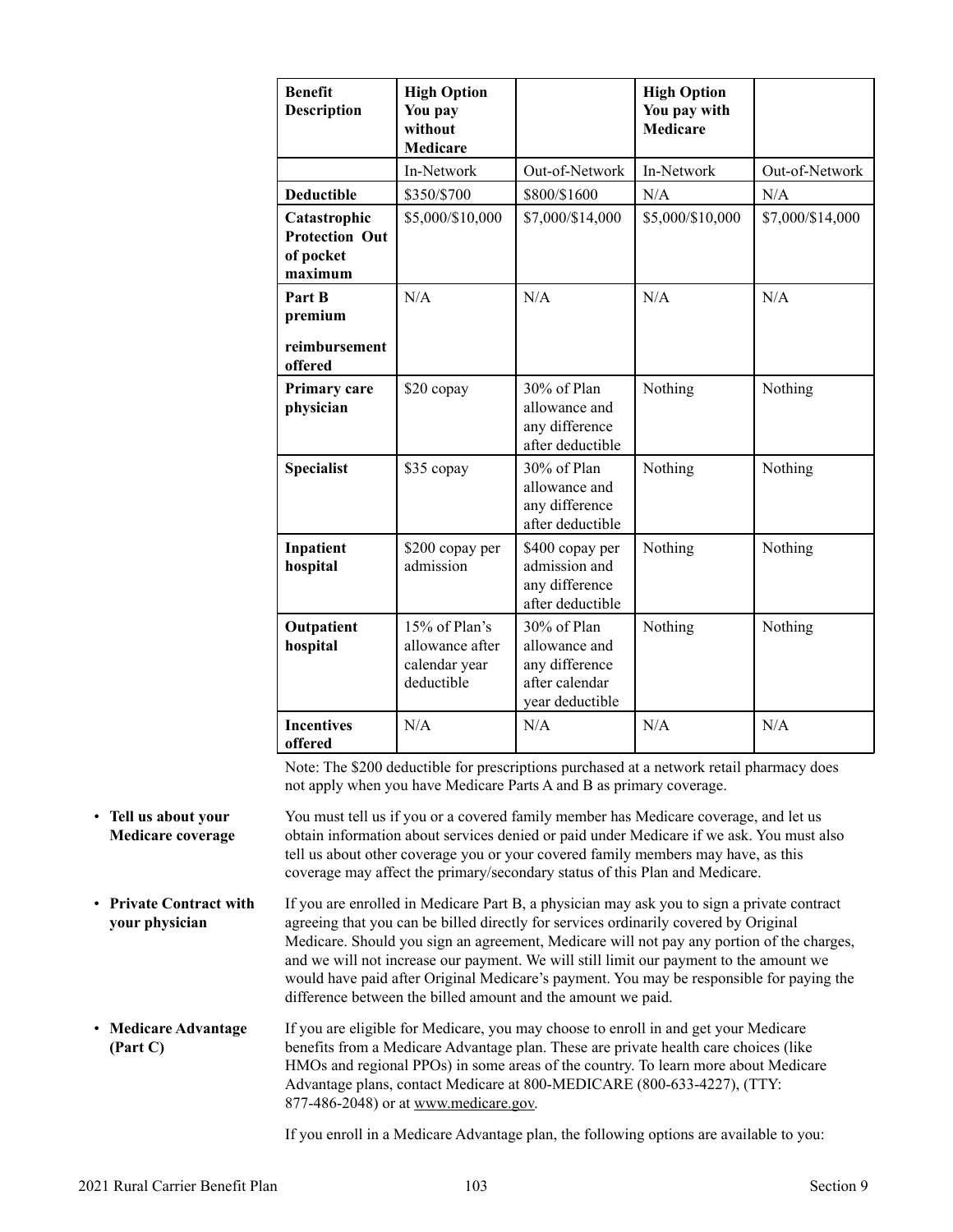| <b>Benefit</b><br><b>Description</b>                          | <b>High Option</b><br>You pay<br>without<br><b>Medicare</b>     |                                                                                        | <b>High Option</b><br>You pay with<br><b>Medicare</b> |                  |
|---------------------------------------------------------------|-----------------------------------------------------------------|----------------------------------------------------------------------------------------|-------------------------------------------------------|------------------|
|                                                               | In-Network                                                      | Out-of-Network                                                                         | In-Network                                            | Out-of-Network   |
| <b>Deductible</b>                                             | \$350/\$700                                                     | \$800/\$1600                                                                           | N/A                                                   | N/A              |
| Catastrophic<br><b>Protection Out</b><br>of pocket<br>maximum | \$5,000/\$10,000                                                | \$7,000/\$14,000                                                                       | \$5,000/\$10,000                                      | \$7,000/\$14,000 |
| Part B<br>premium<br>reimbursement<br>offered                 | N/A                                                             | N/A                                                                                    | N/A                                                   | N/A              |
| Primary care<br>physician                                     | \$20 copay                                                      | 30% of Plan<br>allowance and<br>any difference<br>after deductible                     | Nothing                                               | Nothing          |
| <b>Specialist</b>                                             | \$35 copay                                                      | 30% of Plan<br>allowance and<br>any difference<br>after deductible                     | Nothing                                               | Nothing          |
| Inpatient<br>hospital                                         | \$200 copay per<br>admission                                    | \$400 copay per<br>admission and<br>any difference<br>after deductible                 | Nothing                                               | Nothing          |
| Outpatient<br>hospital                                        | 15% of Plan's<br>allowance after<br>calendar year<br>deductible | $30\%$ of Plan<br>allowance and<br>any difference<br>after calendar<br>year deductible | Nothing                                               | Nothing          |
| <b>Incentives</b><br>offered                                  | N/A                                                             | N/A                                                                                    | N/A                                                   | N/A              |

Note: The \$200 deductible for prescriptions purchased at a network retail pharmacy does not apply when you have Medicare Parts A and B as primary coverage.

- **Tell us about your Medicare coverage** You must tell us if you or a covered family member has Medicare coverage, and let us obtain information about services denied or paid under Medicare if we ask. You must also tell us about other coverage you or your covered family members may have, as this coverage may affect the primary/secondary status of this Plan and Medicare.
- **Private Contract with your physician** If you are enrolled in Medicare Part B, a physician may ask you to sign a private contract agreeing that you can be billed directly for services ordinarily covered by Original Medicare. Should you sign an agreement, Medicare will not pay any portion of the charges, and we will not increase our payment. We will still limit our payment to the amount we would have paid after Original Medicare's payment. You may be responsible for paying the difference between the billed amount and the amount we paid.
- **Medicare Advantage (Part C)**  If you are eligible for Medicare, you may choose to enroll in and get your Medicare benefits from a Medicare Advantage plan. These are private health care choices (like HMOs and regional PPOs) in some areas of the country. To learn more about Medicare Advantage plans, contact Medicare at 800-MEDICARE (800-633-4227), (TTY: 877-486-2048) or a[t www.medicare.gov.](http://www.medicare.gov)

If you enroll in a Medicare Advantage plan, the following options are available to you: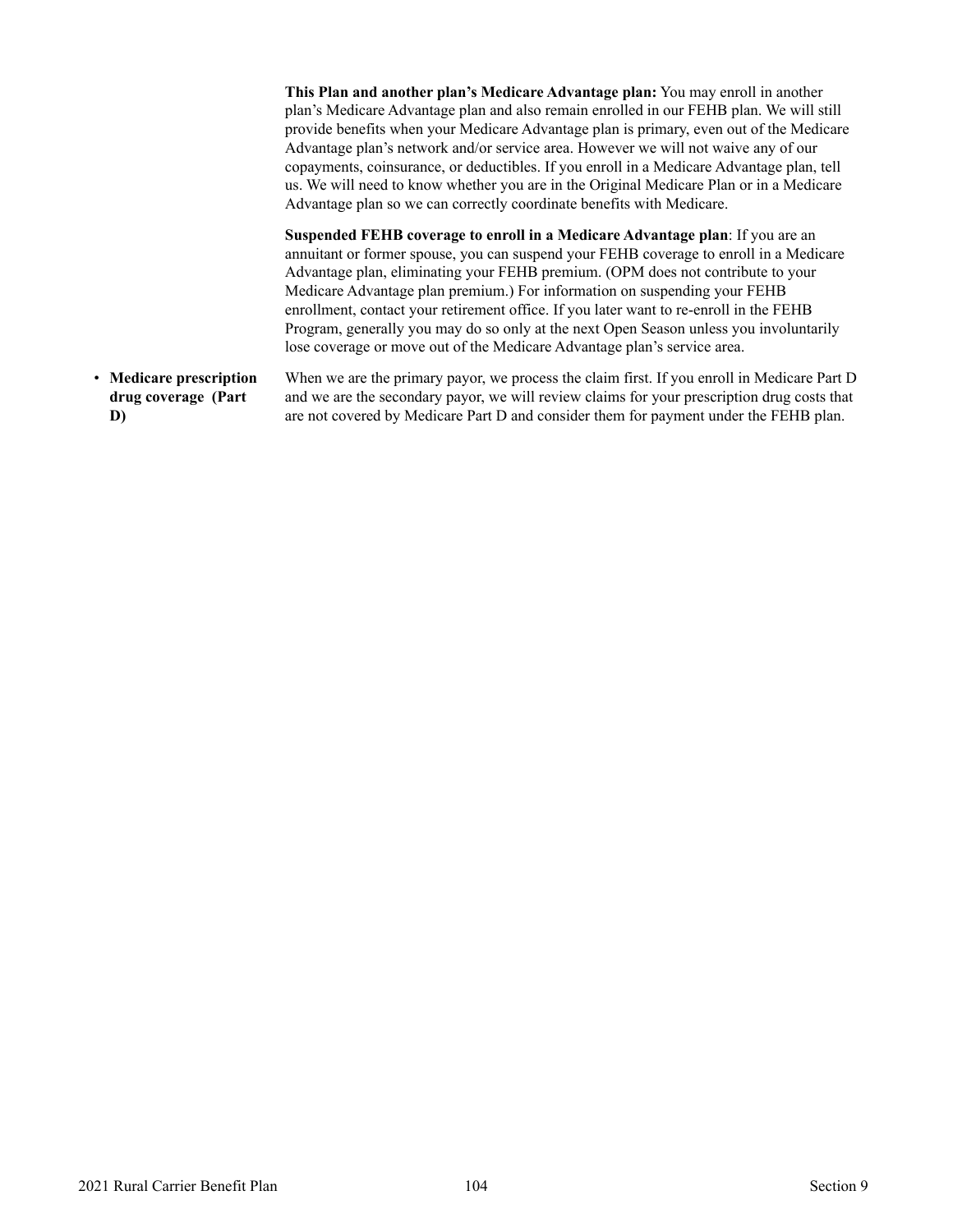|                                                      | This Plan and another plan's Medicare Advantage plan: You may enroll in another<br>plan's Medicare Advantage plan and also remain enrolled in our FEHB plan. We will still<br>provide benefits when your Medicare Advantage plan is primary, even out of the Medicare<br>Advantage plan's network and/or service area. However we will not waive any of our<br>copayments, coinsurance, or deductibles. If you enroll in a Medicare Advantage plan, tell<br>us. We will need to know whether you are in the Original Medicare Plan or in a Medicare<br>Advantage plan so we can correctly coordinate benefits with Medicare. |
|------------------------------------------------------|------------------------------------------------------------------------------------------------------------------------------------------------------------------------------------------------------------------------------------------------------------------------------------------------------------------------------------------------------------------------------------------------------------------------------------------------------------------------------------------------------------------------------------------------------------------------------------------------------------------------------|
|                                                      | Suspended FEHB coverage to enroll in a Medicare Advantage plan: If you are an<br>annuitant or former spouse, you can suspend your FEHB coverage to enroll in a Medicare<br>Advantage plan, eliminating your FEHB premium. (OPM does not contribute to your<br>Medicare Advantage plan premium.) For information on suspending your FEHB<br>enrollment, contact your retirement office. If you later want to re-enroll in the FEHB<br>Program, generally you may do so only at the next Open Season unless you involuntarily<br>lose coverage or move out of the Medicare Advantage plan's service area.                      |
| • Medicare prescription<br>drug coverage (Part<br>D) | When we are the primary payor, we process the claim first. If you enroll in Medicare Part D<br>and we are the secondary payor, we will review claims for your prescription drug costs that<br>are not covered by Medicare Part D and consider them for payment under the FEHB plan.                                                                                                                                                                                                                                                                                                                                          |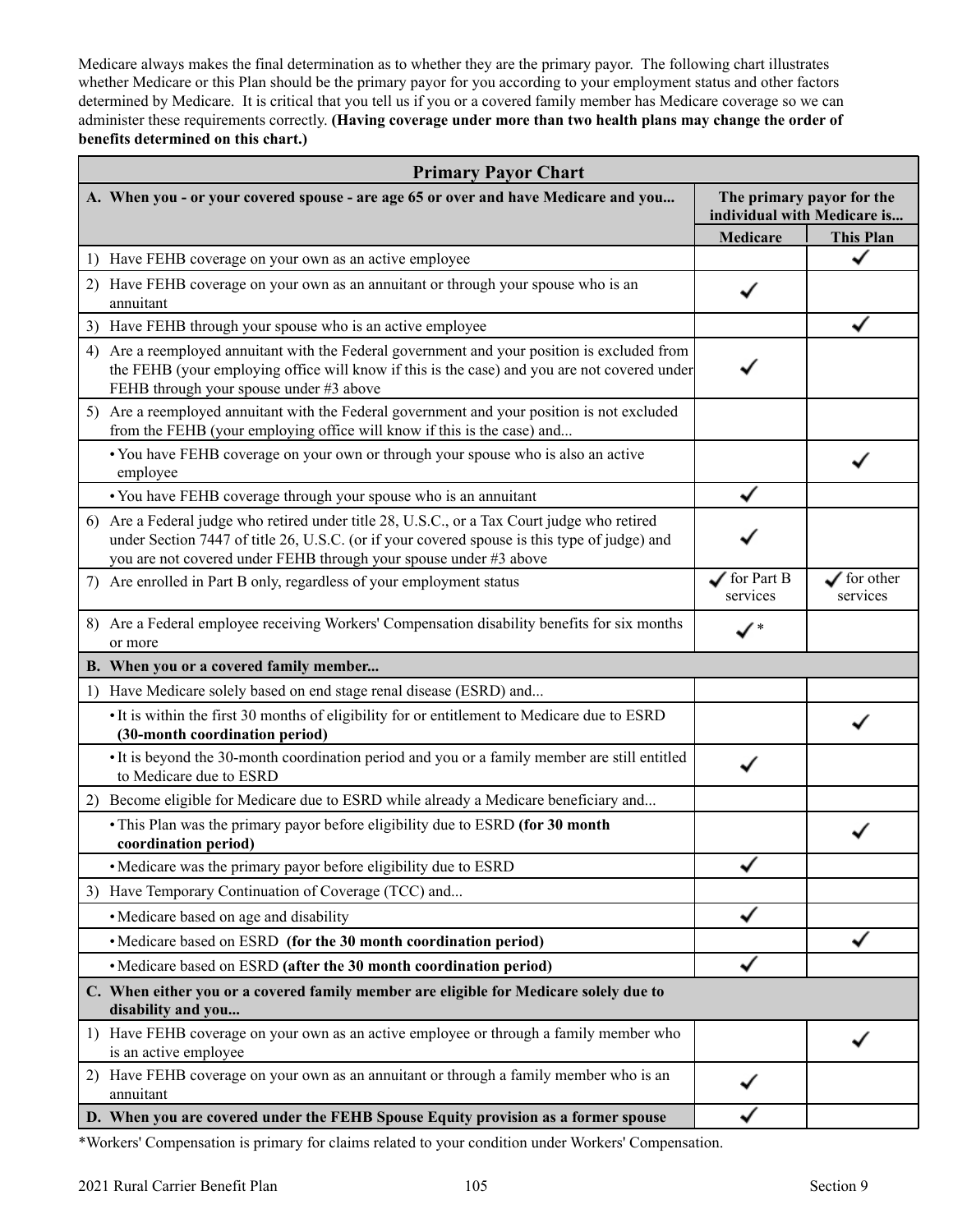Medicare always makes the final determination as to whether they are the primary payor. The following chart illustrates whether Medicare or this Plan should be the primary payor for you according to your employment status and other factors determined by Medicare. It is critical that you tell us if you or a covered family member has Medicare coverage so we can administer these requirements correctly. **(Having coverage under more than two health plans may change the order of benefits determined on this chart.)** 

| <b>Primary Payor Chart</b>                                                                                                                                                                                                                                       |                                    |                                                          |  |  |
|------------------------------------------------------------------------------------------------------------------------------------------------------------------------------------------------------------------------------------------------------------------|------------------------------------|----------------------------------------------------------|--|--|
| A. When you - or your covered spouse - are age 65 or over and have Medicare and you                                                                                                                                                                              |                                    | The primary payor for the<br>individual with Medicare is |  |  |
|                                                                                                                                                                                                                                                                  | <b>Medicare</b>                    | <b>This Plan</b>                                         |  |  |
| Have FEHB coverage on your own as an active employee<br>1)                                                                                                                                                                                                       |                                    |                                                          |  |  |
| Have FEHB coverage on your own as an annuitant or through your spouse who is an<br>2)<br>annuitant                                                                                                                                                               |                                    |                                                          |  |  |
| Have FEHB through your spouse who is an active employee<br>3)                                                                                                                                                                                                    |                                    |                                                          |  |  |
| Are a reemployed annuitant with the Federal government and your position is excluded from<br>4)<br>the FEHB (your employing office will know if this is the case) and you are not covered under<br>FEHB through your spouse under #3 above                       |                                    |                                                          |  |  |
| 5) Are a reemployed annuitant with the Federal government and your position is not excluded<br>from the FEHB (your employing office will know if this is the case) and                                                                                           |                                    |                                                          |  |  |
| • You have FEHB coverage on your own or through your spouse who is also an active<br>employee                                                                                                                                                                    |                                    |                                                          |  |  |
| • You have FEHB coverage through your spouse who is an annuitant                                                                                                                                                                                                 |                                    |                                                          |  |  |
| 6) Are a Federal judge who retired under title 28, U.S.C., or a Tax Court judge who retired<br>under Section 7447 of title 26, U.S.C. (or if your covered spouse is this type of judge) and<br>you are not covered under FEHB through your spouse under #3 above |                                    |                                                          |  |  |
| Are enrolled in Part B only, regardless of your employment status<br>7)                                                                                                                                                                                          | $\sqrt{\ }$ for Part B<br>services | $\checkmark$ for other<br>services                       |  |  |
| 8) Are a Federal employee receiving Workers' Compensation disability benefits for six months<br>or more                                                                                                                                                          | $\checkmark$                       |                                                          |  |  |
| B. When you or a covered family member                                                                                                                                                                                                                           |                                    |                                                          |  |  |
| 1) Have Medicare solely based on end stage renal disease (ESRD) and                                                                                                                                                                                              |                                    |                                                          |  |  |
| • It is within the first 30 months of eligibility for or entitlement to Medicare due to ESRD<br>(30-month coordination period)                                                                                                                                   |                                    |                                                          |  |  |
| • It is beyond the 30-month coordination period and you or a family member are still entitled<br>to Medicare due to ESRD                                                                                                                                         |                                    |                                                          |  |  |
| Become eligible for Medicare due to ESRD while already a Medicare beneficiary and<br>2)                                                                                                                                                                          |                                    |                                                          |  |  |
| • This Plan was the primary payor before eligibility due to ESRD (for 30 month<br>coordination period)                                                                                                                                                           |                                    |                                                          |  |  |
| • Medicare was the primary payor before eligibility due to ESRD                                                                                                                                                                                                  |                                    |                                                          |  |  |
| Have Temporary Continuation of Coverage (TCC) and<br>3)                                                                                                                                                                                                          |                                    |                                                          |  |  |
| • Medicare based on age and disability                                                                                                                                                                                                                           |                                    |                                                          |  |  |
| • Medicare based on ESRD (for the 30 month coordination period)                                                                                                                                                                                                  |                                    |                                                          |  |  |
| • Medicare based on ESRD (after the 30 month coordination period)                                                                                                                                                                                                |                                    |                                                          |  |  |
| C. When either you or a covered family member are eligible for Medicare solely due to<br>disability and you                                                                                                                                                      |                                    |                                                          |  |  |
| 1) Have FEHB coverage on your own as an active employee or through a family member who<br>is an active employee                                                                                                                                                  |                                    |                                                          |  |  |
| Have FEHB coverage on your own as an annuitant or through a family member who is an<br>2)<br>annuitant                                                                                                                                                           |                                    |                                                          |  |  |
| D. When you are covered under the FEHB Spouse Equity provision as a former spouse                                                                                                                                                                                |                                    |                                                          |  |  |

\*Workers' Compensation is primary for claims related to your condition under Workers' Compensation.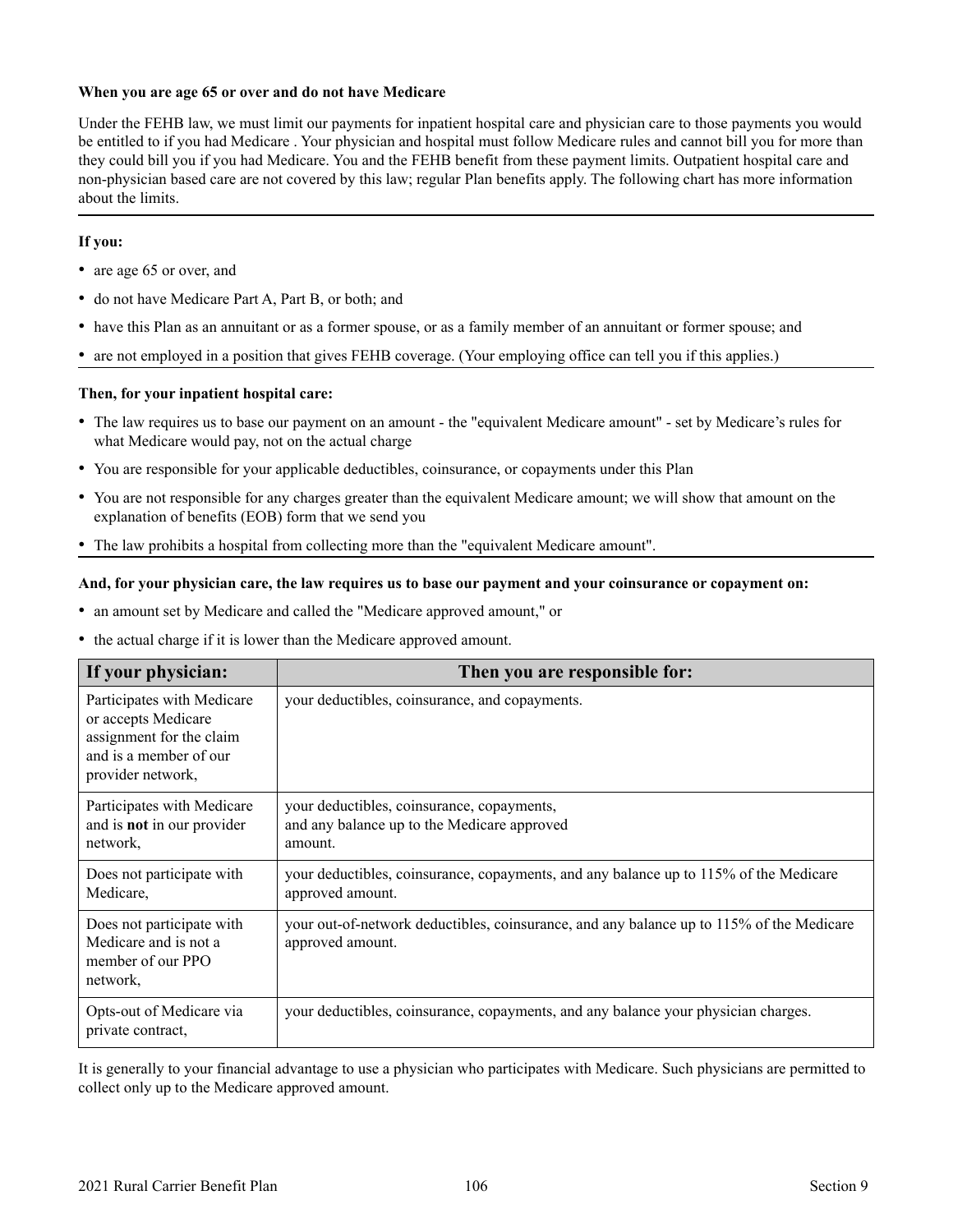### **When you are age 65 or over and do not have Medicare**

Under the FEHB law, we must limit our payments for inpatient hospital care and physician care to those payments you would be entitled to if you had Medicare . Your physician and hospital must follow Medicare rules and cannot bill you for more than they could bill you if you had Medicare. You and the FEHB benefit from these payment limits. Outpatient hospital care and non-physician based care are not covered by this law; regular Plan benefits apply. The following chart has more information about the limits.

### **If you:**

- are age 65 or over, and
- do not have Medicare Part A, Part B, or both; and
- have this Plan as an annuitant or as a former spouse, or as a family member of an annuitant or former spouse; and
- are not employed in a position that gives FEHB coverage. (Your employing office can tell you if this applies.)

### **Then, for your inpatient hospital care:**

- The law requires us to base our payment on an amount the "equivalent Medicare amount" set by Medicare's rules for what Medicare would pay, not on the actual charge
- You are responsible for your applicable deductibles, coinsurance, or copayments under this Plan
- You are not responsible for any charges greater than the equivalent Medicare amount; we will show that amount on the explanation of benefits (EOB) form that we send you
- The law prohibits a hospital from collecting more than the "equivalent Medicare amount".

#### **And, for your physician care, the law requires us to base our payment and your coinsurance or copayment on:**

- an amount set by Medicare and called the "Medicare approved amount," or
- the actual charge if it is lower than the Medicare approved amount.

| If your physician:                                                                                                           | Then you are responsible for:                                                                                |
|------------------------------------------------------------------------------------------------------------------------------|--------------------------------------------------------------------------------------------------------------|
| Participates with Medicare<br>or accepts Medicare<br>assignment for the claim<br>and is a member of our<br>provider network, | your deductibles, coinsurance, and copayments.                                                               |
| Participates with Medicare<br>and is <b>not</b> in our provider<br>network,                                                  | your deductibles, coinsurance, copayments,<br>and any balance up to the Medicare approved<br>amount.         |
| Does not participate with<br>Medicare,                                                                                       | your deductibles, coinsurance, copayments, and any balance up to 115% of the Medicare<br>approved amount.    |
| Does not participate with<br>Medicare and is not a<br>member of our PPO<br>network,                                          | your out-of-network deductibles, coinsurance, and any balance up to 115% of the Medicare<br>approved amount. |
| Opts-out of Medicare via<br>private contract,                                                                                | your deductibles, coinsurance, copayments, and any balance your physician charges.                           |

It is generally to your financial advantage to use a physician who participates with Medicare. Such physicians are permitted to collect only up to the Medicare approved amount.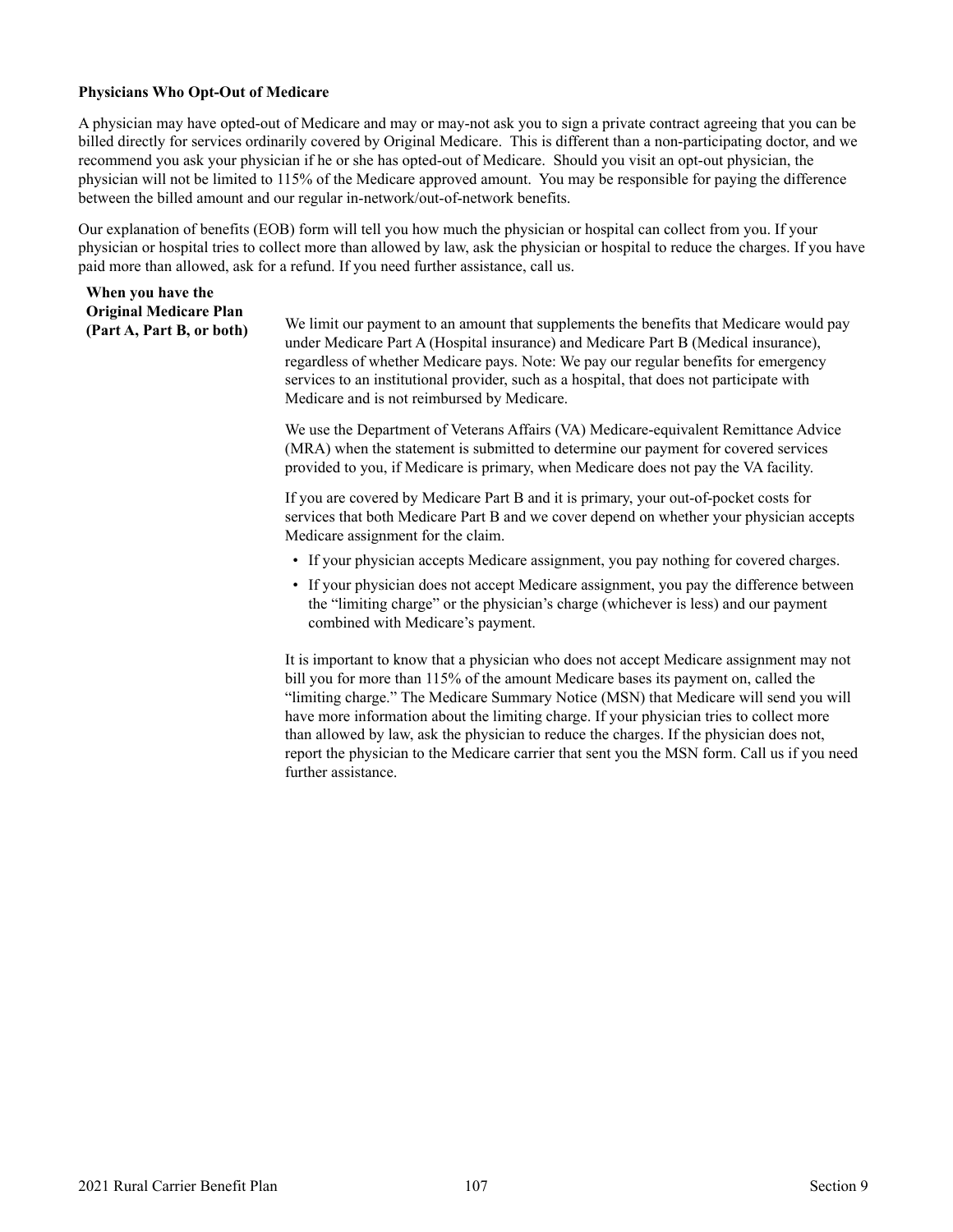### <span id="page-108-0"></span>**Physicians Who Opt-Out of Medicare**

**When you have the** 

A physician may have opted-out of Medicare and may or may-not ask you to sign a private contract agreeing that you can be billed directly for services ordinarily covered by Original Medicare. This is different than a non-participating doctor, and we recommend you ask your physician if he or she has opted-out of Medicare. Should you visit an opt-out physician, the physician will not be limited to 115% of the Medicare approved amount. You may be responsible for paying the difference between the billed amount and our regular in-network/out-of-network benefits.

Our explanation of benefits (EOB) form will tell you how much the physician or hospital can collect from you. If your physician or hospital tries to collect more than allowed by law, ask the physician or hospital to reduce the charges. If you have paid more than allowed, ask for a refund. If you need further assistance, call us.

| Original Medicare Plan<br>(Part A, Part B, or both) | We limit our payment to an amount that supplements the benefits that Medicare would pay<br>under Medicare Part A (Hospital insurance) and Medicare Part B (Medical insurance),<br>regardless of whether Medicare pays. Note: We pay our regular benefits for emergency<br>services to an institutional provider, such as a hospital, that does not participate with<br>Medicare and is not reimbursed by Medicare. |
|-----------------------------------------------------|--------------------------------------------------------------------------------------------------------------------------------------------------------------------------------------------------------------------------------------------------------------------------------------------------------------------------------------------------------------------------------------------------------------------|
|                                                     | We use the Department of Veterans Affairs (VA) Medicare-equivalent Remittance Advice<br>(MRA) when the statement is submitted to determine our payment for covered services<br>provided to you, if Medicare is primary, when Medicare does not pay the VA facility.                                                                                                                                                |
|                                                     | If you are covered by Medicare Part B and it is primary, your out-of-pocket costs for<br>services that both Medicare Part B and we cover depend on whether your physician accepts<br>Medicare assignment for the claim.                                                                                                                                                                                            |
|                                                     | • If your physician accepts Medicare assignment, you pay nothing for covered charges.                                                                                                                                                                                                                                                                                                                              |
|                                                     | • If your physician does not accept Medicare assignment, you pay the difference between<br>the "limiting charge" or the physician's charge (whichever is less) and our payment                                                                                                                                                                                                                                     |

further assistance.

combined with Medicare's payment. It is important to know that a physician who does not accept Medicare assignment may not bill you for more than 115% of the amount Medicare bases its payment on, called the "limiting charge." The Medicare Summary Notice (MSN) that Medicare will send you will have more information about the limiting charge. If your physician tries to collect more than allowed by law, ask the physician to reduce the charges. If the physician does not, report the physician to the Medicare carrier that sent you the MSN form. Call us if you need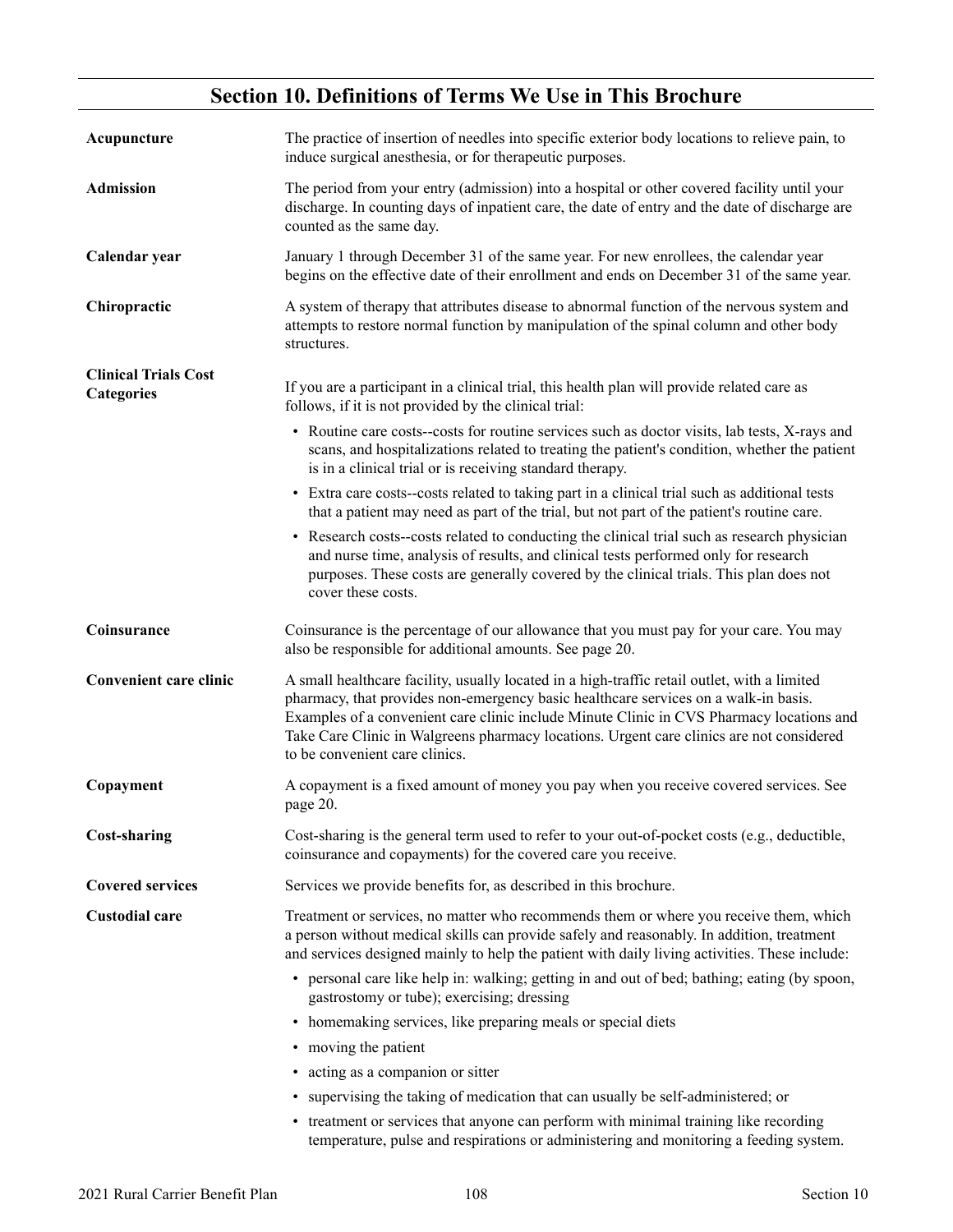# **Section 10. Definitions of Terms We Use in This Brochure**

<span id="page-109-0"></span>

| Acupuncture                                      | The practice of insertion of needles into specific exterior body locations to relieve pain, to<br>induce surgical anesthesia, or for therapeutic purposes.                                                                                                                                                                                                                                                    |
|--------------------------------------------------|---------------------------------------------------------------------------------------------------------------------------------------------------------------------------------------------------------------------------------------------------------------------------------------------------------------------------------------------------------------------------------------------------------------|
| <b>Admission</b>                                 | The period from your entry (admission) into a hospital or other covered facility until your<br>discharge. In counting days of inpatient care, the date of entry and the date of discharge are<br>counted as the same day.                                                                                                                                                                                     |
| Calendar year                                    | January 1 through December 31 of the same year. For new enrollees, the calendar year<br>begins on the effective date of their enrollment and ends on December 31 of the same year.                                                                                                                                                                                                                            |
| Chiropractic                                     | A system of therapy that attributes disease to abnormal function of the nervous system and<br>attempts to restore normal function by manipulation of the spinal column and other body<br>structures.                                                                                                                                                                                                          |
| <b>Clinical Trials Cost</b><br><b>Categories</b> | If you are a participant in a clinical trial, this health plan will provide related care as<br>follows, if it is not provided by the clinical trial:                                                                                                                                                                                                                                                          |
|                                                  | • Routine care costs-costs for routine services such as doctor visits, lab tests, X-rays and<br>scans, and hospitalizations related to treating the patient's condition, whether the patient<br>is in a clinical trial or is receiving standard therapy.                                                                                                                                                      |
|                                                  | • Extra care costs-costs related to taking part in a clinical trial such as additional tests<br>that a patient may need as part of the trial, but not part of the patient's routine care.                                                                                                                                                                                                                     |
|                                                  | • Research costs--costs related to conducting the clinical trial such as research physician<br>and nurse time, analysis of results, and clinical tests performed only for research<br>purposes. These costs are generally covered by the clinical trials. This plan does not<br>cover these costs.                                                                                                            |
| Coinsurance                                      | Coinsurance is the percentage of our allowance that you must pay for your care. You may<br>also be responsible for additional amounts. See page 20.                                                                                                                                                                                                                                                           |
| <b>Convenient care clinic</b>                    | A small healthcare facility, usually located in a high-traffic retail outlet, with a limited<br>pharmacy, that provides non-emergency basic healthcare services on a walk-in basis.<br>Examples of a convenient care clinic include Minute Clinic in CVS Pharmacy locations and<br>Take Care Clinic in Walgreens pharmacy locations. Urgent care clinics are not considered<br>to be convenient care clinics. |
| Copayment                                        | A copayment is a fixed amount of money you pay when you receive covered services. See<br>page 20.                                                                                                                                                                                                                                                                                                             |
| <b>Cost-sharing</b>                              | Cost-sharing is the general term used to refer to your out-of-pocket costs (e.g., deductible,<br>coinsurance and copayments) for the covered care you receive.                                                                                                                                                                                                                                                |
| <b>Covered services</b>                          | Services we provide benefits for, as described in this brochure.                                                                                                                                                                                                                                                                                                                                              |
| <b>Custodial care</b>                            | Treatment or services, no matter who recommends them or where you receive them, which<br>a person without medical skills can provide safely and reasonably. In addition, treatment<br>and services designed mainly to help the patient with daily living activities. These include:                                                                                                                           |
|                                                  | • personal care like help in: walking; getting in and out of bed; bathing; eating (by spoon,<br>gastrostomy or tube); exercising; dressing                                                                                                                                                                                                                                                                    |
|                                                  | • homemaking services, like preparing meals or special diets                                                                                                                                                                                                                                                                                                                                                  |
|                                                  | • moving the patient                                                                                                                                                                                                                                                                                                                                                                                          |
|                                                  | • acting as a companion or sitter                                                                                                                                                                                                                                                                                                                                                                             |
|                                                  | • supervising the taking of medication that can usually be self-administered; or                                                                                                                                                                                                                                                                                                                              |
|                                                  | • treatment or services that anyone can perform with minimal training like recording                                                                                                                                                                                                                                                                                                                          |

temperature, pulse and respirations or administering and monitoring a feeding system.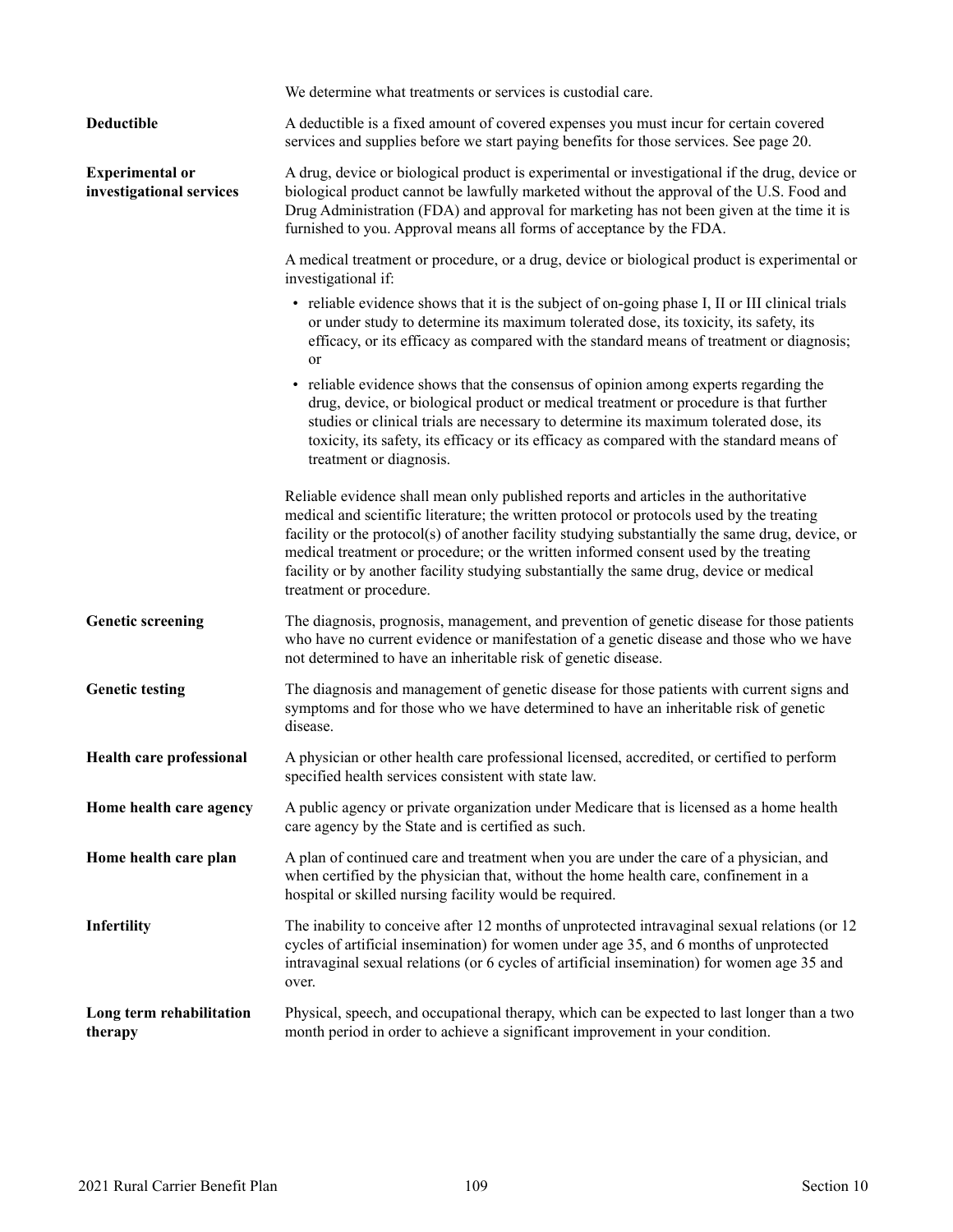<span id="page-110-0"></span>

|                                                    | We determine what treatments or services is custodial care.                                                                                                                                                                                                                                                                                                                                                                                                                                          |
|----------------------------------------------------|------------------------------------------------------------------------------------------------------------------------------------------------------------------------------------------------------------------------------------------------------------------------------------------------------------------------------------------------------------------------------------------------------------------------------------------------------------------------------------------------------|
| Deductible                                         | A deductible is a fixed amount of covered expenses you must incur for certain covered<br>services and supplies before we start paying benefits for those services. See page 20.                                                                                                                                                                                                                                                                                                                      |
| <b>Experimental or</b><br>investigational services | A drug, device or biological product is experimental or investigational if the drug, device or<br>biological product cannot be lawfully marketed without the approval of the U.S. Food and<br>Drug Administration (FDA) and approval for marketing has not been given at the time it is<br>furnished to you. Approval means all forms of acceptance by the FDA.                                                                                                                                      |
|                                                    | A medical treatment or procedure, or a drug, device or biological product is experimental or<br>investigational if:                                                                                                                                                                                                                                                                                                                                                                                  |
|                                                    | • reliable evidence shows that it is the subject of on-going phase I, II or III clinical trials<br>or under study to determine its maximum tolerated dose, its toxicity, its safety, its<br>efficacy, or its efficacy as compared with the standard means of treatment or diagnosis;<br>or                                                                                                                                                                                                           |
|                                                    | • reliable evidence shows that the consensus of opinion among experts regarding the<br>drug, device, or biological product or medical treatment or procedure is that further<br>studies or clinical trials are necessary to determine its maximum tolerated dose, its<br>toxicity, its safety, its efficacy or its efficacy as compared with the standard means of<br>treatment or diagnosis.                                                                                                        |
|                                                    | Reliable evidence shall mean only published reports and articles in the authoritative<br>medical and scientific literature; the written protocol or protocols used by the treating<br>facility or the protocol(s) of another facility studying substantially the same drug, device, or<br>medical treatment or procedure; or the written informed consent used by the treating<br>facility or by another facility studying substantially the same drug, device or medical<br>treatment or procedure. |
| <b>Genetic screening</b>                           | The diagnosis, prognosis, management, and prevention of genetic disease for those patients<br>who have no current evidence or manifestation of a genetic disease and those who we have<br>not determined to have an inheritable risk of genetic disease.                                                                                                                                                                                                                                             |
| <b>Genetic testing</b>                             | The diagnosis and management of genetic disease for those patients with current signs and<br>symptoms and for those who we have determined to have an inheritable risk of genetic<br>disease.                                                                                                                                                                                                                                                                                                        |
| Health care professional                           | A physician or other health care professional licensed, accredited, or certified to perform<br>specified health services consistent with state law.                                                                                                                                                                                                                                                                                                                                                  |
| Home health care agency                            | A public agency or private organization under Medicare that is licensed as a home health<br>care agency by the State and is certified as such.                                                                                                                                                                                                                                                                                                                                                       |
| Home health care plan                              | A plan of continued care and treatment when you are under the care of a physician, and<br>when certified by the physician that, without the home health care, confinement in a<br>hospital or skilled nursing facility would be required.                                                                                                                                                                                                                                                            |
| Infertility                                        | The inability to conceive after 12 months of unprotected intravaginal sexual relations (or 12<br>cycles of artificial insemination) for women under age 35, and 6 months of unprotected<br>intravaginal sexual relations (or 6 cycles of artificial insemination) for women age 35 and<br>over.                                                                                                                                                                                                      |
| Long term rehabilitation<br>therapy                | Physical, speech, and occupational therapy, which can be expected to last longer than a two<br>month period in order to achieve a significant improvement in your condition.                                                                                                                                                                                                                                                                                                                         |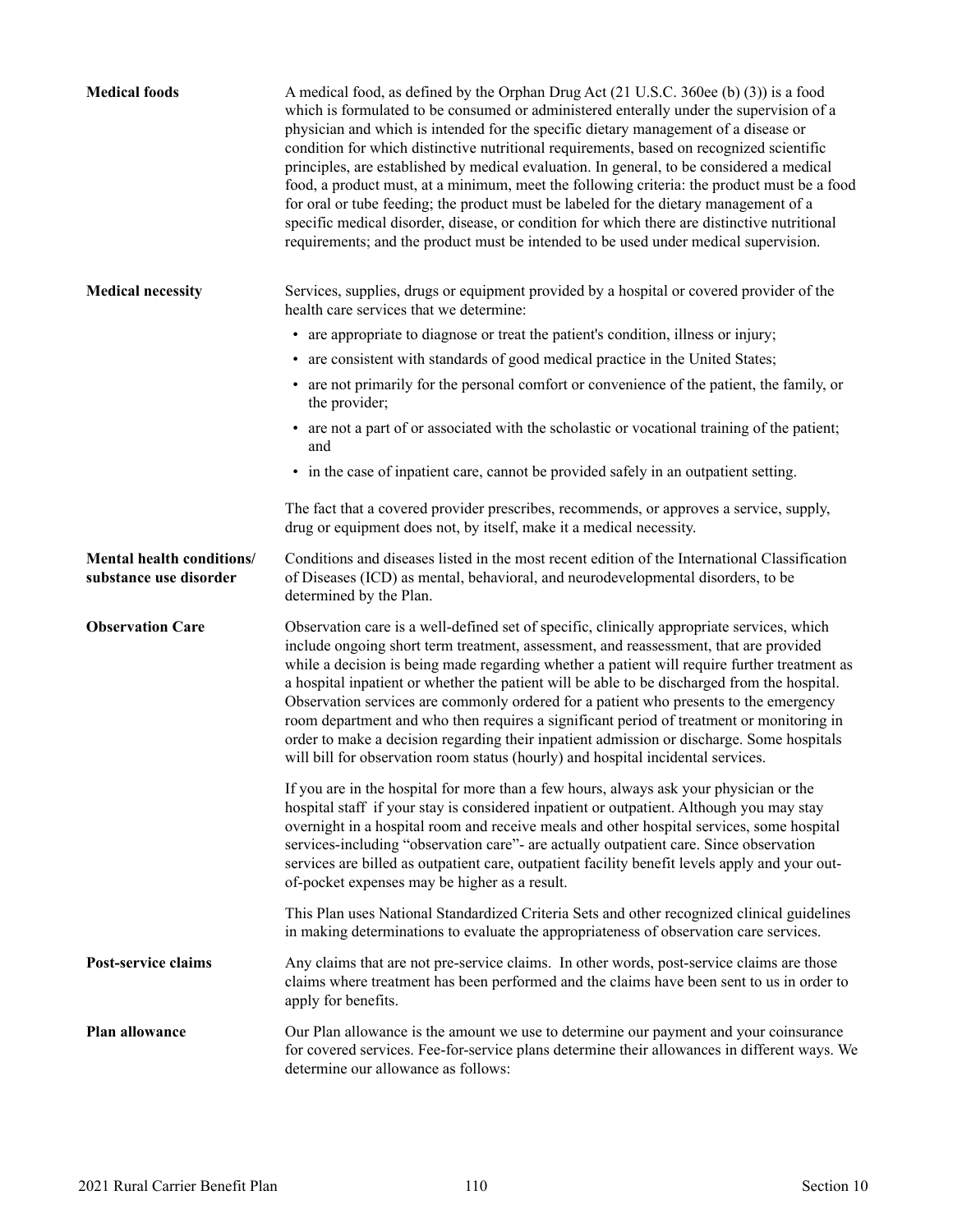<span id="page-111-0"></span>

| <b>Medical foods</b>                                | A medical food, as defined by the Orphan Drug Act (21 U.S.C. 360ee (b) (3)) is a food<br>which is formulated to be consumed or administered enterally under the supervision of a<br>physician and which is intended for the specific dietary management of a disease or<br>condition for which distinctive nutritional requirements, based on recognized scientific<br>principles, are established by medical evaluation. In general, to be considered a medical<br>food, a product must, at a minimum, meet the following criteria: the product must be a food<br>for oral or tube feeding; the product must be labeled for the dietary management of a<br>specific medical disorder, disease, or condition for which there are distinctive nutritional<br>requirements; and the product must be intended to be used under medical supervision. |
|-----------------------------------------------------|--------------------------------------------------------------------------------------------------------------------------------------------------------------------------------------------------------------------------------------------------------------------------------------------------------------------------------------------------------------------------------------------------------------------------------------------------------------------------------------------------------------------------------------------------------------------------------------------------------------------------------------------------------------------------------------------------------------------------------------------------------------------------------------------------------------------------------------------------|
| <b>Medical necessity</b>                            | Services, supplies, drugs or equipment provided by a hospital or covered provider of the<br>health care services that we determine:                                                                                                                                                                                                                                                                                                                                                                                                                                                                                                                                                                                                                                                                                                              |
|                                                     | • are appropriate to diagnose or treat the patient's condition, illness or injury;                                                                                                                                                                                                                                                                                                                                                                                                                                                                                                                                                                                                                                                                                                                                                               |
|                                                     | • are consistent with standards of good medical practice in the United States;                                                                                                                                                                                                                                                                                                                                                                                                                                                                                                                                                                                                                                                                                                                                                                   |
|                                                     | • are not primarily for the personal comfort or convenience of the patient, the family, or<br>the provider;                                                                                                                                                                                                                                                                                                                                                                                                                                                                                                                                                                                                                                                                                                                                      |
|                                                     | • are not a part of or associated with the scholastic or vocational training of the patient;<br>and                                                                                                                                                                                                                                                                                                                                                                                                                                                                                                                                                                                                                                                                                                                                              |
|                                                     | • in the case of inpatient care, cannot be provided safely in an outpatient setting.                                                                                                                                                                                                                                                                                                                                                                                                                                                                                                                                                                                                                                                                                                                                                             |
|                                                     | The fact that a covered provider prescribes, recommends, or approves a service, supply,<br>drug or equipment does not, by itself, make it a medical necessity.                                                                                                                                                                                                                                                                                                                                                                                                                                                                                                                                                                                                                                                                                   |
| Mental health conditions/<br>substance use disorder | Conditions and diseases listed in the most recent edition of the International Classification<br>of Diseases (ICD) as mental, behavioral, and neurodevelopmental disorders, to be<br>determined by the Plan.                                                                                                                                                                                                                                                                                                                                                                                                                                                                                                                                                                                                                                     |
| <b>Observation Care</b>                             | Observation care is a well-defined set of specific, clinically appropriate services, which<br>include ongoing short term treatment, assessment, and reassessment, that are provided<br>while a decision is being made regarding whether a patient will require further treatment as<br>a hospital inpatient or whether the patient will be able to be discharged from the hospital.<br>Observation services are commonly ordered for a patient who presents to the emergency<br>room department and who then requires a significant period of treatment or monitoring in<br>order to make a decision regarding their inpatient admission or discharge. Some hospitals<br>will bill for observation room status (hourly) and hospital incidental services.                                                                                        |
|                                                     | If you are in the hospital for more than a few hours, always ask your physician or the<br>hospital staff if your stay is considered inpatient or outpatient. Although you may stay<br>overnight in a hospital room and receive meals and other hospital services, some hospital<br>services-including "observation care"- are actually outpatient care. Since observation<br>services are billed as outpatient care, outpatient facility benefit levels apply and your out-<br>of-pocket expenses may be higher as a result.                                                                                                                                                                                                                                                                                                                     |
|                                                     | This Plan uses National Standardized Criteria Sets and other recognized clinical guidelines<br>in making determinations to evaluate the appropriateness of observation care services.                                                                                                                                                                                                                                                                                                                                                                                                                                                                                                                                                                                                                                                            |
| Post-service claims                                 | Any claims that are not pre-service claims. In other words, post-service claims are those<br>claims where treatment has been performed and the claims have been sent to us in order to<br>apply for benefits.                                                                                                                                                                                                                                                                                                                                                                                                                                                                                                                                                                                                                                    |
| Plan allowance                                      | Our Plan allowance is the amount we use to determine our payment and your coinsurance<br>for covered services. Fee-for-service plans determine their allowances in different ways. We<br>determine our allowance as follows:                                                                                                                                                                                                                                                                                                                                                                                                                                                                                                                                                                                                                     |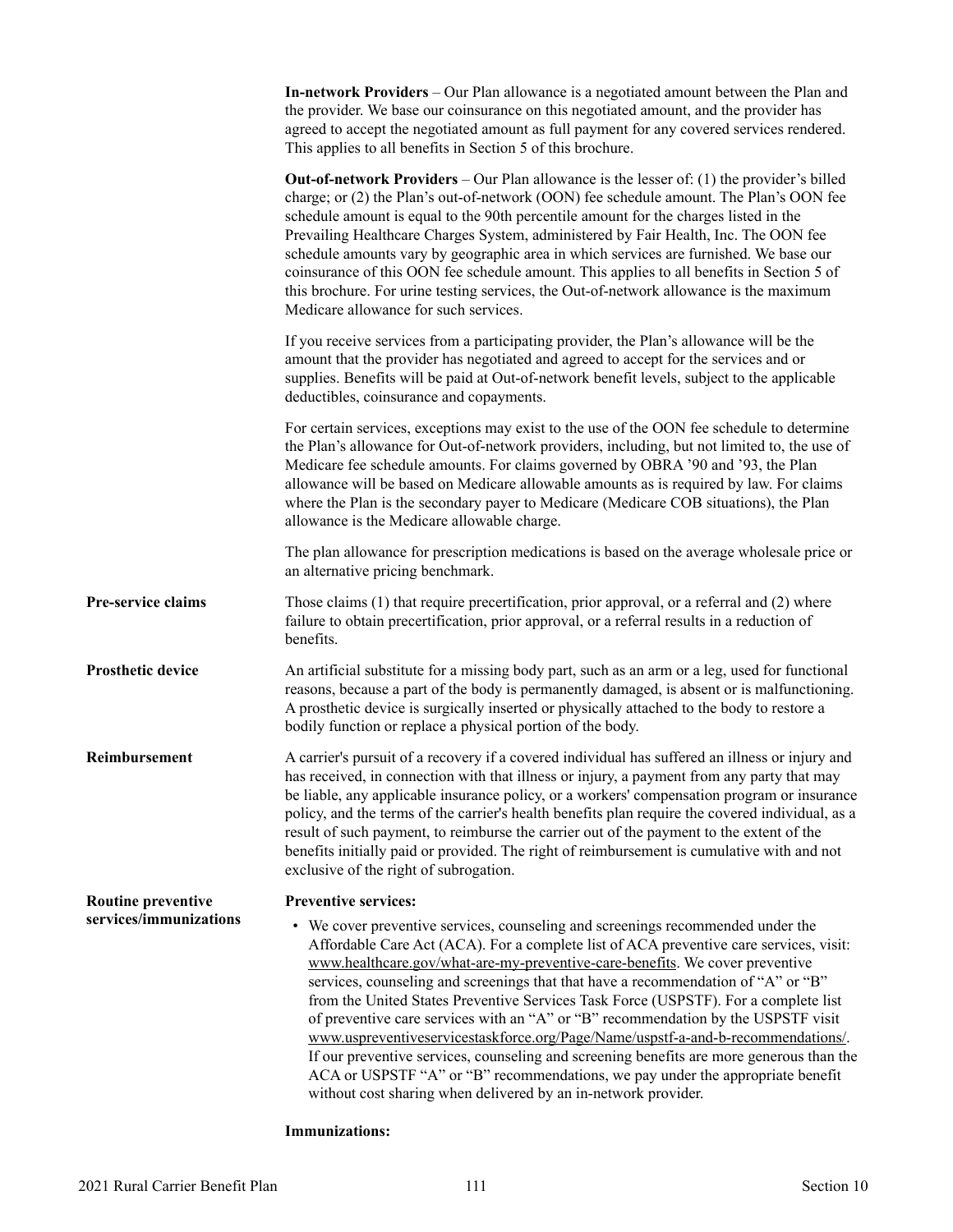<span id="page-112-0"></span>

|                           | <b>In-network Providers</b> – Our Plan allowance is a negotiated amount between the Plan and<br>the provider. We base our coinsurance on this negotiated amount, and the provider has<br>agreed to accept the negotiated amount as full payment for any covered services rendered.<br>This applies to all benefits in Section 5 of this brochure.                                                                                                                                                                                                                                                                                                                                                                                                                                                                                                              |
|---------------------------|----------------------------------------------------------------------------------------------------------------------------------------------------------------------------------------------------------------------------------------------------------------------------------------------------------------------------------------------------------------------------------------------------------------------------------------------------------------------------------------------------------------------------------------------------------------------------------------------------------------------------------------------------------------------------------------------------------------------------------------------------------------------------------------------------------------------------------------------------------------|
|                           | <b>Out-of-network Providers</b> – Our Plan allowance is the lesser of: (1) the provider's billed<br>charge; or (2) the Plan's out-of-network (OON) fee schedule amount. The Plan's OON fee<br>schedule amount is equal to the 90th percentile amount for the charges listed in the<br>Prevailing Healthcare Charges System, administered by Fair Health, Inc. The OON fee<br>schedule amounts vary by geographic area in which services are furnished. We base our<br>coinsurance of this OON fee schedule amount. This applies to all benefits in Section 5 of<br>this brochure. For urine testing services, the Out-of-network allowance is the maximum<br>Medicare allowance for such services.                                                                                                                                                             |
|                           | If you receive services from a participating provider, the Plan's allowance will be the<br>amount that the provider has negotiated and agreed to accept for the services and or<br>supplies. Benefits will be paid at Out-of-network benefit levels, subject to the applicable<br>deductibles, coinsurance and copayments.                                                                                                                                                                                                                                                                                                                                                                                                                                                                                                                                     |
|                           | For certain services, exceptions may exist to the use of the OON fee schedule to determine<br>the Plan's allowance for Out-of-network providers, including, but not limited to, the use of<br>Medicare fee schedule amounts. For claims governed by OBRA '90 and '93, the Plan<br>allowance will be based on Medicare allowable amounts as is required by law. For claims<br>where the Plan is the secondary payer to Medicare (Medicare COB situations), the Plan<br>allowance is the Medicare allowable charge.                                                                                                                                                                                                                                                                                                                                              |
|                           | The plan allowance for prescription medications is based on the average wholesale price or<br>an alternative pricing benchmark.                                                                                                                                                                                                                                                                                                                                                                                                                                                                                                                                                                                                                                                                                                                                |
| Pre-service claims        | Those claims (1) that require precertification, prior approval, or a referral and (2) where<br>failure to obtain precertification, prior approval, or a referral results in a reduction of<br>benefits.                                                                                                                                                                                                                                                                                                                                                                                                                                                                                                                                                                                                                                                        |
| <b>Prosthetic device</b>  | An artificial substitute for a missing body part, such as an arm or a leg, used for functional<br>reasons, because a part of the body is permanently damaged, is absent or is malfunctioning.<br>A prosthetic device is surgically inserted or physically attached to the body to restore a<br>bodily function or replace a physical portion of the body.                                                                                                                                                                                                                                                                                                                                                                                                                                                                                                      |
| Reimbursement             | A carrier's pursuit of a recovery if a covered individual has suffered an illness or injury and<br>has received, in connection with that illness or injury, a payment from any party that may<br>be liable, any applicable insurance policy, or a workers' compensation program or insurance<br>policy, and the terms of the carrier's health benefits plan require the covered individual, as a<br>result of such payment, to reimburse the carrier out of the payment to the extent of the<br>benefits initially paid or provided. The right of reimbursement is cumulative with and not<br>exclusive of the right of subrogation.                                                                                                                                                                                                                           |
| <b>Routine preventive</b> | <b>Preventive services:</b>                                                                                                                                                                                                                                                                                                                                                                                                                                                                                                                                                                                                                                                                                                                                                                                                                                    |
| services/immunizations    | • We cover preventive services, counseling and screenings recommended under the<br>Affordable Care Act (ACA). For a complete list of ACA preventive care services, visit:<br>www.healthcare.gov/what-are-my-preventive-care-benefits. We cover preventive<br>services, counseling and screenings that that have a recommendation of "A" or "B"<br>from the United States Preventive Services Task Force (USPSTF). For a complete list<br>of preventive care services with an "A" or "B" recommendation by the USPSTF visit<br>www.uspreventiveservicestaskforce.org/Page/Name/uspstf-a-and-b-recommendations/.<br>If our preventive services, counseling and screening benefits are more generous than the<br>ACA or USPSTF "A" or "B" recommendations, we pay under the appropriate benefit<br>without cost sharing when delivered by an in-network provider. |

### **Immunizations:**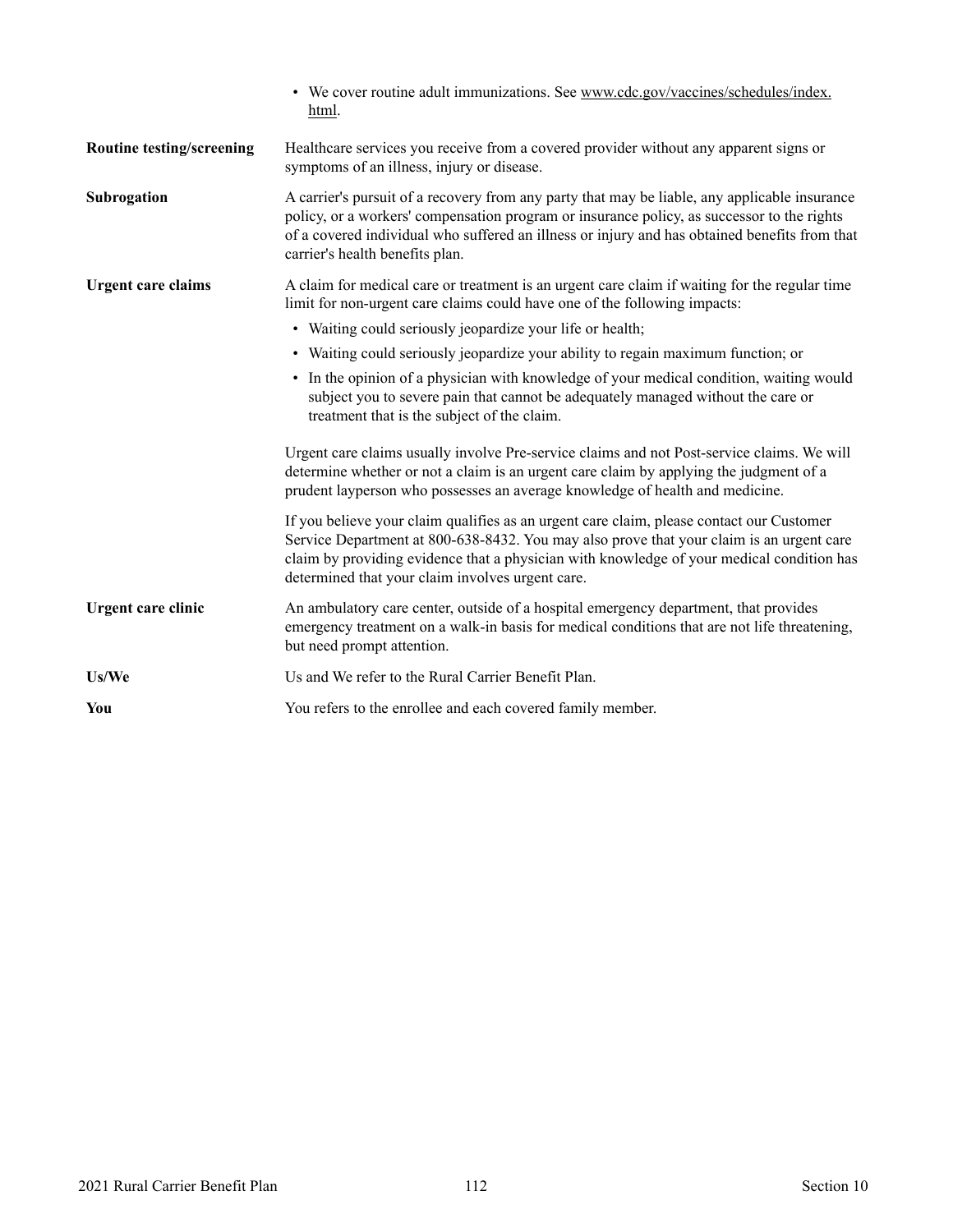<span id="page-113-0"></span>

|                                  | • We cover routine adult immunizations. See www.cdc.gov/vaccines/schedules/index.<br>html.                                                                                                                                                                                                                                            |
|----------------------------------|---------------------------------------------------------------------------------------------------------------------------------------------------------------------------------------------------------------------------------------------------------------------------------------------------------------------------------------|
| <b>Routine testing/screening</b> | Healthcare services you receive from a covered provider without any apparent signs or<br>symptoms of an illness, injury or disease.                                                                                                                                                                                                   |
| Subrogation                      | A carrier's pursuit of a recovery from any party that may be liable, any applicable insurance<br>policy, or a workers' compensation program or insurance policy, as successor to the rights<br>of a covered individual who suffered an illness or injury and has obtained benefits from that<br>carrier's health benefits plan.       |
| <b>Urgent care claims</b>        | A claim for medical care or treatment is an urgent care claim if waiting for the regular time<br>limit for non-urgent care claims could have one of the following impacts:                                                                                                                                                            |
|                                  | • Waiting could seriously jeopardize your life or health;                                                                                                                                                                                                                                                                             |
|                                  | • Waiting could seriously jeopardize your ability to regain maximum function; or                                                                                                                                                                                                                                                      |
|                                  | • In the opinion of a physician with knowledge of your medical condition, waiting would<br>subject you to severe pain that cannot be adequately managed without the care or<br>treatment that is the subject of the claim.                                                                                                            |
|                                  | Urgent care claims usually involve Pre-service claims and not Post-service claims. We will<br>determine whether or not a claim is an urgent care claim by applying the judgment of a<br>prudent layperson who possesses an average knowledge of health and medicine.                                                                  |
|                                  | If you believe your claim qualifies as an urgent care claim, please contact our Customer<br>Service Department at 800-638-8432. You may also prove that your claim is an urgent care<br>claim by providing evidence that a physician with knowledge of your medical condition has<br>determined that your claim involves urgent care. |
| Urgent care clinic               | An ambulatory care center, outside of a hospital emergency department, that provides<br>emergency treatment on a walk-in basis for medical conditions that are not life threatening,<br>but need prompt attention.                                                                                                                    |
| Us/We                            | Us and We refer to the Rural Carrier Benefit Plan.                                                                                                                                                                                                                                                                                    |
| You                              | You refers to the enrollee and each covered family member.                                                                                                                                                                                                                                                                            |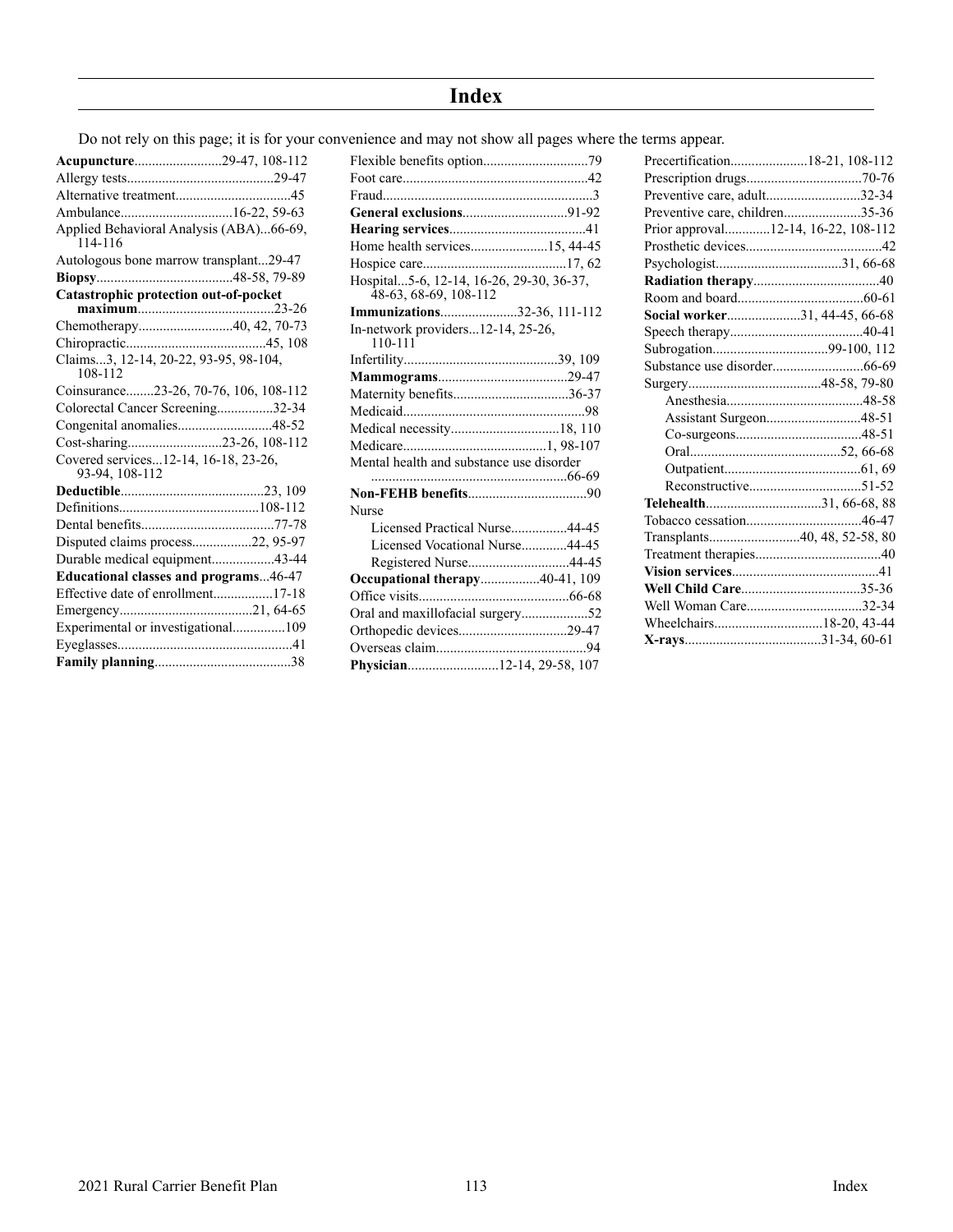# **Index**

Do not rely on this page; it is for your convenience and may not show all pages where the terms appear.

|                                                        |                                                      | Preventive care, adult32-34         |
|--------------------------------------------------------|------------------------------------------------------|-------------------------------------|
|                                                        |                                                      | Preventive care, children35-36      |
| Applied Behavioral Analysis (ABA)66-69,<br>114-116     | Home health services15, 44-45                        | Prior approval12-14, 16-22, 108-112 |
| Autologous bone marrow transplant29-47                 |                                                      |                                     |
|                                                        | Hospital5-6, 12-14, 16-26, 29-30, 36-37,             |                                     |
| Catastrophic protection out-of-pocket                  | 48-63, 68-69, 108-112<br>Immunizations32-36, 111-112 | Social worker31, 44-45, 66-68       |
|                                                        | In-network providers $12-14$ , $25-26$ ,             |                                     |
|                                                        | $110 - 111$                                          |                                     |
| Claims3, 12-14, 20-22, 93-95, 98-104,<br>108-112       |                                                      |                                     |
| Coinsurance23-26, 70-76, 106, 108-112                  |                                                      |                                     |
| Colorectal Cancer Screening32-34                       |                                                      |                                     |
| Congenital anomalies48-52                              |                                                      | Assistant Surgeon48-51              |
|                                                        |                                                      |                                     |
| Covered services12-14, 16-18, 23-26,<br>93-94, 108-112 | Mental health and substance use disorder             |                                     |
|                                                        |                                                      |                                     |
|                                                        | <b>Nurse</b>                                         |                                     |
|                                                        | Licensed Practical Nurse44-45                        |                                     |
| Disputed claims process22, 95-97                       | Licensed Vocational Nurse44-45                       | Transplants40, 48, 52-58, 80        |
| Durable medical equipment43-44                         | Registered Nurse44-45                                |                                     |
| <b>Educational classes and programs46-47</b>           | <b>Occupational therapy40-41, 109</b>                |                                     |
|                                                        |                                                      |                                     |
|                                                        |                                                      |                                     |
| Experimental or investigational109                     | Orthopedic devices29-47                              |                                     |
|                                                        |                                                      |                                     |
|                                                        |                                                      |                                     |

| Home health services15, 44-45                                     |  |
|-------------------------------------------------------------------|--|
|                                                                   |  |
| Hospital5-6, 12-14, 16-26, 29-30, 36-37,<br>48-63, 68-69, 108-112 |  |
| Immunizations32-36, 111-112                                       |  |
| In-network providers12-14, 25-26,<br>110-111                      |  |
|                                                                   |  |
|                                                                   |  |
| Maternity benefits36-37                                           |  |
|                                                                   |  |
|                                                                   |  |
|                                                                   |  |
| Mental health and substance use disorder                          |  |
|                                                                   |  |
| Nurse                                                             |  |
| Licensed Practical Nurse44-45                                     |  |
| Licensed Vocational Nurse44-45                                    |  |
| Registered Nurse44-45                                             |  |
| Occupational therapy40-41, 109                                    |  |
|                                                                   |  |
| Oral and maxillofacial surgery52                                  |  |
|                                                                   |  |
|                                                                   |  |
| Physician12-14, 29-58, 107                                        |  |
|                                                                   |  |

| Precertification18-21, 108-112      |  |
|-------------------------------------|--|
|                                     |  |
| Preventive care, adult32-34         |  |
| Preventive care, children35-36      |  |
| Prior approval12-14, 16-22, 108-112 |  |
|                                     |  |
|                                     |  |
|                                     |  |
|                                     |  |
| Social worker31, 44-45, 66-68       |  |
|                                     |  |
|                                     |  |
|                                     |  |
|                                     |  |
|                                     |  |
| Assistant Surgeon48-51              |  |
|                                     |  |
|                                     |  |
|                                     |  |
|                                     |  |
| Telehealth31, 66-68, 88             |  |
|                                     |  |
|                                     |  |
|                                     |  |
|                                     |  |
|                                     |  |
|                                     |  |
| Wheelchairs18-20, 43-44             |  |
|                                     |  |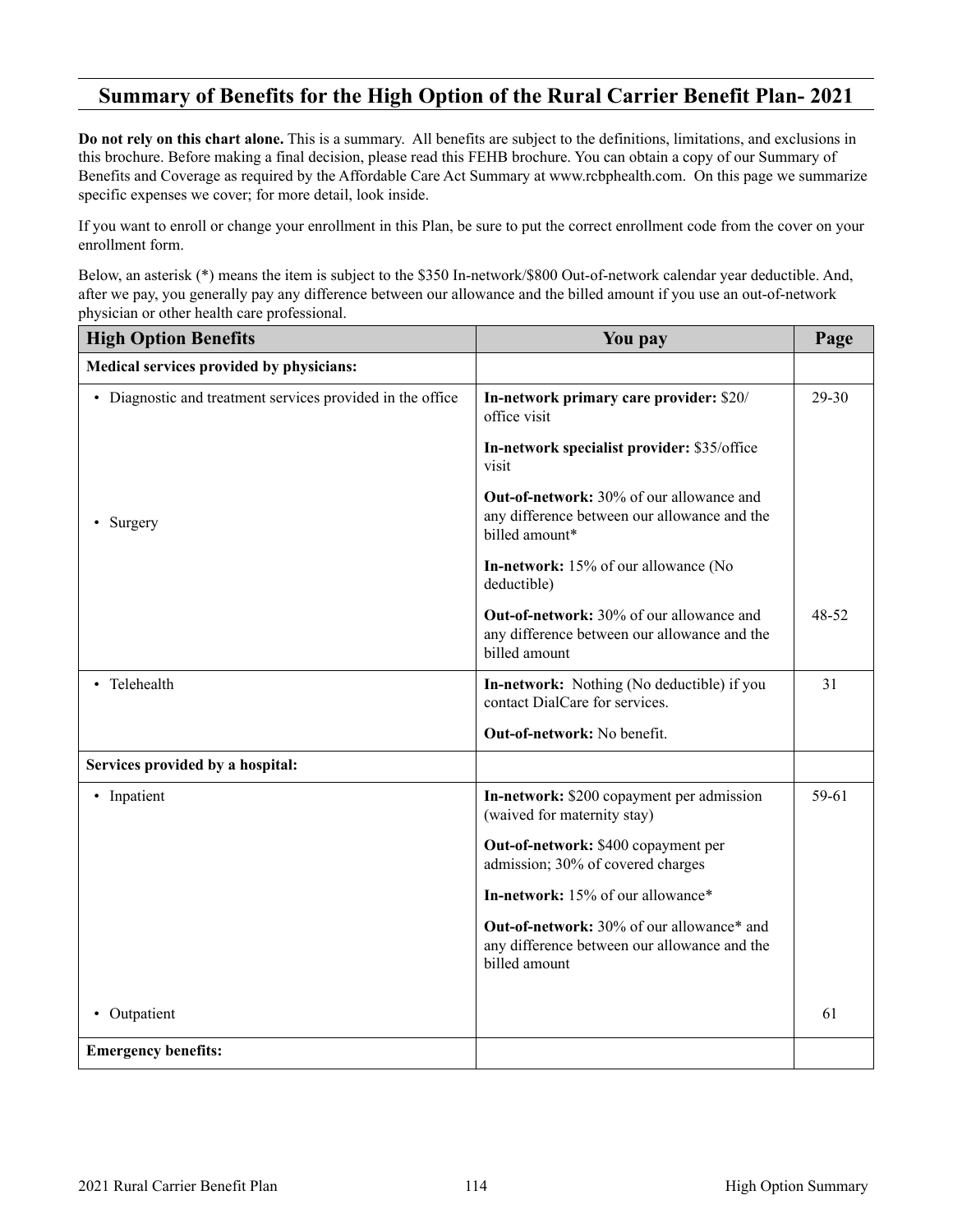## <span id="page-115-0"></span>**Summary of Benefits for the High Option of the Rural Carrier Benefit Plan- 2021**

**Do not rely on this chart alone.** This is a summary. All benefits are subject to the definitions, limitations, and exclusions in this brochure. Before making a final decision, please read this FEHB brochure. You can obtain a copy of our Summary of Benefits and Coverage as required by the Affordable Care Act Summary at [www.rcbphealth.com.](http://www.rcbphealth.com) On this page we summarize specific expenses we cover; for more detail, look inside.

If you want to enroll or change your enrollment in this Plan, be sure to put the correct enrollment code from the cover on your enrollment form.

Below, an asterisk (\*) means the item is subject to the \$350 In-network/\$800 Out-of-network calendar year deductible. And, after we pay, you generally pay any difference between our allowance and the billed amount if you use an out-of-network physician or other health care professional.

| <b>High Option Benefits</b>                                | You pay                                                                                                           | Page  |
|------------------------------------------------------------|-------------------------------------------------------------------------------------------------------------------|-------|
| Medical services provided by physicians:                   |                                                                                                                   |       |
| • Diagnostic and treatment services provided in the office | In-network primary care provider: \$20/<br>office visit                                                           | 29-30 |
|                                                            | In-network specialist provider: \$35/office<br>visit                                                              |       |
| Surgery                                                    | <b>Out-of-network:</b> 30% of our allowance and<br>any difference between our allowance and the<br>billed amount* |       |
|                                                            | In-network: 15% of our allowance (No<br>deductible)                                                               |       |
|                                                            | <b>Out-of-network:</b> 30% of our allowance and<br>any difference between our allowance and the<br>billed amount  | 48-52 |
| • Telehealth                                               | In-network: Nothing (No deductible) if you<br>contact DialCare for services.                                      | 31    |
|                                                            | <b>Out-of-network:</b> No benefit.                                                                                |       |
| Services provided by a hospital:                           |                                                                                                                   |       |
| • Inpatient                                                | In-network: \$200 copayment per admission<br>(waived for maternity stay)                                          | 59-61 |
|                                                            | Out-of-network: \$400 copayment per<br>admission; 30% of covered charges                                          |       |
|                                                            | In-network: 15% of our allowance*                                                                                 |       |
|                                                            | Out-of-network: 30% of our allowance* and<br>any difference between our allowance and the<br>billed amount        |       |
| Outpatient                                                 |                                                                                                                   | 61    |
| <b>Emergency benefits:</b>                                 |                                                                                                                   |       |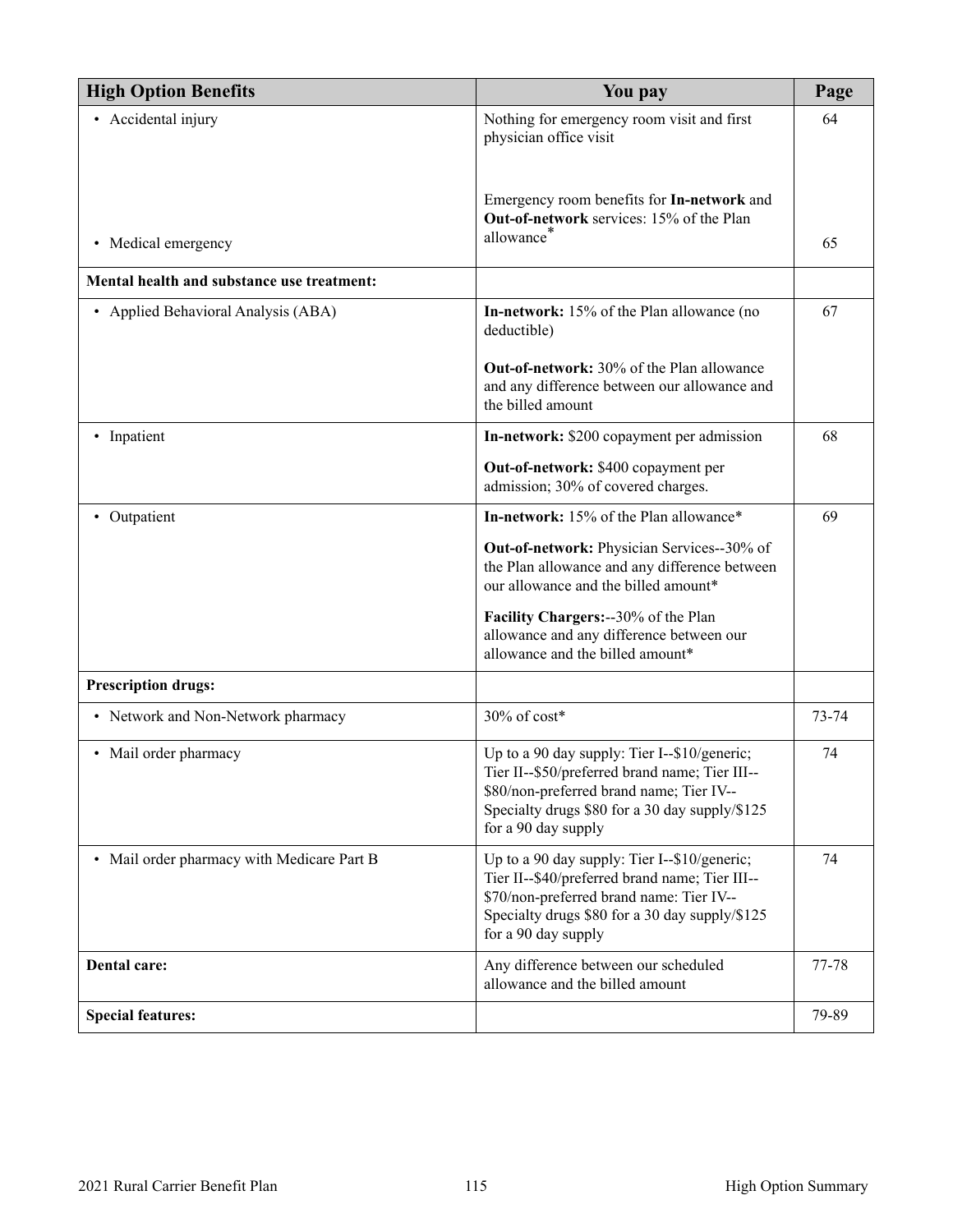| <b>High Option Benefits</b>                | You pay                                                                                                                                                                                                             | Page  |
|--------------------------------------------|---------------------------------------------------------------------------------------------------------------------------------------------------------------------------------------------------------------------|-------|
| • Accidental injury                        | Nothing for emergency room visit and first<br>physician office visit                                                                                                                                                | 64    |
| • Medical emergency                        | Emergency room benefits for In-network and<br>Out-of-network services: 15% of the Plan<br>allowance <sup>*</sup>                                                                                                    | 65    |
| Mental health and substance use treatment: |                                                                                                                                                                                                                     |       |
| Applied Behavioral Analysis (ABA)          | In-network: 15% of the Plan allowance (no<br>deductible)                                                                                                                                                            | 67    |
|                                            | <b>Out-of-network:</b> 30% of the Plan allowance<br>and any difference between our allowance and<br>the billed amount                                                                                               |       |
| • Inpatient                                | In-network: \$200 copayment per admission                                                                                                                                                                           | 68    |
|                                            | Out-of-network: \$400 copayment per<br>admission; 30% of covered charges.                                                                                                                                           |       |
| • Outpatient                               | In-network: 15% of the Plan allowance*                                                                                                                                                                              | 69    |
|                                            | Out-of-network: Physician Services--30% of<br>the Plan allowance and any difference between<br>our allowance and the billed amount*                                                                                 |       |
|                                            | Facility Chargers: -- 30% of the Plan<br>allowance and any difference between our<br>allowance and the billed amount*                                                                                               |       |
| <b>Prescription drugs:</b>                 |                                                                                                                                                                                                                     |       |
| • Network and Non-Network pharmacy         | 30% of cost*                                                                                                                                                                                                        | 73-74 |
| • Mail order pharmacy                      | Up to a 90 day supply: Tier I--\$10/generic;<br>Tier II--\$50/preferred brand name; Tier III-<br>\$80/non-preferred brand name; Tier IV--<br>Specialty drugs \$80 for a 30 day supply/\$125<br>for a 90 day supply  | 74    |
| • Mail order pharmacy with Medicare Part B | Up to a 90 day supply: Tier I--\$10/generic;<br>Tier II--\$40/preferred brand name; Tier III--<br>\$70/non-preferred brand name: Tier IV--<br>Specialty drugs \$80 for a 30 day supply/\$125<br>for a 90 day supply | 74    |
| Dental care:                               | Any difference between our scheduled<br>allowance and the billed amount                                                                                                                                             | 77-78 |
| <b>Special features:</b>                   |                                                                                                                                                                                                                     | 79-89 |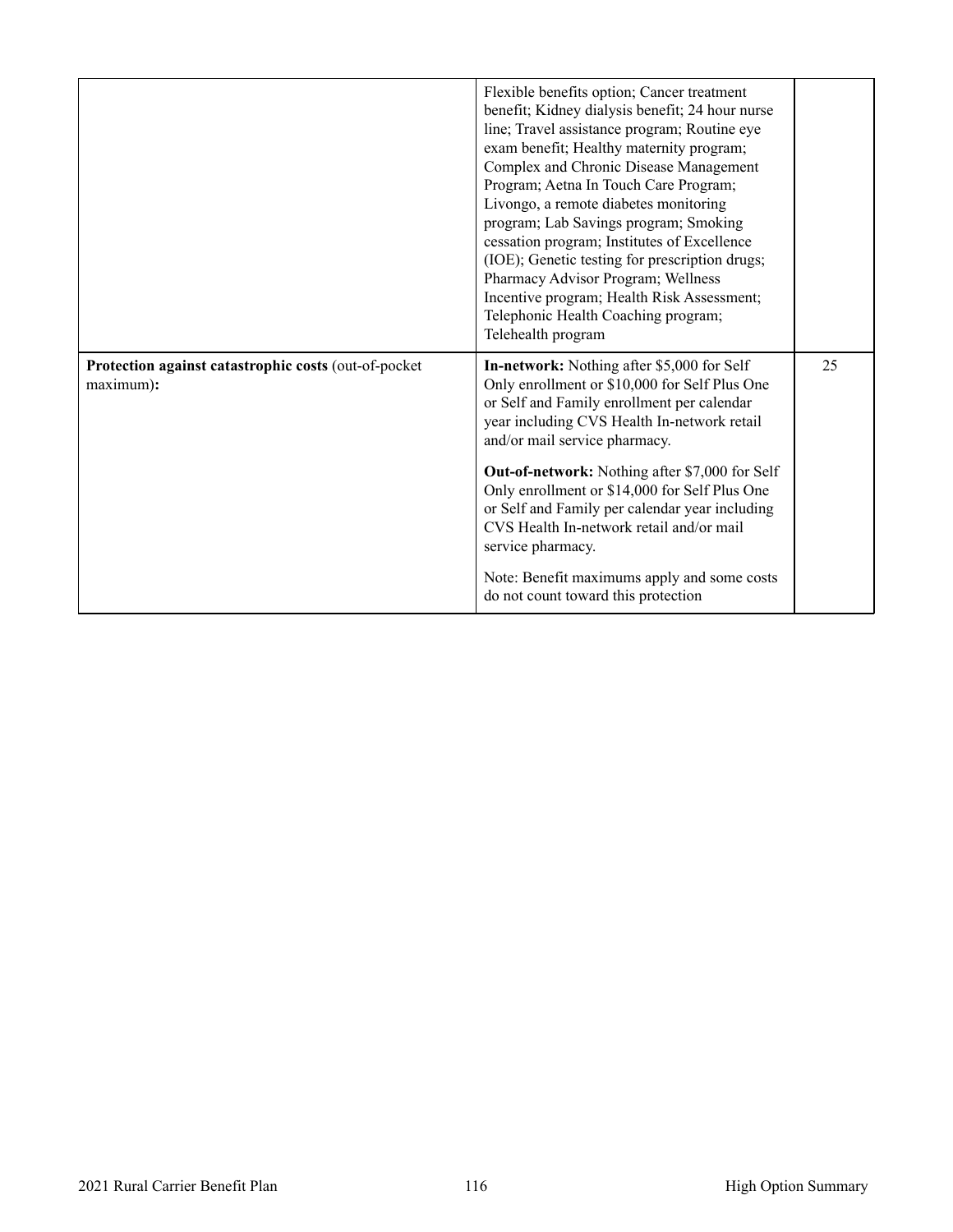<span id="page-117-0"></span>

|                                                                   | Flexible benefits option; Cancer treatment<br>benefit; Kidney dialysis benefit; 24 hour nurse<br>line; Travel assistance program; Routine eye<br>exam benefit; Healthy maternity program;<br>Complex and Chronic Disease Management<br>Program; Aetna In Touch Care Program;<br>Livongo, a remote diabetes monitoring<br>program; Lab Savings program; Smoking<br>cessation program; Institutes of Excellence<br>(IOE); Genetic testing for prescription drugs;<br>Pharmacy Advisor Program; Wellness<br>Incentive program; Health Risk Assessment;<br>Telephonic Health Coaching program;<br>Telehealth program |    |
|-------------------------------------------------------------------|------------------------------------------------------------------------------------------------------------------------------------------------------------------------------------------------------------------------------------------------------------------------------------------------------------------------------------------------------------------------------------------------------------------------------------------------------------------------------------------------------------------------------------------------------------------------------------------------------------------|----|
| Protection against catastrophic costs (out-of-pocket<br>maximum): | In-network: Nothing after \$5,000 for Self<br>Only enrollment or \$10,000 for Self Plus One<br>or Self and Family enrollment per calendar<br>year including CVS Health In-network retail<br>and/or mail service pharmacy.                                                                                                                                                                                                                                                                                                                                                                                        | 25 |
|                                                                   | <b>Out-of-network:</b> Nothing after \$7,000 for Self<br>Only enrollment or \$14,000 for Self Plus One<br>or Self and Family per calendar year including<br>CVS Health In-network retail and/or mail<br>service pharmacy.                                                                                                                                                                                                                                                                                                                                                                                        |    |
|                                                                   | Note: Benefit maximums apply and some costs<br>do not count toward this protection                                                                                                                                                                                                                                                                                                                                                                                                                                                                                                                               |    |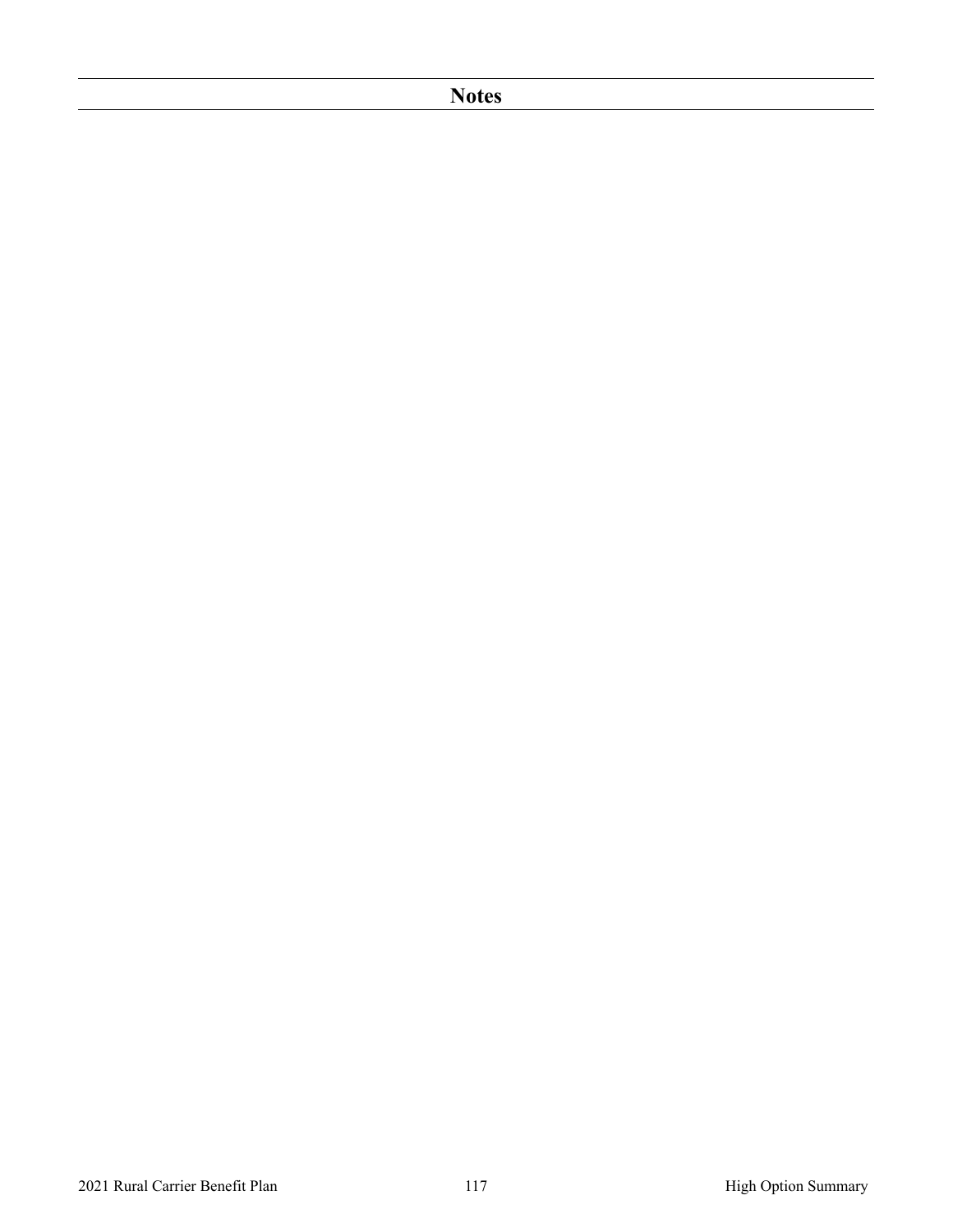### **Notes**